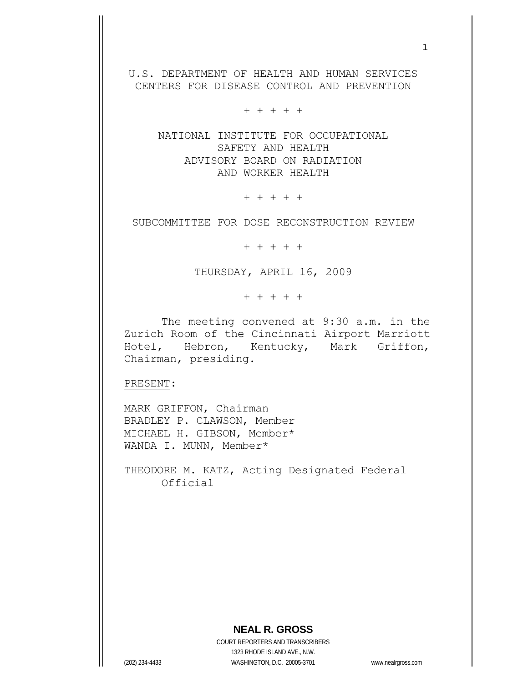U.S. DEPARTMENT OF HEALTH AND HUMAN SERVICES CENTERS FOR DISEASE CONTROL AND PREVENTION

+ + + + +

 NATIONAL INSTITUTE FOR OCCUPATIONAL SAFETY AND HEALTH ADVISORY BOARD ON RADIATION AND WORKER HEALTH

+ + + + +

SUBCOMMITTEE FOR DOSE RECONSTRUCTION REVIEW

+ + + + +

THURSDAY, APRIL 16, 2009

+ + + + +

 The meeting convened at 9:30 a.m. in the Zurich Room of the Cincinnati Airport Marriott Hotel, Hebron, Kentucky, Mark Griffon, Chairman, presiding.

PRESENT:

MARK GRIFFON, Chairman BRADLEY P. CLAWSON, Member MICHAEL H. GIBSON, Member\* WANDA I. MUNN, Member\*

THEODORE M. KATZ, Acting Designated Federal Official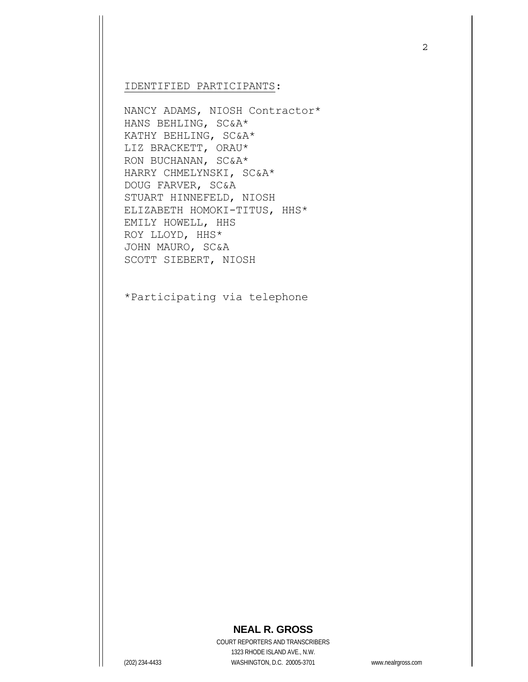## IDENTIFIED PARTICIPANTS:

NANCY ADAMS, NIOSH Contractor\* HANS BEHLING, SC&A\* KATHY BEHLING, SC&A\* LIZ BRACKETT, ORAU\* RON BUCHANAN, SC&A\* HARRY CHMELYNSKI, SC&A\* DOUG FARVER, SC&A STUART HINNEFELD, NIOSH ELIZABETH HOMOKI-TITUS, HHS\* EMILY HOWELL, HHS ROY LLOYD, HHS\* JOHN MAURO, SC&A SCOTT SIEBERT, NIOSH

\*Participating via telephone

## **NEAL R. GROSS**

COURT REPORTERS AND TRANSCRIBERS 1323 RHODE ISLAND AVE., N.W. (202) 234-4433 WASHINGTON, D.C. 20005-3701 www.nealrgross.com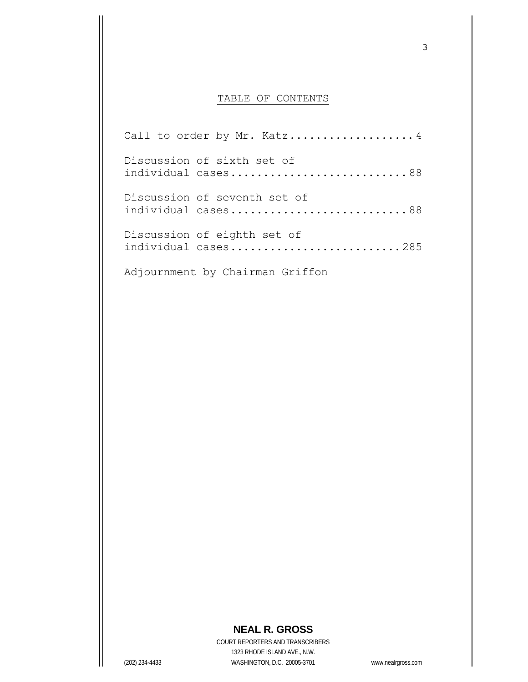## TABLE OF CONTENTS

Call to order by Mr. Katz.....................4 Discussion of sixth set of individual cases...............................88 Discussion of seventh set of individual cases...............................88 Discussion of eighth set of individual cases.............................285

Adjournment by Chairman Griffon

## **NEAL R. GROSS**

COURT REPORTERS AND TRANSCRIBERS 1323 RHODE ISLAND AVE., N.W. (202) 234-4433 WASHINGTON, D.C. 20005-3701 www.nealrgross.com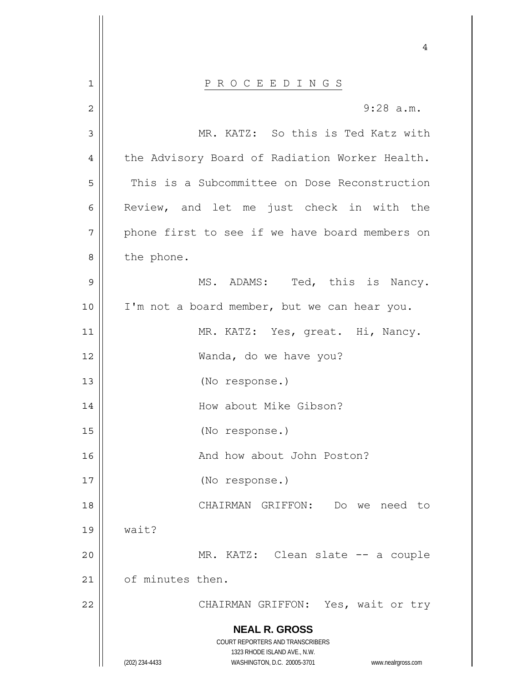**NEAL R. GROSS** COURT REPORTERS AND TRANSCRIBERS 1323 RHODE ISLAND AVE., N.W. (202) 234-4433 WASHINGTON, D.C. 20005-3701 www.nealrgross.com 4 1 || P R O C E E D I N G S 2 3 4 5 6 7 8 9 10 11 12 13 14 15 16 17 18 19 20 21 22 9:28 a.m. MR. KATZ: So this is Ted Katz with the Advisory Board of Radiation Worker Health. This is a Subcommittee on Dose Reconstruction Review, and let me just check in with the phone first to see if we have board members on the phone. MS. ADAMS: Ted, this is Nancy. I'm not a board member, but we can hear you. MR. KATZ: Yes, great. Hi, Nancy. Wanda, do we have you? (No response.) How about Mike Gibson? (No response.) And how about John Poston? (No response.) CHAIRMAN GRIFFON: Do we need to wait? MR. KATZ: Clean slate -- a couple of minutes then. CHAIRMAN GRIFFON: Yes, wait or try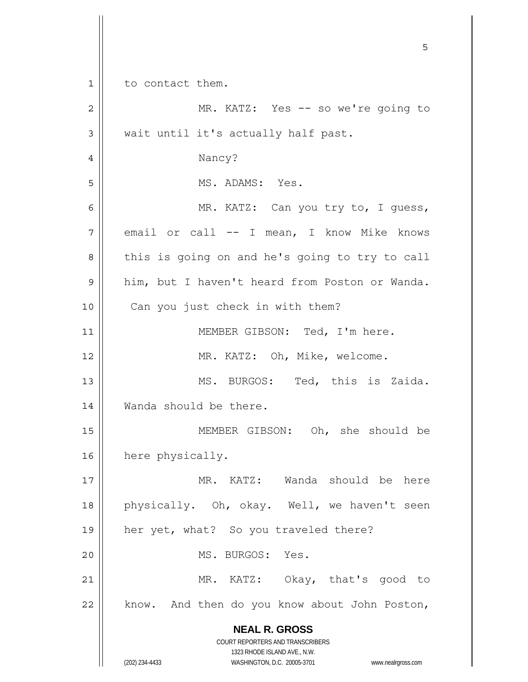**NEAL R. GROSS** COURT REPORTERS AND TRANSCRIBERS 1323 RHODE ISLAND AVE., N.W. (202) 234-4433 WASHINGTON, D.C. 20005-3701 www.nealrgross.com  $\sim$  5  $\sim$  5  $\sim$  5  $\sim$  5  $\sim$  5  $\sim$  5  $\sim$  5  $\sim$  5  $\sim$  5  $\sim$  5  $\sim$  5  $\sim$  5  $\sim$  5  $\sim$  5  $\sim$  5  $\sim$  5  $\sim$  5  $\sim$  5  $\sim$  5  $\sim$  5  $\sim$  5  $\sim$  5  $\sim$  5  $\sim$  5  $\sim$  5  $\sim$  5  $\sim$  5  $\sim$  5  $\sim$  5  $\sim$  5  $\sim$  5  $\sim$ 1 2 3 4 5 6 7 8 9 10 11 12 13 14 15 16 17 18 19 20 21 22 to contact them. MR. KATZ: Yes -- so we're going to wait until it's actually half past. Nancy? MS. ADAMS: Yes. MR. KATZ: Can you try to, I guess, email or call -- I mean, I know Mike knows this is going on and he's going to try to call him, but I haven't heard from Poston or Wanda. Can you just check in with them? MEMBER GIBSON: Ted, I'm here. MR. KATZ: Oh, Mike, welcome. MS. BURGOS: Ted, this is Zaida. Wanda should be there. MEMBER GIBSON: Oh, she should be here physically. MR. KATZ: Wanda should be here physically. Oh, okay. Well, we haven't seen her yet, what? So you traveled there? MS. BURGOS: Yes. MR. KATZ: Okay, that's good to know. And then do you know about John Poston,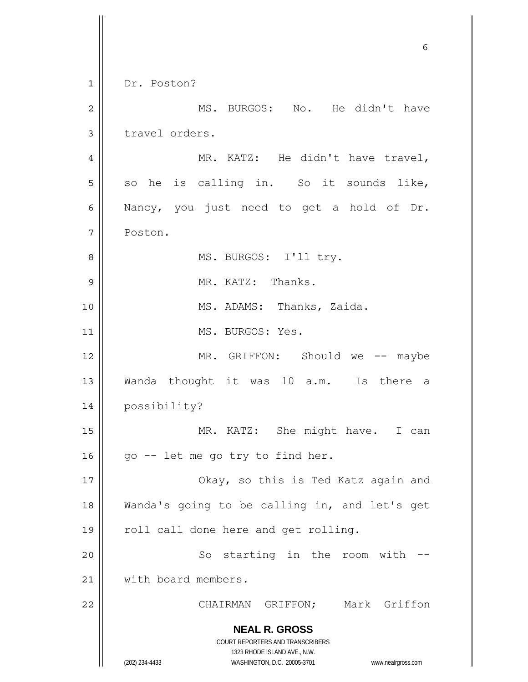**NEAL R. GROSS** COURT REPORTERS AND TRANSCRIBERS 1323 RHODE ISLAND AVE., N.W. (202) 234-4433 WASHINGTON, D.C. 20005-3701 www.nealrgross.com  $\sim$  6 1 2 3 4 5 6 7 8 9 10 11 12 13 14 15 16 17 18 19 20 21 22 Dr. Poston? MS. BURGOS: No. He didn't have travel orders. MR. KATZ: He didn't have travel, so he is calling in. So it sounds like, Nancy, you just need to get a hold of Dr. Poston. MS. BURGOS: I'll try. MR. KATZ: Thanks. MS. ADAMS: Thanks, Zaida. MS. BURGOS: Yes. MR. GRIFFON: Should we -- maybe Wanda thought it was 10 a.m. Is there a possibility? MR. KATZ: She might have. I can go -- let me go try to find her. Okay, so this is Ted Katz again and Wanda's going to be calling in, and let's get roll call done here and get rolling. So starting in the room with - with board members. CHAIRMAN GRIFFON; Mark Griffon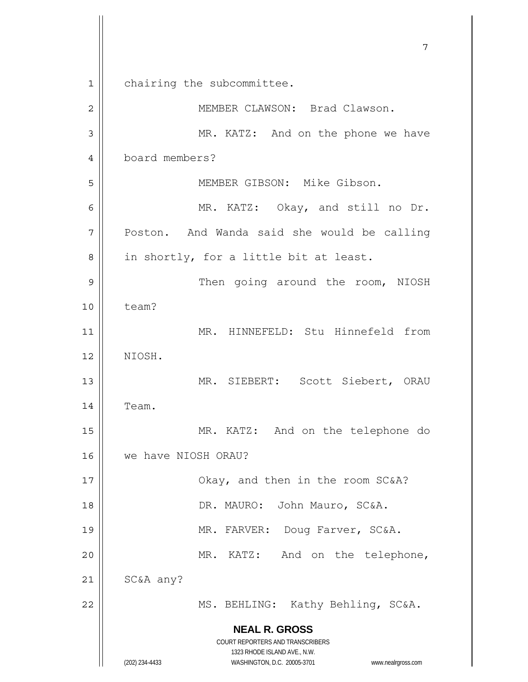**NEAL R. GROSS** COURT REPORTERS AND TRANSCRIBERS 1323 RHODE ISLAND AVE., N.W. (202) 234-4433 WASHINGTON, D.C. 20005-3701 www.nealrgross.com 7 1 2 3 4 5 6 7 8 9 10 11 12 13 14 15 16 17 18 19 20 21 22 chairing the subcommittee. MEMBER CLAWSON: Brad Clawson. MR. KATZ: And on the phone we have board members? MEMBER GIBSON: Mike Gibson. MR. KATZ: Okay, and still no Dr. Poston. And Wanda said she would be calling in shortly, for a little bit at least. Then going around the room, NIOSH team? MR. HINNEFELD: Stu Hinnefeld from NIOSH. MR. SIEBERT: Scott Siebert, ORAU Team. MR. KATZ: And on the telephone do we have NIOSH ORAU? Okay, and then in the room SC&A? DR. MAURO: John Mauro, SC&A. MR. FARVER: Doug Farver, SC&A. MR. KATZ: And on the telephone, SC&A any? MS. BEHLING: Kathy Behling, SC&A.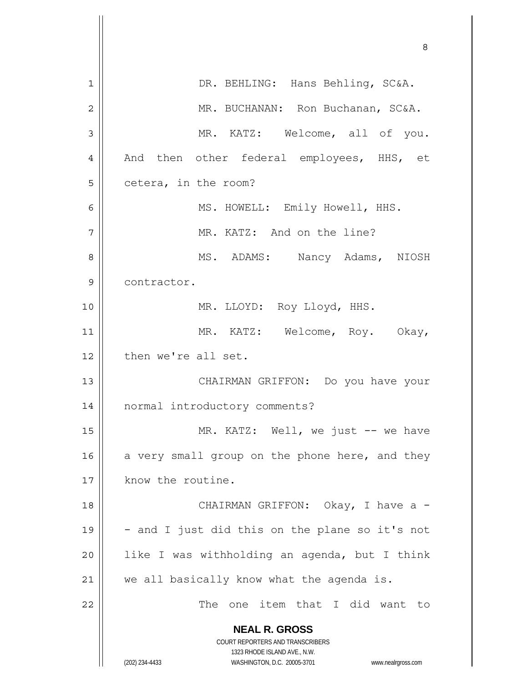**NEAL R. GROSS** COURT REPORTERS AND TRANSCRIBERS 1323 RHODE ISLAND AVE., N.W. (202) 234-4433 WASHINGTON, D.C. 20005-3701 www.nealrgross.com <u>83 - Santa Carlos de Santa Carlos de Santa Carlos de Santa Carlos de Santa Carlos de Santa Carlos de Santa Ca</u> 1 2 3 4 5 6 7 8 9 10 11 12 13 14 15 16 17 18 19 20 21 22 DR. BEHLING: Hans Behling, SC&A. MR. BUCHANAN: Ron Buchanan, SC&A. MR. KATZ: Welcome, all of you. And then other federal employees, HHS, et cetera, in the room? MS. HOWELL: Emily Howell, HHS. MR. KATZ: And on the line? MS. ADAMS: Nancy Adams, NIOSH contractor. MR. LLOYD: Roy Lloyd, HHS. MR. KATZ: Welcome, Roy. Okay, then we're all set. CHAIRMAN GRIFFON: Do you have your normal introductory comments? MR. KATZ: Well, we just -- we have a very small group on the phone here, and they know the routine. CHAIRMAN GRIFFON: Okay, I have a -- and I just did this on the plane so it's not like I was withholding an agenda, but I think we all basically know what the agenda is. The one item that I did want to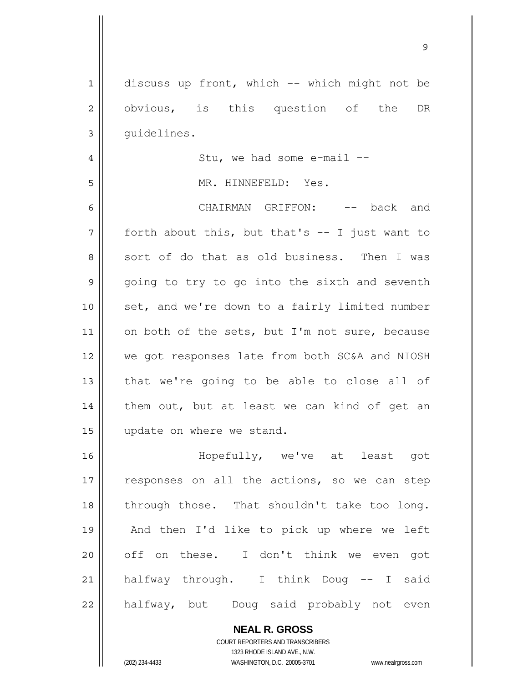1 2 3 4 5 6 7 8 9 10 11 12 13 14 15 16 17 18 19 20 21 22 discuss up front, which -- which might not be obvious, is this question of the DR guidelines. Stu, we had some e-mail -- MR. HINNEFELD: Yes. CHAIRMAN GRIFFON: -- back and forth about this, but that's -- I just want to sort of do that as old business. Then I was going to try to go into the sixth and seventh set, and we're down to a fairly limited number on both of the sets, but I'm not sure, because we got responses late from both SC&A and NIOSH that we're going to be able to close all of them out, but at least we can kind of get an update on where we stand. Hopefully, we've at least got responses on all the actions, so we can step through those. That shouldn't take too long. And then I'd like to pick up where we left off on these. I don't think we even got halfway through. I think Doug -- I said halfway, but Doug said probably not even

9

**NEAL R. GROSS** COURT REPORTERS AND TRANSCRIBERS 1323 RHODE ISLAND AVE., N.W.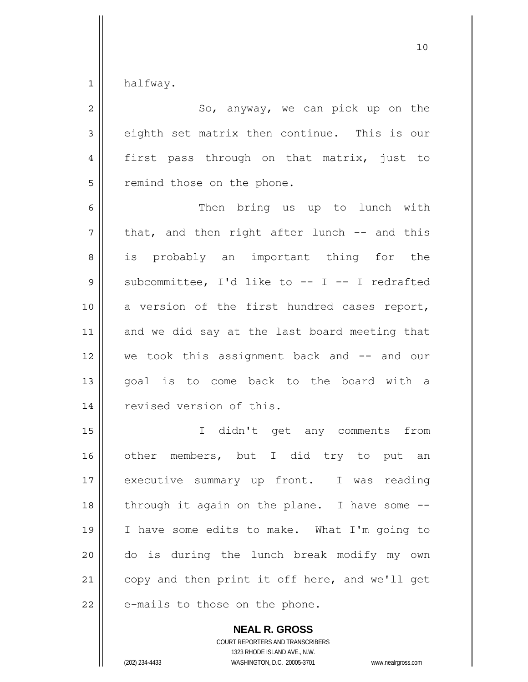1 halfway.

| $\overline{2}$ | So, anyway, we can pick up on the              |
|----------------|------------------------------------------------|
| 3              | eighth set matrix then continue. This is our   |
| $\overline{4}$ | first pass through on that matrix, just to     |
| 5              | remind those on the phone.                     |
| 6              | Then bring us up to lunch with                 |
| 7              | that, and then right after lunch -- and this   |
| 8              | is probably an important thing for the         |
| $\mathsf 9$    | subcommittee, I'd like to -- I -- I redrafted  |
| 10             | a version of the first hundred cases report,   |
| 11             | and we did say at the last board meeting that  |
| 12             | we took this assignment back and $--$ and our  |
| 13             | goal is to come back to the board with a       |
| 14             | revised version of this.                       |
| 15             | I didn't get any comments<br>from              |
| 16             | other members, but I did try to put an         |
| 17             | executive summary up front. I was<br>reading   |
| 18             | through it again on the plane. I have some --  |
| 19             | I have some edits to make. What I'm going to   |
| 20             | do is during the lunch break modify my own     |
| 21             | copy and then print it off here, and we'll get |
| 22             | e-mails to those on the phone.                 |

**NEAL R. GROSS** COURT REPORTERS AND TRANSCRIBERS 1323 RHODE ISLAND AVE., N.W.

(202) 234-4433 WASHINGTON, D.C. 20005-3701 www.nealrgross.com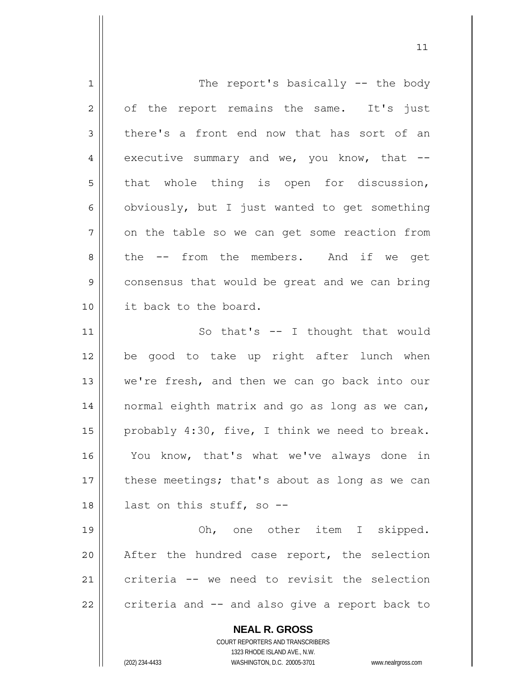| $\mathbf 1$  | The report's basically -- the body                                  |
|--------------|---------------------------------------------------------------------|
| 2            | of the report remains the same. It's just                           |
| 3            | there's a front end now that has sort of an                         |
| 4            | executive summary and we, you know, that $--$                       |
| 5            | that whole thing is open for discussion,                            |
| 6            | obviously, but I just wanted to get something                       |
| 7            | on the table so we can get some reaction from                       |
| 8            | the -- from the members. And if we get                              |
| $\mathsf{S}$ | consensus that would be great and we can bring                      |
| 10           | it back to the board.                                               |
| 11           | So that's $--$ I thought that would                                 |
| 12           | be good to take up right after lunch when                           |
| 13           | we're fresh, and then we can go back into our                       |
| 14           | normal eighth matrix and go as long as we can,                      |
| 15           | probably 4:30, five, I think we need to break.                      |
| 16           | You know, that's what we've always done in                          |
| 17           | these meetings; that's about as long as we can                      |
| 18           | last on this stuff, so --                                           |
| 19           | Oh, one other item I skipped.                                       |
| 20           | After the hundred case report, the selection                        |
| 21           | criteria -- we need to revisit the selection                        |
| 22           | criteria and -- and also give a report back to                      |
|              |                                                                     |
|              | <b>NEAL R. GROSS</b>                                                |
|              | COURT REPORTERS AND TRANSCRIBERS<br>1323 RHODE ISLAND AVE., N.W.    |
|              | (202) 234-4433<br>WASHINGTON, D.C. 20005-3701<br>www.nealrgross.com |

 $11$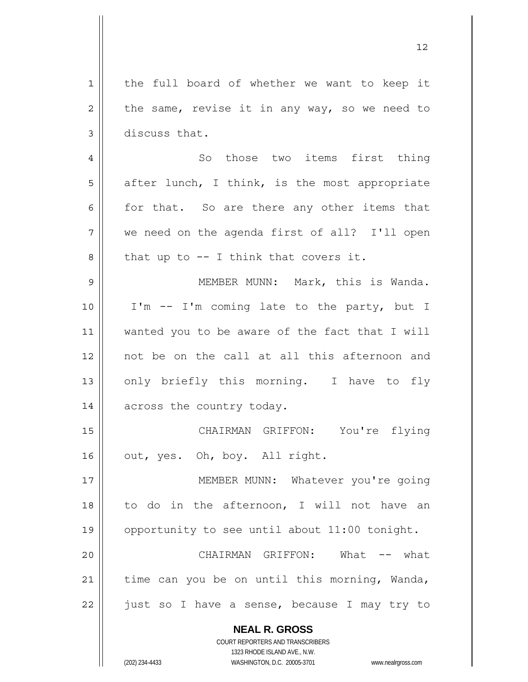**NEAL R. GROSS** 1 2 3 4 5 6 7 8 9 10 11 12 13 14 15 16 17 18 19 20 21 22 the full board of whether we want to keep it the same, revise it in any way, so we need to discuss that. So those two items first thing after lunch, I think, is the most appropriate for that. So are there any other items that we need on the agenda first of all? I'll open that up to -- I think that covers it. MEMBER MUNN: Mark, this is Wanda. I'm -- I'm coming late to the party, but I wanted you to be aware of the fact that I will not be on the call at all this afternoon and only briefly this morning. I have to fly across the country today. CHAIRMAN GRIFFON: You're flying out, yes. Oh, boy. All right. MEMBER MUNN: Whatever you're going to do in the afternoon, I will not have an opportunity to see until about 11:00 tonight. CHAIRMAN GRIFFON: What -- what time can you be on until this morning, Wanda, just so I have a sense, because I may try to

12

COURT REPORTERS AND TRANSCRIBERS 1323 RHODE ISLAND AVE., N.W.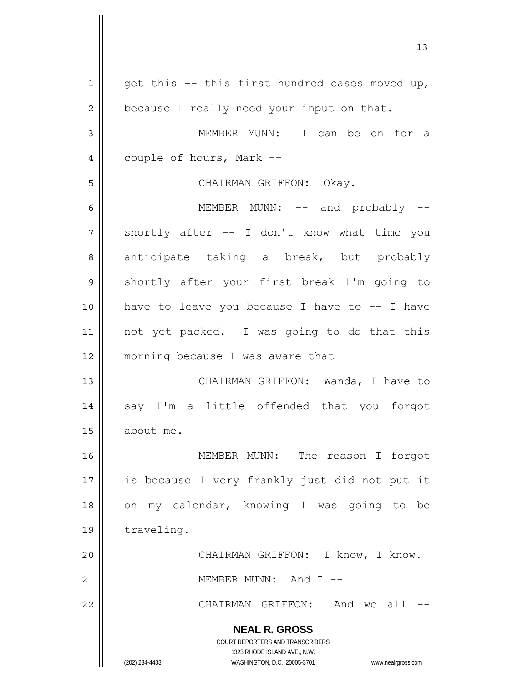**NEAL R. GROSS** COURT REPORTERS AND TRANSCRIBERS 1323 RHODE ISLAND AVE., N.W. (202) 234-4433 WASHINGTON, D.C. 20005-3701 www.nealrgross.com 1 2 3 4 5 6 7 8 9 10 11 12 13 14 15 16 17 18 19 20 21 22 get this -- this first hundred cases moved up, because I really need your input on that. MEMBER MUNN: I can be on for a couple of hours, Mark -- CHAIRMAN GRIFFON: Okay. MEMBER MUNN: -- and probably -shortly after -- I don't know what time you anticipate taking a break, but probably shortly after your first break I'm going to have to leave you because I have to  $-$ - I have not yet packed. I was going to do that this morning because I was aware that -- CHAIRMAN GRIFFON: Wanda, I have to say I'm a little offended that you forgot about me. MEMBER MUNN: The reason I forgot is because I very frankly just did not put it on my calendar, knowing I was going to be traveling. CHAIRMAN GRIFFON: I know, I know. MEMBER MUNN: And I -- CHAIRMAN GRIFFON: And we all --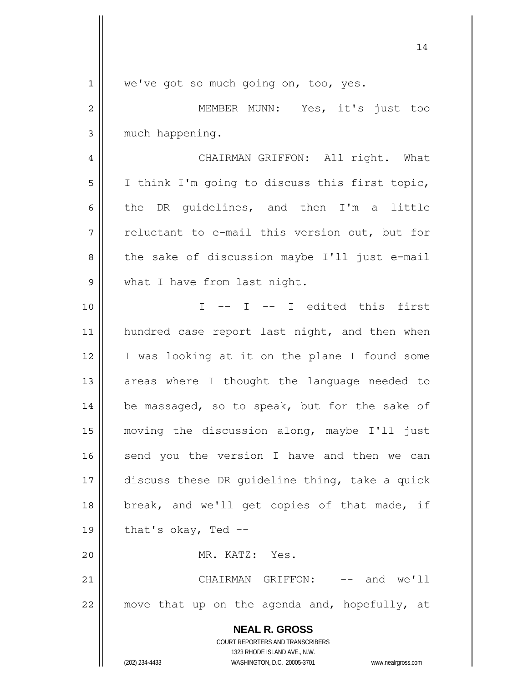| $\mathbf 1$    | we've got so much going on, too, yes.                               |
|----------------|---------------------------------------------------------------------|
| $\overline{c}$ | MEMBER MUNN: Yes, it's just too                                     |
| $\mathfrak{Z}$ | much happening.                                                     |
| 4              | CHAIRMAN GRIFFON: All right. What                                   |
| 5              | I think I'm going to discuss this first topic,                      |
| 6              | the DR guidelines, and then I'm a little                            |
| 7              | reluctant to e-mail this version out, but for                       |
| 8              | the sake of discussion maybe I'll just e-mail                       |
| 9              | what I have from last night.                                        |
| 10             | -- I -- I edited this first<br>$\top$                               |
| 11             | hundred case report last night, and then when                       |
| 12             | I was looking at it on the plane I found some                       |
| 13             | areas where I thought the language needed to                        |
| 14             | be massaged, so to speak, but for the sake of                       |
| 15             | moving the discussion along, maybe I'll just                        |
| 16             | send you the version I have and then we can                         |
| 17             | discuss these DR guideline thing, take a quick                      |
| 18             | break, and we'll get copies of that made, if                        |
| 19             | that's okay, Ted --                                                 |
| 20             | MR. KATZ: Yes.                                                      |
| 21             | CHAIRMAN GRIFFON:<br>$--$ and we'll                                 |
| 22             | move that up on the agenda and, hopefully, at                       |
|                | <b>NEAL R. GROSS</b>                                                |
|                | COURT REPORTERS AND TRANSCRIBERS                                    |
|                | 1323 RHODE ISLAND AVE., N.W.                                        |
|                | (202) 234-4433<br>WASHINGTON, D.C. 20005-3701<br>www.nealrgross.com |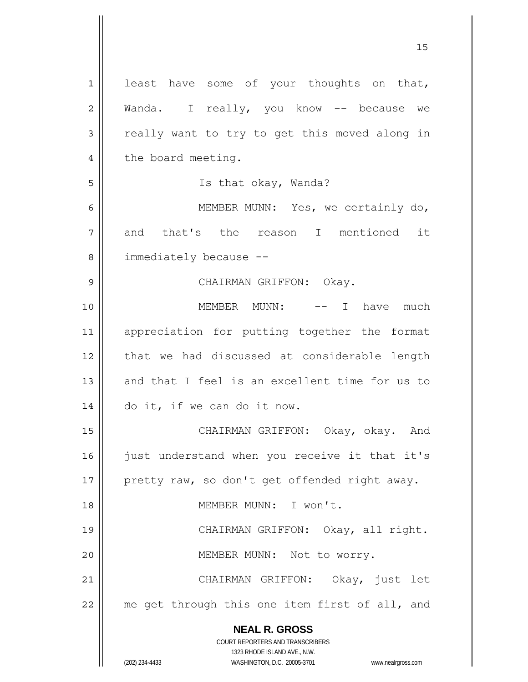**NEAL R. GROSS** COURT REPORTERS AND TRANSCRIBERS 1323 RHODE ISLAND AVE., N.W. 1 2 3 4 5 6 7 8 9 10 11 12 13 14 15 16 17 18 19 20 21 22 least have some of your thoughts on that, Wanda. I really, you know -- because we really want to try to get this moved along in the board meeting. Is that okay, Wanda? MEMBER MUNN: Yes, we certainly do, and that's the reason I mentioned it immediately because -- CHAIRMAN GRIFFON: Okay. MEMBER MUNN: -- I have much appreciation for putting together the format that we had discussed at considerable length and that I feel is an excellent time for us to do it, if we can do it now. CHAIRMAN GRIFFON: Okay, okay. And just understand when you receive it that it's pretty raw, so don't get offended right away. MEMBER MUNN: I won't. CHAIRMAN GRIFFON: Okay, all right. MEMBER MUNN: Not to worry. CHAIRMAN GRIFFON: Okay, just let me get through this one item first of all, and

15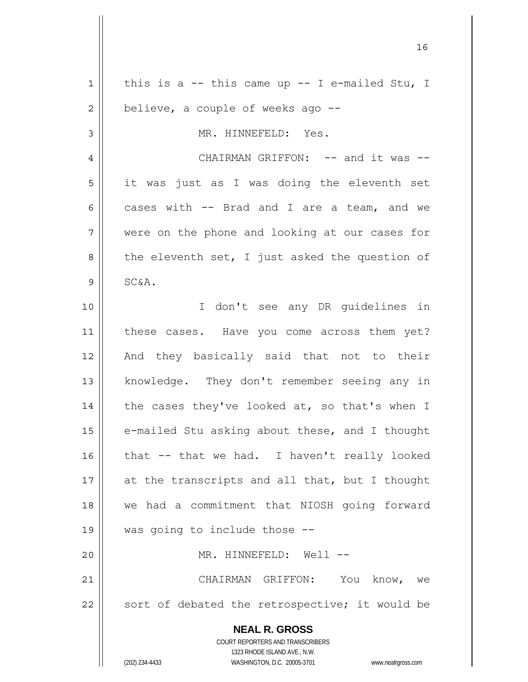| $\mathbf 1$    | this is a $-$ this came up $-$ I e-mailed Stu, I                        |
|----------------|-------------------------------------------------------------------------|
| $\overline{c}$ | believe, a couple of weeks ago --                                       |
| 3              | MR. HINNEFELD: Yes.                                                     |
| $\overline{4}$ | CHAIRMAN GRIFFON: -- and it was --                                      |
| 5              | it was just as I was doing the eleventh set                             |
| 6              | cases with -- Brad and I are a team, and we                             |
| 7              | were on the phone and looking at our cases for                          |
| 8              | the eleventh set, I just asked the question of                          |
| 9              | SC&A.                                                                   |
| 10             | I don't see any DR guidelines in                                        |
| 11             | these cases. Have you come across them yet?                             |
| 12             | And they basically said that not to their                               |
| 13             | knowledge. They don't remember seeing any in                            |
| 14             | the cases they've looked at, so that's when I                           |
| 15             | e-mailed Stu asking about these, and I thought                          |
| 16             | that -- that we had. I haven't really looked                            |
| 17             | at the transcripts and all that, but I thought                          |
| 18             | we had a commitment that NIOSH going forward                            |
| 19             | was going to include those --                                           |
| 20             | MR. HINNEFELD: Well --                                                  |
| 21             | CHAIRMAN GRIFFON: You know, we                                          |
| 22             | sort of debated the retrospective; it would be                          |
|                |                                                                         |
|                | <b>NEAL R. GROSS</b>                                                    |
|                | <b>COURT REPORTERS AND TRANSCRIBERS</b><br>1323 RHODE ISLAND AVE., N.W. |
|                | (202) 234-4433<br>WASHINGTON, D.C. 20005-3701<br>www.nealrgross.com     |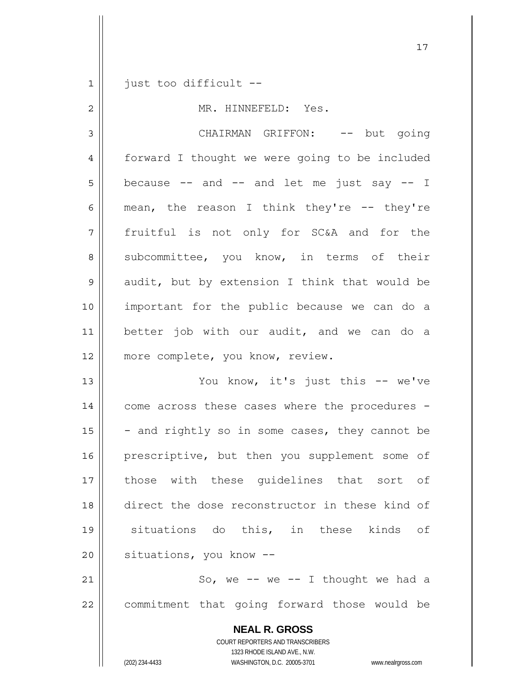1 just too difficult --

2 3 4 5 6 7 8 9 10 11 12 13 14 MR. HINNEFELD: Yes. CHAIRMAN GRIFFON: -- but going forward I thought we were going to be included because  $--$  and  $--$  and let me just say  $--$  I mean, the reason I think they're -- they're fruitful is not only for SC&A and for the subcommittee, you know, in terms of their audit, but by extension I think that would be important for the public because we can do a better job with our audit, and we can do a more complete, you know, review. You know, it's just this -- we've come across these cases where the procedures -

17

15 16 17 18 19 20 - and rightly so in some cases, they cannot be prescriptive, but then you supplement some of those with these guidelines that sort of direct the dose reconstructor in these kind of situations do this, in these kinds of situations, you know --

21 22 So, we  $--$  we  $--$  I thought we had a commitment that going forward those would be

> **NEAL R. GROSS** COURT REPORTERS AND TRANSCRIBERS 1323 RHODE ISLAND AVE., N.W. (202) 234-4433 WASHINGTON, D.C. 20005-3701 www.nealrgross.com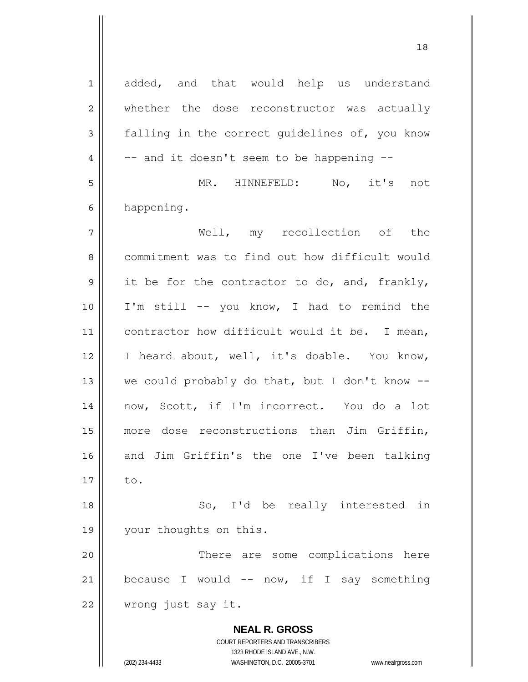**NEAL R. GROSS** COURT REPORTERS AND TRANSCRIBERS 1323 RHODE ISLAND AVE., N.W. 1 2 3 4 5 6 7 8 9 10 11 12 13 14 15 16 17 18 19 20 21 22 added, and that would help us understand whether the dose reconstructor was actually falling in the correct guidelines of, you know -- and it doesn't seem to be happening -- MR. HINNEFELD: No, it's not happening. Well, my recollection of the commitment was to find out how difficult would it be for the contractor to do, and, frankly, I'm still -- you know, I had to remind the contractor how difficult would it be. I mean, I heard about, well, it's doable. You know, we could probably do that, but I don't know - now, Scott, if I'm incorrect. You do a lot more dose reconstructions than Jim Griffin, and Jim Griffin's the one I've been talking to. So, I'd be really interested in your thoughts on this. There are some complications here because I would  $--$  now, if I say something wrong just say it.

18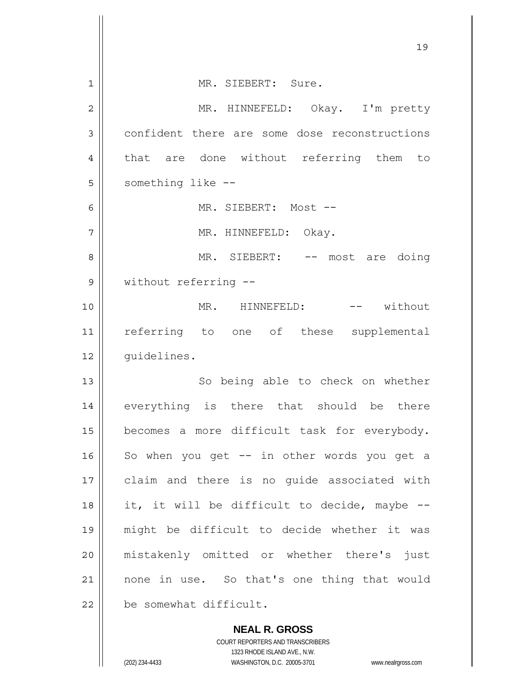|                | 19                                            |
|----------------|-----------------------------------------------|
| $\mathbf 1$    | MR. SIEBERT: Sure.                            |
| $\overline{2}$ | MR. HINNEFELD: Okay. I'm pretty               |
| 3              | confident there are some dose reconstructions |
| 4              | that are done without referring them to       |
| 5              | something like --                             |
| 6              | MR. SIEBERT: Most --                          |
| 7              | MR. HINNEFELD: Okay.                          |
| 8              | MR. SIEBERT: -- most are doing                |
| 9              | without referring --                          |
| 10             | MR. HINNEFELD: -- without                     |
| 11             | referring to one of these supplemental        |
| 12             | quidelines.                                   |
| 13             | So being able to check on whether             |
| 14             | everything is there that should be there      |
| 15             | becomes a more difficult task for everybody.  |
| 16             | So when you get -- in other words you get a   |
| 17             | claim and there is no guide associated with   |
| 18             | it, it will be difficult to decide, maybe --  |
| 19             | might be difficult to decide whether it was   |
| 20             | mistakenly omitted or whether there's just    |
| 21             | none in use. So that's one thing that would   |
| 22             | be somewhat difficult.                        |
|                | <b>NEAL R. GROSS</b>                          |

COURT REPORTERS AND TRANSCRIBERS 1323 RHODE ISLAND AVE., N.W.

 $\mathsf{I}$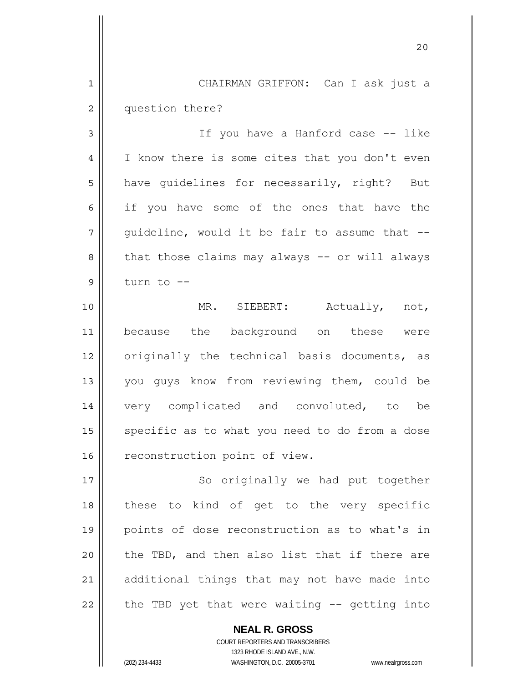1 2 CHAIRMAN GRIFFON: Can I ask just a question there?

3 4 5 6 7 8 9 If you have a Hanford case -- like I know there is some cites that you don't even have quidelines for necessarily, right? But if you have some of the ones that have the guideline, would it be fair to assume that - that those claims may always -- or will always turn to --

10 11 12 13 14 15 16 MR. SIEBERT: Actually, not, because the background on these were originally the technical basis documents, as you guys know from reviewing them, could be very complicated and convoluted, to be specific as to what you need to do from a dose reconstruction point of view.

17 18 19 20 21 22 So originally we had put together these to kind of get to the very specific points of dose reconstruction as to what's in the TBD, and then also list that if there are additional things that may not have made into the TBD yet that were waiting -- getting into

> **NEAL R. GROSS** COURT REPORTERS AND TRANSCRIBERS 1323 RHODE ISLAND AVE., N.W. (202) 234-4433 WASHINGTON, D.C. 20005-3701 www.nealrgross.com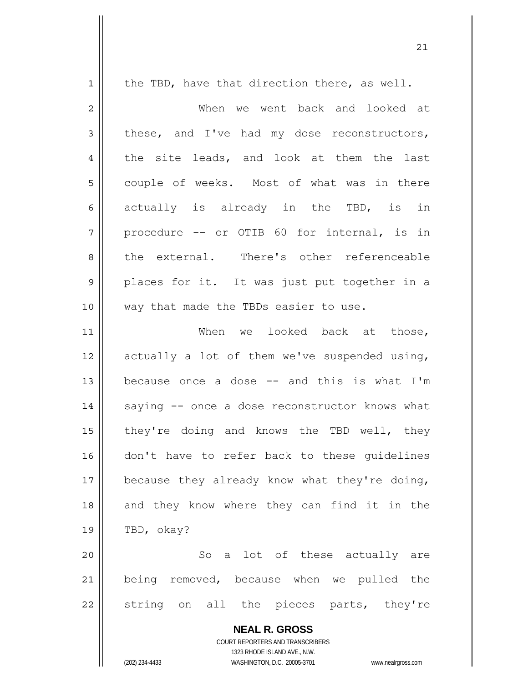| $\mathbf 1$    | the TBD, have that direction there, as well.             |
|----------------|----------------------------------------------------------|
| $\overline{2}$ | When we went back and looked at                          |
| 3              | these, and I've had my dose reconstructors,              |
| 4              | the site leads, and look at them the last                |
| 5              | couple of weeks. Most of what was in there               |
| 6              | actually is already in the TBD, is in                    |
| 7              | procedure -- or OTIB 60 for internal, is in              |
| 8              | the external. There's other referenceable                |
| $\mathsf 9$    | places for it. It was just put together in a             |
| 10             | way that made the TBDs easier to use.                    |
| 11             | When we looked back at those,                            |
| 12             | actually a lot of them we've suspended using,            |
| 13             | because once a dose -- and this is what I'm              |
| 14             | saying -- once a dose reconstructor knows what           |
| 15             | they're doing and knows the TBD well, they               |
| 16             | don't have to refer back to these guidelines             |
| 17             | because they already know what they're doing,            |
| 18             | and they know where they can find it in the              |
| 19             | TBD, okay?                                               |
| 20             | So a lot of these actually are                           |
| 21             | being removed, because when we pulled the                |
| 22             | string on all the pieces parts, they're                  |
|                | <b>NEAL R. GROSS</b><br>COURT REPORTERS AND TRANSCRIBERS |

1323 RHODE ISLAND AVE., N.W.

 $\prod$ 

(202) 234-4433 WASHINGTON, D.C. 20005-3701 www.nealrgross.com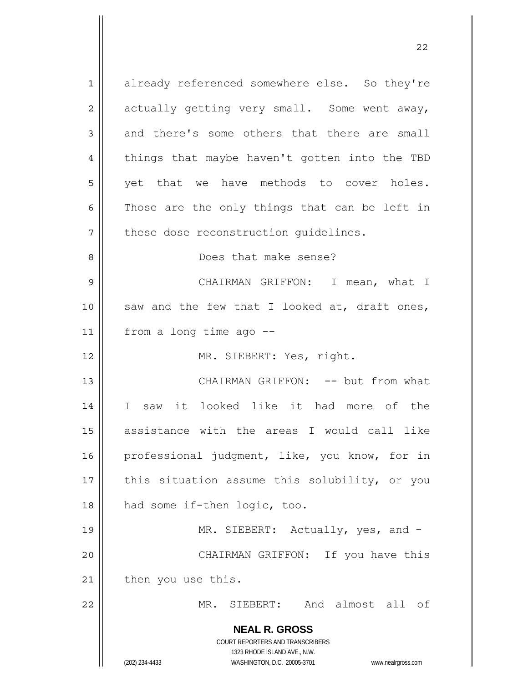**NEAL R. GROSS** COURT REPORTERS AND TRANSCRIBERS 1323 RHODE ISLAND AVE., N.W. (202) 234-4433 WASHINGTON, D.C. 20005-3701 www.nealrgross.com 1 2 3 4 5 6 7 8 9 10 11 12 13 14 15 16 17 18 19 20 21 22 already referenced somewhere else. So they're actually getting very small. Some went away, and there's some others that there are small things that maybe haven't gotten into the TBD yet that we have methods to cover holes. Those are the only things that can be left in these dose reconstruction guidelines. Does that make sense? CHAIRMAN GRIFFON: I mean, what I saw and the few that I looked at, draft ones, from a long time ago -- MR. SIEBERT: Yes, right. CHAIRMAN GRIFFON: -- but from what I saw it looked like it had more of the assistance with the areas I would call like professional judgment, like, you know, for in this situation assume this solubility, or you had some if-then logic, too. MR. SIEBERT: Actually, yes, and - CHAIRMAN GRIFFON: If you have this then you use this. MR. SIEBERT: And almost all of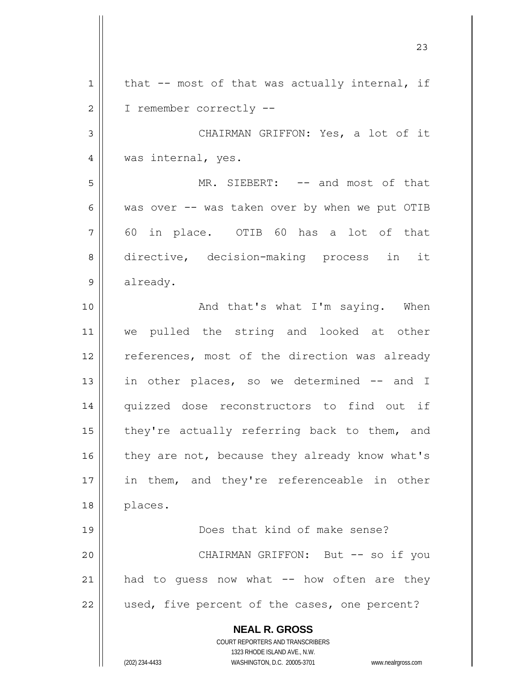| $\mathbf 1$ | that -- most of that was actually internal, if                                                      |
|-------------|-----------------------------------------------------------------------------------------------------|
| 2           | I remember correctly --                                                                             |
| 3           | CHAIRMAN GRIFFON: Yes, a lot of it                                                                  |
| 4           | was internal, yes.                                                                                  |
| 5           | MR. SIEBERT: -- and most of that                                                                    |
| 6           | was over -- was taken over by when we put OTIB                                                      |
| 7           | 60 in place. OTIB 60 has a lot of that                                                              |
| 8           | directive, decision-making process in it                                                            |
| 9           | already.                                                                                            |
| 10          | And that's what I'm saying. When                                                                    |
| 11          | we pulled the string and looked at other                                                            |
| 12          | references, most of the direction was already                                                       |
| 13          | in other places, so we determined -- and I                                                          |
| 14          | quizzed dose reconstructors to find out if                                                          |
| 15          | they're actually referring back to them, and                                                        |
| 16          | they are not, because they already know what's                                                      |
| 17          | in them, and they're referenceable in other                                                         |
| 18          | places.                                                                                             |
| 19          | Does that kind of make sense?                                                                       |
| 20          | CHAIRMAN GRIFFON: But -- so if you                                                                  |
| 21          | had to quess now what -- how often are they                                                         |
| 22          | used, five percent of the cases, one percent?                                                       |
|             | <b>NEAL R. GROSS</b>                                                                                |
|             | COURT REPORTERS AND TRANSCRIBERS                                                                    |
|             | 1323 RHODE ISLAND AVE., N.W.<br>(202) 234-4433<br>WASHINGTON, D.C. 20005-3701<br>www.nealrgross.com |
|             |                                                                                                     |

23

 $\mathsf{I}$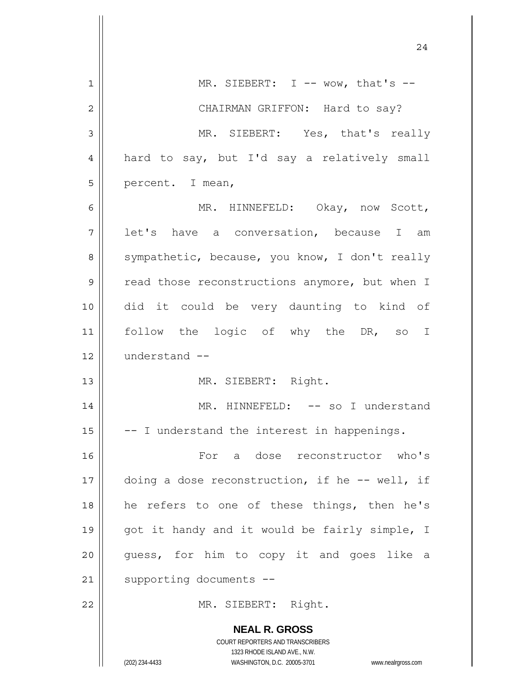|                | 24                                                                                                  |
|----------------|-----------------------------------------------------------------------------------------------------|
| $\mathbf 1$    | MR. SIEBERT: $I$ -- wow, that's --                                                                  |
| $\overline{2}$ | CHAIRMAN GRIFFON: Hard to say?                                                                      |
| $\mathfrak{Z}$ | MR. SIEBERT: Yes, that's really                                                                     |
| 4              | hard to say, but I'd say a relatively small                                                         |
| 5              | percent. I mean,                                                                                    |
| 6              | MR. HINNEFELD: Okay, now Scott,                                                                     |
| 7              | let's have a conversation, because I am                                                             |
| 8              | sympathetic, because, you know, I don't really                                                      |
| 9              | read those reconstructions anymore, but when I                                                      |
| 10             | did it could be very daunting to kind of                                                            |
| 11             | follow the logic of why the DR, so I                                                                |
| 12             | understand --                                                                                       |
| 13             | MR. SIEBERT: Right.                                                                                 |
| 14             | MR. HINNEFELD: -- so I understand                                                                   |
| 15             | -- I understand the interest in happenings.                                                         |
| 16             | For a dose reconstructor who's                                                                      |
| 17             | doing a dose reconstruction, if he -- well, if                                                      |
| 18             | he refers to one of these things, then he's                                                         |
| 19             | got it handy and it would be fairly simple, I                                                       |
| 20             | guess, for him to copy it and goes like a                                                           |
| 21             | supporting documents --                                                                             |
| 22             | MR. SIEBERT: Right.                                                                                 |
|                | <b>NEAL R. GROSS</b><br>COURT REPORTERS AND TRANSCRIBERS                                            |
|                | 1323 RHODE ISLAND AVE., N.W.<br>(202) 234-4433<br>WASHINGTON, D.C. 20005-3701<br>www.nealrgross.com |

 $\mathsf{l}$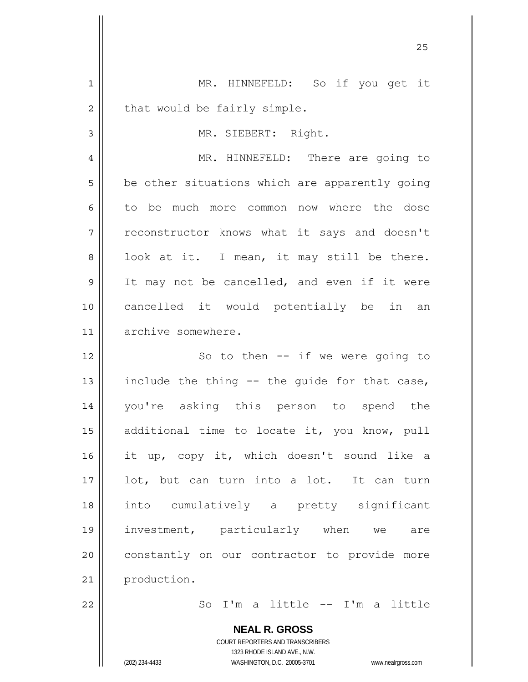| 1              | MR. HINNEFELD: So if you get it                |
|----------------|------------------------------------------------|
| $\overline{2}$ | that would be fairly simple.                   |
| 3              | MR. SIEBERT: Right.                            |
| 4              | MR. HINNEFELD: There are going to              |
| 5              | be other situations which are apparently going |
| 6              | to be much more common now where the dose      |
| 7              | reconstructor knows what it says and doesn't   |
| 8              | look at it. I mean, it may still be there.     |
| 9              | It may not be cancelled, and even if it were   |
| 10             | cancelled it would potentially be in an        |
| 11             | archive somewhere.                             |
| 12             | So to then $--$ if we were going to            |
| 13             | include the thing -- the guide for that case,  |
| 14             | you're asking this person to spend the         |
| 15             | additional time to locate it, you know, pull   |
| 16             | it up, copy it, which doesn't sound like a     |
| 17             | lot, but can turn into a lot. It can turn      |
| 18             | into cumulatively a pretty significant         |
| 19             | investment, particularly when we<br>are        |
| 20             | constantly on our contractor to provide more   |
| 21             | production.                                    |
| 22             | So I'm a little -- I'm a little                |
|                | <b>NEAL R. GROSS</b>                           |

<u>25</u>

COURT REPORTERS AND TRANSCRIBERS 1323 RHODE ISLAND AVE., N.W.

 $\prod$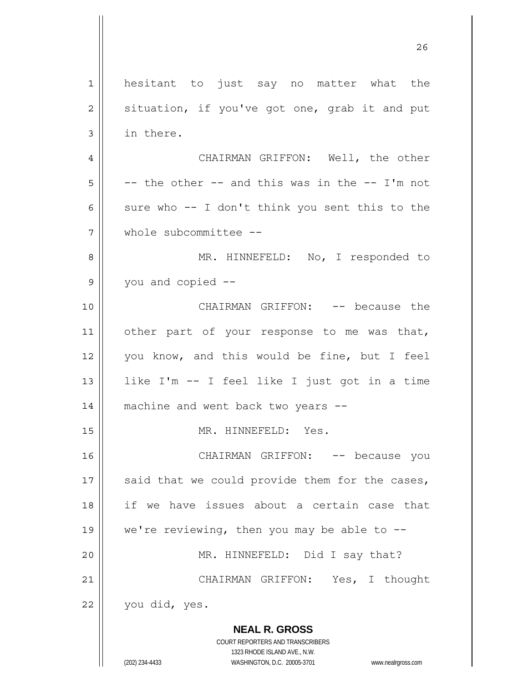**NEAL R. GROSS** COURT REPORTERS AND TRANSCRIBERS 1323 RHODE ISLAND AVE., N.W. 1 2 3 4 5 6 7 8 9 10 11 12 13 14 15 16 17 18 19 20 21 22 hesitant to just say no matter what the situation, if you've got one, grab it and put in there. CHAIRMAN GRIFFON: Well, the other -- the other -- and this was in the -- I'm not sure who -- I don't think you sent this to the whole subcommittee -- MR. HINNEFELD: No, I responded to you and copied -- CHAIRMAN GRIFFON: -- because the other part of your response to me was that, you know, and this would be fine, but I feel like I'm -- I feel like I just got in a time machine and went back two years -- MR. HINNEFELD: Yes. CHAIRMAN GRIFFON: -- because you said that we could provide them for the cases, if we have issues about a certain case that we're reviewing, then you may be able to  $-$ -MR. HINNEFELD: Did I say that? CHAIRMAN GRIFFON: Yes, I thought you did, yes.

<u>26</u>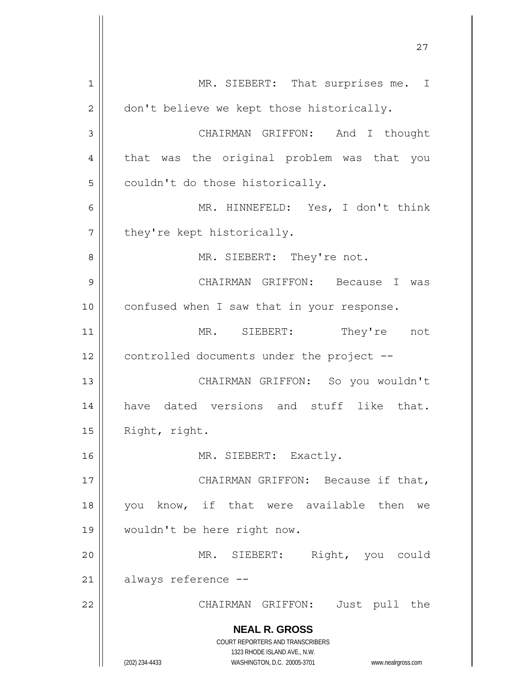**NEAL R. GROSS** COURT REPORTERS AND TRANSCRIBERS 1323 RHODE ISLAND AVE., N.W. (202) 234-4433 WASHINGTON, D.C. 20005-3701 www.nealrgross.com 1 2 3 4 5 6 7 8 9 10 11 12 13 14 15 16 17 18 19 20 21 22 MR. SIEBERT: That surprises me. I don't believe we kept those historically. CHAIRMAN GRIFFON: And I thought that was the original problem was that you couldn't do those historically. MR. HINNEFELD: Yes, I don't think they're kept historically. MR. SIEBERT: They're not. CHAIRMAN GRIFFON: Because I was confused when I saw that in your response. MR. SIEBERT: They're not controlled documents under the project -- CHAIRMAN GRIFFON: So you wouldn't have dated versions and stuff like that. Right, right. MR. SIEBERT: Exactly. CHAIRMAN GRIFFON: Because if that, you know, if that were available then we wouldn't be here right now. MR. SIEBERT: Right, you could always reference -- CHAIRMAN GRIFFON: Just pull the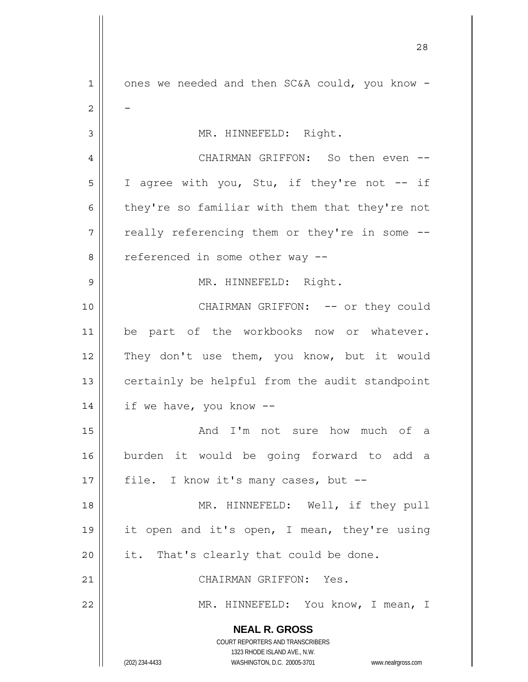**NEAL R. GROSS** COURT REPORTERS AND TRANSCRIBERS 1323 RHODE ISLAND AVE., N.W. (202) 234-4433 WASHINGTON, D.C. 20005-3701 www.nealrgross.com 1 2 3 4 5 6 7 8 9 10 11 12 13 14 15 16 17 18 19 20 21 22 ones we needed and then SC&A could, you know - - MR. HINNEFELD: Right. CHAIRMAN GRIFFON: So then even --I agree with you, Stu, if they're not -- if they're so familiar with them that they're not really referencing them or they're in some - referenced in some other way -- MR. HINNEFELD: Right. CHAIRMAN GRIFFON: -- or they could be part of the workbooks now or whatever. They don't use them, you know, but it would certainly be helpful from the audit standpoint if we have, you know -- And I'm not sure how much of a burden it would be going forward to add a file. I know it's many cases, but -- MR. HINNEFELD: Well, if they pull it open and it's open, I mean, they're using it. That's clearly that could be done. CHAIRMAN GRIFFON: Yes. MR. HINNEFELD: You know, I mean, I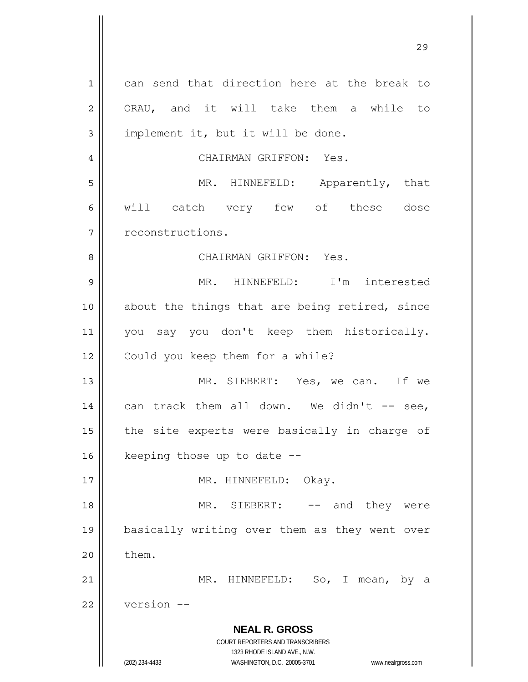**NEAL R. GROSS** COURT REPORTERS AND TRANSCRIBERS 1323 RHODE ISLAND AVE., N.W. (202) 234-4433 WASHINGTON, D.C. 20005-3701 www.nealrgross.com 1 2 3 4 5 6 7 8 9 10 11 12 13 14 15 16 17 18 19 20 21 22 can send that direction here at the break to ORAU, and it will take them a while to implement it, but it will be done. CHAIRMAN GRIFFON: Yes. MR. HINNEFELD: Apparently, that will catch very few of these dose reconstructions. CHAIRMAN GRIFFON: Yes. MR. HINNEFELD: I'm interested about the things that are being retired, since you say you don't keep them historically. Could you keep them for a while? MR. SIEBERT: Yes, we can. If we can track them all down. We didn't  $--$  see, the site experts were basically in charge of keeping those up to date -- MR. HINNEFELD: Okay. MR. SIEBERT: -- and they were basically writing over them as they went over them. MR. HINNEFELD: So, I mean, by a version --

<u>29</u>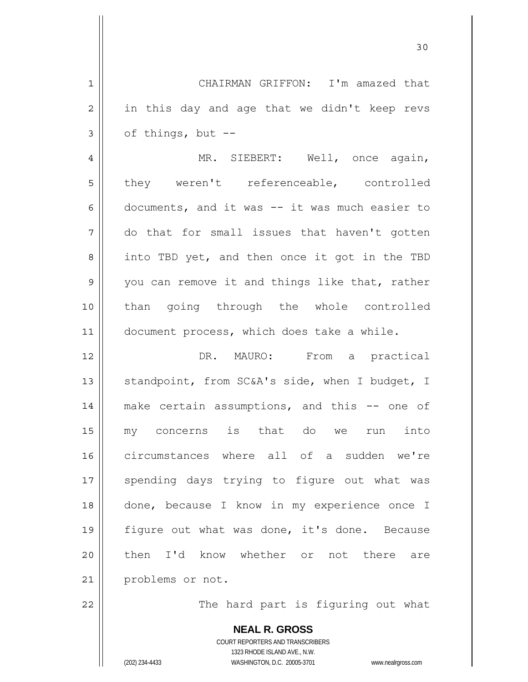1 2 3 4 5 6 7 8 9 10 11 12 13 14 15 16 17 18 19 20 21 22 CHAIRMAN GRIFFON: I'm amazed that in this day and age that we didn't keep revs of things, but -- MR. SIEBERT: Well, once again, they weren't referenceable, controlled documents, and it was -- it was much easier to do that for small issues that haven't gotten into TBD yet, and then once it got in the TBD you can remove it and things like that, rather than going through the whole controlled document process, which does take a while. DR. MAURO: From a practical standpoint, from SC&A's side, when I budget, I make certain assumptions, and this -- one of my concerns is that do we run into circumstances where all of a sudden we're spending days trying to figure out what was done, because I know in my experience once I figure out what was done, it's done. Because then I'd know whether or not there are problems or not. The hard part is figuring out what

30

**NEAL R. GROSS** COURT REPORTERS AND TRANSCRIBERS 1323 RHODE ISLAND AVE., N.W. (202) 234-4433 WASHINGTON, D.C. 20005-3701 www.nealrgross.com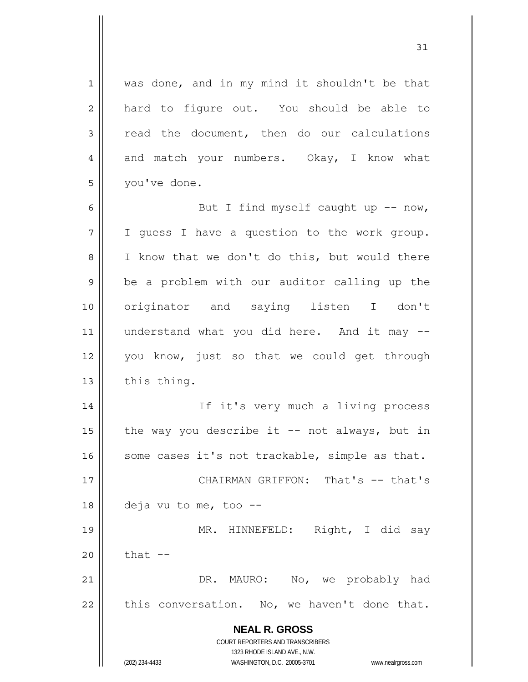**NEAL R. GROSS** COURT REPORTERS AND TRANSCRIBERS 1323 RHODE ISLAND AVE., N.W. (202) 234-4433 WASHINGTON, D.C. 20005-3701 www.nealrgross.com 1 2 3 4 5 6 7 8 9 10 11 12 13 14 15 16 17 18 19 20 21 22 was done, and in my mind it shouldn't be that hard to figure out. You should be able to read the document, then do our calculations and match your numbers. Okay, I know what you've done. But I find myself caught up  $--$  now, I guess I have a question to the work group. I know that we don't do this, but would there be a problem with our auditor calling up the originator and saying listen I don't understand what you did here. And it may - you know, just so that we could get through this thing. If it's very much a living process the way you describe it  $-$  not always, but in some cases it's not trackable, simple as that. CHAIRMAN GRIFFON: That's -- that's deja vu to me, too -- MR. HINNEFELD: Right, I did say that  $-$ DR. MAURO: No, we probably had this conversation. No, we haven't done that.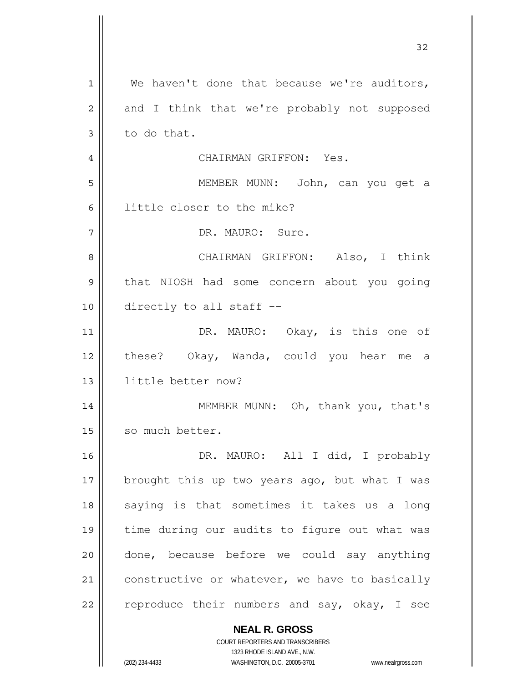| 1  | We haven't done that because we're auditors,                        |
|----|---------------------------------------------------------------------|
| 2  | and I think that we're probably not supposed                        |
| 3  | to do that.                                                         |
| 4  | CHAIRMAN GRIFFON: Yes.                                              |
| 5  | MEMBER MUNN: John, can you get a                                    |
| 6  | little closer to the mike?                                          |
| 7  | DR. MAURO: Sure.                                                    |
| 8  | CHAIRMAN GRIFFON: Also, I think                                     |
| 9  | that NIOSH had some concern about you going                         |
| 10 | directly to all staff --                                            |
| 11 | DR. MAURO: Okay, is this one of                                     |
| 12 | these? Okay, Wanda, could you hear me a                             |
| 13 | little better now?                                                  |
| 14 | MEMBER MUNN: Oh, thank you, that's                                  |
| 15 | so much better.                                                     |
| 16 | DR. MAURO: All I did, I probably                                    |
| 17 | brought this up two years ago, but what I was                       |
| 18 | saying is that sometimes it takes us a long                         |
| 19 | time during our audits to figure out what was                       |
| 20 | done, because before we could say anything                          |
| 21 | constructive or whatever, we have to basically                      |
| 22 | reproduce their numbers and say, okay, I see                        |
|    |                                                                     |
|    | <b>NEAL R. GROSS</b><br>COURT REPORTERS AND TRANSCRIBERS            |
|    | 1323 RHODE ISLAND AVE., N.W.                                        |
|    | (202) 234-4433<br>WASHINGTON, D.C. 20005-3701<br>www.nealrgross.com |

32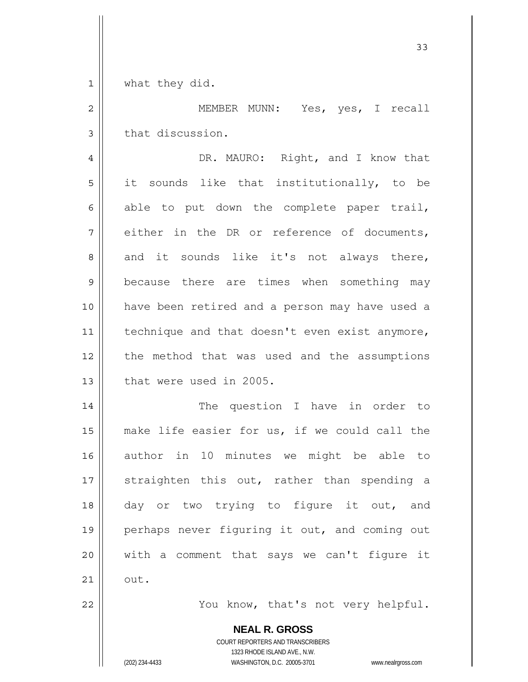1 what they did.

2 3 MEMBER MUNN: Yes, yes, I recall that discussion.

33

4 5 6 7 8 9 10 11 12 13 DR. MAURO: Right, and I know that it sounds like that institutionally, to be able to put down the complete paper trail, either in the DR or reference of documents, and it sounds like it's not always there, because there are times when something may have been retired and a person may have used a technique and that doesn't even exist anymore, the method that was used and the assumptions that were used in 2005.

14 15 16 17 18 19 20 21 The question I have in order to make life easier for us, if we could call the author in 10 minutes we might be able to straighten this out, rather than spending a day or two trying to figure it out, and perhaps never figuring it out, and coming out with a comment that says we can't figure it out.

You know, that's not very helpful.

**NEAL R. GROSS** COURT REPORTERS AND TRANSCRIBERS

1323 RHODE ISLAND AVE., N.W.

(202) 234-4433 WASHINGTON, D.C. 20005-3701 www.nealrgross.com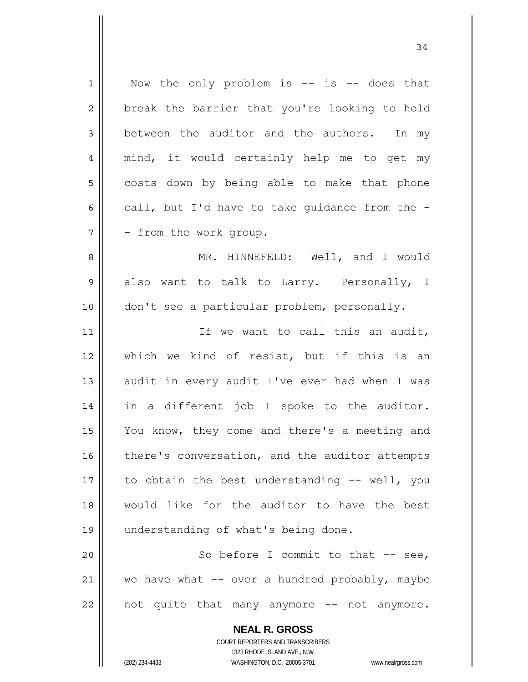**NEAL R. GROSS** COURT REPORTERS AND TRANSCRIBERS 1 2 3 4 5 6 7 8 9 10 11 12 13 14 15 16 17 18 19 20 21 22 Now the only problem is  $--$  is  $--$  does that break the barrier that you're looking to hold between the auditor and the authors. In my mind, it would certainly help me to get my costs down by being able to make that phone call, but I'd have to take guidance from the - - from the work group. MR. HINNEFELD: Well, and I would also want to talk to Larry. Personally, I don't see a particular problem, personally. If we want to call this an audit, which we kind of resist, but if this is an audit in every audit I've ever had when I was in a different job I spoke to the auditor. You know, they come and there's a meeting and there's conversation, and the auditor attempts to obtain the best understanding -- well, you would like for the auditor to have the best understanding of what's being done. So before I commit to that -- see, we have what  $-$  over a hundred probably, maybe not quite that many anymore -- not anymore.

1323 RHODE ISLAND AVE., N.W.

(202) 234-4433 WASHINGTON, D.C. 20005-3701 www.nealrgross.com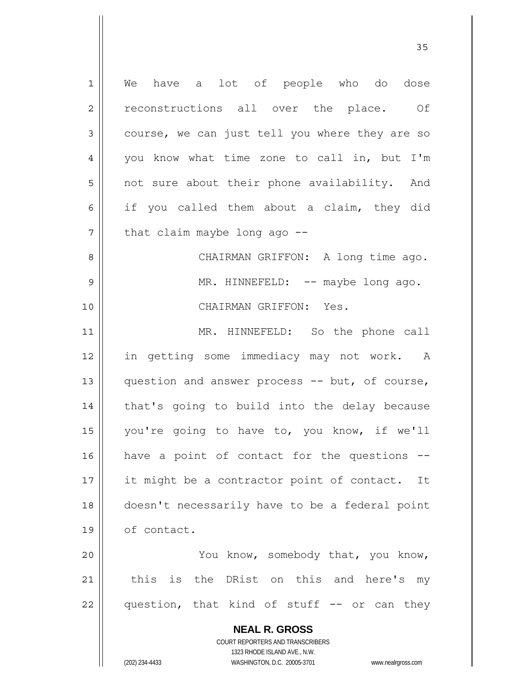**NEAL R. GROSS** COURT REPORTERS AND TRANSCRIBERS 1 2 3 4 5 6 7 8 9 10 11 12 13 14 15 16 17 18 19 20 21 22 We have a lot of people who do dose reconstructions all over the place. Of course, we can just tell you where they are so you know what time zone to call in, but I'm not sure about their phone availability. And if you called them about a claim, they did that claim maybe long ago -- CHAIRMAN GRIFFON: A long time ago. MR. HINNEFELD: -- maybe long ago. CHAIRMAN GRIFFON: Yes. MR. HINNEFELD: So the phone call in getting some immediacy may not work. A question and answer process -- but, of course, that's going to build into the delay because you're going to have to, you know, if we'll have a point of contact for the questions - it might be a contractor point of contact. It doesn't necessarily have to be a federal point of contact. You know, somebody that, you know, this is the DRist on this and here's my question, that kind of stuff -- or can they

<u>35 and 2012</u>

1323 RHODE ISLAND AVE., N.W.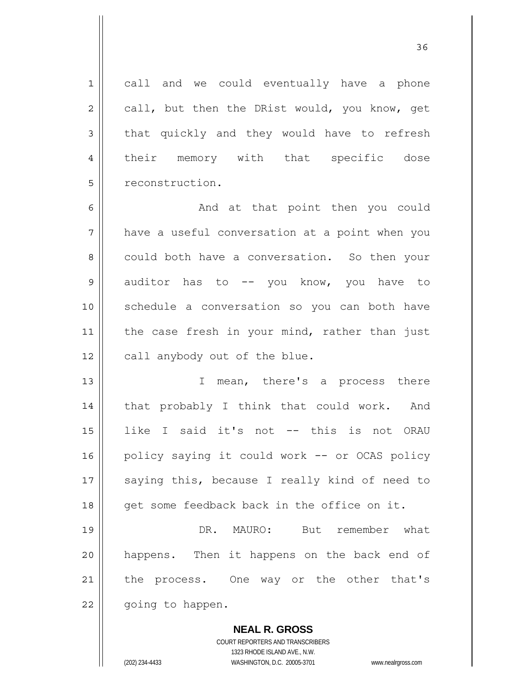call and we could eventually have a phone call, but then the DRist would, you know, get that quickly and they would have to refresh their memory with that specific dose reconstruction.

6 7 8 9 10 11 12 And at that point then you could have a useful conversation at a point when you could both have a conversation. So then your auditor has to -- you know, you have to schedule a conversation so you can both have the case fresh in your mind, rather than just call anybody out of the blue.

13 14 15 16 17 18 I mean, there's a process there that probably I think that could work. And like I said it's not -- this is not ORAU policy saying it could work -- or OCAS policy saying this, because I really kind of need to get some feedback back in the office on it.

19 20 21 22 DR. MAURO: But remember what happens. Then it happens on the back end of the process. One way or the other that's going to happen.

> **NEAL R. GROSS** COURT REPORTERS AND TRANSCRIBERS 1323 RHODE ISLAND AVE., N.W. (202) 234-4433 WASHINGTON, D.C. 20005-3701 www.nealrgross.com

1

2

3

4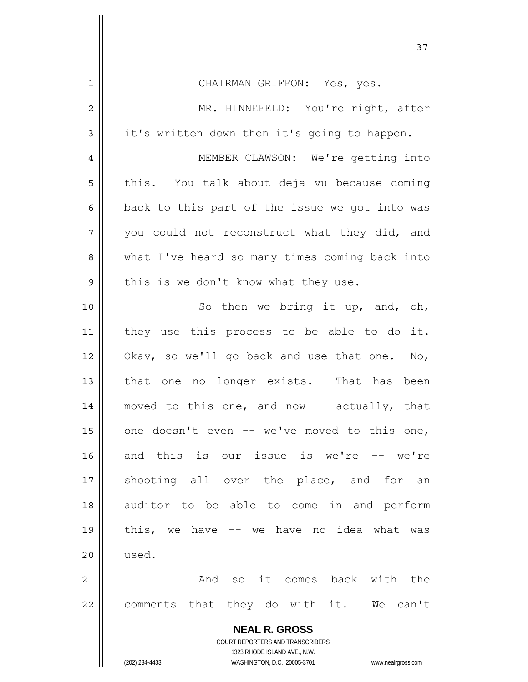| CHAIRMAN GRIFFON: Yes, yes.                                                                         |
|-----------------------------------------------------------------------------------------------------|
| MR. HINNEFELD: You're right, after                                                                  |
| it's written down then it's going to happen.                                                        |
| MEMBER CLAWSON: We're getting into                                                                  |
| this. You talk about deja vu because coming                                                         |
| back to this part of the issue we got into was                                                      |
| you could not reconstruct what they did, and                                                        |
| what I've heard so many times coming back into                                                      |
| this is we don't know what they use.                                                                |
| So then we bring it up, and, oh,                                                                    |
| they use this process to be able to do it.                                                          |
| Okay, so we'll go back and use that one. No,                                                        |
| that one no longer exists. That has been                                                            |
| moved to this one, and now -- actually, that                                                        |
| one doesn't even -- we've moved to this one,                                                        |
| and this is our issue is we're -- we're                                                             |
| shooting all over the place, and<br>for<br>an                                                       |
| auditor to be able to come in and perform                                                           |
| this, we have -- we have no idea what was                                                           |
| used.                                                                                               |
| And so it comes back with the                                                                       |
| comments that they do with it. We can't                                                             |
| <b>NEAL R. GROSS</b>                                                                                |
| <b>COURT REPORTERS AND TRANSCRIBERS</b>                                                             |
| 1323 RHODE ISLAND AVE., N.W.<br>(202) 234-4433<br>WASHINGTON, D.C. 20005-3701<br>www.nealrgross.com |
|                                                                                                     |

 $\mathsf{I}$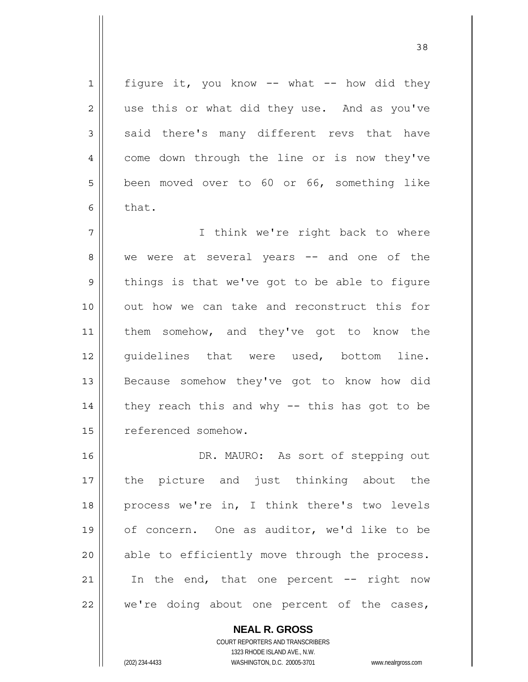figure it, you know  $--$  what  $--$  how did they use this or what did they use. And as you've said there's many different revs that have come down through the line or is now they've been moved over to 60 or 66, something like that.

7 8 9 10 11 12 13 14 15 I think we're right back to where we were at several years -- and one of the things is that we've got to be able to figure out how we can take and reconstruct this for them somehow, and they've got to know the guidelines that were used, bottom line. Because somehow they've got to know how did they reach this and why -- this has got to be referenced somehow.

16 17 18 19 20 21 22 DR. MAURO: As sort of stepping out the picture and just thinking about the process we're in, I think there's two levels of concern. One as auditor, we'd like to be able to efficiently move through the process. In the end, that one percent  $--$  right now we're doing about one percent of the cases,

> **NEAL R. GROSS** COURT REPORTERS AND TRANSCRIBERS

> > 1323 RHODE ISLAND AVE., N.W.

1

2

3

4

5

6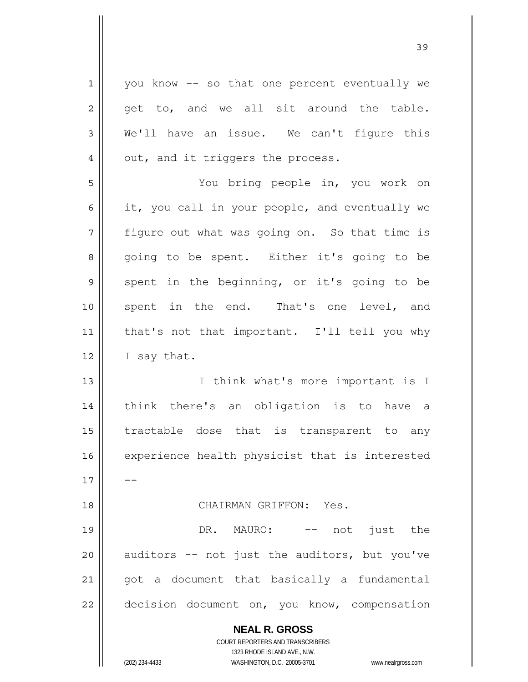| $\mathbf{1}$                           | you know -- so that one percent eventually we                                                       |
|----------------------------------------|-----------------------------------------------------------------------------------------------------|
| 2                                      | get to, and we all sit around the table.                                                            |
| 3                                      | We'll have an issue. We can't figure this                                                           |
| 4                                      | out, and it triggers the process.                                                                   |
| 5                                      | You bring people in, you work on                                                                    |
| 6                                      | it, you call in your people, and eventually we                                                      |
| 7                                      | figure out what was going on. So that time is                                                       |
| 8                                      | going to be spent. Either it's going to be                                                          |
| $\mathsf{S}$                           | spent in the beginning, or it's going to be                                                         |
| 10                                     | spent in the end. That's one level, and                                                             |
| 11                                     | that's not that important. I'll tell you why                                                        |
| 12                                     | I say that.                                                                                         |
| 13                                     | I think what's more important is I                                                                  |
| 14                                     | think there's an obligation is to have a                                                            |
| 15                                     | tractable dose that is transparent to any                                                           |
|                                        |                                                                                                     |
|                                        | experience health physicist that is interested                                                      |
|                                        |                                                                                                     |
|                                        | CHAIRMAN GRIFFON: Yes.                                                                              |
|                                        | DR. MAURO: -- not just the                                                                          |
|                                        | auditors -- not just the auditors, but you've                                                       |
|                                        | got a document that basically a fundamental                                                         |
| 16<br>17<br>18<br>19<br>20<br>21<br>22 | decision document on, you know, compensation                                                        |
|                                        | <b>NEAL R. GROSS</b>                                                                                |
|                                        | COURT REPORTERS AND TRANSCRIBERS                                                                    |
|                                        | 1323 RHODE ISLAND AVE., N.W.<br>WASHINGTON, D.C. 20005-3701<br>(202) 234-4433<br>www.nealrgross.com |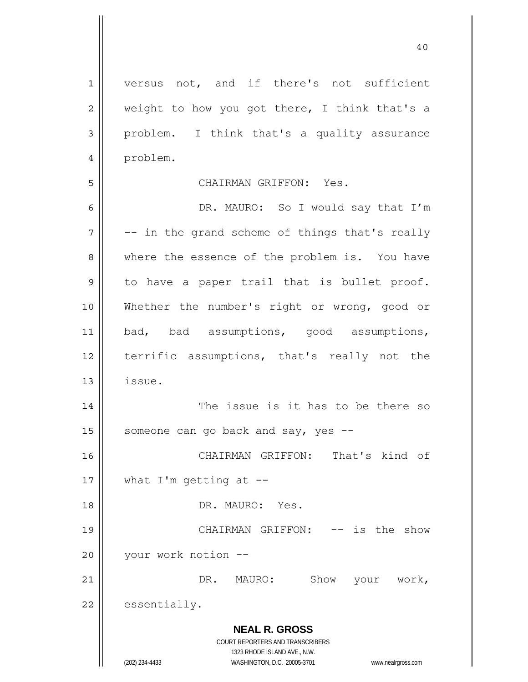versus not, and if there's not sufficient weight to how you got there, I think that's a problem. I think that's a quality assurance problem.

40

## CHAIRMAN GRIFFON: Yes.

**NEAL R. GROSS** COURT REPORTERS AND TRANSCRIBERS 6 7 8 9 10 11 12 13 14 15 16 17 18 19 20 21 22 DR. MAURO: So I would say that I'm -- in the grand scheme of things that's really where the essence of the problem is. You have to have a paper trail that is bullet proof. Whether the number's right or wrong, good or bad, bad assumptions, good assumptions, terrific assumptions, that's really not the issue. The issue is it has to be there so someone can go back and say, yes -- CHAIRMAN GRIFFON: That's kind of what  $I'm$  getting at  $-$ - DR. MAURO: Yes. CHAIRMAN GRIFFON: -- is the show your work notion -- DR. MAURO: Show your work, essentially.

1323 RHODE ISLAND AVE., N.W.

1

2

3

4

5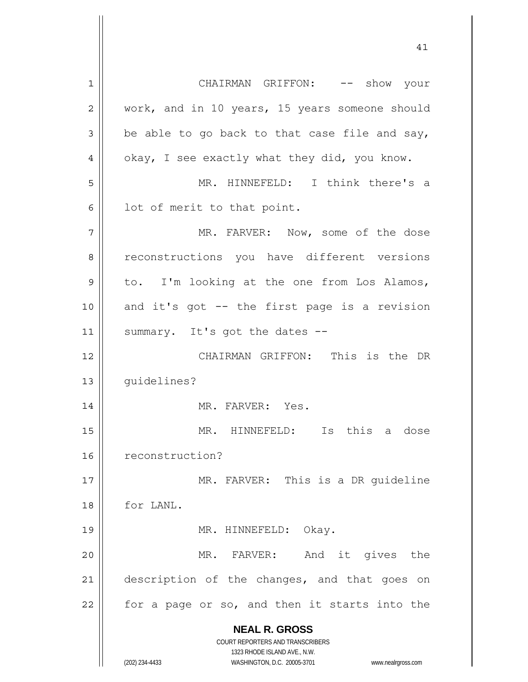**NEAL R. GROSS** COURT REPORTERS AND TRANSCRIBERS 1323 RHODE ISLAND AVE., N.W. (202) 234-4433 WASHINGTON, D.C. 20005-3701 www.nealrgross.com 1 2 3 4 5 6 7 8 9 10 11 12 13 14 15 16 17 18 19 20 21 22 CHAIRMAN GRIFFON: -- show your work, and in 10 years, 15 years someone should be able to go back to that case file and say, okay, I see exactly what they did, you know. MR. HINNEFELD: I think there's a lot of merit to that point. MR. FARVER: Now, some of the dose reconstructions you have different versions to. I'm looking at the one from Los Alamos, and it's got -- the first page is a revision summary. It's got the dates -- CHAIRMAN GRIFFON: This is the DR guidelines? MR. FARVER: Yes. MR. HINNEFELD: Is this a dose reconstruction? MR. FARVER: This is a DR guideline for LANL. MR. HINNEFELD: Okay. MR. FARVER: And it gives the description of the changes, and that goes on for a page or so, and then it starts into the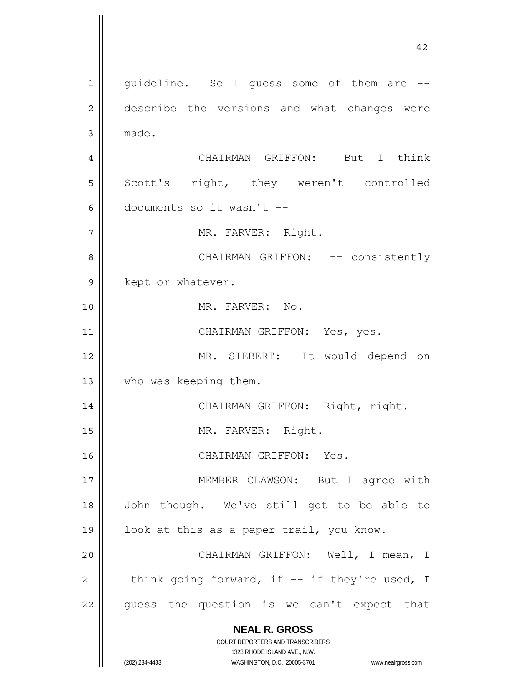**NEAL R. GROSS** COURT REPORTERS AND TRANSCRIBERS 1323 RHODE ISLAND AVE., N.W. (202) 234-4433 WASHINGTON, D.C. 20005-3701 www.nealrgross.com 1 2 3 4 5 6 7 8 9 10 11 12 13 14 15 16 17 18 19 20 21 22 guideline. So I guess some of them are - describe the versions and what changes were made. CHAIRMAN GRIFFON: But I think Scott's right, they weren't controlled documents so it wasn't -- MR. FARVER: Right. CHAIRMAN GRIFFON: -- consistently kept or whatever. MR. FARVER: No. CHAIRMAN GRIFFON: Yes, yes. MR. SIEBERT: It would depend on who was keeping them. CHAIRMAN GRIFFON: Right, right. MR. FARVER: Right. CHAIRMAN GRIFFON: Yes. MEMBER CLAWSON: But I agree with John though. We've still got to be able to look at this as a paper trail, you know. CHAIRMAN GRIFFON: Well, I mean, I think going forward, if -- if they're used, I guess the question is we can't expect that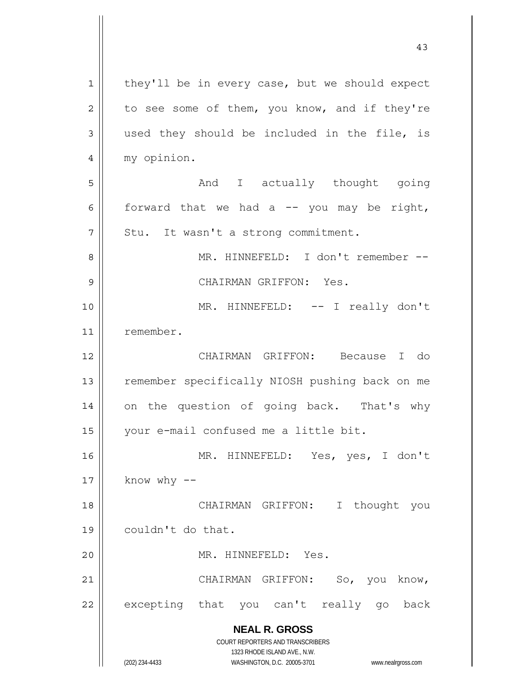**NEAL R. GROSS** COURT REPORTERS AND TRANSCRIBERS 1323 RHODE ISLAND AVE., N.W. (202) 234-4433 WASHINGTON, D.C. 20005-3701 www.nealrgross.com 1 2 3 4 5 6 7 8 9 10 11 12 13 14 15 16 17 18 19 20 21 22 they'll be in every case, but we should expect to see some of them, you know, and if they're used they should be included in the file, is my opinion. And I actually thought going forward that we had a  $-$  you may be right, Stu. It wasn't a strong commitment. MR. HINNEFELD: I don't remember -- CHAIRMAN GRIFFON: Yes. MR. HINNEFELD: -- I really don't remember. CHAIRMAN GRIFFON: Because I do remember specifically NIOSH pushing back on me on the question of going back. That's why your e-mail confused me a little bit. MR. HINNEFELD: Yes, yes, I don't know  $why$  -- CHAIRMAN GRIFFON: I thought you couldn't do that. MR. HINNEFELD: Yes. CHAIRMAN GRIFFON: So, you know, excepting that you can't really go back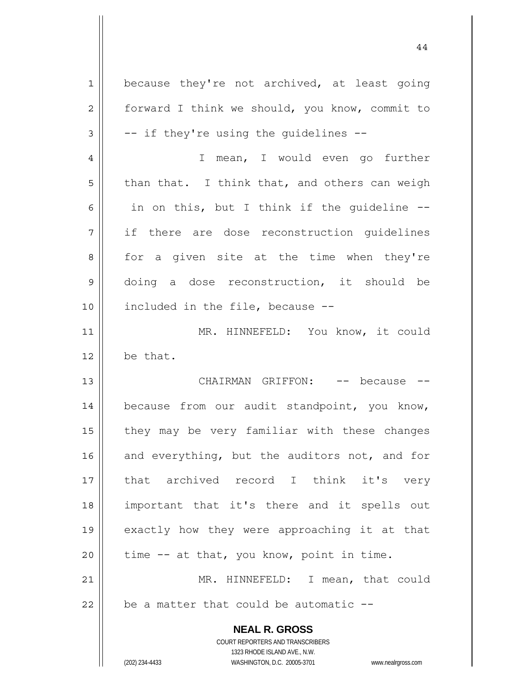| $\mathbf 1$    | because they're not archived, at least going                                                        |
|----------------|-----------------------------------------------------------------------------------------------------|
| $\overline{2}$ | forward I think we should, you know, commit to                                                      |
| 3              | -- if they're using the guidelines --                                                               |
| $\overline{4}$ | I mean, I would even go further                                                                     |
| 5              | than that. I think that, and others can weigh                                                       |
| 6              | in on this, but I think if the guideline --                                                         |
| 7              | if there are dose reconstruction guidelines                                                         |
| 8              | for a given site at the time when they're                                                           |
| $\mathsf 9$    | doing a dose reconstruction, it should be                                                           |
| 10             | included in the file, because --                                                                    |
| 11             | MR. HINNEFELD: You know, it could                                                                   |
| 12             | be that.                                                                                            |
| 13             | CHAIRMAN GRIFFON: -- because                                                                        |
| 14             | because from our audit standpoint, you know,                                                        |
| 15             | they may be very familiar with these changes                                                        |
| 16             | and everything, but the auditors not, and for                                                       |
| 17             | that archived record I think it's very                                                              |
| 18             | important that it's there and it spells out                                                         |
| 19             | exactly how they were approaching it at that                                                        |
|                |                                                                                                     |
| 20             | time -- at that, you know, point in time.                                                           |
| 21             | MR. HINNEFELD: I mean, that could                                                                   |
| 22             | be a matter that could be automatic --                                                              |
|                | <b>NEAL R. GROSS</b>                                                                                |
|                | COURT REPORTERS AND TRANSCRIBERS                                                                    |
|                | 1323 RHODE ISLAND AVE., N.W.<br>(202) 234-4433<br>WASHINGTON, D.C. 20005-3701<br>www.nealrgross.com |
|                |                                                                                                     |

 $\mathbf{I}$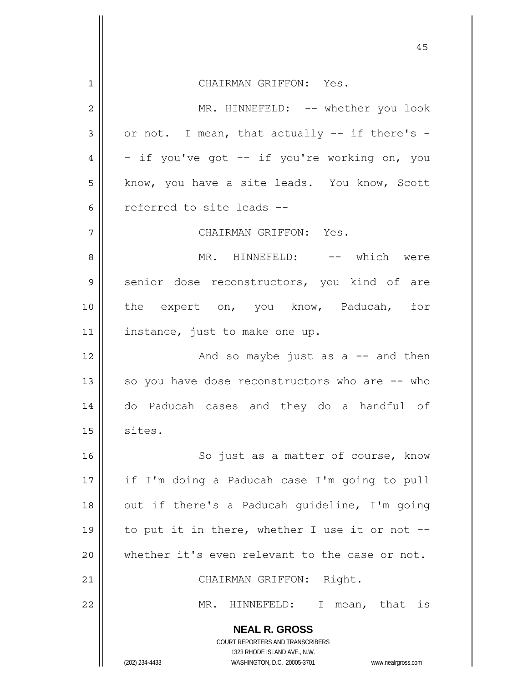|    | 45                                                                                                  |
|----|-----------------------------------------------------------------------------------------------------|
| 1  | CHAIRMAN GRIFFON: Yes.                                                                              |
| 2  | MR. HINNEFELD: -- whether you look                                                                  |
| 3  | or not. I mean, that actually -- if there's -                                                       |
| 4  | - if you've got -- if you're working on, you                                                        |
| 5  | know, you have a site leads. You know, Scott                                                        |
| 6  | referred to site leads --                                                                           |
|    |                                                                                                     |
| 7  | CHAIRMAN GRIFFON: Yes.                                                                              |
| 8  | MR. HINNEFELD: -- which were                                                                        |
| 9  | senior dose reconstructors, you kind of are                                                         |
| 10 | the expert on, you know, Paducah, for                                                               |
| 11 | instance, just to make one up.                                                                      |
| 12 | And so maybe just as $a$ -- and then                                                                |
| 13 | so you have dose reconstructors who are -- who                                                      |
| 14 | do Paducah cases and they do a handful of                                                           |
| 15 | sites.                                                                                              |
| 16 | So just as a matter of course, know                                                                 |
| 17 | if I'm doing a Paducah case I'm going to pull                                                       |
| 18 | out if there's a Paducah guideline, I'm going                                                       |
| 19 | to put it in there, whether I use it or not --                                                      |
| 20 | whether it's even relevant to the case or not.                                                      |
| 21 | CHAIRMAN GRIFFON: Right.                                                                            |
| 22 | MR.<br>HINNEFELD:<br>$\mathbb{I}$<br>mean, that is                                                  |
|    | <b>NEAL R. GROSS</b>                                                                                |
|    | COURT REPORTERS AND TRANSCRIBERS                                                                    |
|    | 1323 RHODE ISLAND AVE., N.W.<br>(202) 234-4433<br>WASHINGTON, D.C. 20005-3701<br>www.nealrgross.com |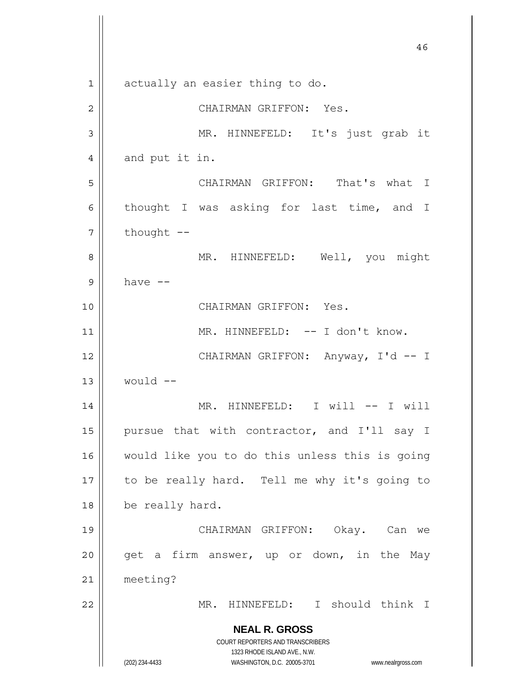**NEAL R. GROSS** COURT REPORTERS AND TRANSCRIBERS 1323 RHODE ISLAND AVE., N.W. (202) 234-4433 WASHINGTON, D.C. 20005-3701 www.nealrgross.com 46 1 2 3 4 5 6 7 8 9 10 11 12 13 14 15 16 17 18 19 20 21 22 actually an easier thing to do. CHAIRMAN GRIFFON: Yes. MR. HINNEFELD: It's just grab it and put it in. CHAIRMAN GRIFFON: That's what I thought I was asking for last time, and I thought -- MR. HINNEFELD: Well, you might have -- CHAIRMAN GRIFFON: Yes. MR. HINNEFELD: -- I don't know. CHAIRMAN GRIFFON: Anyway, I'd -- I would -- MR. HINNEFELD: I will -- I will pursue that with contractor, and I'll say I would like you to do this unless this is going to be really hard. Tell me why it's going to be really hard. CHAIRMAN GRIFFON: Okay. Can we get a firm answer, up or down, in the May meeting? MR. HINNEFELD: I should think I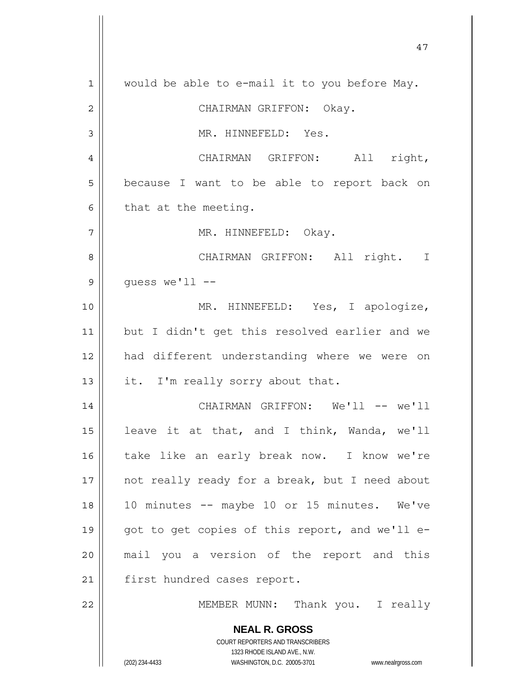**NEAL R. GROSS** COURT REPORTERS AND TRANSCRIBERS 1323 RHODE ISLAND AVE., N.W. (202) 234-4433 WASHINGTON, D.C. 20005-3701 www.nealrgross.com 1 2 3 4 5 6 7 8 9 10 11 12 13 14 15 16 17 18 19 20 21 22 would be able to e-mail it to you before May. CHAIRMAN GRIFFON: Okay. MR. HINNEFELD: Yes. CHAIRMAN GRIFFON: All right, because I want to be able to report back on that at the meeting. MR. HINNEFELD: Okay. CHAIRMAN GRIFFON: All right. I guess we'll -- MR. HINNEFELD: Yes, I apologize, but I didn't get this resolved earlier and we had different understanding where we were on it. I'm really sorry about that. CHAIRMAN GRIFFON: We'll -- we'll leave it at that, and I think, Wanda, we'll take like an early break now. I know we're not really ready for a break, but I need about 10 minutes -- maybe 10 or 15 minutes. We've got to get copies of this report, and we'll email you a version of the report and this first hundred cases report. MEMBER MUNN: Thank you. I really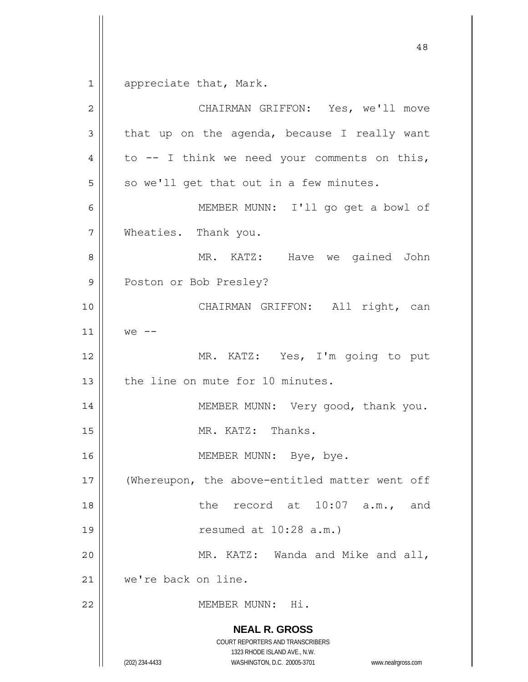$\begin{array}{c|c|c|c} 1 & 1 \end{array}$ appreciate that, Mark.

| $\overline{2}$ | CHAIRMAN GRIFFON: Yes, we'll move                                                                                                                               |
|----------------|-----------------------------------------------------------------------------------------------------------------------------------------------------------------|
| 3              | that up on the agenda, because I really want                                                                                                                    |
| 4              | to $--$ I think we need your comments on this,                                                                                                                  |
| 5              | so we'll get that out in a few minutes.                                                                                                                         |
| 6              | MEMBER MUNN: I'll go get a bowl of                                                                                                                              |
| 7              | Wheaties. Thank you.                                                                                                                                            |
| 8              | MR. KATZ: Have we gained John                                                                                                                                   |
| 9              | Poston or Bob Presley?                                                                                                                                          |
| 10             | CHAIRMAN GRIFFON: All right, can                                                                                                                                |
| 11             | $we$ --                                                                                                                                                         |
| 12             | MR. KATZ: Yes, I'm going to put                                                                                                                                 |
| 13             | the line on mute for 10 minutes.                                                                                                                                |
| 14             | MEMBER MUNN: Very good, thank you.                                                                                                                              |
| 15             | MR. KATZ: Thanks.                                                                                                                                               |
| 16             | MEMBER MUNN: Bye, bye.                                                                                                                                          |
| 17             | (Whereupon, the above-entitled matter went off                                                                                                                  |
| 18             | the record at 10:07 a.m., and                                                                                                                                   |
| 19             | resumed at $10:28$ a.m.)                                                                                                                                        |
| 20             | MR. KATZ: Wanda and Mike and all,                                                                                                                               |
| 21             | we're back on line.                                                                                                                                             |
| 22             | MEMBER MUNN: Hi.                                                                                                                                                |
|                | <b>NEAL R. GROSS</b><br>COURT REPORTERS AND TRANSCRIBERS<br>1323 RHODE ISLAND AVE., N.W.<br>(202) 234-4433<br>WASHINGTON, D.C. 20005-3701<br>www.nealrgross.com |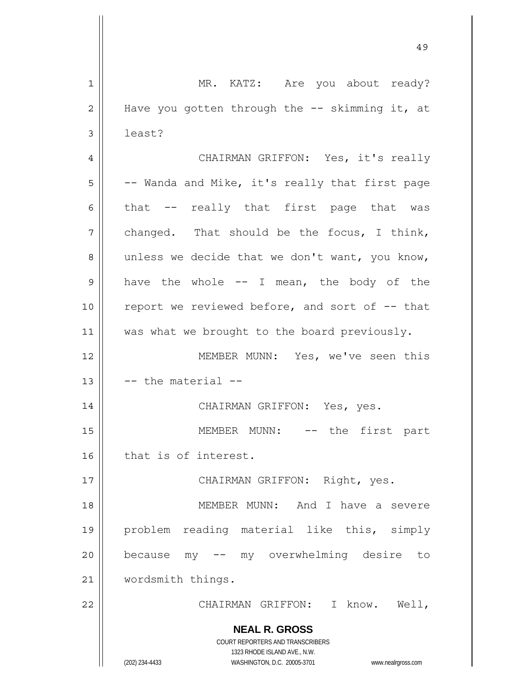**NEAL R. GROSS** COURT REPORTERS AND TRANSCRIBERS 1323 RHODE ISLAND AVE., N.W. 1 2 3 4 5 6 7 8 9 10 11 12 13 14 15 16 17 18 19 20 21 22 MR. KATZ: Are you about ready? Have you gotten through the -- skimming it, at least? CHAIRMAN GRIFFON: Yes, it's really -- Wanda and Mike, it's really that first page that -- really that first page that was changed. That should be the focus, I think, unless we decide that we don't want, you know, have the whole  $--$  I mean, the body of the report we reviewed before, and sort of -- that was what we brought to the board previously. MEMBER MUNN: Yes, we've seen this -- the material -- CHAIRMAN GRIFFON: Yes, yes. MEMBER MUNN: -- the first part that is of interest. CHAIRMAN GRIFFON: Right, yes. MEMBER MUNN: And I have a severe problem reading material like this, simply because my -- my overwhelming desire to wordsmith things. CHAIRMAN GRIFFON: I know. Well,

49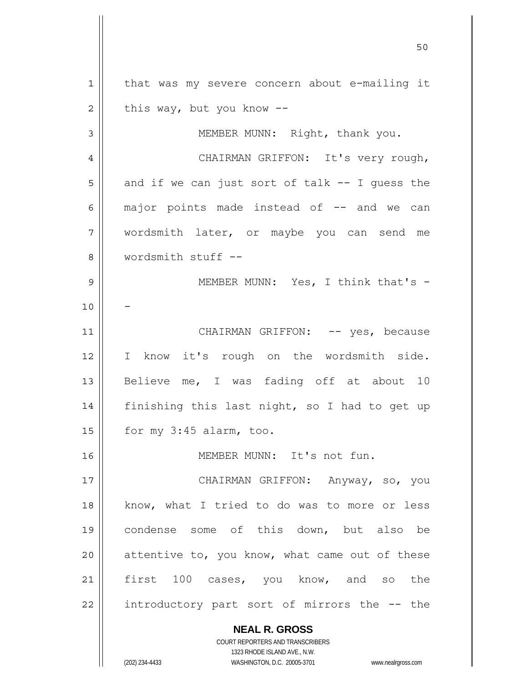**NEAL R. GROSS** COURT REPORTERS AND TRANSCRIBERS 1 2 3 4 5 6 7 8 9 10 11 12 13 14 15 16 17 18 19 20 21 22 that was my severe concern about e-mailing it this way, but you know -- MEMBER MUNN: Right, thank you. CHAIRMAN GRIFFON: It's very rough, and if we can just sort of talk  $--$  I quess the major points made instead of  $-$  and we can wordsmith later, or maybe you can send me wordsmith stuff -- MEMBER MUNN: Yes, I think that's -- CHAIRMAN GRIFFON: -- yes, because I know it's rough on the wordsmith side. Believe me, I was fading off at about 10 finishing this last night, so I had to get up for my 3:45 alarm, too. MEMBER MUNN: It's not fun. CHAIRMAN GRIFFON: Anyway, so, you know, what I tried to do was to more or less condense some of this down, but also be attentive to, you know, what came out of these first 100 cases, you know, and so the introductory part sort of mirrors the -- the

50

1323 RHODE ISLAND AVE., N.W.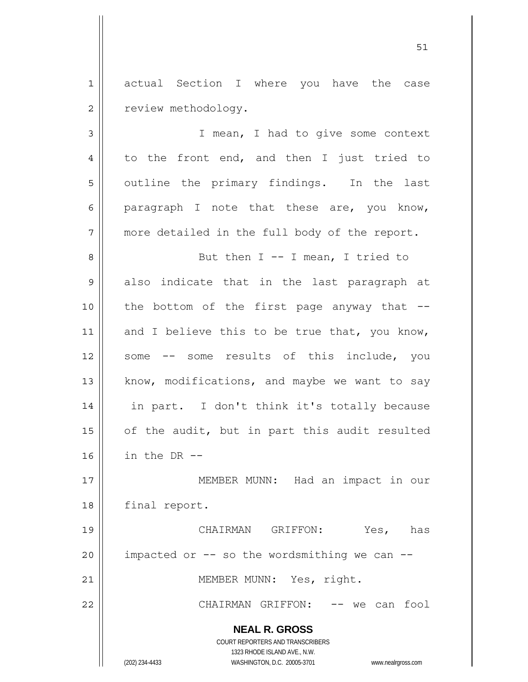1 2 actual Section I where you have the case review methodology.

3 4 5 6 7 8 9 10 11 12 13 14 15 16 I mean, I had to give some context to the front end, and then I just tried to outline the primary findings. In the last paragraph I note that these are, you know, more detailed in the full body of the report. But then  $I - - I$  mean, I tried to also indicate that in the last paragraph at the bottom of the first page anyway that  $$ and I believe this to be true that, you know, some -- some results of this include, you know, modifications, and maybe we want to say in part. I don't think it's totally because of the audit, but in part this audit resulted in the DR --

17 18 MEMBER MUNN: Had an impact in our final report.

19 20 21 22 CHAIRMAN GRIFFON: Yes, has impacted or  $--$  so the wordsmithing we can  $--$  MEMBER MUNN: Yes, right. CHAIRMAN GRIFFON: -- we can fool

**NEAL R. GROSS**

COURT REPORTERS AND TRANSCRIBERS 1323 RHODE ISLAND AVE., N.W. (202) 234-4433 WASHINGTON, D.C. 20005-3701 www.nealrgross.com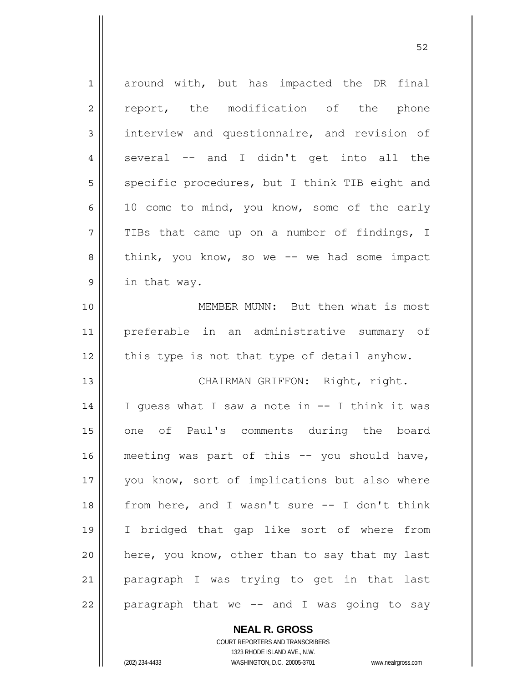| $\mathbf 1$    | around with, but has impacted the DR final     |
|----------------|------------------------------------------------|
| $\overline{2}$ | report, the modification of the phone          |
| 3              | interview and questionnaire, and revision of   |
|                |                                                |
| $\overline{4}$ | several -- and I didn't get into all the       |
| 5              | specific procedures, but I think TIB eight and |
| 6              | 10 come to mind, you know, some of the early   |
| 7              | TIBs that came up on a number of findings, I   |
| 8              | think, you know, so we -- we had some impact   |
| $\mathsf 9$    | in that way.                                   |
| 10             | MEMBER MUNN: But then what is most             |
| 11             | preferable in an administrative summary of     |
| 12             | this type is not that type of detail anyhow.   |
| 13             | CHAIRMAN GRIFFON: Right, right.                |
| 14             | I guess what I saw a note in -- I think it was |
| 15             | one of Paul's comments during the board        |
| 16             | meeting was part of this -- you should have,   |
| $17$           | you know, sort of implications but also where  |
| 18             | from here, and I wasn't sure -- I don't think  |
| 19             | I bridged that gap like sort of where from     |
| 20             | here, you know, other than to say that my last |
| 21             | paragraph I was trying to get in that last     |
| 22             | paragraph that we -- and I was going to say    |

 $52$ 

**NEAL R. GROSS** COURT REPORTERS AND TRANSCRIBERS

1323 RHODE ISLAND AVE., N.W.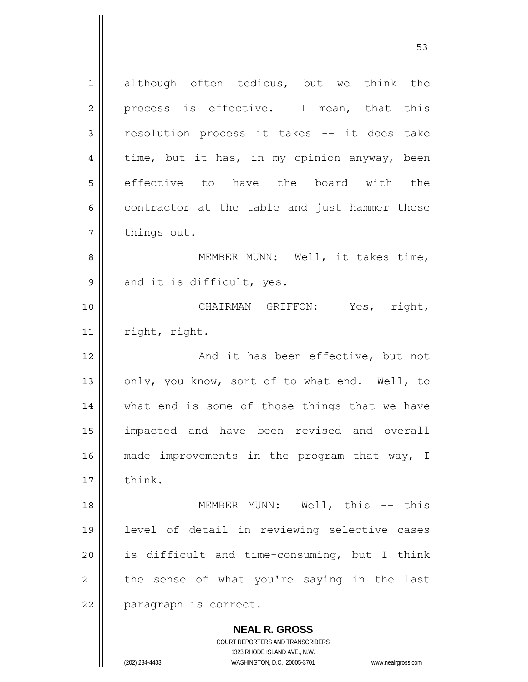**NEAL R. GROSS** 1 2 3 4 5 6 7 8 9 10 11 12 13 14 15 16 17 18 19 20 21 22 although often tedious, but we think the process is effective. I mean, that this resolution process it takes -- it does take time, but it has, in my opinion anyway, been effective to have the board with the contractor at the table and just hammer these things out. MEMBER MUNN: Well, it takes time, and it is difficult, yes. CHAIRMAN GRIFFON: Yes, right, right, right. And it has been effective, but not only, you know, sort of to what end. Well, to what end is some of those things that we have impacted and have been revised and overall made improvements in the program that way, I think. MEMBER MUNN: Well, this -- this level of detail in reviewing selective cases is difficult and time-consuming, but I think the sense of what you're saying in the last paragraph is correct.

 $\sim$  53

COURT REPORTERS AND TRANSCRIBERS 1323 RHODE ISLAND AVE., N.W.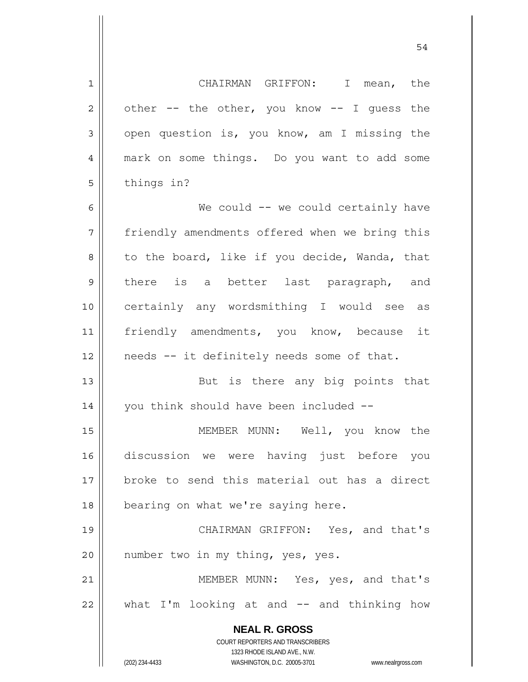**NEAL R. GROSS** COURT REPORTERS AND TRANSCRIBERS 1323 RHODE ISLAND AVE., N.W. 1 2 3 4 5 6 7 8 9 10 11 12 13 14 15 16 17 18 19 20 21 22 CHAIRMAN GRIFFON: I mean, the other -- the other, you know -- I guess the open question is, you know, am I missing the mark on some things. Do you want to add some things in? We could -- we could certainly have friendly amendments offered when we bring this to the board, like if you decide, Wanda, that there is a better last paragraph, and certainly any wordsmithing I would see as friendly amendments, you know, because it needs -- it definitely needs some of that. But is there any big points that you think should have been included -- MEMBER MUNN: Well, you know the discussion we were having just before you broke to send this material out has a direct bearing on what we're saying here. CHAIRMAN GRIFFON: Yes, and that's number two in my thing, yes, yes. MEMBER MUNN: Yes, yes, and that's what I'm looking at and -- and thinking how

54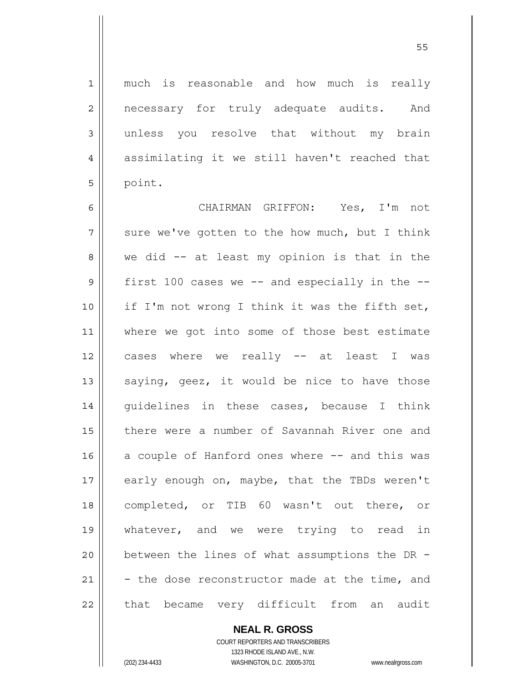much is reasonable and how much is really necessary for truly adequate audits. And unless you resolve that without my brain assimilating it we still haven't reached that point.

6 7 8 9 10 11 12 13 14 15 16 17 18 19 20 21 22 CHAIRMAN GRIFFON: Yes, I'm not sure we've gotten to the how much, but I think we did -- at least my opinion is that in the first 100 cases we  $--$  and especially in the  $-$ if I'm not wrong I think it was the fifth set, where we got into some of those best estimate cases where we really -- at least I was saying, geez, it would be nice to have those guidelines in these cases, because I think there were a number of Savannah River one and a couple of Hanford ones where -- and this was early enough on, maybe, that the TBDs weren't completed, or TIB 60 wasn't out there, or whatever, and we were trying to read in between the lines of what assumptions the DR - - the dose reconstructor made at the time, and that became very difficult from an audit

> **NEAL R. GROSS** COURT REPORTERS AND TRANSCRIBERS

1

2

3

4

5

1323 RHODE ISLAND AVE., N.W. (202) 234-4433 WASHINGTON, D.C. 20005-3701 www.nealrgross.com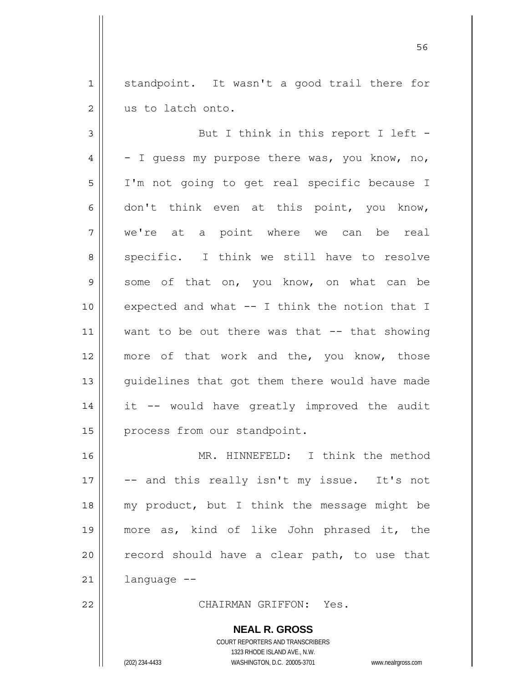1 2 standpoint. It wasn't a good trail there for us to latch onto.

 $56$ 

3 4 5 6 7 8 9 10 11 12 13 14 15 But I think in this report I left -- I guess my purpose there was, you know, no, I'm not going to get real specific because I don't think even at this point, you know, we're at a point where we can be real specific. I think we still have to resolve some of that on, you know, on what can be expected and what -- I think the notion that I want to be out there was that -- that showing more of that work and the, you know, those guidelines that got them there would have made it -- would have greatly improved the audit process from our standpoint.

16 17 18 19 20 21 MR. HINNEFELD: I think the method -- and this really isn't my issue. It's not my product, but I think the message might be more as, kind of like John phrased it, the record should have a clear path, to use that language --

CHAIRMAN GRIFFON: Yes.

**NEAL R. GROSS** COURT REPORTERS AND TRANSCRIBERS 1323 RHODE ISLAND AVE., N.W. (202) 234-4433 WASHINGTON, D.C. 20005-3701 www.nealrgross.com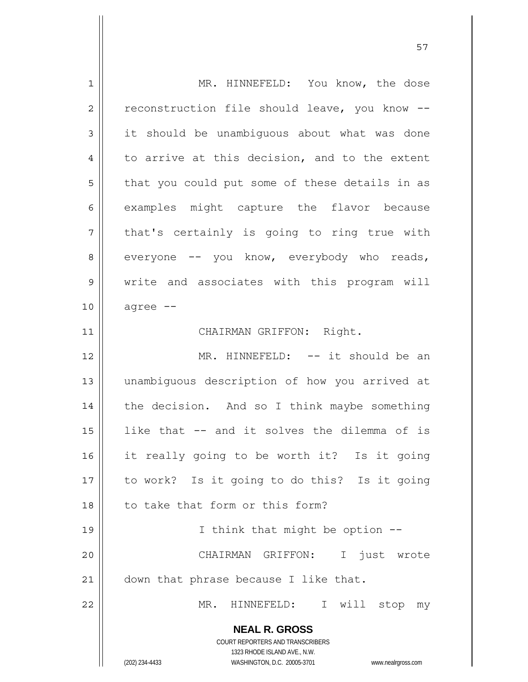| $\mathbf 1$    | MR. HINNEFELD: You know, the dose                                   |
|----------------|---------------------------------------------------------------------|
| $\overline{2}$ | reconstruction file should leave, you know --                       |
| 3              | it should be unambiguous about what was done                        |
| 4              | to arrive at this decision, and to the extent                       |
| 5              | that you could put some of these details in as                      |
| 6              | examples might capture the flavor because                           |
| 7              | that's certainly is going to ring true with                         |
| 8              | everyone -- you know, everybody who reads,                          |
| 9              | write and associates with this program will                         |
| 10             | agree --                                                            |
| 11             | CHAIRMAN GRIFFON: Right.                                            |
| 12             | MR. HINNEFELD: -- it should be an                                   |
| 13             | unambiguous description of how you arrived at                       |
| 14             | the decision. And so I think maybe something                        |
| 15             | like that -- and it solves the dilemma of is                        |
| 16             | it really going to be worth it? Is it going                         |
| 17             | to work? Is it going to do this? Is it going                        |
| 18             | to take that form or this form?                                     |
| 19             | I think that might be option --                                     |
| 20             | CHAIRMAN GRIFFON: I just wrote                                      |
| 21             | down that phrase because I like that.                               |
| 22             | MR.<br>HINNEFELD: I will stop<br>my                                 |
|                | <b>NEAL R. GROSS</b>                                                |
|                | COURT REPORTERS AND TRANSCRIBERS                                    |
|                | 1323 RHODE ISLAND AVE., N.W.                                        |
|                | (202) 234-4433<br>WASHINGTON, D.C. 20005-3701<br>www.nealrgross.com |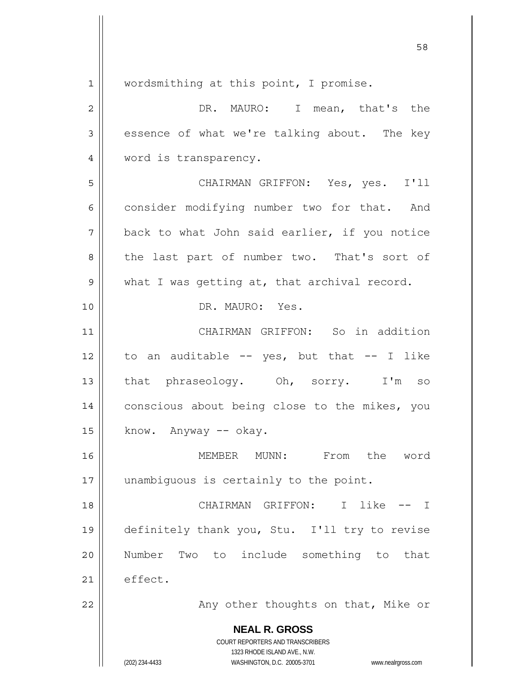**NEAL R. GROSS** COURT REPORTERS AND TRANSCRIBERS 1323 RHODE ISLAND AVE., N.W. (202) 234-4433 WASHINGTON, D.C. 20005-3701 www.nealrgross.com 1 2 3 4 5 6 7 8 9 10 11 12 13 14 15 16 17 18 19 20 21 22 wordsmithing at this point, I promise. DR. MAURO: I mean, that's the essence of what we're talking about. The key word is transparency. CHAIRMAN GRIFFON: Yes, yes. I'll consider modifying number two for that. And back to what John said earlier, if you notice the last part of number two. That's sort of what I was getting at, that archival record. DR. MAURO: Yes. CHAIRMAN GRIFFON: So in addition to an auditable  $--$  yes, but that  $--$  I like that phraseology. Oh, sorry. I'm so conscious about being close to the mikes, you know. Anyway -- okay. MEMBER MUNN: From the word unambiguous is certainly to the point. CHAIRMAN GRIFFON: I like -- I definitely thank you, Stu. I'll try to revise Number Two to include something to that effect. Any other thoughts on that, Mike or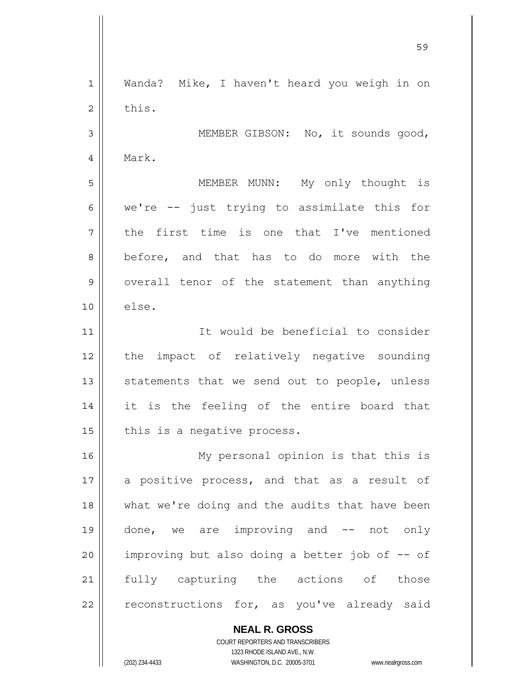**NEAL R. GROSS** 1 2 3 4 5 6 7 8 9 10 11 12 13 14 15 16 17 18 19 20 21 22 Wanda? Mike, I haven't heard you weigh in on this. MEMBER GIBSON: No, it sounds good, Mark. MEMBER MUNN: My only thought is we're -- just trying to assimilate this for the first time is one that I've mentioned before, and that has to do more with the overall tenor of the statement than anything else. It would be beneficial to consider the impact of relatively negative sounding statements that we send out to people, unless it is the feeling of the entire board that this is a negative process. My personal opinion is that this is a positive process, and that as a result of what we're doing and the audits that have been done, we are improving and -- not only improving but also doing a better job of -- of fully capturing the actions of those reconstructions for, as you've already said

<u>59 September 2005 September 2005 September 2005 September 2005 September 2005 September 2005 September 2005 S</u>

COURT REPORTERS AND TRANSCRIBERS 1323 RHODE ISLAND AVE., N.W.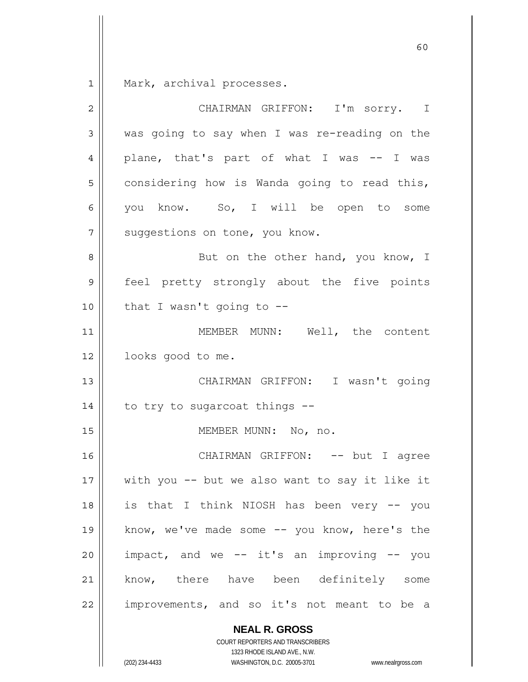1 Mark, archival processes.

| $\mathbf{2}$ | CHAIRMAN GRIFFON: I'm sorry. I                 |
|--------------|------------------------------------------------|
| 3            | was going to say when I was re-reading on the  |
| 4            | plane, that's part of what I was -- I was      |
| 5            | considering how is Wanda going to read this,   |
| 6            | you know. So, I will be open to some           |
| 7            | suggestions on tone, you know.                 |
| 8            | But on the other hand, you know, I             |
| 9            | feel pretty strongly about the five points     |
| 10           | that I wasn't going to --                      |
| 11           | MEMBER MUNN: Well, the content                 |
| 12           | looks good to me.                              |
| 13           | CHAIRMAN GRIFFON: I wasn't going               |
| 14           | to try to sugarcoat things --                  |
| 15           | MEMBER MUNN: No, no.                           |
| 16           | CHAIRMAN GRIFFON: -- but I agree               |
| 17           | with you -- but we also want to say it like it |
| 18           | is that I think NIOSH has been very -- you     |
| 19           | know, we've made some -- you know, here's the  |
| 20           | impact, and we -- it's an improving -- you     |
| 21           | know, there have been definitely some          |
| 22           | improvements, and so it's not meant to be a    |
|              | <b>NEAL R. GROSS</b>                           |

1323 RHODE ISLAND AVE., N.W. (202) 234-4433 WASHINGTON, D.C. 20005-3701 www.nealrgross.com

COURT REPORTERS AND TRANSCRIBERS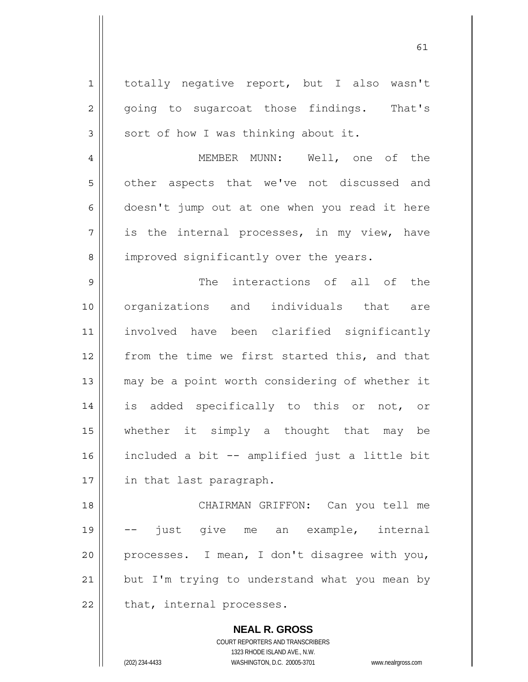**NEAL R. GROSS** 1 2 3 4 5 6 7 8 9 10 11 12 13 14 15 16 17 18 19 20 21 22 totally negative report, but I also wasn't going to sugarcoat those findings. That's sort of how I was thinking about it. MEMBER MUNN: Well, one of the other aspects that we've not discussed and doesn't jump out at one when you read it here is the internal processes, in my view, have improved significantly over the years. The interactions of all of the organizations and individuals that are involved have been clarified significantly from the time we first started this, and that may be a point worth considering of whether it is added specifically to this or not, or whether it simply a thought that may be included a bit -- amplified just a little bit in that last paragraph. CHAIRMAN GRIFFON: Can you tell me just give me an example, internal processes. I mean, I don't disagree with you, but I'm trying to understand what you mean by that, internal processes.

61

COURT REPORTERS AND TRANSCRIBERS 1323 RHODE ISLAND AVE., N.W.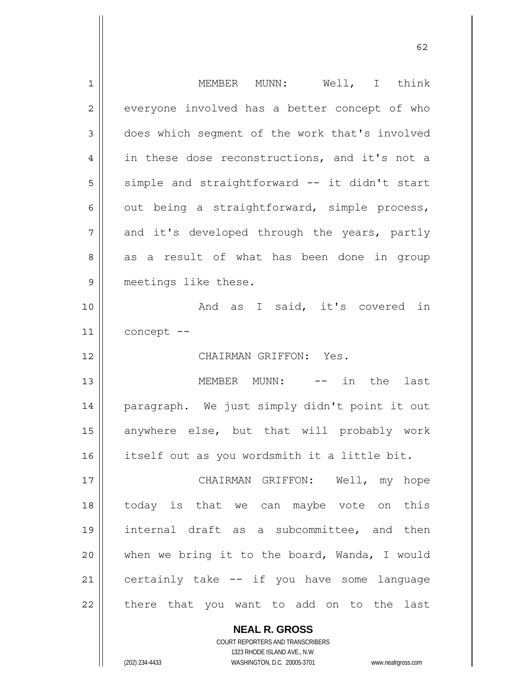| 1              | MEMBER MUNN: Well, I think                     |
|----------------|------------------------------------------------|
| $\overline{2}$ | everyone involved has a better concept of who  |
| 3              | does which segment of the work that's involved |
| 4              | in these dose reconstructions, and it's not a  |
| 5              | simple and straightforward -- it didn't start  |
| 6              | out being a straightforward, simple process,   |
| 7              | and it's developed through the years, partly   |
| 8              | as a result of what has been done in group     |
| 9              | meetings like these.                           |
| 10             | And as I said, it's covered in                 |
| 11             | concept --                                     |
|                |                                                |
|                | CHAIRMAN GRIFFON: Yes.                         |
| 12<br>13       | MEMBER MUNN: -- in the<br>last                 |
| 14             | paragraph. We just simply didn't point it out  |
| 15             | anywhere else, but that will probably work     |
| 16             | itself out as you wordsmith it a little bit.   |
| 17             | CHAIRMAN GRIFFON: Well, my hope                |
| 18             | today is that we can maybe vote on this        |
|                | internal draft as a subcommittee, and then     |
| 19<br>20       | when we bring it to the board, Wanda, I would  |
| 21             | certainly take -- if you have some language    |
| 22             | there that you want to add on to the last      |

 $\sim$  62

COURT REPORTERS AND TRANSCRIBERS 1323 RHODE ISLAND AVE., N.W. (202) 234-4433 WASHINGTON, D.C. 20005-3701 www.nealrgross.com

**NEAL R. GROSS**

 $\mathbf{I}$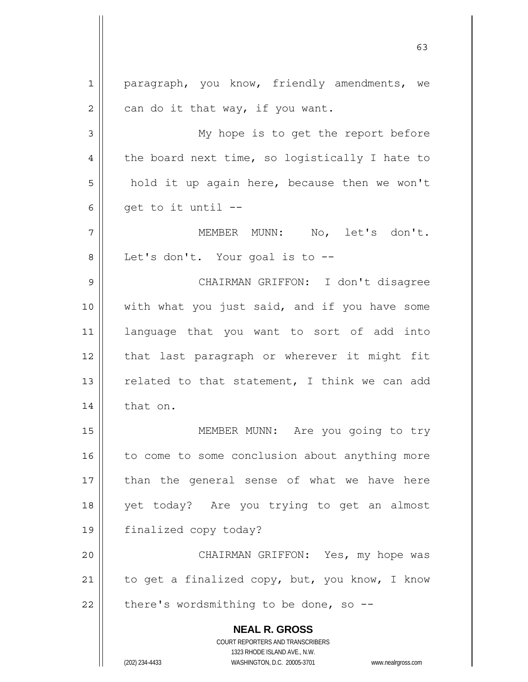**NEAL R. GROSS** COURT REPORTERS AND TRANSCRIBERS 1323 RHODE ISLAND AVE., N.W. (202) 234-4433 WASHINGTON, D.C. 20005-3701 www.nealrgross.com 1 2 3 4 5 6 7 8 9 10 11 12 13 14 15 16 17 18 19 20 21 22 paragraph, you know, friendly amendments, we can do it that way, if you want. My hope is to get the report before the board next time, so logistically I hate to hold it up again here, because then we won't get to it until -- MEMBER MUNN: No, let's don't. Let's don't. Your goal is to -- CHAIRMAN GRIFFON: I don't disagree with what you just said, and if you have some language that you want to sort of add into that last paragraph or wherever it might fit related to that statement, I think we can add that on. MEMBER MUNN: Are you going to try to come to some conclusion about anything more than the general sense of what we have here yet today? Are you trying to get an almost finalized copy today? CHAIRMAN GRIFFON: Yes, my hope was to get a finalized copy, but, you know, I know there's wordsmithing to be done, so  $-$ -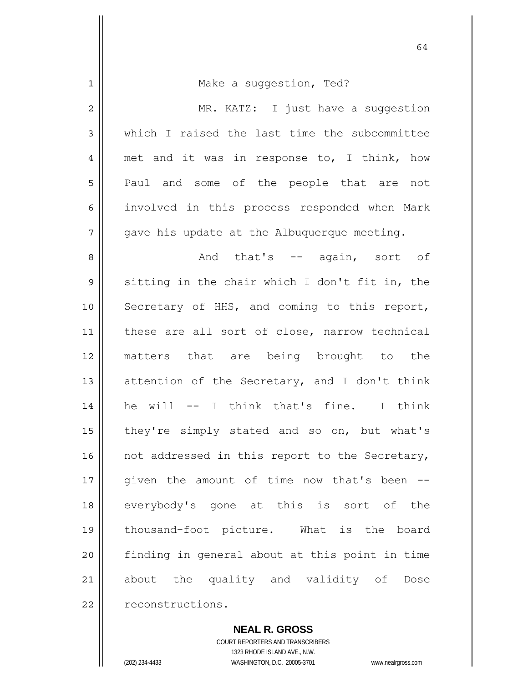| $\mathbf 1$    | Make a suggestion, Ted?                        |
|----------------|------------------------------------------------|
| $\overline{c}$ | MR. KATZ: I just have a suggestion             |
| 3              | which I raised the last time the subcommittee  |
| 4              | met and it was in response to, I think, how    |
| 5              | Paul and some of the people that are not       |
| 6              | involved in this process responded when Mark   |
| 7              | gave his update at the Albuquerque meeting.    |
| 8              | And that's -- again, sort of                   |
| $\mathsf 9$    | sitting in the chair which I don't fit in, the |
| 10             | Secretary of HHS, and coming to this report,   |
| 11             | these are all sort of close, narrow technical  |
| 12             | matters that are being brought to the          |
| 13             | attention of the Secretary, and I don't think  |
| 14             | he will -- I think that's fine. I think        |
| 15             | they're simply stated and so on, but what's    |
| 16             | not addressed in this report to the Secretary, |
| $17$           | given the amount of time now that's been       |
| 18             | everybody's gone at this is sort of the        |
| 19             | thousand-foot picture. What is the board       |
| 20             | finding in general about at this point in time |
| 21             | about the quality and validity of<br>Dose      |
| 22             | reconstructions.                               |

**NEAL R. GROSS**

COURT REPORTERS AND TRANSCRIBERS 1323 RHODE ISLAND AVE., N.W. (202) 234-4433 WASHINGTON, D.C. 20005-3701 www.nealrgross.com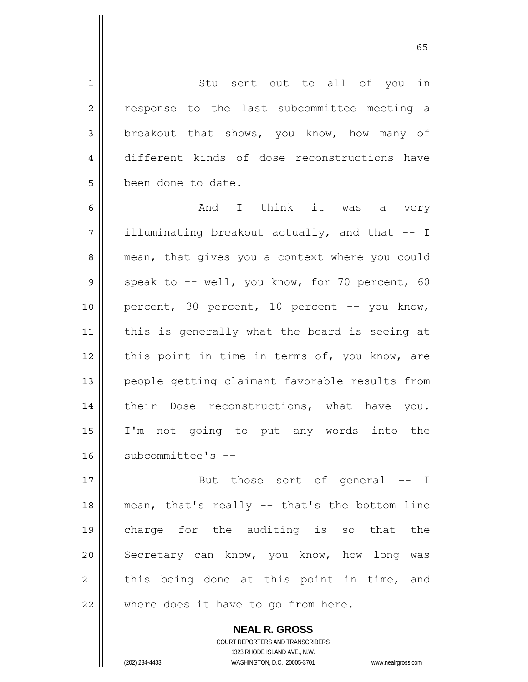Stu sent out to all of you in response to the last subcommittee meeting a breakout that shows, you know, how many of different kinds of dose reconstructions have been done to date.

6 7 8 9 10 11 12 13 14 15 16 And I think it was a very illuminating breakout actually, and that -- I mean, that gives you a context where you could speak to -- well, you know, for 70 percent, 60 percent, 30 percent, 10 percent -- you know, this is generally what the board is seeing at this point in time in terms of, you know, are people getting claimant favorable results from their Dose reconstructions, what have you. I'm not going to put any words into the subcommittee's --

17 18 19 20 21 22 But those sort of general -- I mean, that's really -- that's the bottom line charge for the auditing is so that the Secretary can know, you know, how long was this being done at this point in time, and where does it have to go from here.

> **NEAL R. GROSS** COURT REPORTERS AND TRANSCRIBERS 1323 RHODE ISLAND AVE., N.W. (202) 234-4433 WASHINGTON, D.C. 20005-3701 www.nealrgross.com

1

2

3

4

5

 $\sim$  65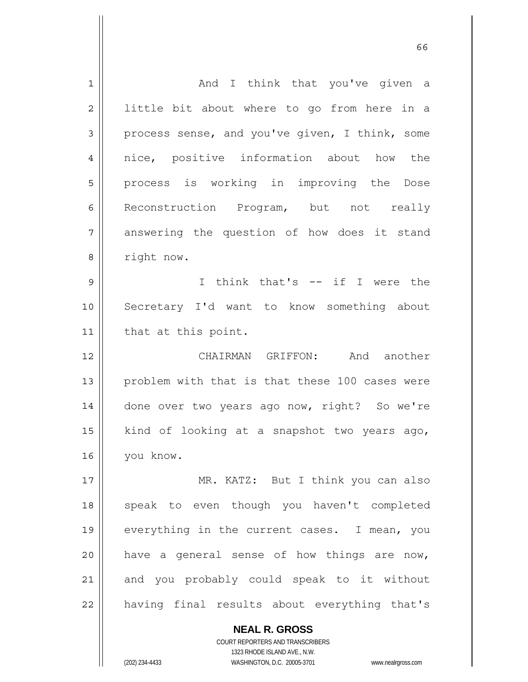| $\mathbf 1$    | And I think that you've given a                |
|----------------|------------------------------------------------|
| $\overline{2}$ | little bit about where to go from here in a    |
| 3              | process sense, and you've given, I think, some |
| 4              | nice, positive information about how the       |
| 5              | process is working in improving the Dose       |
| 6              | Reconstruction Program, but not really         |
| 7              | answering the question of how does it stand    |
| 8              | right now.                                     |
| 9              | I think that's -- if I were the                |
| 10             | Secretary I'd want to know something about     |
| 11             | that at this point.                            |
| 12             | CHAIRMAN GRIFFON: And another                  |
| 13             | problem with that is that these 100 cases were |
|                |                                                |
| 14             | done over two years ago now, right? So we're   |
| 15             | kind of looking at a snapshot two years ago,   |
| 16             | you know.                                      |
| 17             | MR. KATZ: But I think you can also             |
| 18             | speak to even though you haven't completed     |
| 19             | everything in the current cases. I mean, you   |
| 20             | have a general sense of how things are now,    |
| 21             | and you probably could speak to it without     |

 $\sim$  66

**NEAL R. GROSS** COURT REPORTERS AND TRANSCRIBERS 1323 RHODE ISLAND AVE., N.W.

(202) 234-4433 WASHINGTON, D.C. 20005-3701 www.nealrgross.com

 $\mathsf{II}$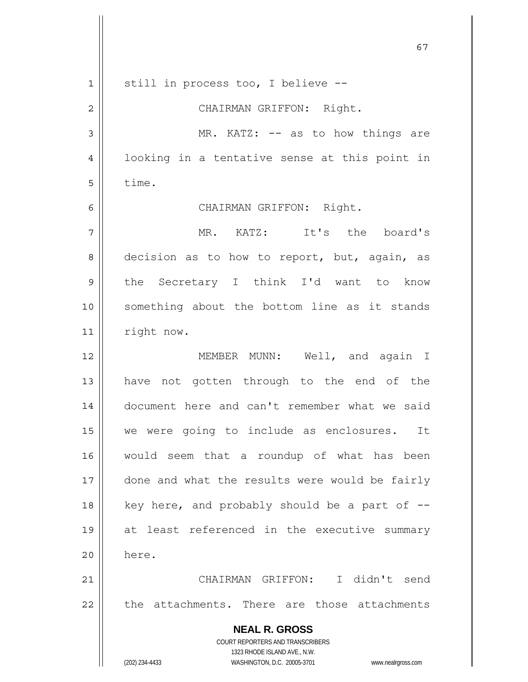|                | 67                                                                  |
|----------------|---------------------------------------------------------------------|
| $\mathbf 1$    | still in process too, I believe --                                  |
| $\overline{c}$ | CHAIRMAN GRIFFON: Right.                                            |
| $\mathfrak{Z}$ | MR. KATZ: -- as to how things are                                   |
| 4              | looking in a tentative sense at this point in                       |
| 5              | time.                                                               |
| 6              | CHAIRMAN GRIFFON: Right.                                            |
| 7              | MR. KATZ: It's the board's                                          |
| 8              | decision as to how to report, but, again, as                        |
| 9              | the Secretary I think I'd want to know                              |
| 10             | something about the bottom line as it stands                        |
| 11             | right now.                                                          |
| 12             | MEMBER MUNN: Well, and again I                                      |
| 13             | have not gotten through to the end of the                           |
| 14             | document here and can't remember what we said                       |
| 15             | we were going to include as enclosures.<br>It                       |
| 16             | would seem that a roundup of what has been                          |
| 17             | done and what the results were would be fairly                      |
| 18             | key here, and probably should be a part of --                       |
| 19             | at least referenced in the executive summary                        |
| 20             | here.                                                               |
| 21             | CHAIRMAN GRIFFON: I didn't send                                     |
| 22             | the attachments. There are those attachments                        |
|                | <b>NEAL R. GROSS</b>                                                |
|                | COURT REPORTERS AND TRANSCRIBERS<br>1323 RHODE ISLAND AVE., N.W.    |
|                | (202) 234-4433<br>WASHINGTON, D.C. 20005-3701<br>www.nealrgross.com |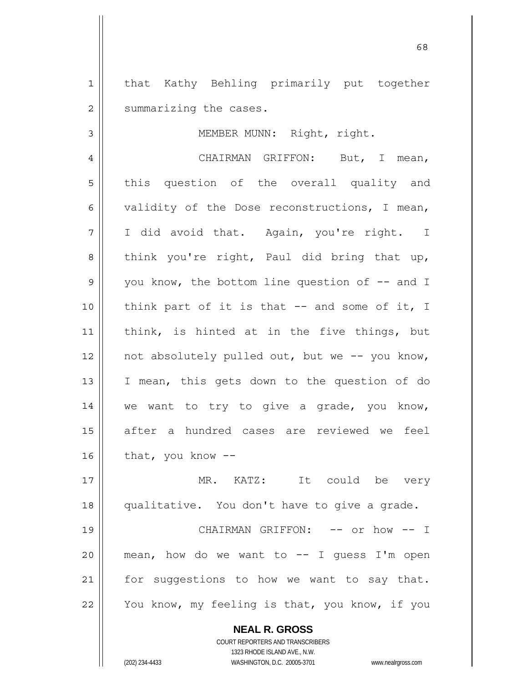1 2 that Kathy Behling primarily put together summarizing the cases.

3

MEMBER MUNN: Right, right.

4 5 6 7 8 9 10 11 12 13 14 15 16 CHAIRMAN GRIFFON: But, I mean, this question of the overall quality and validity of the Dose reconstructions, I mean, I did avoid that. Again, you're right. I think you're right, Paul did bring that up, you know, the bottom line question of  $-$  and I think part of it is that  $-$  and some of it, I think, is hinted at in the five things, but not absolutely pulled out, but we -- you know, I mean, this gets down to the question of do we want to try to give a grade, you know, after a hundred cases are reviewed we feel that, you know --

17 18 19 20 MR. KATZ: It could be very qualitative. You don't have to give a grade. CHAIRMAN GRIFFON: -- or how -- I mean, how do we want to  $-$ - I quess I'm open

21 22 for suggestions to how we want to say that. You know, my feeling is that, you know, if you

> **NEAL R. GROSS** COURT REPORTERS AND TRANSCRIBERS

> > 1323 RHODE ISLAND AVE., N.W.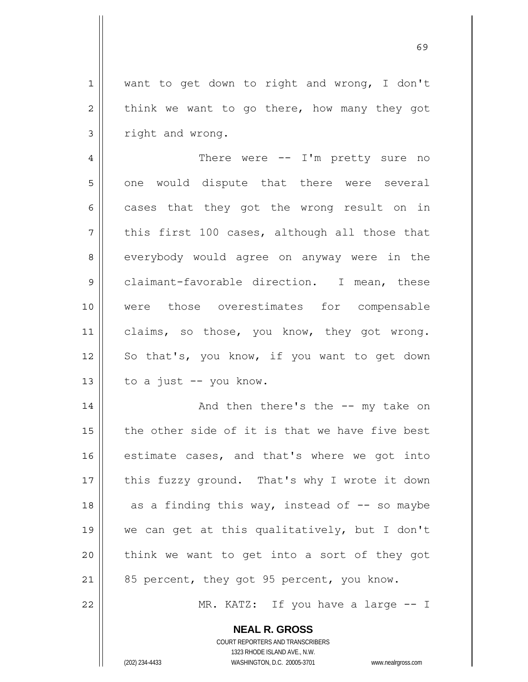1 2 3 want to get down to right and wrong, I don't think we want to go there, how many they got right and wrong.

4 5 6 7 8 9 10 11 12 13 There were -- I'm pretty sure no one would dispute that there were several cases that they got the wrong result on in this first 100 cases, although all those that everybody would agree on anyway were in the claimant-favorable direction. I mean, these were those overestimates for compensable claims, so those, you know, they got wrong. So that's, you know, if you want to get down to a just -- you know.

14 15 16 17 18 19 20 21 And then there's the -- my take on the other side of it is that we have five best estimate cases, and that's where we got into this fuzzy ground. That's why I wrote it down as a finding this way, instead of  $-$ - so maybe we can get at this qualitatively, but I don't think we want to get into a sort of they got 85 percent, they got 95 percent, you know.

MR. KATZ: If you have a large -- I

**NEAL R. GROSS** COURT REPORTERS AND TRANSCRIBERS

1323 RHODE ISLAND AVE., N.W.

22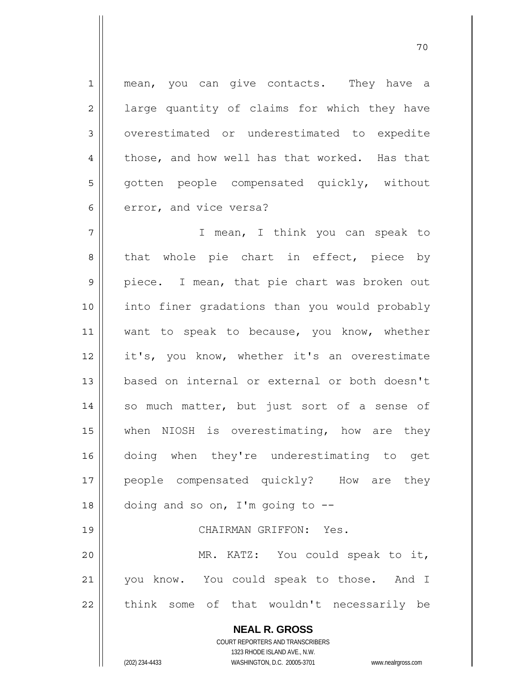1 2 3 4 5 6 mean, you can give contacts. They have a large quantity of claims for which they have overestimated or underestimated to expedite those, and how well has that worked. Has that gotten people compensated quickly, without error, and vice versa?

7 8 9 10 11 12 13 14 15 16 17 18 19 20 I mean, I think you can speak to that whole pie chart in effect, piece by piece. I mean, that pie chart was broken out into finer gradations than you would probably want to speak to because, you know, whether it's, you know, whether it's an overestimate based on internal or external or both doesn't so much matter, but just sort of a sense of when NIOSH is overestimating, how are they doing when they're underestimating to get people compensated quickly? How are they doing and so on, I'm going to  $-$ - CHAIRMAN GRIFFON: Yes. MR. KATZ: You could speak to it,

21 22 you know. You could speak to those. And I think some of that wouldn't necessarily be

> **NEAL R. GROSS** COURT REPORTERS AND TRANSCRIBERS 1323 RHODE ISLAND AVE., N.W. (202) 234-4433 WASHINGTON, D.C. 20005-3701 www.nealrgross.com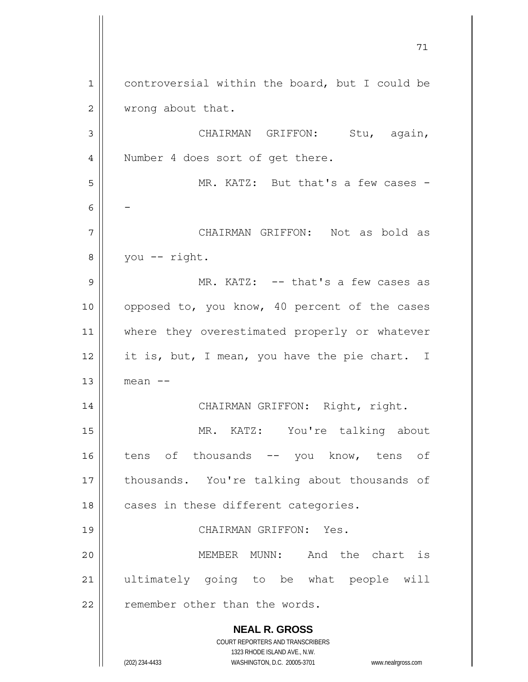**NEAL R. GROSS** COURT REPORTERS AND TRANSCRIBERS 1323 RHODE ISLAND AVE., N.W. (202) 234-4433 WASHINGTON, D.C. 20005-3701 www.nealrgross.com 71 1 2 3 4 5 6 7 8 9 10 11 12 13 14 15 16 17 18 19 20 21 22 controversial within the board, but I could be wrong about that. CHAIRMAN GRIFFON: Stu, again, Number 4 does sort of get there. MR. KATZ: But that's a few cases -- CHAIRMAN GRIFFON: Not as bold as you -- right. MR. KATZ: -- that's a few cases as opposed to, you know, 40 percent of the cases where they overestimated properly or whatever it is, but, I mean, you have the pie chart. I mean -- CHAIRMAN GRIFFON: Right, right. MR. KATZ: You're talking about tens of thousands -- you know, tens of thousands. You're talking about thousands of cases in these different categories. CHAIRMAN GRIFFON: Yes. MEMBER MUNN: And the chart is ultimately going to be what people will remember other than the words.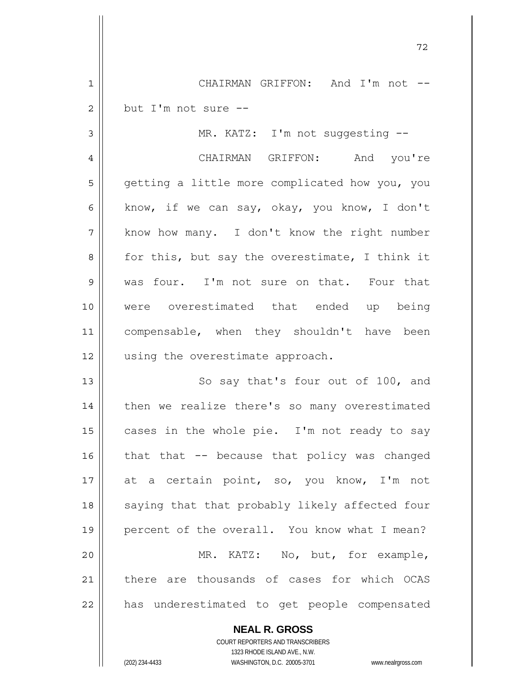CHAIRMAN GRIFFON: And I'm not - but I'm not sure --

3 4 5 6 7 8 9 10 11 12 MR. KATZ: I'm not suggesting -- CHAIRMAN GRIFFON: And you're getting a little more complicated how you, you know, if we can say, okay, you know, I don't know how many. I don't know the right number for this, but say the overestimate, I think it was four. I'm not sure on that. Four that were overestimated that ended up being compensable, when they shouldn't have been using the overestimate approach.

13 14 15 16 17 18 19 20 21 22 So say that's four out of 100, and then we realize there's so many overestimated cases in the whole pie. I'm not ready to say that that -- because that policy was changed at a certain point, so, you know, I'm not saying that that probably likely affected four percent of the overall. You know what I mean? MR. KATZ: No, but, for example, there are thousands of cases for which OCAS has underestimated to get people compensated

> COURT REPORTERS AND TRANSCRIBERS 1323 RHODE ISLAND AVE., N.W. (202) 234-4433 WASHINGTON, D.C. 20005-3701 www.nealrgross.com

**NEAL R. GROSS**

1

2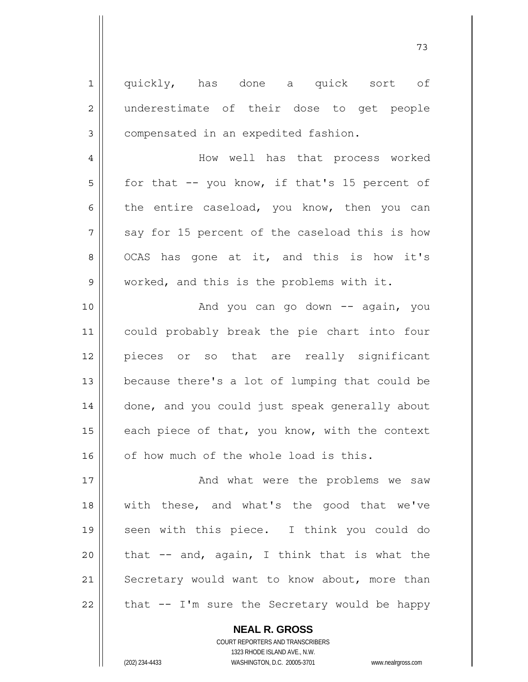1 2 3 4 5 6 7 8 9 10 11 12 13 14 15 16 17 18 19 20 21 22 quickly, has done a quick sort of underestimate of their dose to get people compensated in an expedited fashion. How well has that process worked for that -- you know, if that's 15 percent of the entire caseload, you know, then you can say for 15 percent of the caseload this is how OCAS has gone at it, and this is how it's worked, and this is the problems with it. And you can go down  $--$  again, you could probably break the pie chart into four pieces or so that are really significant because there's a lot of lumping that could be done, and you could just speak generally about each piece of that, you know, with the context of how much of the whole load is this. And what were the problems we saw with these, and what's the good that we've seen with this piece. I think you could do that -- and, again, I think that is what the Secretary would want to know about, more than that -- I'm sure the Secretary would be happy

> **NEAL R. GROSS** COURT REPORTERS AND TRANSCRIBERS

> > 1323 RHODE ISLAND AVE., N.W.

(202) 234-4433 WASHINGTON, D.C. 20005-3701 www.nealrgross.com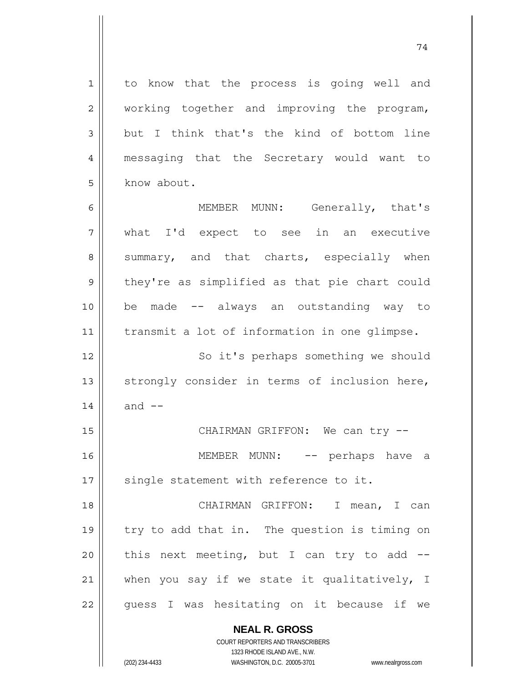to know that the process is going well and working together and improving the program, but I think that's the kind of bottom line messaging that the Secretary would want to know about.

1

2

3

4

5

13

14

74

6 7 8 9 10 11 12 MEMBER MUNN: Generally, that's what I'd expect to see in an executive summary, and that charts, especially when they're as simplified as that pie chart could be made -- always an outstanding way to transmit a lot of information in one glimpse. So it's perhaps something we should

strongly consider in terms of inclusion here, and  $--$ 

15 16 17 CHAIRMAN GRIFFON: We can try --MEMBER MUNN: -- perhaps have a single statement with reference to it.

18 19 20 21 22 CHAIRMAN GRIFFON: I mean, I can try to add that in. The question is timing on this next meeting, but I can try to add - when you say if we state it qualitatively, I guess I was hesitating on it because if we

> **NEAL R. GROSS** COURT REPORTERS AND TRANSCRIBERS

1323 RHODE ISLAND AVE., N.W. (202) 234-4433 WASHINGTON, D.C. 20005-3701 www.nealrgross.com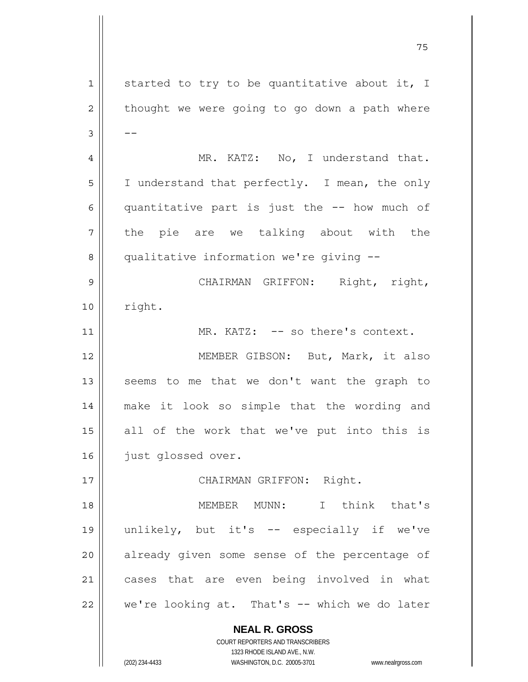**NEAL R. GROSS** COURT REPORTERS AND TRANSCRIBERS 1 2 3 4 5 6 7 8 9 10 11 12 13 14 15 16 17 18 19 20 21 22 started to try to be quantitative about it, I thought we were going to go down a path where -- MR. KATZ: No, I understand that. I understand that perfectly. I mean, the only quantitative part is just the -- how much of the pie are we talking about with the qualitative information we're giving -- CHAIRMAN GRIFFON: Right, right, right. MR. KATZ: -- so there's context. MEMBER GIBSON: But, Mark, it also seems to me that we don't want the graph to make it look so simple that the wording and all of the work that we've put into this is just glossed over. CHAIRMAN GRIFFON: Right. MEMBER MUNN: I think that's unlikely, but it's -- especially if we've already given some sense of the percentage of cases that are even being involved in what we're looking at. That's -- which we do later

75

1323 RHODE ISLAND AVE., N.W.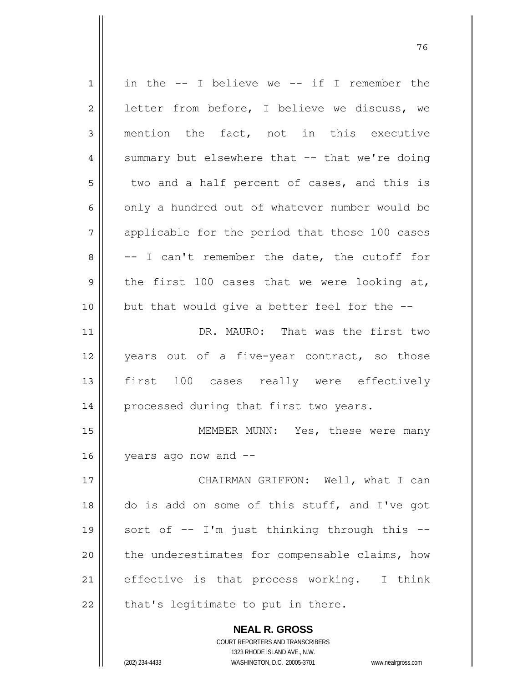| 1  | in the $--$ I believe we $--$ if I remember the          |
|----|----------------------------------------------------------|
| 2  | letter from before, I believe we discuss, we             |
| 3  | mention the fact, not in this executive                  |
| 4  | summary but elsewhere that -- that we're doing           |
| 5  | two and a half percent of cases, and this is             |
| 6  | only a hundred out of whatever number would be           |
| 7  | applicable for the period that these 100 cases           |
| 8  | -- I can't remember the date, the cutoff for             |
| 9  | the first 100 cases that we were looking at,             |
| 10 | but that would give a better feel for the --             |
| 11 | DR. MAURO: That was the first two                        |
| 12 | years out of a five-year contract, so those              |
| 13 | first 100 cases really were effectively                  |
| 14 | processed during that first two years.                   |
| 15 | MEMBER MUNN: Yes, these were many                        |
| 16 | years ago now and --                                     |
| 17 | CHAIRMAN GRIFFON: Well, what I can                       |
| 18 | do is add on some of this stuff, and I've got            |
| 19 | sort of -- I'm just thinking through this --             |
| 20 | the underestimates for compensable claims, how           |
| 21 | effective is that process working. I think               |
| 22 | that's legitimate to put in there.                       |
|    | <b>NEAL R. GROSS</b><br>COURT REPORTERS AND TRANSCRIBERS |

1323 RHODE ISLAND AVE., N.W.

 $\prod$ 

(202) 234-4433 WASHINGTON, D.C. 20005-3701 www.nealrgross.com

и процесс в политическиот производство в село в 1968 године. В 1968 године при представление при предлагает пр<br>В 1968 године представляет представляет представительно представительно представительно представительно предст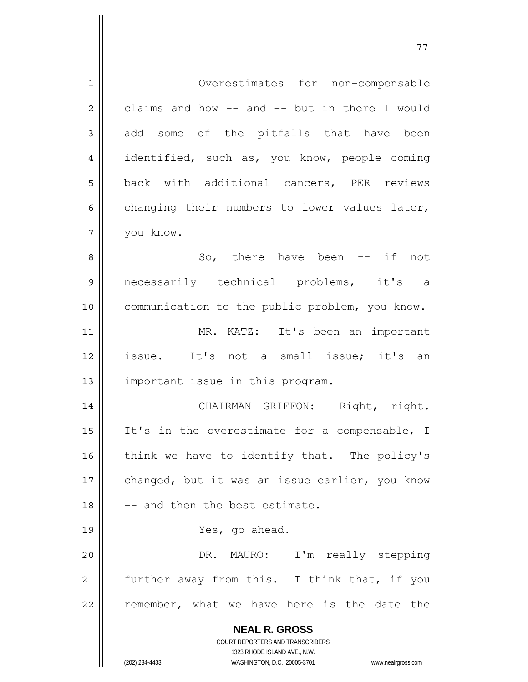**NEAL R. GROSS** COURT REPORTERS AND TRANSCRIBERS 1323 RHODE ISLAND AVE., N.W. (202) 234-4433 WASHINGTON, D.C. 20005-3701 www.nealrgross.com 1 2 3 4 5 6 7 8 9 10 11 12 13 14 15 16 17 18 19 20 21 22 Overestimates for non-compensable claims and how -- and -- but in there I would add some of the pitfalls that have been identified, such as, you know, people coming back with additional cancers, PER reviews changing their numbers to lower values later, you know. So, there have been -- if not necessarily technical problems, it's a communication to the public problem, you know. MR. KATZ: It's been an important issue. It's not a small issue; it's an important issue in this program. CHAIRMAN GRIFFON: Right, right. It's in the overestimate for a compensable, I think we have to identify that. The policy's changed, but it was an issue earlier, you know -- and then the best estimate. Yes, go ahead. DR. MAURO: I'm really stepping further away from this. I think that, if you remember, what we have here is the date the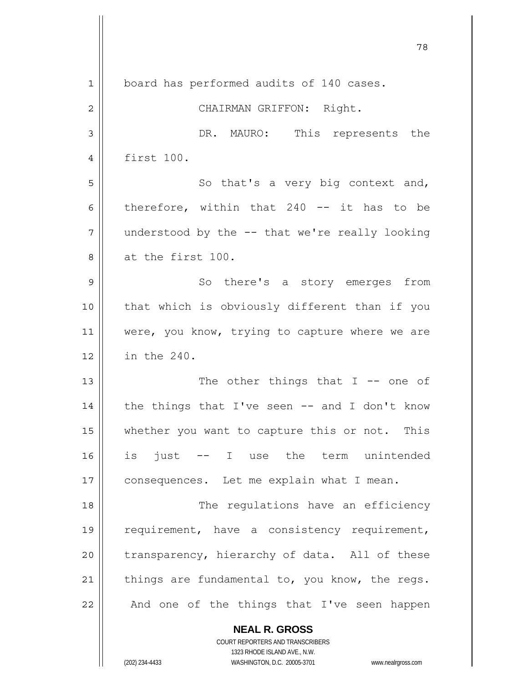|              | 78                                             |
|--------------|------------------------------------------------|
| $\mathbf{1}$ | board has performed audits of 140 cases.       |
| $\mathbf{2}$ | CHAIRMAN GRIFFON: Right.                       |
| 3            | DR. MAURO: This represents the                 |
| 4            | first 100.                                     |
| 5            | So that's a very big context and,              |
| 6            | therefore, within that $240$ -- it has to be   |
| 7            | understood by the -- that we're really looking |
| 8            | at the first 100.                              |
| 9            | So there's a story emerges from                |
| 10           | that which is obviously different than if you  |
| 11           | were, you know, trying to capture where we are |
| 12           | in the 240.                                    |
| 13           | The other things that $I$ -- one of            |
| 14           | the things that I've seen -- and I don't know  |
| 15           | whether you want to capture this or not. This  |
| 16           | is just<br>-- I use the term unintended        |
| 17           | consequences. Let me explain what I mean.      |
| 18           | The regulations have an efficiency             |
| 19           | requirement, have a consistency requirement,   |
| 20           | transparency, hierarchy of data. All of these  |
| 21           | things are fundamental to, you know, the regs. |
| 22           | And one of the things that I've seen happen    |
|              | <b>NEAL R. GROSS</b>                           |

COURT REPORTERS AND TRANSCRIBERS 1323 RHODE ISLAND AVE., N.W.

 $\mathbf{\mathbf{\mathsf{I}}}\mathbf{\mathsf{I}}$ 

 $\overline{\phantom{a}}$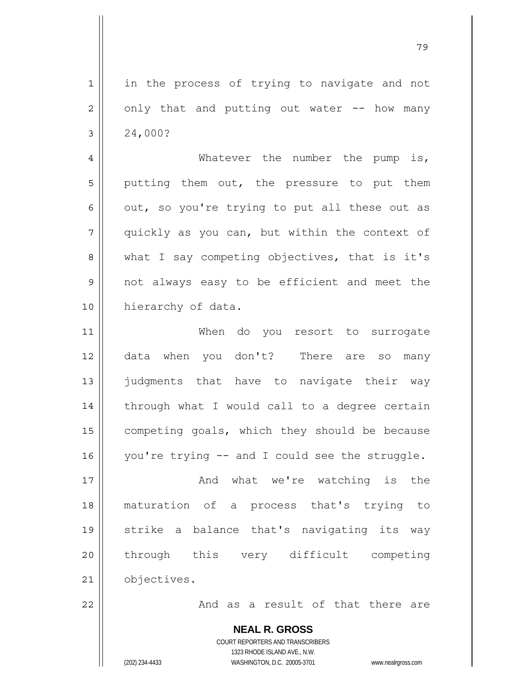1 2 3 in the process of trying to navigate and not only that and putting out water -- how many 24,000?

79

4 5 6 7 8 9 10 Whatever the number the pump is, putting them out, the pressure to put them out, so you're trying to put all these out as quickly as you can, but within the context of what I say competing objectives, that is it's not always easy to be efficient and meet the hierarchy of data.

11 12 13 14 15 16 When do you resort to surrogate data when you don't? There are so many judgments that have to navigate their way through what I would call to a degree certain competing goals, which they should be because you're trying -- and I could see the struggle.

17 18 19 20 21 And what we're watching is the maturation of a process that's trying to strike a balance that's navigating its way through this very difficult competing objectives.

And as a result of that there are

**NEAL R. GROSS** COURT REPORTERS AND TRANSCRIBERS 1323 RHODE ISLAND AVE., N.W. (202) 234-4433 WASHINGTON, D.C. 20005-3701 www.nealrgross.com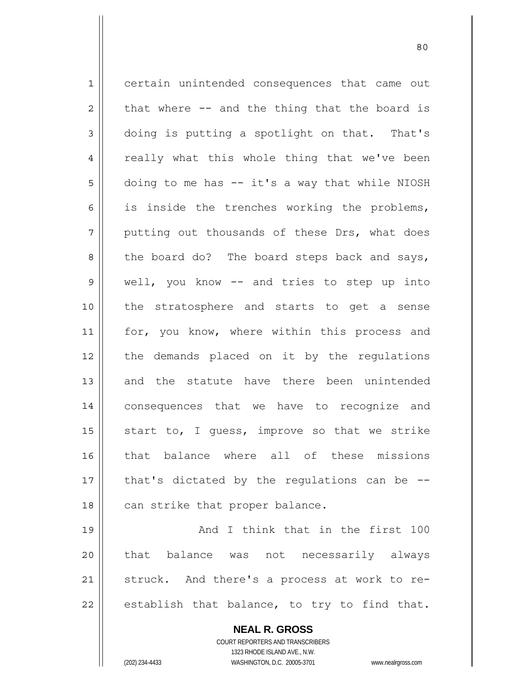1 2 3 4 5 6 7 8 9 10 11 12 13 14 15 16 17 18 19 certain unintended consequences that came out that where -- and the thing that the board is doing is putting a spotlight on that. That's really what this whole thing that we've been doing to me has -- it's a way that while NIOSH is inside the trenches working the problems, putting out thousands of these Drs, what does the board do? The board steps back and says, well, you know -- and tries to step up into the stratosphere and starts to get a sense for, you know, where within this process and the demands placed on it by the regulations and the statute have there been unintended consequences that we have to recognize and start to, I guess, improve so that we strike that balance where all of these missions that's dictated by the regulations can be - can strike that proper balance. And I think that in the first 100

80

20 21 22 that balance was not necessarily always struck. And there's a process at work to reestablish that balance, to try to find that.

> **NEAL R. GROSS** COURT REPORTERS AND TRANSCRIBERS 1323 RHODE ISLAND AVE., N.W. (202) 234-4433 WASHINGTON, D.C. 20005-3701 www.nealrgross.com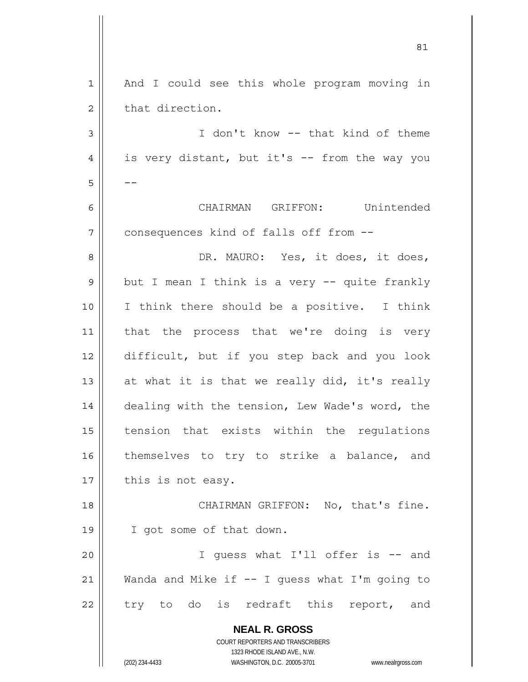| $\mathbf{1}$ | And I could see this whole program moving in                                                        |
|--------------|-----------------------------------------------------------------------------------------------------|
| 2            | that direction.                                                                                     |
| 3            | I don't know -- that kind of theme                                                                  |
| 4            | is very distant, but it's -- from the way you                                                       |
| 5            |                                                                                                     |
| 6            | CHAIRMAN GRIFFON: Unintended                                                                        |
| 7            | consequences kind of falls off from --                                                              |
| 8            | DR. MAURO: Yes, it does, it does,                                                                   |
| 9            | but I mean I think is a very -- quite frankly                                                       |
| 10           | I think there should be a positive. I think                                                         |
| 11           | that the process that we're doing is very                                                           |
| 12           | difficult, but if you step back and you look                                                        |
| 13           | at what it is that we really did, it's really                                                       |
| 14           | dealing with the tension, Lew Wade's word, the                                                      |
| 15           | tension that exists within the regulations                                                          |
| 16           | themselves to try to strike a balance, and                                                          |
| 17           | this is not easy.                                                                                   |
| 18           | CHAIRMAN GRIFFON: No, that's fine.                                                                  |
| 19           | I got some of that down.                                                                            |
| 20           | I guess what I'll offer is -- and                                                                   |
| 21           | Wanda and Mike if -- I guess what I'm going to                                                      |
| 22           | try to do is redraft this report, and                                                               |
|              | <b>NEAL R. GROSS</b>                                                                                |
|              | COURT REPORTERS AND TRANSCRIBERS                                                                    |
|              | 1323 RHODE ISLAND AVE., N.W.<br>(202) 234-4433<br>WASHINGTON, D.C. 20005-3701<br>www.nealrgross.com |
|              |                                                                                                     |

<u>81</u>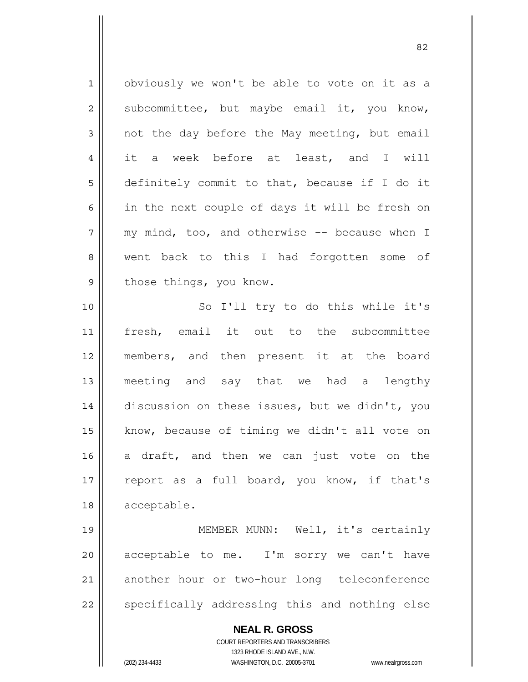**NEAL R. GROSS** 1 2 3 4 5 6 7 8 9 10 11 12 13 14 15 16 17 18 19 20 21 22 obviously we won't be able to vote on it as a subcommittee, but maybe email it, you know, not the day before the May meeting, but email it a week before at least, and I will definitely commit to that, because if I do it in the next couple of days it will be fresh on my mind, too, and otherwise -- because when I went back to this I had forgotten some of those things, you know. So I'll try to do this while it's fresh, email it out to the subcommittee members, and then present it at the board meeting and say that we had a lengthy discussion on these issues, but we didn't, you know, because of timing we didn't all vote on a draft, and then we can just vote on the report as a full board, you know, if that's acceptable. MEMBER MUNN: Well, it's certainly acceptable to me. I'm sorry we can't have another hour or two-hour long teleconference specifically addressing this and nothing else

<u>82</u>

COURT REPORTERS AND TRANSCRIBERS 1323 RHODE ISLAND AVE., N.W.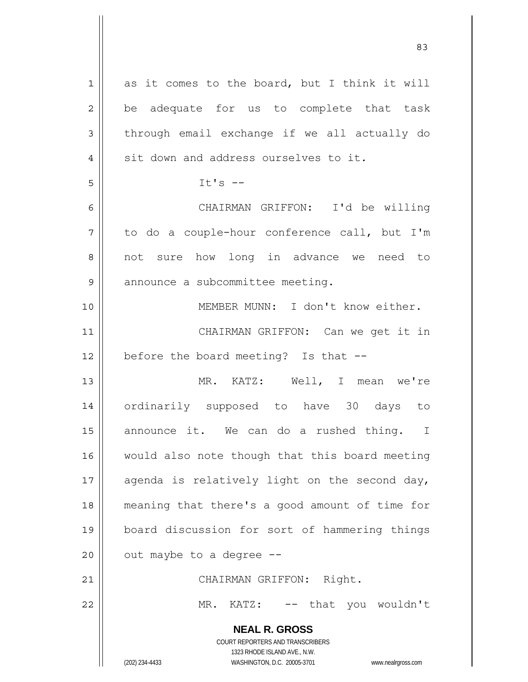**NEAL R. GROSS** COURT REPORTERS AND TRANSCRIBERS 1323 RHODE ISLAND AVE., N.W. (202) 234-4433 WASHINGTON, D.C. 20005-3701 www.nealrgross.com 1 2 3 4 5 6 7 8 9 10 11 12 13 14 15 16 17 18 19 20 21 22 as it comes to the board, but I think it will be adequate for us to complete that task through email exchange if we all actually do sit down and address ourselves to it. It's  $-$  CHAIRMAN GRIFFON: I'd be willing to do a couple-hour conference call, but I'm not sure how long in advance we need to announce a subcommittee meeting. MEMBER MUNN: I don't know either. CHAIRMAN GRIFFON: Can we get it in before the board meeting? Is that -- MR. KATZ: Well, I mean we're ordinarily supposed to have 30 days to announce it. We can do a rushed thing. I would also note though that this board meeting agenda is relatively light on the second day, meaning that there's a good amount of time for board discussion for sort of hammering things out maybe to a degree -- CHAIRMAN GRIFFON: Right. MR. KATZ: -- that you wouldn't

<u>83</u>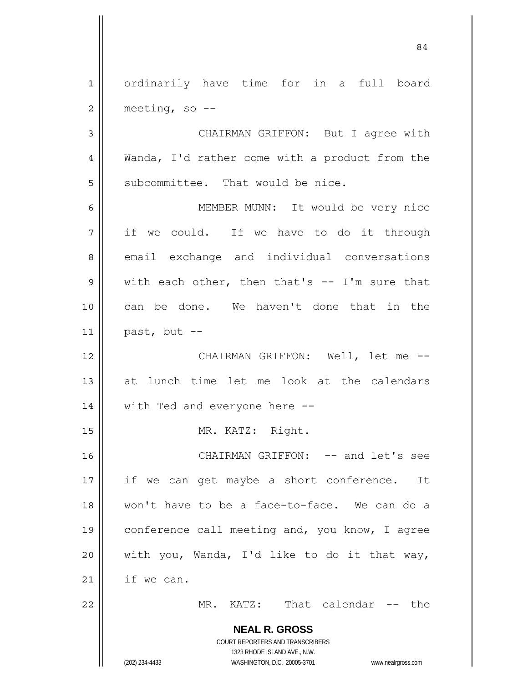**NEAL R. GROSS** COURT REPORTERS AND TRANSCRIBERS 1323 RHODE ISLAND AVE., N.W. (202) 234-4433 WASHINGTON, D.C. 20005-3701 www.nealrgross.com 1 2 3 4 5 6 7 8 9 10 11 12 13 14 15 16 17 18 19 20 21 22 ordinarily have time for in a full board meeting, so -- CHAIRMAN GRIFFON: But I agree with Wanda, I'd rather come with a product from the subcommittee. That would be nice. MEMBER MUNN: It would be very nice if we could. If we have to do it through email exchange and individual conversations with each other, then that's  $--$  I'm sure that can be done. We haven't done that in the past, but -- CHAIRMAN GRIFFON: Well, let me - at lunch time let me look at the calendars with Ted and everyone here -- MR. KATZ: Right. CHAIRMAN GRIFFON: -- and let's see if we can get maybe a short conference. It won't have to be a face-to-face. We can do a conference call meeting and, you know, I agree with you, Wanda, I'd like to do it that way, if we can. MR. KATZ: That calendar -- the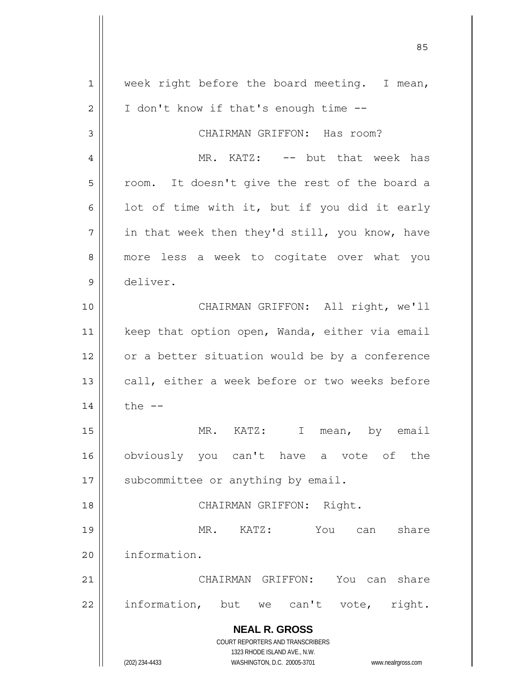**NEAL R. GROSS** COURT REPORTERS AND TRANSCRIBERS 1323 RHODE ISLAND AVE., N.W. (202) 234-4433 WASHINGTON, D.C. 20005-3701 www.nealrgross.com 1 2 3 4 5 6 7 8 9 10 11 12 13 14 15 16 17 18 19 20 21 22 week right before the board meeting. I mean, I don't know if that's enough time -- CHAIRMAN GRIFFON: Has room? MR. KATZ: -- but that week has room. It doesn't give the rest of the board a lot of time with it, but if you did it early in that week then they'd still, you know, have more less a week to cogitate over what you deliver. CHAIRMAN GRIFFON: All right, we'll keep that option open, Wanda, either via email or a better situation would be by a conference call, either a week before or two weeks before the  $--$ MR. KATZ: I mean, by email obviously you can't have a vote of the subcommittee or anything by email. CHAIRMAN GRIFFON: Right. MR. KATZ: You can share information. CHAIRMAN GRIFFON: You can share information, but we can't vote, right.

<u>85 and 2001 and 2001 and 2001 and 2001 and 2001 and 2001 and 2001 and 2001 and 2001 and 2001 and 2001 and 200</u>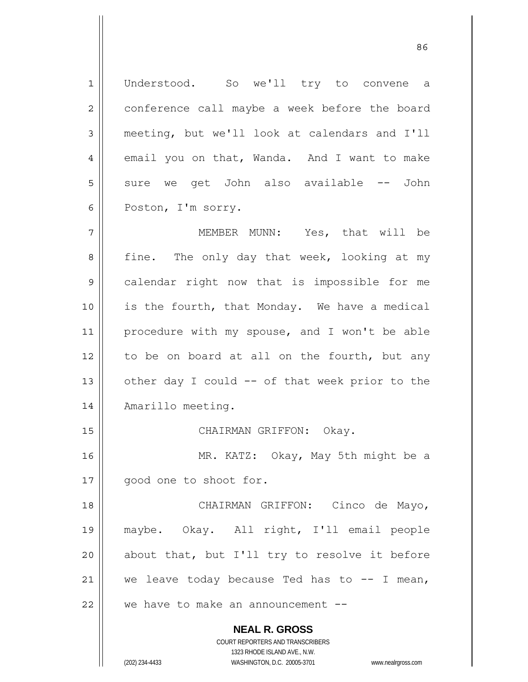**NEAL R. GROSS** COURT REPORTERS AND TRANSCRIBERS 1 2 3 4 5 6 7 8 9 10 11 12 13 14 15 16 17 18 19 20 21 22 Understood. So we'll try to convene a conference call maybe a week before the board meeting, but we'll look at calendars and I'll email you on that, Wanda. And I want to make sure we get John also available -- John Poston, I'm sorry. MEMBER MUNN: Yes, that will be fine. The only day that week, looking at my calendar right now that is impossible for me is the fourth, that Monday. We have a medical procedure with my spouse, and I won't be able to be on board at all on the fourth, but any other day I could -- of that week prior to the Amarillo meeting. CHAIRMAN GRIFFON: Okay. MR. KATZ: Okay, May 5th might be a good one to shoot for. CHAIRMAN GRIFFON: Cinco de Mayo, maybe. Okay. All right, I'll email people about that, but I'll try to resolve it before we leave today because Ted has to  $-$ - I mean, we have to make an announcement --

1323 RHODE ISLAND AVE., N.W.

(202) 234-4433 WASHINGTON, D.C. 20005-3701 www.nealrgross.com

<u>86 and 2001 and 2002 and 2003 and 2003 and 2003 and 2003 and 2003 and 2003 and 2003 and 2003 and 2003 and 200</u>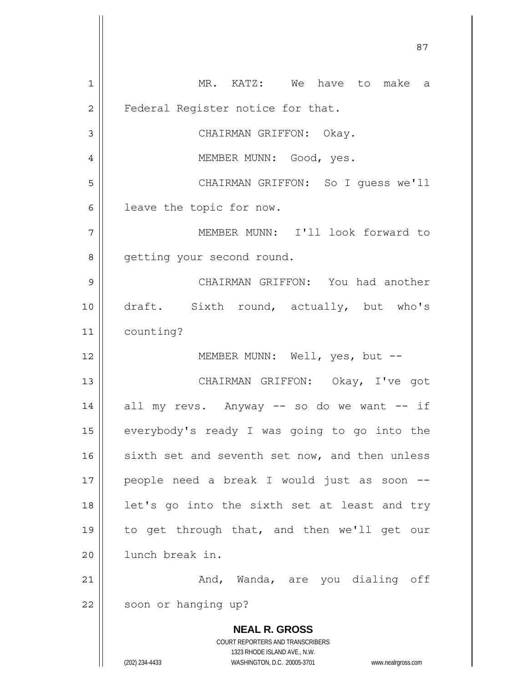**NEAL R. GROSS** COURT REPORTERS AND TRANSCRIBERS 1323 RHODE ISLAND AVE., N.W. (202) 234-4433 WASHINGTON, D.C. 20005-3701 www.nealrgross.com 1 2 3 4 5 6 7 8 9 10 11 12 13 14 15 16 17 18 19 20 21 22 MR. KATZ: We have to make a Federal Register notice for that. CHAIRMAN GRIFFON: Okay. MEMBER MUNN: Good, yes. CHAIRMAN GRIFFON: So I guess we'll leave the topic for now. MEMBER MUNN: I'll look forward to getting your second round. CHAIRMAN GRIFFON: You had another draft. Sixth round, actually, but who's counting? MEMBER MUNN: Well, yes, but -- CHAIRMAN GRIFFON: Okay, I've got all my revs. Anyway -- so do we want -- if everybody's ready I was going to go into the sixth set and seventh set now, and then unless people need a break I would just as soon - let's go into the sixth set at least and try to get through that, and then we'll get our lunch break in. And, Wanda, are you dialing off soon or hanging up?

<u>87 and 2014 and 2014 and 2014 and 2014 and 2014 and 2014 and 2014 and 2014 and 2014 and 2014 and 2014 and 201</u>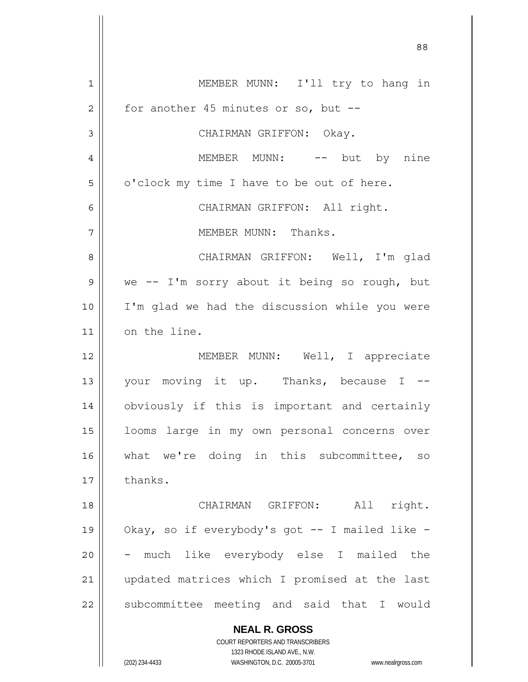**NEAL R. GROSS** COURT REPORTERS AND TRANSCRIBERS 1323 RHODE ISLAND AVE., N.W. 1 2 3 4 5 6 7 8 9 10 11 12 13 14 15 16 17 18 19 20 21 22 MEMBER MUNN: I'll try to hang in for another 45 minutes or so, but -- CHAIRMAN GRIFFON: Okay. MEMBER MUNN: -- but by nine o'clock my time I have to be out of here. CHAIRMAN GRIFFON: All right. MEMBER MUNN: Thanks. CHAIRMAN GRIFFON: Well, I'm glad we -- I'm sorry about it being so rough, but I'm glad we had the discussion while you were on the line. MEMBER MUNN: Well, I appreciate your moving it up. Thanks, because I - obviously if this is important and certainly looms large in my own personal concerns over what we're doing in this subcommittee, so thanks. CHAIRMAN GRIFFON: All right. Okay, so if everybody's got -- I mailed like much like everybody else I mailed the updated matrices which I promised at the last subcommittee meeting and said that I would

88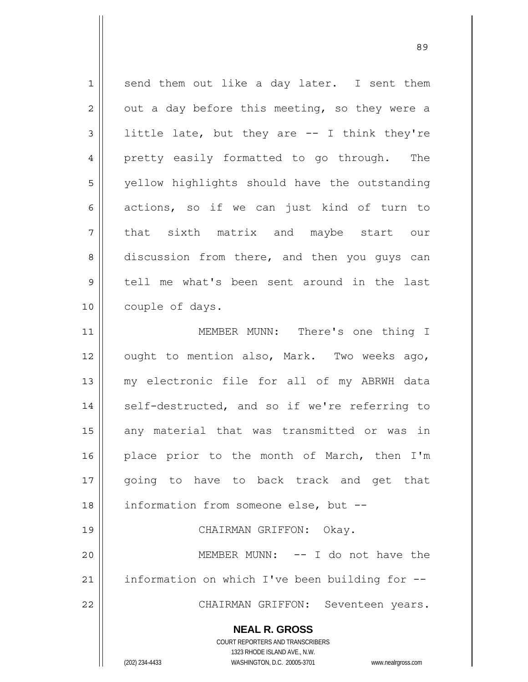| $\mathbf 1$ | send them out like a day later. I sent them                         |
|-------------|---------------------------------------------------------------------|
| 2           | out a day before this meeting, so they were a                       |
| 3           | little late, but they are -- I think they're                        |
| 4           | pretty easily formatted to go through. The                          |
| 5           | yellow highlights should have the outstanding                       |
| 6           | actions, so if we can just kind of turn to                          |
| 7           | that sixth matrix and maybe start our                               |
| 8           | discussion from there, and then you guys can                        |
| 9           | tell me what's been sent around in the last                         |
| 10          | couple of days.                                                     |
| 11          | MEMBER MUNN: There's one thing I                                    |
| 12          | ought to mention also, Mark. Two weeks ago,                         |
| 13          | my electronic file for all of my ABRWH data                         |
| 14          | self-destructed, and so if we're referring to                       |
| 15          | any material that was transmitted or was in                         |
| 16          | place prior to the month of March, then I'm                         |
| 17          | going to have to back track and get that                            |
| 18          | information from someone else, but --                               |
| 19          | CHAIRMAN GRIFFON: Okay.                                             |
| 20          | MEMBER MUNN: -- I do not have the                                   |
| 21          | information on which I've been building for --                      |
| 22          | CHAIRMAN GRIFFON: Seventeen years.                                  |
|             | <b>NEAL R. GROSS</b>                                                |
|             | COURT REPORTERS AND TRANSCRIBERS                                    |
|             | 1323 RHODE ISLAND AVE., N.W.                                        |
|             | (202) 234-4433<br>WASHINGTON, D.C. 20005-3701<br>www.nealrgross.com |

<u>89 and 2001 and 2002 and 2003 and 2003 and 2003 and 2003 and 2003 and 2003 and 2003 and 2003 and 2003 and 200</u>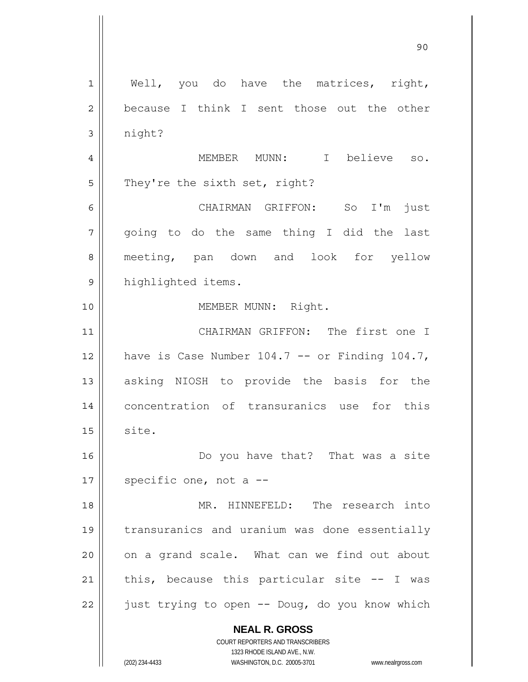**NEAL R. GROSS** COURT REPORTERS AND TRANSCRIBERS 1323 RHODE ISLAND AVE., N.W. (202) 234-4433 WASHINGTON, D.C. 20005-3701 www.nealrgross.com 1 2 3 4 5 6 7 8 9 10 11 12 13 14 15 16 17 18 19 20 21 22 Well, you do have the matrices, right, because I think I sent those out the other night? MEMBER MUNN: I believe so. They're the sixth set, right? CHAIRMAN GRIFFON: So I'm just going to do the same thing I did the last meeting, pan down and look for yellow highlighted items. MEMBER MUNN: Right. CHAIRMAN GRIFFON: The first one I have is Case Number 104.7 -- or Finding 104.7, asking NIOSH to provide the basis for the concentration of transuranics use for this site. Do you have that? That was a site specific one, not a -- MR. HINNEFELD: The research into transuranics and uranium was done essentially on a grand scale. What can we find out about this, because this particular site  $-$ - I was just trying to open -- Doug, do you know which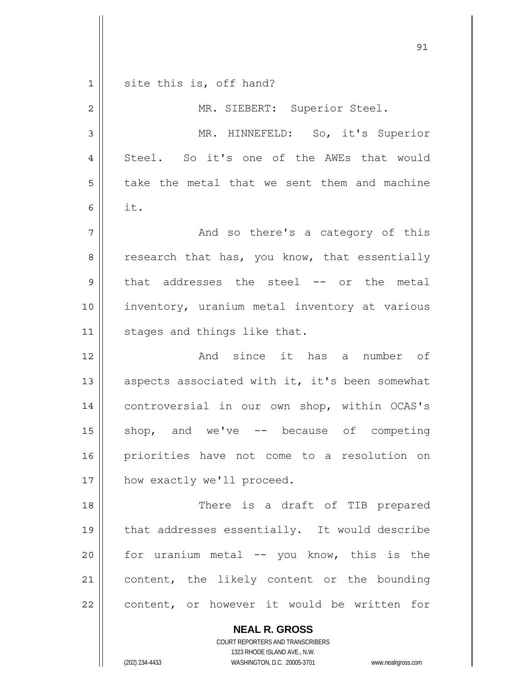**NEAL R. GROSS** <u>91</u> 1 2 3 4 5 6 7 8 9 10 11 12 13 14 15 16 17 18 19 20 21 22 site this is, off hand? MR. SIEBERT: Superior Steel. MR. HINNEFELD: So, it's Superior Steel. So it's one of the AWEs that would take the metal that we sent them and machine it. And so there's a category of this research that has, you know, that essentially that addresses the steel -- or the metal inventory, uranium metal inventory at various stages and things like that. And since it has a number of aspects associated with it, it's been somewhat controversial in our own shop, within OCAS's shop, and we've -- because of competing priorities have not come to a resolution on how exactly we'll proceed. There is a draft of TIB prepared that addresses essentially. It would describe for uranium metal -- you know, this is the content, the likely content or the bounding content, or however it would be written for

> COURT REPORTERS AND TRANSCRIBERS 1323 RHODE ISLAND AVE., N.W.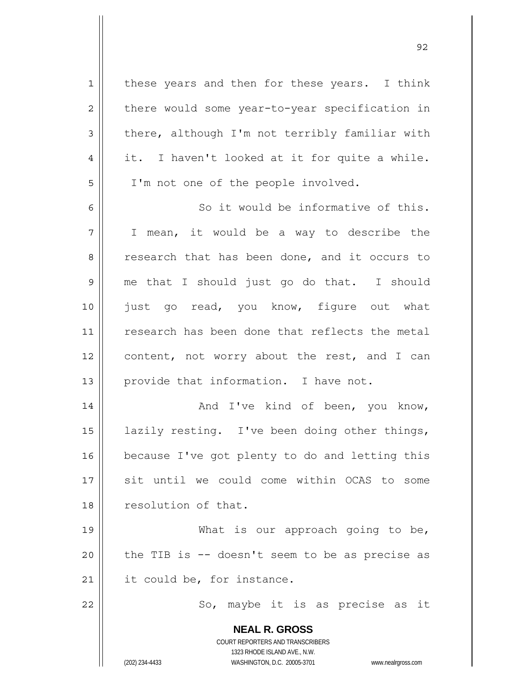**NEAL R. GROSS** COURT REPORTERS AND TRANSCRIBERS 1323 RHODE ISLAND AVE., N.W. 1 2 3 4 5 6 7 8 9 10 11 12 13 14 15 16 17 18 19 20 21 22 these years and then for these years. I think there would some year-to-year specification in there, although I'm not terribly familiar with it. I haven't looked at it for quite a while. I'm not one of the people involved. So it would be informative of this. I mean, it would be a way to describe the research that has been done, and it occurs to me that I should just go do that. I should just go read, you know, figure out what research has been done that reflects the metal content, not worry about the rest, and I can provide that information. I have not. And I've kind of been, you know, lazily resting. I've been doing other things, because I've got plenty to do and letting this sit until we could come within OCAS to some resolution of that. What is our approach going to be, the TIB is -- doesn't seem to be as precise as it could be, for instance. So, maybe it is as precise as it

<u>92 and 2014 and 2014 and 2014 and 2014 and 2014 and 2014 and 2014 and 2014 and 2014 and 2014 and 2014 and 201</u>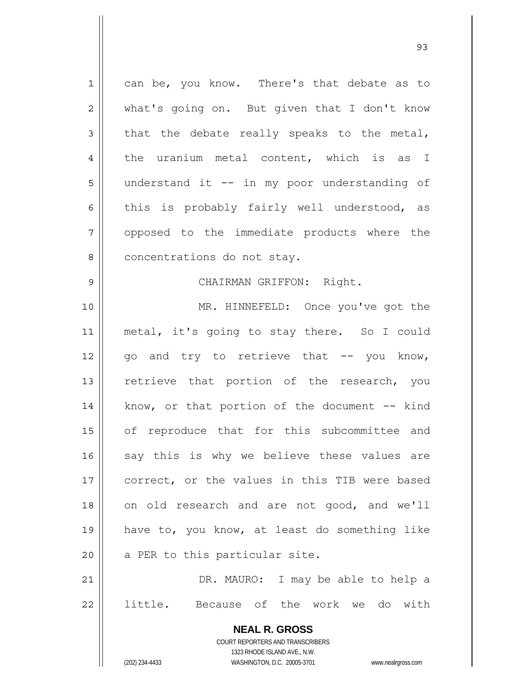| $\mathbf 1$    | can be, you know. There's that debate as to                         |
|----------------|---------------------------------------------------------------------|
| $\overline{2}$ | what's going on. But given that I don't know                        |
| 3              | that the debate really speaks to the metal,                         |
| 4              | the uranium metal content, which is as I                            |
| 5              | understand it -- in my poor understanding of                        |
| 6              | this is probably fairly well understood, as                         |
| 7              | opposed to the immediate products where the                         |
| 8              | concentrations do not stay.                                         |
| $\mathsf 9$    | CHAIRMAN GRIFFON: Right.                                            |
| 10             | MR. HINNEFELD: Once you've got the                                  |
| 11             | metal, it's going to stay there. So I could                         |
| 12             | go and try to retrieve that -- you know,                            |
| 13             | retrieve that portion of the research, you                          |
| 14             | know, or that portion of the document $-$ - kind                    |
| 15             | of reproduce that for this subcommittee and                         |
| 16             | say this is why we believe these values are                         |
| 17             | correct, or the values in this TIB were based                       |
| 18             | on old research and are not good, and we'll                         |
| 19             | have to, you know, at least do something like                       |
| 20             | a PER to this particular site.                                      |
| 21             | DR. MAURO: I may be able to help a                                  |
| 22             | little.<br>Because of the work we do with                           |
|                |                                                                     |
|                | <b>NEAL R. GROSS</b><br>COURT REPORTERS AND TRANSCRIBERS            |
|                | 1323 RHODE ISLAND AVE., N.W.                                        |
|                | (202) 234-4433<br>WASHINGTON, D.C. 20005-3701<br>www.nealrgross.com |

<u>93 and 200 and 200 and 200 and 200 and 200 and 200 and 200 and 200 and 200 and 200 and 200 and 200 and 200 an</u>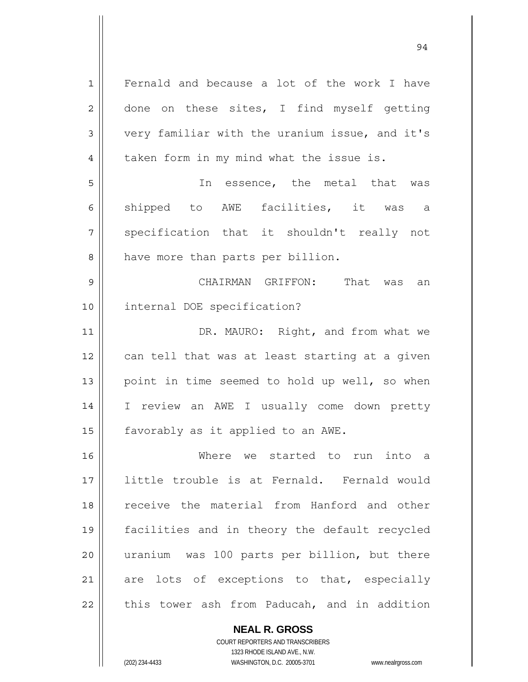| $\mathbf 1$    | Fernald and because a lot of the work I have   |
|----------------|------------------------------------------------|
| $\mathbf{2}$   | done on these sites, I find myself getting     |
| 3              | very familiar with the uranium issue, and it's |
| $\overline{4}$ | taken form in my mind what the issue is.       |
| 5              | In essence, the metal that was                 |
| 6              | shipped to AWE facilities, it was a            |
| 7              | specification that it shouldn't really not     |
| 8              | have more than parts per billion.              |
| $\mathsf 9$    | CHAIRMAN GRIFFON: That was<br>an               |
| 10             | internal DOE specification?                    |
| 11             | DR. MAURO: Right, and from what we             |
| 12             | can tell that was at least starting at a given |
| 13             | point in time seemed to hold up well, so when  |
| 14             | I review an AWE I usually come down pretty     |
| 15             | favorably as it applied to an AWE.             |
| 16             | Where we started to run into a                 |
| 17             | little trouble is at Fernald. Fernald would    |
| 18             | receive the material from Hanford and other    |
| 19             | facilities and in theory the default recycled  |
| 20             | uranium was 100 parts per billion, but there   |
|                |                                                |
| 21             | are lots of exceptions to that, especially     |

94

**NEAL R. GROSS**

COURT REPORTERS AND TRANSCRIBERS 1323 RHODE ISLAND AVE., N.W. (202) 234-4433 WASHINGTON, D.C. 20005-3701 www.nealrgross.com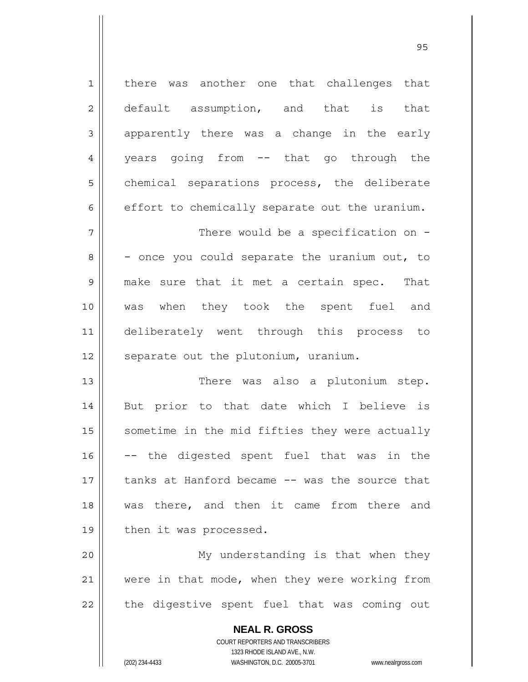**NEAL R. GROSS** 1 2 3 4 5 6 7 8 9 10 11 12 13 14 15 16 17 18 19 20 21 22 there was another one that challenges that default assumption, and that is that apparently there was a change in the early years going from -- that go through the chemical separations process, the deliberate effort to chemically separate out the uranium. There would be a specification on -- once you could separate the uranium out, to make sure that it met a certain spec. That was when they took the spent fuel and deliberately went through this process to separate out the plutonium, uranium. There was also a plutonium step. But prior to that date which I believe is sometime in the mid fifties they were actually -- the digested spent fuel that was in the tanks at Hanford became -- was the source that was there, and then it came from there and then it was processed. My understanding is that when they were in that mode, when they were working from the digestive spent fuel that was coming out

> COURT REPORTERS AND TRANSCRIBERS 1323 RHODE ISLAND AVE., N.W.

(202) 234-4433 WASHINGTON, D.C. 20005-3701 www.nealrgross.com

<u>95 and 2001 and 2001 and 2001 and 2001 and 2001 and 2001 and 2001 and 2001 and 2001 and 2001 and 2001 and 200</u>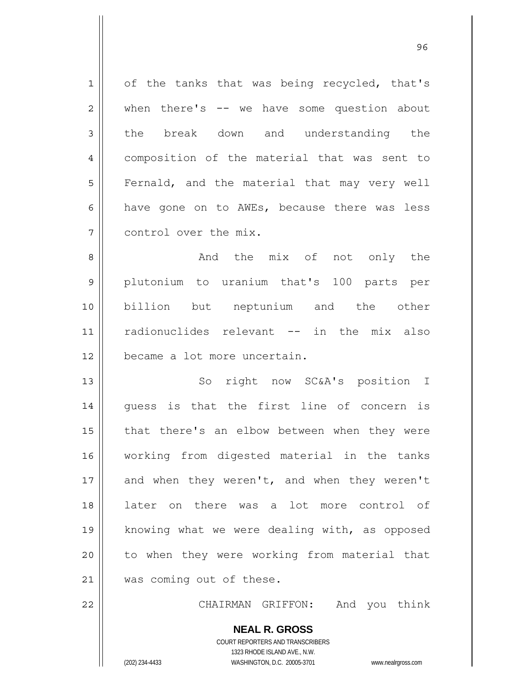1 2 3 4 5 6 7 of the tanks that was being recycled, that's when there's -- we have some question about the break down and understanding the composition of the material that was sent to Fernald, and the material that may very well have gone on to AWEs, because there was less control over the mix.

8 9 10 11 12 And the mix of not only the plutonium to uranium that's 100 parts per billion but neptunium and the other radionuclides relevant -- in the mix also became a lot more uncertain.

13 14 15 16 17 18 19 20 21 So right now SC&A's position I guess is that the first line of concern is that there's an elbow between when they were working from digested material in the tanks and when they weren't, and when they weren't later on there was a lot more control of knowing what we were dealing with, as opposed to when they were working from material that was coming out of these.

CHAIRMAN GRIFFON: And you think

**NEAL R. GROSS** COURT REPORTERS AND TRANSCRIBERS 1323 RHODE ISLAND AVE., N.W. (202) 234-4433 WASHINGTON, D.C. 20005-3701 www.nealrgross.com

22

<u>96 and 200 million and 200 million and 200 million and 200 million and 200 million and 200 million and 200 million and 200 million and 200 million and 200 million and 200 million and 200 million and 200 million and 200 mi</u>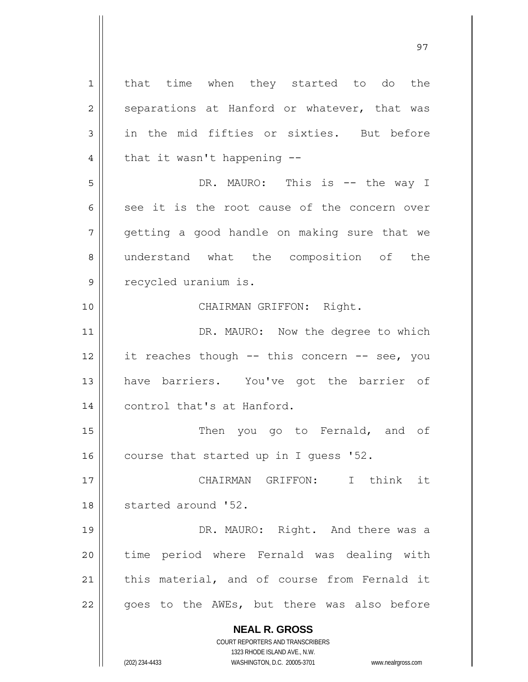**NEAL R. GROSS** COURT REPORTERS AND TRANSCRIBERS 1323 RHODE ISLAND AVE., N.W. 1 2 3 4 5 6 7 8 9 10 11 12 13 14 15 16 17 18 19 20 21 22 that time when they started to do the separations at Hanford or whatever, that was in the mid fifties or sixties. But before that it wasn't happening -- DR. MAURO: This is -- the way I see it is the root cause of the concern over getting a good handle on making sure that we understand what the composition of the recycled uranium is. CHAIRMAN GRIFFON: Right. DR. MAURO: Now the degree to which it reaches though -- this concern -- see, you have barriers. You've got the barrier of control that's at Hanford. Then you go to Fernald, and of course that started up in I guess '52. CHAIRMAN GRIFFON: I think it started around '52. DR. MAURO: Right. And there was a time period where Fernald was dealing with this material, and of course from Fernald it goes to the AWEs, but there was also before

(202) 234-4433 WASHINGTON, D.C. 20005-3701 www.nealrgross.com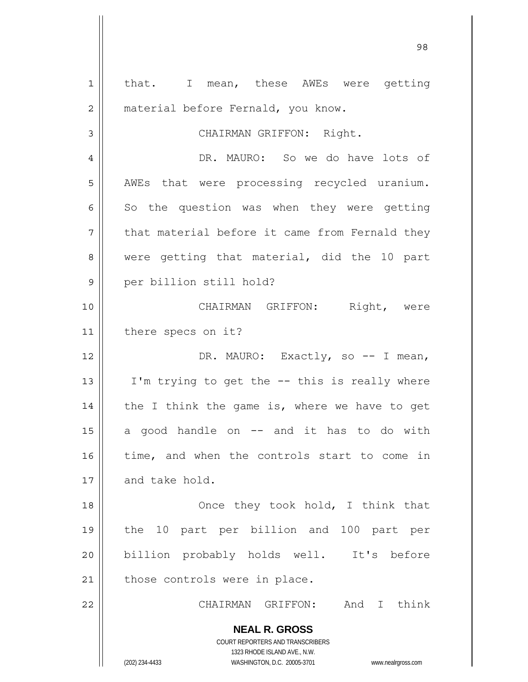| $\mathbf 1$    | that. I mean, these AWEs were getting                                                    |
|----------------|------------------------------------------------------------------------------------------|
| $\overline{c}$ | material before Fernald, you know.                                                       |
| 3              | CHAIRMAN GRIFFON: Right.                                                                 |
| 4              | DR. MAURO: So we do have lots of                                                         |
| 5              | AWEs that were processing recycled uranium.                                              |
| 6              | So the question was when they were getting                                               |
| 7              | that material before it came from Fernald they                                           |
| 8              | were getting that material, did the 10 part                                              |
| 9              | per billion still hold?                                                                  |
| 10             | CHAIRMAN GRIFFON: Right, were                                                            |
| 11             | there specs on it?                                                                       |
| 12             | DR. MAURO: Exactly, so -- I mean,                                                        |
|                |                                                                                          |
| 13             | I'm trying to get the -- this is really where                                            |
| 14             | the I think the game is, where we have to get                                            |
| 15             | a good handle on -- and it has to do with                                                |
| 16             | time, and when the controls start to come in                                             |
| 17             | and take hold.                                                                           |
| 18             | Once they took hold, I think that                                                        |
| 19             | the 10 part per billion and 100 part per                                                 |
| 20             | billion probably holds well. It's before                                                 |
| 21             | those controls were in place.                                                            |
| 22             | And I think<br>CHAIRMAN GRIFFON:                                                         |
|                | <b>NEAL R. GROSS</b><br>COURT REPORTERS AND TRANSCRIBERS<br>1323 RHODE ISLAND AVE., N.W. |
|                | (202) 234-4433<br>WASHINGTON, D.C. 20005-3701<br>www.nealrgross.com                      |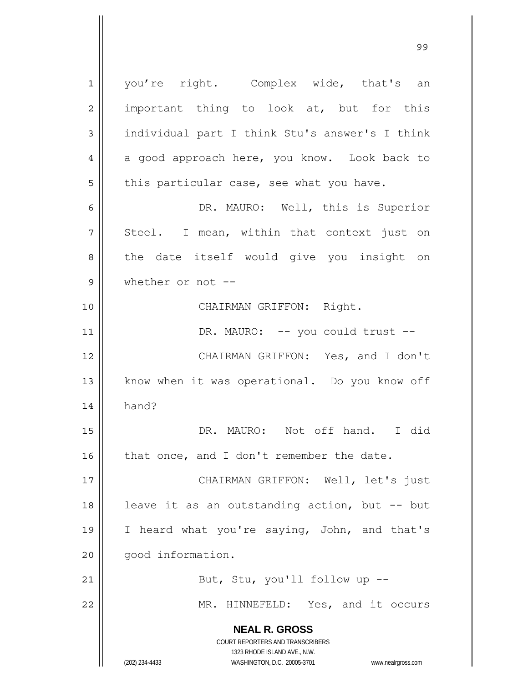**NEAL R. GROSS** COURT REPORTERS AND TRANSCRIBERS 1323 RHODE ISLAND AVE., N.W. 1 2 3 4 5 6 7 8 9 10 11 12 13 14 15 16 17 18 19 20 21 22 you're right. Complex wide, that's an important thing to look at, but for this individual part I think Stu's answer's I think a good approach here, you know. Look back to this particular case, see what you have. DR. MAURO: Well, this is Superior Steel. I mean, within that context just on the date itself would give you insight on whether or not -- CHAIRMAN GRIFFON: Right. DR. MAURO: -- you could trust -- CHAIRMAN GRIFFON: Yes, and I don't know when it was operational. Do you know off hand? DR. MAURO: Not off hand. I did that once, and I don't remember the date. CHAIRMAN GRIFFON: Well, let's just leave it as an outstanding action, but -- but I heard what you're saying, John, and that's good information. But, Stu, you'll follow up -- MR. HINNEFELD: Yes, and it occurs

99 - Paul Barbara, poeta e a contra de 1999 - Paul Barbara, español de 1999 - Paul Barbara, español de 1999 -<br>1990 - Paul Barbara, poeta español de 1990 - Paul Barbara, español de 1990 - Paul Barbara, español de 1990 -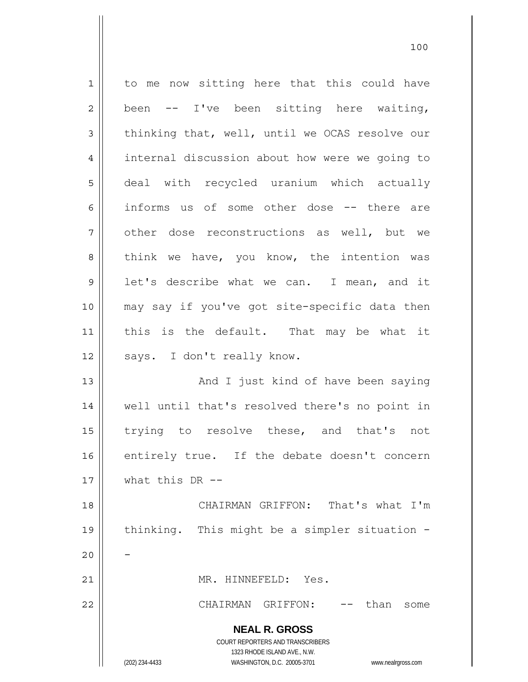**NEAL R. GROSS** COURT REPORTERS AND TRANSCRIBERS 1323 RHODE ISLAND AVE., N.W. (202) 234-4433 WASHINGTON, D.C. 20005-3701 www.nealrgross.com 1 2 3 4 5 6 7 8 9 10 11 12 13 14 15 16 17 18 19 20 21 22 to me now sitting here that this could have been -- I've been sitting here waiting, thinking that, well, until we OCAS resolve our internal discussion about how were we going to deal with recycled uranium which actually informs us of some other dose -- there are other dose reconstructions as well, but we think we have, you know, the intention was let's describe what we can. I mean, and it may say if you've got site-specific data then this is the default. That may be what it says. I don't really know. And I just kind of have been saying well until that's resolved there's no point in trying to resolve these, and that's not entirely true. If the debate doesn't concern what this  $DR - -$  CHAIRMAN GRIFFON: That's what I'm thinking. This might be a simpler situation - - MR. HINNEFELD: Yes. CHAIRMAN GRIFFON: -- than some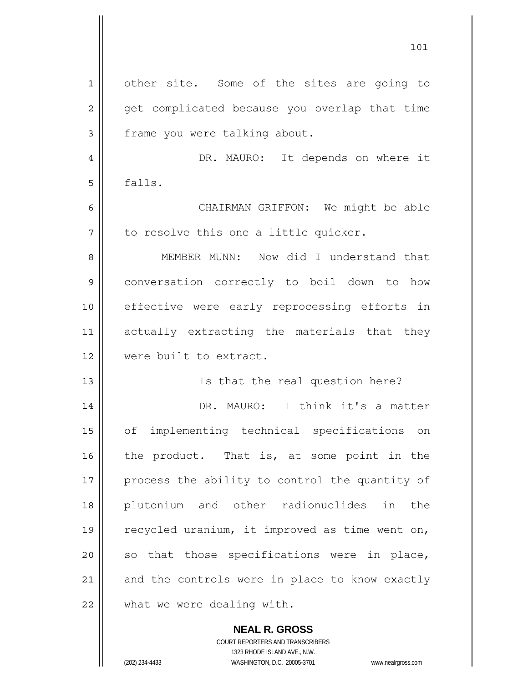| $\mathbf 1$ | other site. Some of the sites are going to     |
|-------------|------------------------------------------------|
| 2           | get complicated because you overlap that time  |
| 3           | frame you were talking about.                  |
| 4           | DR. MAURO: It depends on where it              |
| 5           | falls.                                         |
| 6           | CHAIRMAN GRIFFON: We might be able             |
| 7           | to resolve this one a little quicker.          |
| 8           | MEMBER MUNN: Now did I understand that         |
| 9           | conversation correctly to boil down to how     |
| 10          | effective were early reprocessing efforts in   |
| 11          | actually extracting the materials that they    |
| 12          | were built to extract.                         |
| 13          | Is that the real question here?                |
| 14          | DR. MAURO: I think it's a matter               |
| 15          | implementing technical specifications on<br>of |
| 16          | the product. That is, at some point in the     |
| 17          | process the ability to control the quantity of |
| 18          | plutonium and other radionuclides in<br>the    |
| 19          | recycled uranium, it improved as time went on, |
| 20          | so that those specifications were in place,    |
| 21          | and the controls were in place to know exactly |
| 22          | what we were dealing with.                     |

COURT REPORTERS AND TRANSCRIBERS 1323 RHODE ISLAND AVE., N.W. (202) 234-4433 WASHINGTON, D.C. 20005-3701 www.nealrgross.com

**NEAL R. GROSS**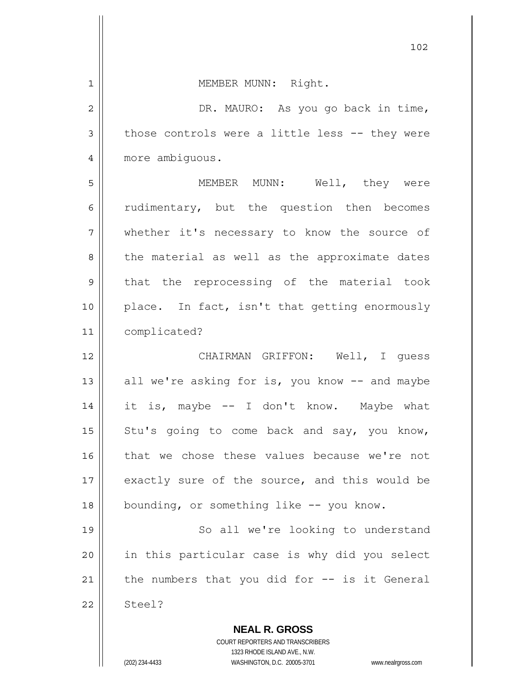| 1              | MEMBER MUNN: Right.                             |
|----------------|-------------------------------------------------|
| $\overline{2}$ | DR. MAURO: As you go back in time,              |
| 3              | those controls were a little less -- they were  |
| $\overline{4}$ | more ambiguous.                                 |
| 5              | MEMBER MUNN: Well, they were                    |
| 6              | rudimentary, but the question then becomes      |
| 7              | whether it's necessary to know the source of    |
| 8              | the material as well as the approximate dates   |
| $\mathsf 9$    | that the reprocessing of the material took      |
| 10             | place. In fact, isn't that getting enormously   |
| 11             | complicated?                                    |
| 12             | CHAIRMAN GRIFFON: Well, I quess                 |
| 13             | all we're asking for is, you know -- and maybe  |
| 14             | it is, maybe -- I don't know. Maybe what        |
| 15             | Stu's going to come back and say, you know,     |
| 16             | that we chose these values because we're not    |
| 17             | exactly sure of the source, and this would be   |
| 18             | bounding, or something like -- you know.        |
| 19             | So all we're looking to understand              |
| 20             | in this particular case is why did you select   |
| 21             | the numbers that you did for $--$ is it General |
| 22             | Steel?                                          |
|                | <b>NEAL R. GROSS</b>                            |

102

COURT REPORTERS AND TRANSCRIBERS 1323 RHODE ISLAND AVE., N.W.

 $\mathop{\text{||}}$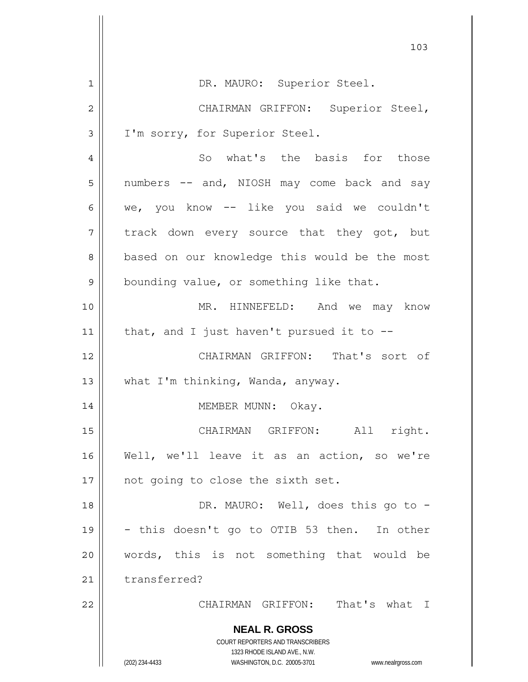|                | 103                                                                 |
|----------------|---------------------------------------------------------------------|
| $\mathbf{1}$   | DR. MAURO: Superior Steel.                                          |
| $\overline{2}$ | CHAIRMAN GRIFFON: Superior Steel,                                   |
| 3              | I'm sorry, for Superior Steel.                                      |
| 4              | So what's the basis for those                                       |
| 5              | numbers -- and, NIOSH may come back and say                         |
| 6              | we, you know -- like you said we couldn't                           |
| 7              | track down every source that they got, but                          |
| 8              | based on our knowledge this would be the most                       |
| 9              | bounding value, or something like that.                             |
| 10             | MR. HINNEFELD: And we may know                                      |
| 11             | that, and I just haven't pursued it to $-$ -                        |
| 12             | CHAIRMAN GRIFFON: That's sort of                                    |
| 13             | what I'm thinking, Wanda, anyway.                                   |
| 14             | MEMBER MUNN: Okay.                                                  |
| 15             | CHAIRMAN GRIFFON: All right.                                        |
| 16             | Well, we'll leave it as an action, so we're                         |
| 17             | not going to close the sixth set.                                   |
| 18             | DR. MAURO: Well, does this go to -                                  |
| 19             | - this doesn't go to OTIB 53 then. In other                         |
| 20             | words, this is not something that would be                          |
| 21             | transferred?                                                        |
| 22             | CHAIRMAN GRIFFON: That's what<br>$\top$                             |
|                | <b>NEAL R. GROSS</b>                                                |
|                | COURT REPORTERS AND TRANSCRIBERS<br>1323 RHODE ISLAND AVE., N.W.    |
|                | (202) 234-4433<br>WASHINGTON, D.C. 20005-3701<br>www.nealrgross.com |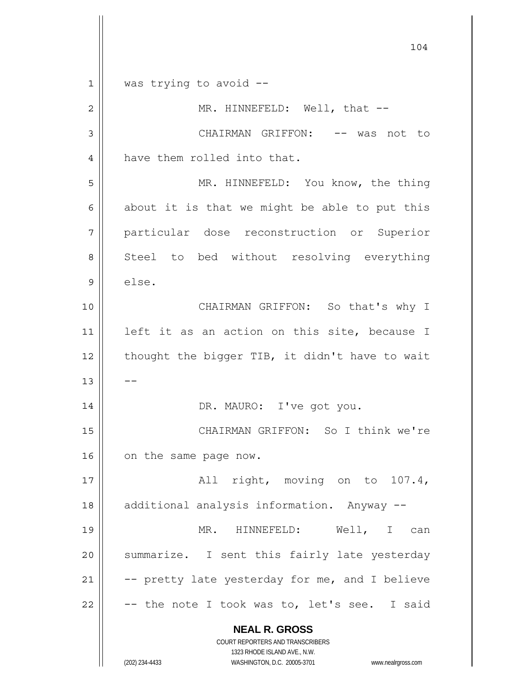**NEAL R. GROSS** COURT REPORTERS AND TRANSCRIBERS 1323 RHODE ISLAND AVE., N.W. 104 1 2 3 4 5 6 7 8 9 10 11 12 13 14 15 16 17 18 19 20 21 22 was trying to avoid -- MR. HINNEFELD: Well, that --CHAIRMAN GRIFFON: -- was not to have them rolled into that. MR. HINNEFELD: You know, the thing about it is that we might be able to put this particular dose reconstruction or Superior Steel to bed without resolving everything else. CHAIRMAN GRIFFON: So that's why I left it as an action on this site, because I thought the bigger TIB, it didn't have to wait -- DR. MAURO: I've got you. CHAIRMAN GRIFFON: So I think we're on the same page now. All right, moving on to 107.4, additional analysis information. Anyway -- MR. HINNEFELD: Well, I can summarize. I sent this fairly late yesterday -- pretty late yesterday for me, and I believe -- the note I took was to, let's see. I said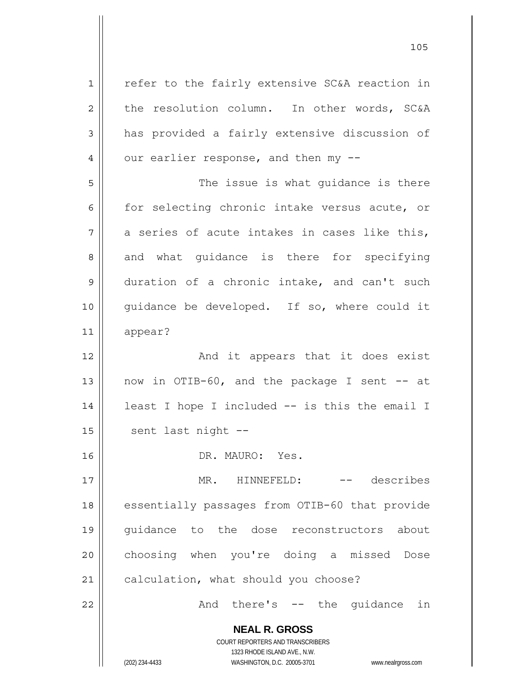**NEAL R. GROSS** COURT REPORTERS AND TRANSCRIBERS 1323 RHODE ISLAND AVE., N.W. 1 2 3 4 5 6 7 8 9 10 11 12 13 14 15 16 17 18 19 20 21 22 refer to the fairly extensive SC&A reaction in the resolution column. In other words, SC&A has provided a fairly extensive discussion of our earlier response, and then my -- The issue is what guidance is there for selecting chronic intake versus acute, or a series of acute intakes in cases like this, and what guidance is there for specifying duration of a chronic intake, and can't such guidance be developed. If so, where could it appear? And it appears that it does exist now in OTIB-60, and the package I sent -- at least I hope I included -- is this the email I sent last night -- DR. MAURO: Yes. MR. HINNEFELD: -- describes essentially passages from OTIB-60 that provide guidance to the dose reconstructors about choosing when you're doing a missed Dose calculation, what should you choose? And there's -- the guidance in

(202) 234-4433 WASHINGTON, D.C. 20005-3701 www.nealrgross.com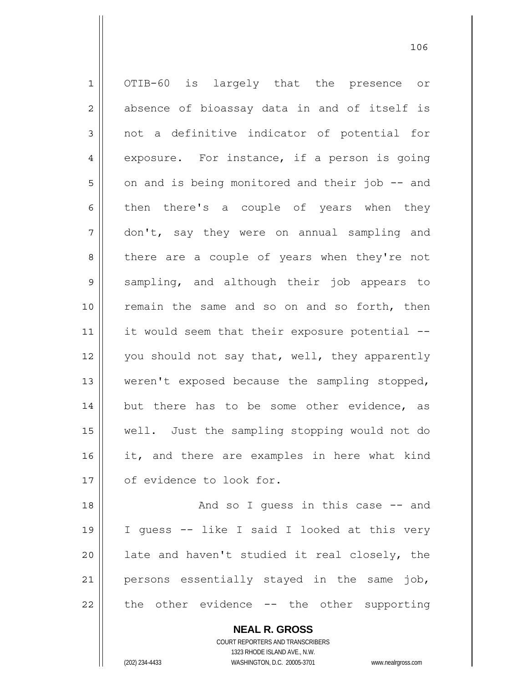1 2 3 4 5 6 7 8 9 10 11 12 13 14 15 16 17 18 19 20 OTIB-60 is largely that the presence or absence of bioassay data in and of itself is not a definitive indicator of potential for exposure. For instance, if a person is going on and is being monitored and their job -- and then there's a couple of years when they don't, say they were on annual sampling and there are a couple of years when they're not sampling, and although their job appears to remain the same and so on and so forth, then it would seem that their exposure potential -you should not say that, well, they apparently weren't exposed because the sampling stopped, but there has to be some other evidence, as well. Just the sampling stopping would not do it, and there are examples in here what kind of evidence to look for. And so I quess in this case -- and I guess -- like I said I looked at this very late and haven't studied it real closely, the

22 the other evidence -- the other supporting

21

**NEAL R. GROSS**

persons essentially stayed in the same job,

COURT REPORTERS AND TRANSCRIBERS 1323 RHODE ISLAND AVE., N.W. (202) 234-4433 WASHINGTON, D.C. 20005-3701 www.nealrgross.com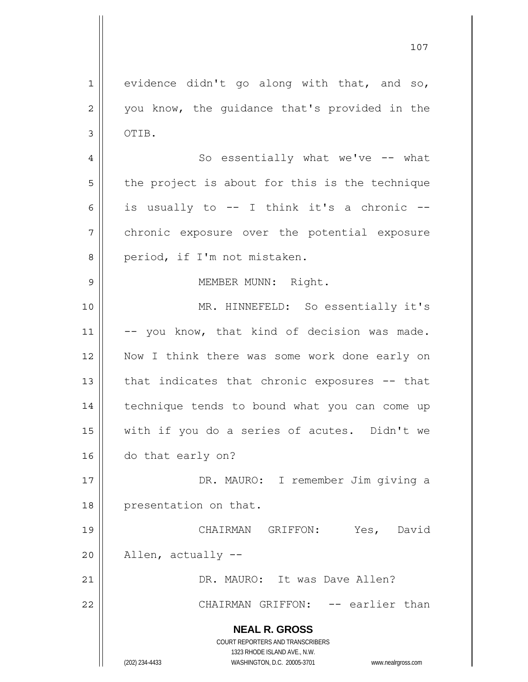**NEAL R. GROSS** COURT REPORTERS AND TRANSCRIBERS 1323 RHODE ISLAND AVE., N.W. 107 1 2 3 4 5 6 7 8 9 10 11 12 13 14 15 16 17 18 19 20 21 22 evidence didn't go along with that, and so, you know, the guidance that's provided in the OTIB. So essentially what we've -- what the project is about for this is the technique is usually to -- I think it's a chronic - chronic exposure over the potential exposure period, if I'm not mistaken. MEMBER MUNN: Right. MR. HINNEFELD: So essentially it's -- you know, that kind of decision was made. Now I think there was some work done early on that indicates that chronic exposures -- that technique tends to bound what you can come up with if you do a series of acutes. Didn't we do that early on? DR. MAURO: I remember Jim giving a presentation on that. CHAIRMAN GRIFFON: Yes, David Allen, actually -- DR. MAURO: It was Dave Allen? CHAIRMAN GRIFFON: -- earlier than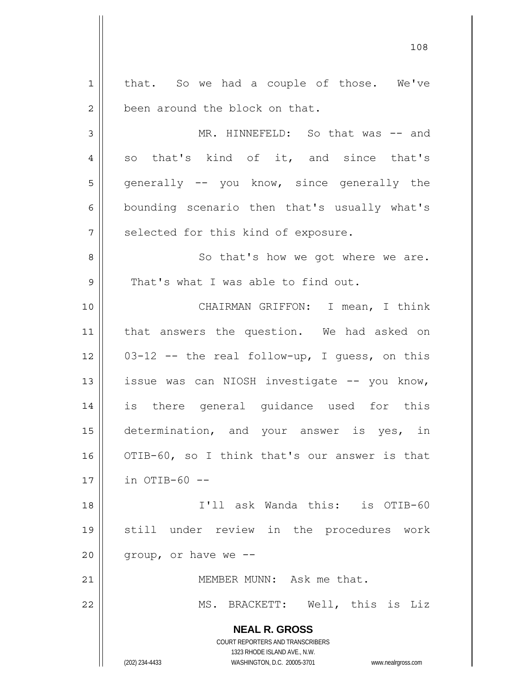**NEAL R. GROSS** COURT REPORTERS AND TRANSCRIBERS 1323 RHODE ISLAND AVE., N.W. (202) 234-4433 WASHINGTON, D.C. 20005-3701 www.nealrgross.com 1 2 3 4 5 6 7 8 9 10 11 12 13 14 15 16 17 18 19 20 21 22 that. So we had a couple of those. We've been around the block on that. MR. HINNEFELD: So that was -- and so that's kind of it, and since that's generally -- you know, since generally the bounding scenario then that's usually what's selected for this kind of exposure. So that's how we got where we are. That's what I was able to find out. CHAIRMAN GRIFFON: I mean, I think that answers the question. We had asked on 03-12 -- the real follow-up, I guess, on this issue was can NIOSH investigate -- you know, is there general guidance used for this determination, and your answer is yes, in OTIB-60, so I think that's our answer is that  $in$  OTIB-60 -- I'll ask Wanda this: is OTIB-60 still under review in the procedures work group, or have we -- MEMBER MUNN: Ask me that. MS. BRACKETT: Well, this is Liz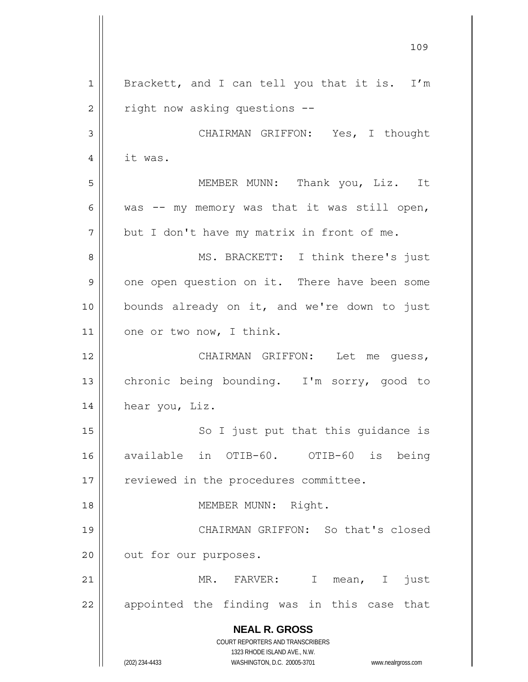**NEAL R. GROSS** COURT REPORTERS AND TRANSCRIBERS 1323 RHODE ISLAND AVE., N.W. (202) 234-4433 WASHINGTON, D.C. 20005-3701 www.nealrgross.com 109 1 2 3 4 5 6 7 8 9 10 11 12 13 14 15 16 17 18 19 20 21 22 Brackett, and I can tell you that it is. I'm right now asking questions -- CHAIRMAN GRIFFON: Yes, I thought it was. MEMBER MUNN: Thank you, Liz. It was -- my memory was that it was still open, but I don't have my matrix in front of me. MS. BRACKETT: I think there's just one open question on it. There have been some bounds already on it, and we're down to just one or two now, I think. CHAIRMAN GRIFFON: Let me guess, chronic being bounding. I'm sorry, good to hear you, Liz. So I just put that this guidance is available in OTIB-60. OTIB-60 is being reviewed in the procedures committee. MEMBER MUNN: Right. CHAIRMAN GRIFFON: So that's closed out for our purposes. MR. FARVER: I mean, I just appointed the finding was in this case that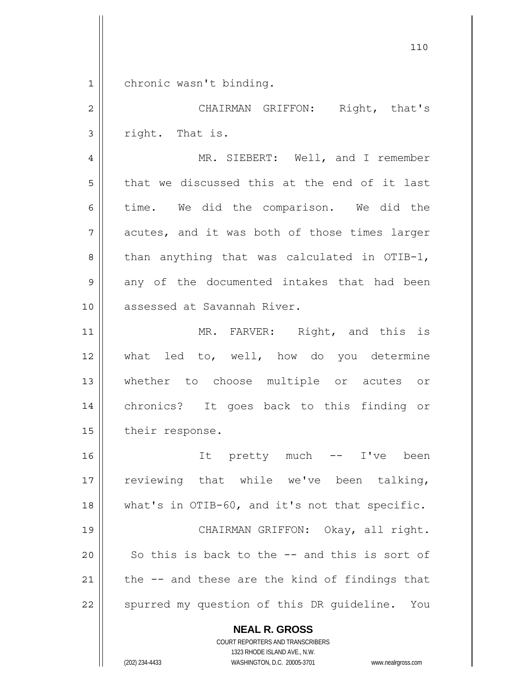1 chronic wasn't binding.

2 3 4 5 6 7 8 9 10 11 12 13 14 15 16 CHAIRMAN GRIFFON: Right, that's right. That is. MR. SIEBERT: Well, and I remember that we discussed this at the end of it last time. We did the comparison. We did the acutes, and it was both of those times larger than anything that was calculated in OTIB-1, any of the documented intakes that had been assessed at Savannah River. MR. FARVER: Right, and this is what led to, well, how do you determine whether to choose multiple or acutes or chronics? It goes back to this finding or their response. It pretty much -- I've been

17 18 19 20 21 22 reviewing that while we've been talking, what's in OTIB-60, and it's not that specific. CHAIRMAN GRIFFON: Okay, all right. So this is back to the -- and this is sort of the -- and these are the kind of findings that spurred my question of this DR guideline. You

> **NEAL R. GROSS** COURT REPORTERS AND TRANSCRIBERS

> > 1323 RHODE ISLAND AVE., N.W.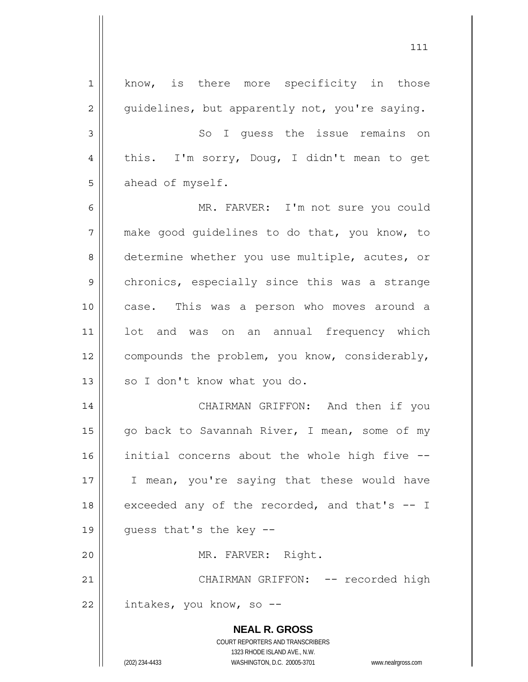**NEAL R. GROSS** COURT REPORTERS AND TRANSCRIBERS 1323 RHODE ISLAND AVE., N.W. (202) 234-4433 WASHINGTON, D.C. 20005-3701 www.nealrgross.com 1 2 3 4 5 6 7 8 9 10 11 12 13 14 15 16 17 18 19 20 21 22 know, is there more specificity in those guidelines, but apparently not, you're saying. So I guess the issue remains on this. I'm sorry, Doug, I didn't mean to get ahead of myself. MR. FARVER: I'm not sure you could make good guidelines to do that, you know, to determine whether you use multiple, acutes, or chronics, especially since this was a strange case. This was a person who moves around a lot and was on an annual frequency which compounds the problem, you know, considerably, so I don't know what you do. CHAIRMAN GRIFFON: And then if you go back to Savannah River, I mean, some of my initial concerns about the whole high five -- I mean, you're saying that these would have exceeded any of the recorded, and that's -- I guess that's the key -- MR. FARVER: Right. CHAIRMAN GRIFFON: -- recorded high intakes, you know, so --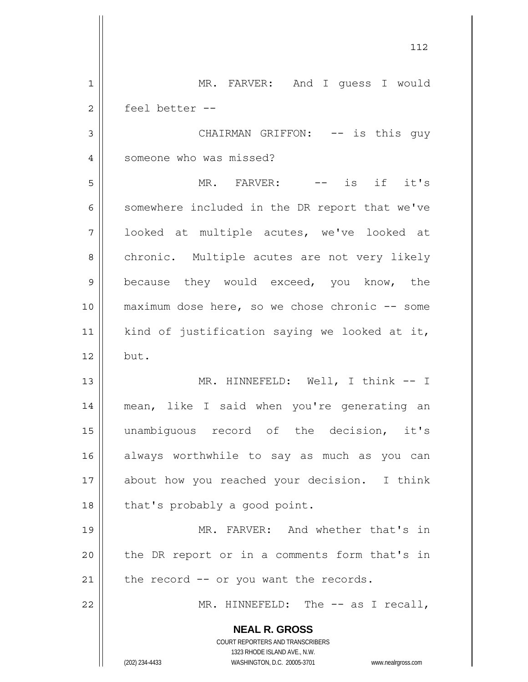**NEAL R. GROSS** COURT REPORTERS AND TRANSCRIBERS 1323 RHODE ISLAND AVE., N.W. (202) 234-4433 WASHINGTON, D.C. 20005-3701 www.nealrgross.com 1 2 3 4 5 6 7 8 9 10 11 12 13 14 15 16 17 18 19 20 21 22 MR. FARVER: And I guess I would feel better -- CHAIRMAN GRIFFON: -- is this guy someone who was missed? MR. FARVER: -- is if it's somewhere included in the DR report that we've looked at multiple acutes, we've looked at chronic. Multiple acutes are not very likely because they would exceed, you know, the maximum dose here, so we chose chronic -- some kind of justification saying we looked at it, but. MR. HINNEFELD: Well, I think -- I mean, like I said when you're generating an unambiguous record of the decision, it's always worthwhile to say as much as you can about how you reached your decision. I think that's probably a good point. MR. FARVER: And whether that's in the DR report or in a comments form that's in the record -- or you want the records. MR. HINNEFELD: The -- as I recall,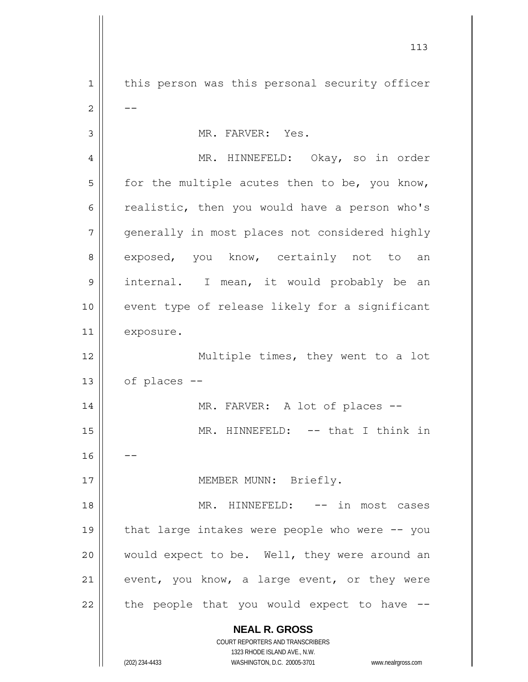**NEAL R. GROSS** COURT REPORTERS AND TRANSCRIBERS 1323 RHODE ISLAND AVE., N.W. 1 2 3 4 5 6 7 8 9 10 11 12 13 14 15 16 17 18 19 20 21 22 this person was this personal security officer -- MR. FARVER: Yes. MR. HINNEFELD: Okay, so in order for the multiple acutes then to be, you know, realistic, then you would have a person who's generally in most places not considered highly exposed, you know, certainly not to an internal. I mean, it would probably be an event type of release likely for a significant exposure. Multiple times, they went to a lot of places -- MR. FARVER: A lot of places --MR. HINNEFELD: -- that I think in -- MEMBER MUNN: Briefly. MR. HINNEFELD: -- in most cases that large intakes were people who were -- you would expect to be. Well, they were around an event, you know, a large event, or they were the people that you would expect to have --

(202) 234-4433 WASHINGTON, D.C. 20005-3701 www.nealrgross.com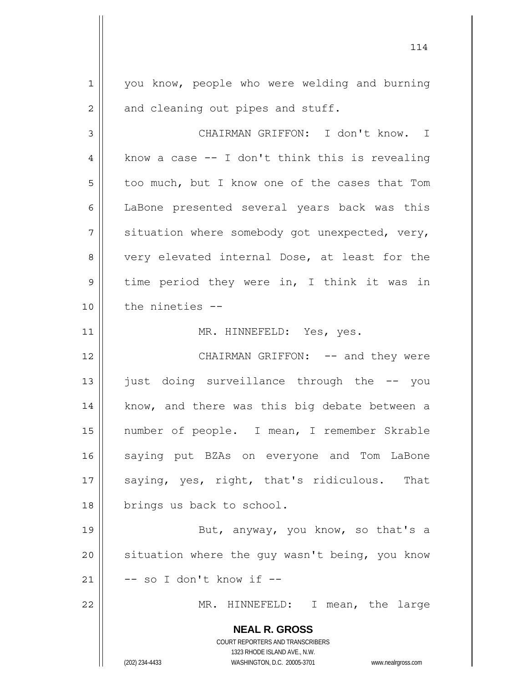1 2 you know, people who were welding and burning and cleaning out pipes and stuff.

114

3 4 5 6 7 8 9 10 CHAIRMAN GRIFFON: I don't know. I know a case -- I don't think this is revealing too much, but I know one of the cases that Tom LaBone presented several years back was this situation where somebody got unexpected, very, very elevated internal Dose, at least for the time period they were in, I think it was in the nineties --

MR. HINNEFELD: Yes, yes.

12 13 14 15 16 17 18 CHAIRMAN GRIFFON: -- and they were just doing surveillance through the -- you know, and there was this big debate between a number of people. I mean, I remember Skrable saying put BZAs on everyone and Tom LaBone saying, yes, right, that's ridiculous. That brings us back to school.

19 20 21 But, anyway, you know, so that's a situation where the guy wasn't being, you know -- so I don't know if --

MR. HINNEFELD: I mean, the large

**NEAL R. GROSS** COURT REPORTERS AND TRANSCRIBERS 1323 RHODE ISLAND AVE., N.W.

11

22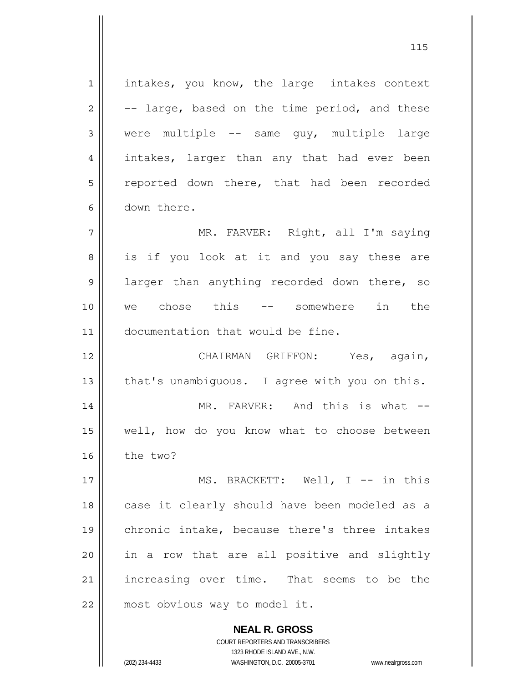1 2 3 4 5 6 7 8 9 10 11 12 13 14 15 16 17 18 19 20 21 22 intakes, you know, the large intakes context -- large, based on the time period, and these were multiple -- same guy, multiple large intakes, larger than any that had ever been reported down there, that had been recorded down there. MR. FARVER: Right, all I'm saying is if you look at it and you say these are larger than anything recorded down there, so we chose this -- somewhere in the documentation that would be fine. CHAIRMAN GRIFFON: Yes, again, that's unambiguous. I agree with you on this. MR. FARVER: And this is what -well, how do you know what to choose between the two? MS. BRACKETT: Well, I -- in this case it clearly should have been modeled as a chronic intake, because there's three intakes in a row that are all positive and slightly increasing over time. That seems to be the most obvious way to model it.

> **NEAL R. GROSS** COURT REPORTERS AND TRANSCRIBERS 1323 RHODE ISLAND AVE., N.W.

(202) 234-4433 WASHINGTON, D.C. 20005-3701 www.nealrgross.com

<u>115</u>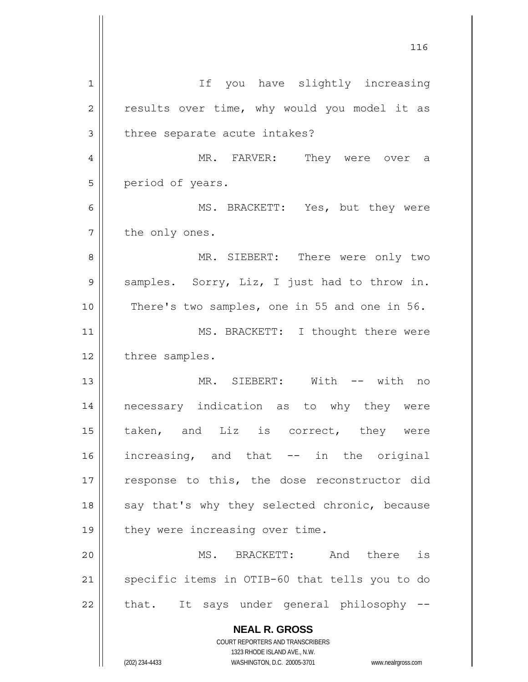**NEAL R. GROSS** COURT REPORTERS AND TRANSCRIBERS 1323 RHODE ISLAND AVE., N.W. 1 2 3 4 5 6 7 8 9 10 11 12 13 14 15 16 17 18 19 20 21 22 If you have slightly increasing results over time, why would you model it as three separate acute intakes? MR. FARVER: They were over a period of years. MS. BRACKETT: Yes, but they were the only ones. MR. SIEBERT: There were only two samples. Sorry, Liz, I just had to throw in. There's two samples, one in 55 and one in 56. MS. BRACKETT: I thought there were three samples. MR. SIEBERT: With -- with no necessary indication as to why they were taken, and Liz is correct, they were increasing, and that -- in the original response to this, the dose reconstructor did say that's why they selected chronic, because they were increasing over time. MS. BRACKETT: And there is specific items in OTIB-60 that tells you to do that. It says under general philosophy --

<u>116</u>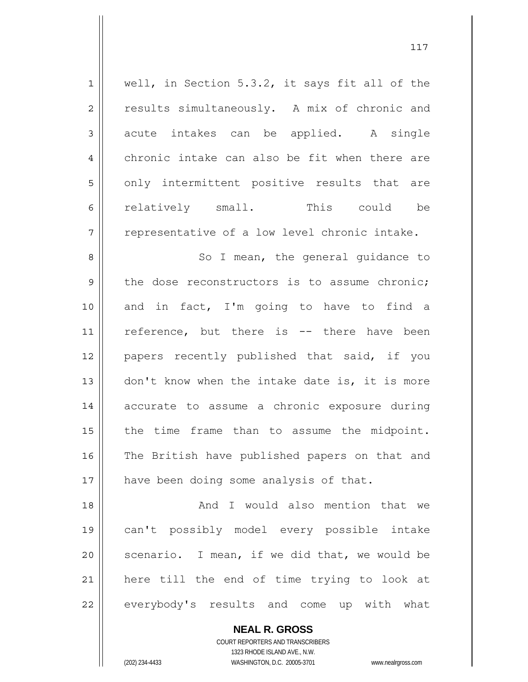| $\mathbf 1$    | well, in Section 5.3.2, it says fit all of the |
|----------------|------------------------------------------------|
| $\mathbf 2$    | results simultaneously. A mix of chronic and   |
| $\mathfrak{Z}$ | acute intakes can be applied. A single         |
| $\overline{4}$ | chronic intake can also be fit when there are  |
| 5              | only intermittent positive results that are    |
| 6              | relatively small. This could be                |
| 7              | representative of a low level chronic intake.  |
| 8              | So I mean, the general guidance to             |
| 9              | the dose reconstructors is to assume chronic;  |
| 10             | and in fact, I'm going to have to find a       |
| 11             | reference, but there is -- there have been     |
| 12             | papers recently published that said, if you    |
| 13             | don't know when the intake date is, it is more |
| 14             | accurate to assume a chronic exposure during   |
| 15             | the time frame than to assume the midpoint.    |
| 16             | The British have published papers on that and  |
| 17             | have been doing some analysis of that.         |
| 18             | And I would also mention that we               |
| 19             | can't possibly model every possible intake     |
| 20             | scenario. I mean, if we did that, we would be  |
| 21             | here till the end of time trying to look at    |
| 22             | everybody's results and come up with what      |

**NEAL R. GROSS** COURT REPORTERS AND TRANSCRIBERS

1323 RHODE ISLAND AVE., N.W.

(202) 234-4433 WASHINGTON, D.C. 20005-3701 www.nealrgross.com

 $\mathsf{II}$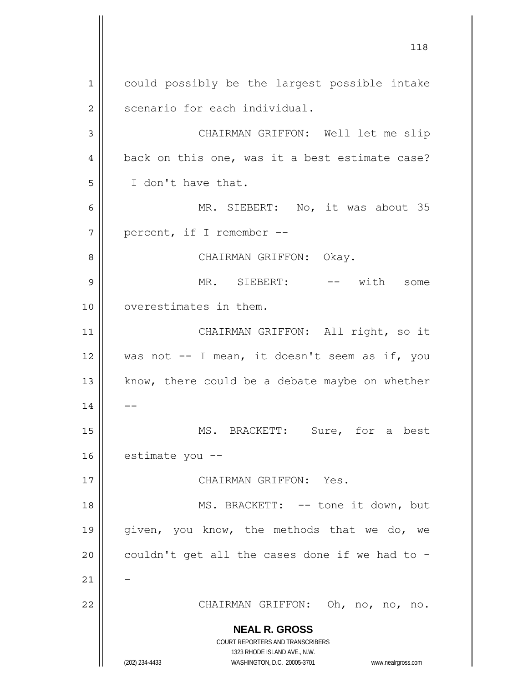**NEAL R. GROSS** COURT REPORTERS AND TRANSCRIBERS 1323 RHODE ISLAND AVE., N.W. (202) 234-4433 WASHINGTON, D.C. 20005-3701 www.nealrgross.com 1 2 3 4 5 6 7 8 9 10 11 12 13 14 15 16 17 18 19 20 21 22 could possibly be the largest possible intake scenario for each individual. CHAIRMAN GRIFFON: Well let me slip back on this one, was it a best estimate case? I don't have that. MR. SIEBERT: No, it was about 35 percent, if I remember -- CHAIRMAN GRIFFON: Okay. MR. SIEBERT: -- with some overestimates in them. CHAIRMAN GRIFFON: All right, so it was not -- I mean, it doesn't seem as if, you know, there could be a debate maybe on whether -- MS. BRACKETT: Sure, for a best estimate you -- CHAIRMAN GRIFFON: Yes. MS. BRACKETT: -- tone it down, but given, you know, the methods that we do, we couldn't get all the cases done if we had to -- CHAIRMAN GRIFFON: Oh, no, no, no.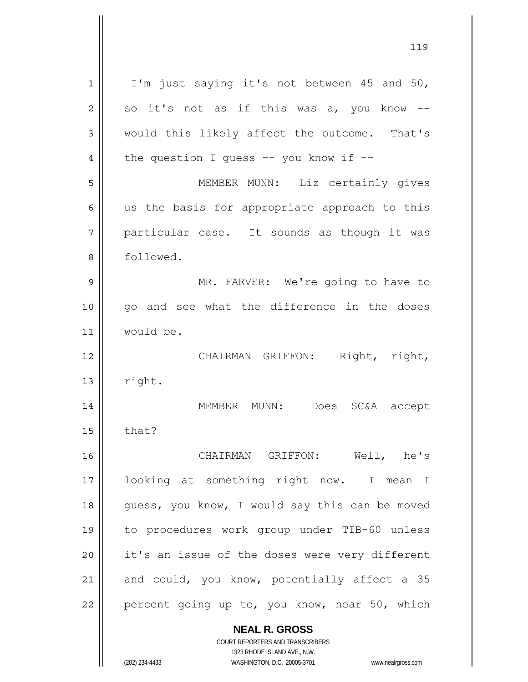| 1  | I'm just saying it's not between 45 and 50,                         |
|----|---------------------------------------------------------------------|
| 2  | so it's not as if this was a, you know --                           |
| 3  | would this likely affect the outcome. That's                        |
| 4  | the question I quess $--$ you know if $--$                          |
| 5  | MEMBER MUNN: Liz certainly gives                                    |
| 6  | us the basis for appropriate approach to this                       |
| 7  | particular case. It sounds as though it was                         |
| 8  | followed.                                                           |
| 9  | MR. FARVER: We're going to have to                                  |
| 10 | go and see what the difference in the doses                         |
| 11 | would be.                                                           |
|    |                                                                     |
| 12 | Right, right,<br>CHAIRMAN GRIFFON:                                  |
| 13 | right.                                                              |
| 14 | Does SC&A accept<br>MEMBER MUNN:                                    |
| 15 | that?                                                               |
| 16 | CHAIRMAN GRIFFON: Well, he's                                        |
| 17 | looking at something right now. I mean I                            |
| 18 | guess, you know, I would say this can be moved                      |
| 19 | to procedures work group under TIB-60 unless                        |
| 20 | it's an issue of the doses were very different                      |
| 21 | and could, you know, potentially affect a 35                        |
| 22 | percent going up to, you know, near 50, which                       |
|    | <b>NEAL R. GROSS</b>                                                |
|    | COURT REPORTERS AND TRANSCRIBERS                                    |
|    | 1323 RHODE ISLAND AVE., N.W.                                        |
|    | (202) 234-4433<br>WASHINGTON, D.C. 20005-3701<br>www.nealrgross.com |

119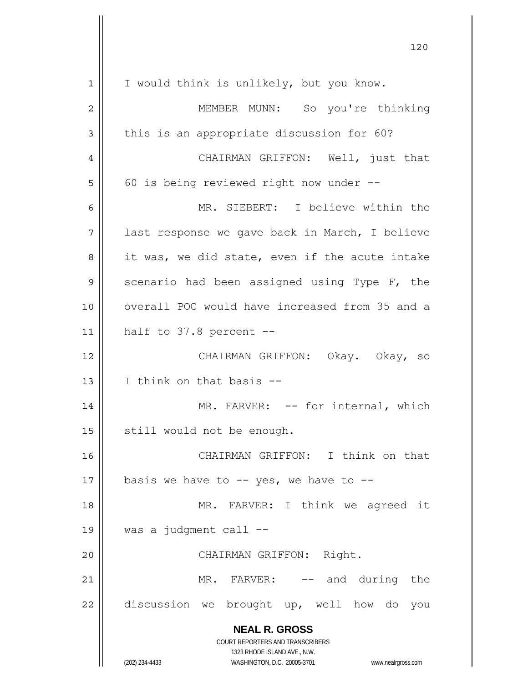| $\mathbf 1$ | I would think is unlikely, but you know.                                                            |
|-------------|-----------------------------------------------------------------------------------------------------|
| 2           | MEMBER MUNN: So you're thinking                                                                     |
| 3           | this is an appropriate discussion for 60?                                                           |
| 4           | CHAIRMAN GRIFFON: Well, just that                                                                   |
| 5           | 60 is being reviewed right now under --                                                             |
| 6           | MR. SIEBERT: I believe within the                                                                   |
| 7           | last response we gave back in March, I believe                                                      |
| 8           | it was, we did state, even if the acute intake                                                      |
| 9           | scenario had been assigned using Type F, the                                                        |
| 10          | overall POC would have increased from 35 and a                                                      |
| 11          | half to $37.8$ percent $-$                                                                          |
| 12          | CHAIRMAN GRIFFON: Okay. Okay, so                                                                    |
| 13          | I think on that basis --                                                                            |
| 14          | MR. FARVER: -- for internal, which                                                                  |
| 15          | still would not be enough.                                                                          |
| 16          | CHAIRMAN GRIFFON: I think on that                                                                   |
| 17          | basis we have to $--$ yes, we have to $--$                                                          |
| 18          | MR. FARVER: I think we agreed it                                                                    |
| 19          | was a judgment call --                                                                              |
| 20          | CHAIRMAN GRIFFON: Right.                                                                            |
| 21          | MR. FARVER: -- and during the                                                                       |
| 22          | discussion we brought up, well how do<br>you                                                        |
|             | <b>NEAL R. GROSS</b>                                                                                |
|             | COURT REPORTERS AND TRANSCRIBERS                                                                    |
|             | 1323 RHODE ISLAND AVE., N.W.<br>(202) 234-4433<br>WASHINGTON, D.C. 20005-3701<br>www.nealrgross.com |
|             |                                                                                                     |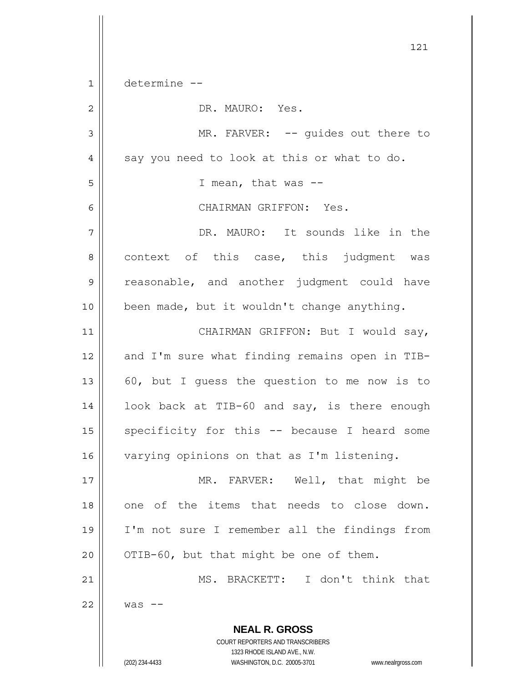**NEAL R. GROSS** COURT REPORTERS AND TRANSCRIBERS 1323 RHODE ISLAND AVE., N.W. (202) 234-4433 WASHINGTON, D.C. 20005-3701 www.nealrgross.com 121 1 2 3 4 5 6 7 8 9 10 11 12 13 14 15 16 17 18 19 20 21 22 determine -- DR. MAURO: Yes. MR. FARVER: -- guides out there to say you need to look at this or what to do. I mean, that was -- CHAIRMAN GRIFFON: Yes. DR. MAURO: It sounds like in the context of this case, this judgment was reasonable, and another judgment could have been made, but it wouldn't change anything. CHAIRMAN GRIFFON: But I would say, and I'm sure what finding remains open in TIB-60, but I guess the question to me now is to look back at TIB-60 and say, is there enough specificity for this -- because I heard some varying opinions on that as I'm listening. MR. FARVER: Well, that might be one of the items that needs to close down. I'm not sure I remember all the findings from OTIB-60, but that might be one of them. MS. BRACKETT: I don't think that  $was$   $-$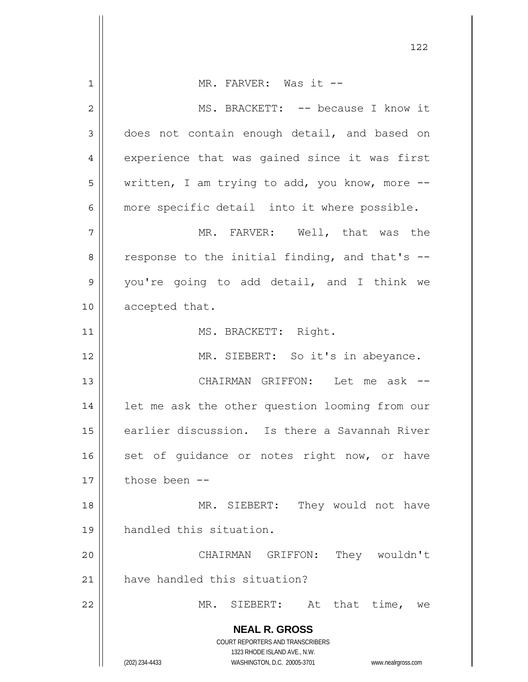**NEAL R. GROSS** COURT REPORTERS AND TRANSCRIBERS 1323 RHODE ISLAND AVE., N.W. (202) 234-4433 WASHINGTON, D.C. 20005-3701 www.nealrgross.com 1 2 3 4 5 6 7 8 9 10 11 12 13 14 15 16 17 18 19 20 21 22 MR. FARVER: Was it --MS. BRACKETT: -- because I know it does not contain enough detail, and based on experience that was gained since it was first written, I am trying to add, you know, more - more specific detail into it where possible. MR. FARVER: Well, that was the response to the initial finding, and that's - you're going to add detail, and I think we accepted that. MS. BRACKETT: Right. MR. SIEBERT: So it's in abeyance. CHAIRMAN GRIFFON: Let me ask - let me ask the other question looming from our earlier discussion. Is there a Savannah River set of quidance or notes right now, or have those been -- MR. SIEBERT: They would not have handled this situation. CHAIRMAN GRIFFON: They wouldn't have handled this situation? MR. SIEBERT: At that time, we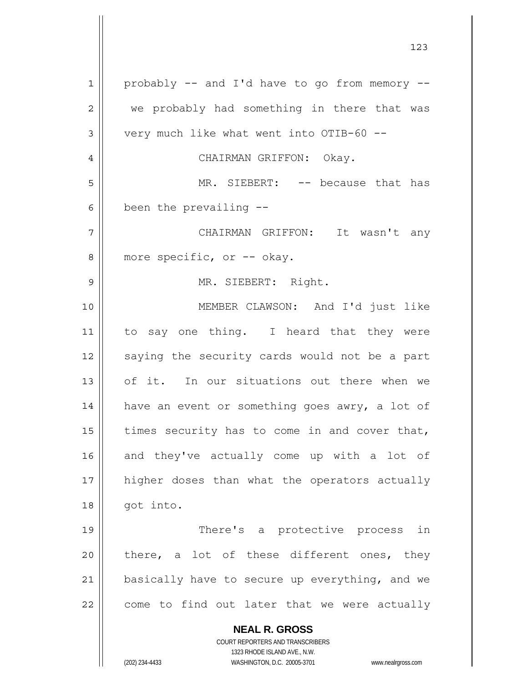**NEAL R. GROSS** COURT REPORTERS AND TRANSCRIBERS 1323 RHODE ISLAND AVE., N.W. (202) 234-4433 WASHINGTON, D.C. 20005-3701 www.nealrgross.com 1 2 3 4 5 6 7 8 9 10 11 12 13 14 15 16 17 18 19 20 21 22 probably -- and I'd have to go from memory - we probably had something in there that was very much like what went into OTIB-60 -- CHAIRMAN GRIFFON: Okay. MR. SIEBERT: -- because that has been the prevailing -- CHAIRMAN GRIFFON: It wasn't any more specific, or -- okay. MR. SIEBERT: Right. MEMBER CLAWSON: And I'd just like to say one thing. I heard that they were saying the security cards would not be a part of it. In our situations out there when we have an event or something goes awry, a lot of times security has to come in and cover that, and they've actually come up with a lot of higher doses than what the operators actually got into. There's a protective process in there, a lot of these different ones, they basically have to secure up everything, and we come to find out later that we were actually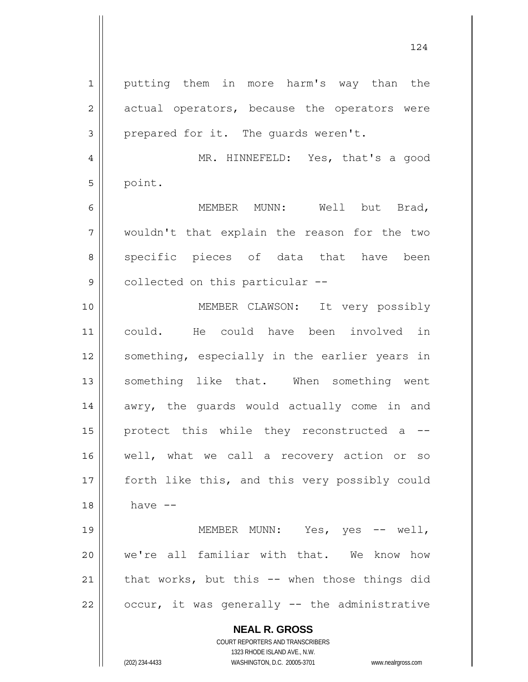**NEAL R. GROSS** 1 2 3 4 5 6 7 8 9 10 11 12 13 14 15 16 17 18 19 20 21 22 putting them in more harm's way than the actual operators, because the operators were prepared for it. The guards weren't. MR. HINNEFELD: Yes, that's a good point. MEMBER MUNN: Well but Brad, wouldn't that explain the reason for the two specific pieces of data that have been collected on this particular -- MEMBER CLAWSON: It very possibly could. He could have been involved in something, especially in the earlier years in something like that. When something went awry, the guards would actually come in and protect this while they reconstructed a - well, what we call a recovery action or so forth like this, and this very possibly could have -- MEMBER MUNN: Yes, yes -- well, we're all familiar with that. We know how that works, but this -- when those things did occur, it was generally -- the administrative

1323 RHODE ISLAND AVE., N.W. (202) 234-4433 WASHINGTON, D.C. 20005-3701 www.nealrgross.com

COURT REPORTERS AND TRANSCRIBERS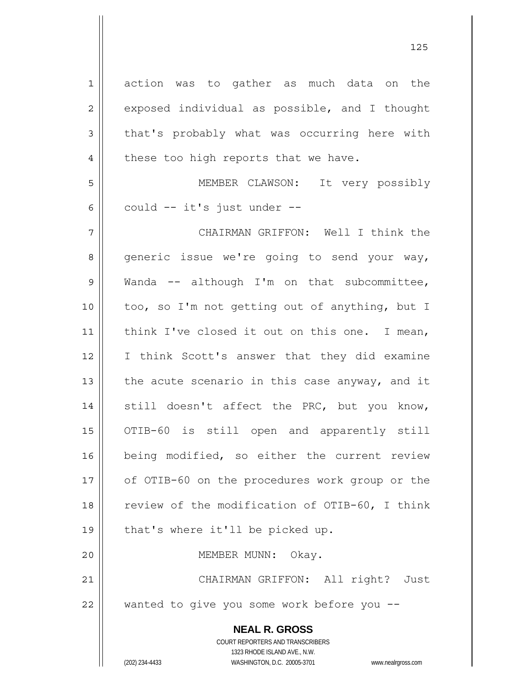| $1\,$          | action was to gather as much data on the                            |
|----------------|---------------------------------------------------------------------|
| $\overline{2}$ | exposed individual as possible, and I thought                       |
| 3              | that's probably what was occurring here with                        |
| $\overline{4}$ | these too high reports that we have.                                |
| 5              | MEMBER CLAWSON: It very possibly                                    |
| 6              | could -- it's just under --                                         |
| 7              | CHAIRMAN GRIFFON: Well I think the                                  |
| 8              | generic issue we're going to send your way,                         |
| $\mathsf 9$    | Wanda -- although I'm on that subcommittee,                         |
| 10             | too, so I'm not getting out of anything, but I                      |
| 11             | think I've closed it out on this one. I mean,                       |
| 12             | I think Scott's answer that they did examine                        |
| 13             | the acute scenario in this case anyway, and it                      |
| 14             | still doesn't affect the PRC, but you know,                         |
| 15             | OTIB-60 is still open and apparently still                          |
| 16             | being modified, so either the current review                        |
| 17             | of OTIB-60 on the procedures work group or the                      |
| 18             | review of the modification of OTIB-60, I think                      |
| 19             | that's where it'll be picked up.                                    |
| 20             | MEMBER MUNN: Okay.                                                  |
| 21             | CHAIRMAN GRIFFON: All right? Just                                   |
| 22             | wanted to give you some work before you --                          |
|                | <b>NEAL R. GROSS</b><br>COURT REPORTERS AND TRANSCRIBERS            |
|                | 1323 RHODE ISLAND AVE., N.W.                                        |
|                | (202) 234-4433<br>WASHINGTON, D.C. 20005-3701<br>www.nealrgross.com |

<u>125</u>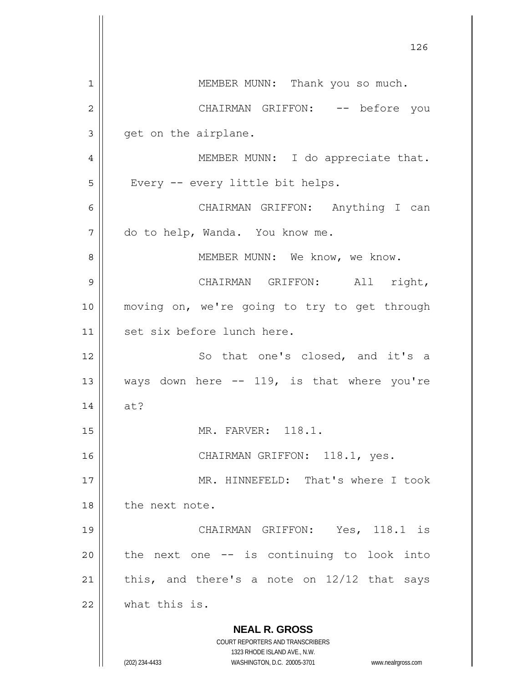**NEAL R. GROSS** COURT REPORTERS AND TRANSCRIBERS 1323 RHODE ISLAND AVE., N.W. (202) 234-4433 WASHINGTON, D.C. 20005-3701 www.nealrgross.com 126 1 2 3 4 5 6 7 8 9 10 11 12 13 14 15 16 17 18 19 20 21 22 MEMBER MUNN: Thank you so much. CHAIRMAN GRIFFON: -- before you get on the airplane. MEMBER MUNN: I do appreciate that. Every -- every little bit helps. CHAIRMAN GRIFFON: Anything I can do to help, Wanda. You know me. MEMBER MUNN: We know, we know. CHAIRMAN GRIFFON: All right, moving on, we're going to try to get through set six before lunch here. So that one's closed, and it's a ways down here -- 119, is that where you're at? MR. FARVER: 118.1. CHAIRMAN GRIFFON: 118.1, yes. MR. HINNEFELD: That's where I took the next note. CHAIRMAN GRIFFON: Yes, 118.1 is the next one -- is continuing to look into this, and there's a note on 12/12 that says what this is.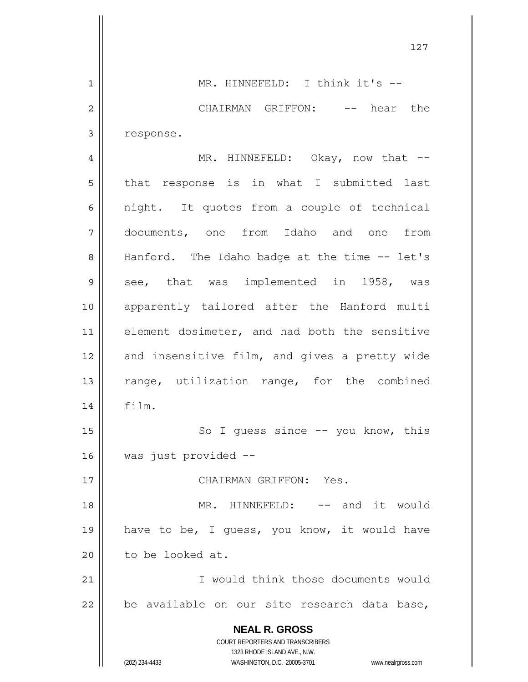**NEAL R. GROSS** COURT REPORTERS AND TRANSCRIBERS 1323 RHODE ISLAND AVE., N.W. (202) 234-4433 WASHINGTON, D.C. 20005-3701 www.nealrgross.com 127 1 2 3 4 5 6 7 8 9 10 11 12 13 14 15 16 17 18 19 20 21 22 MR. HINNEFELD: I think it's --CHAIRMAN GRIFFON: -- hear the response. MR. HINNEFELD: Okay, now that -that response is in what I submitted last night. It quotes from a couple of technical documents, one from Idaho and one from Hanford. The Idaho badge at the time -- let's see, that was implemented in 1958, was apparently tailored after the Hanford multi element dosimeter, and had both the sensitive and insensitive film, and gives a pretty wide range, utilization range, for the combined film. So I guess since -- you know, this was just provided -- CHAIRMAN GRIFFON: Yes. MR. HINNEFELD: -- and it would have to be, I guess, you know, it would have to be looked at. I would think those documents would be available on our site research data base,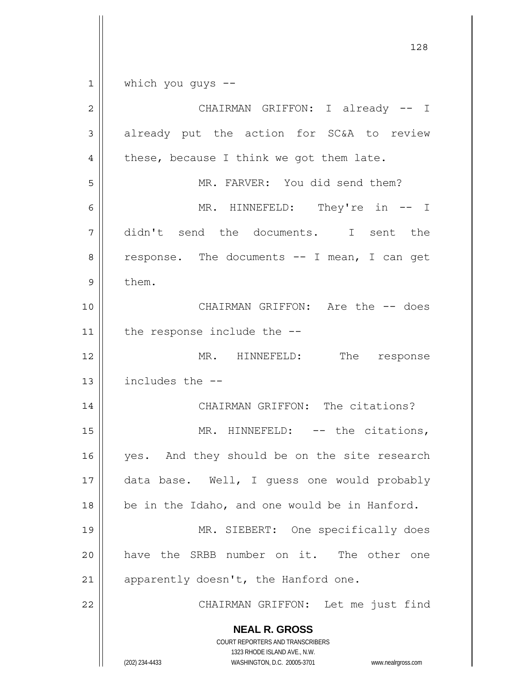|                | 128                                                                 |
|----------------|---------------------------------------------------------------------|
| $\mathbf 1$    | which you guys $-$ -                                                |
| $\overline{2}$ | CHAIRMAN GRIFFON: I already -- I                                    |
| 3              | already put the action for SC&A to review                           |
| 4              | these, because I think we got them late.                            |
| 5              | MR. FARVER: You did send them?                                      |
| 6              | MR. HINNEFELD: They're in -- I                                      |
| 7              | didn't send the documents. I sent the                               |
| 8              | response. The documents -- I mean, I can get                        |
| 9              | them.                                                               |
| 10             | CHAIRMAN GRIFFON: Are the -- does                                   |
| 11             | the response include the --                                         |
| 12             | MR. HINNEFELD: The response                                         |
| 13             | includes the --                                                     |
| 14             | CHAIRMAN GRIFFON: The citations?                                    |
| 15             | MR. HINNEFELD: -- the citations,                                    |
| 16             | yes. And they should be on the site research                        |
| 17             | data base. Well, I guess one would probably                         |
| 18             | be in the Idaho, and one would be in Hanford.                       |
| 19             | MR. SIEBERT: One specifically does                                  |
| 20             | have the SRBB number on it. The other one                           |
| 21             | apparently doesn't, the Hanford one.                                |
| 22             | CHAIRMAN GRIFFON: Let me just find                                  |
|                | <b>NEAL R. GROSS</b><br>COURT REPORTERS AND TRANSCRIBERS            |
|                | 1323 RHODE ISLAND AVE., N.W.                                        |
|                | (202) 234-4433<br>WASHINGTON, D.C. 20005-3701<br>www.nealrgross.com |

 $\mathsf{l}$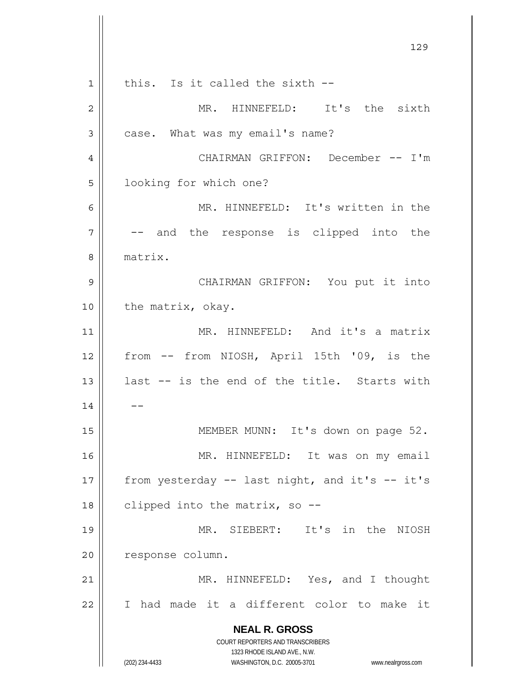**NEAL R. GROSS** COURT REPORTERS AND TRANSCRIBERS 1323 RHODE ISLAND AVE., N.W. (202) 234-4433 WASHINGTON, D.C. 20005-3701 www.nealrgross.com 129 1 2 3 4 5 6 7 8 9 10 11 12 13 14 15 16 17 18 19 20 21 22 this. Is it called the sixth -- MR. HINNEFELD: It's the sixth case. What was my email's name? CHAIRMAN GRIFFON: December -- I'm looking for which one? MR. HINNEFELD: It's written in the -- and the response is clipped into the matrix. CHAIRMAN GRIFFON: You put it into the matrix, okay. MR. HINNEFELD: And it's a matrix from -- from NIOSH, April 15th '09, is the last -- is the end of the title. Starts with  $-$  MEMBER MUNN: It's down on page 52. MR. HINNEFELD: It was on my email from yesterday -- last night, and it's -- it's clipped into the matrix, so -- MR. SIEBERT: It's in the NIOSH response column. MR. HINNEFELD: Yes, and I thought I had made it a different color to make it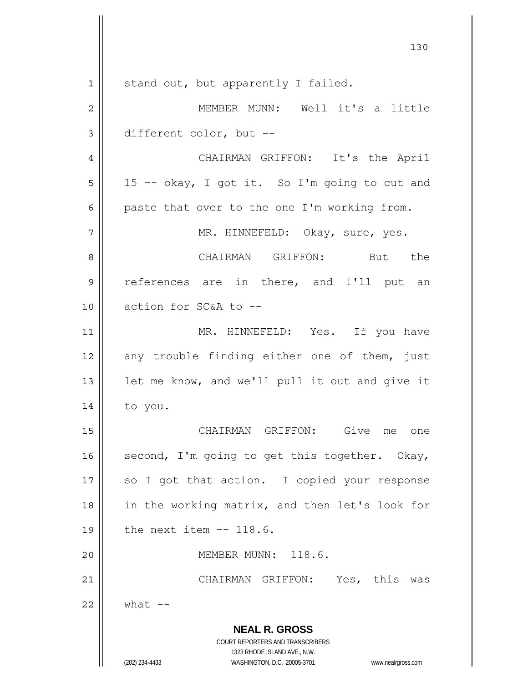**NEAL R. GROSS** COURT REPORTERS AND TRANSCRIBERS 1323 RHODE ISLAND AVE., N.W. (202) 234-4433 WASHINGTON, D.C. 20005-3701 www.nealrgross.com 130 1 2 3 4 5 6 7 8 9 10 11 12 13 14 15 16 17 18 19 20 21 22 stand out, but apparently I failed. MEMBER MUNN: Well it's a little different color, but -- CHAIRMAN GRIFFON: It's the April 15 -- okay, I got it. So I'm going to cut and paste that over to the one I'm working from. MR. HINNEFELD: Okay, sure, yes. CHAIRMAN GRIFFON: But the references are in there, and I'll put an action for SC&A to -- MR. HINNEFELD: Yes. If you have any trouble finding either one of them, just let me know, and we'll pull it out and give it to you. CHAIRMAN GRIFFON: Give me one second, I'm going to get this together. Okay, so I got that action. I copied your response in the working matrix, and then let's look for the next item -- 118.6. MEMBER MUNN: 118.6. CHAIRMAN GRIFFON: Yes, this was what  $--$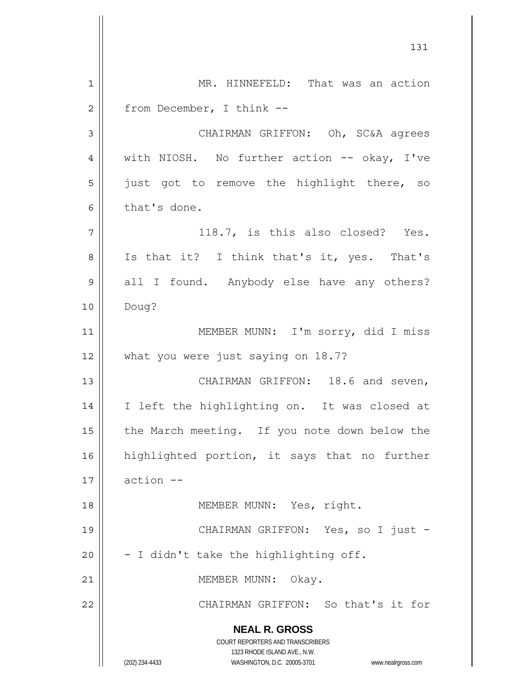**NEAL R. GROSS** COURT REPORTERS AND TRANSCRIBERS 1323 RHODE ISLAND AVE., N.W. (202) 234-4433 WASHINGTON, D.C. 20005-3701 www.nealrgross.com 131 1 2 3 4 5 6 7 8 9 10 11 12 13 14 15 16 17 18 19 20 21 22 MR. HINNEFELD: That was an action from December, I think -- CHAIRMAN GRIFFON: Oh, SC&A agrees with NIOSH. No further action -- okay, I've just got to remove the highlight there, so that's done. 118.7, is this also closed? Yes. Is that it? I think that's it, yes. That's all I found. Anybody else have any others? Doug? MEMBER MUNN: I'm sorry, did I miss what you were just saying on 18.7? CHAIRMAN GRIFFON: 18.6 and seven, I left the highlighting on. It was closed at the March meeting. If you note down below the highlighted portion, it says that no further action -- MEMBER MUNN: Yes, right. CHAIRMAN GRIFFON: Yes, so I just -- I didn't take the highlighting off. MEMBER MUNN: Okay. CHAIRMAN GRIFFON: So that's it for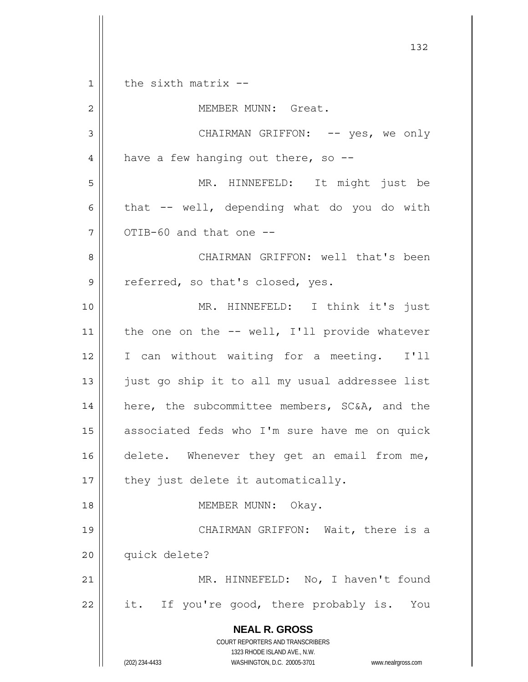**NEAL R. GROSS** COURT REPORTERS AND TRANSCRIBERS 1323 RHODE ISLAND AVE., N.W. (202) 234-4433 WASHINGTON, D.C. 20005-3701 www.nealrgross.com 132 1 2 3 4 5 6 7 8 9 10 11 12 13 14 15 16 17 18 19 20 21 22 the sixth matrix -- MEMBER MUNN: Great. CHAIRMAN GRIFFON: -- yes, we only have a few hanging out there, so -- MR. HINNEFELD: It might just be that -- well, depending what do you do with OTIB-60 and that one -- CHAIRMAN GRIFFON: well that's been referred, so that's closed, yes. MR. HINNEFELD: I think it's just the one on the -- well, I'll provide whatever I can without waiting for a meeting. I'll just go ship it to all my usual addressee list here, the subcommittee members, SC&A, and the associated feds who I'm sure have me on quick delete. Whenever they get an email from me, they just delete it automatically. MEMBER MUNN: Okay. CHAIRMAN GRIFFON: Wait, there is a quick delete? MR. HINNEFELD: No, I haven't found it. If you're good, there probably is. You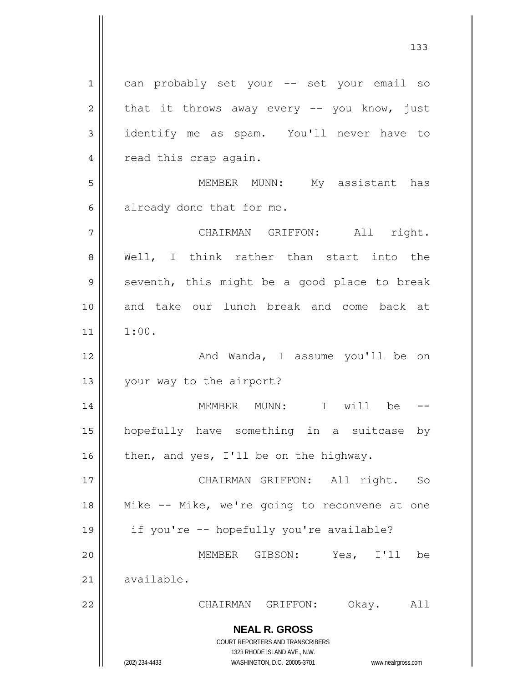**NEAL R. GROSS** COURT REPORTERS AND TRANSCRIBERS 1323 RHODE ISLAND AVE., N.W. (202) 234-4433 WASHINGTON, D.C. 20005-3701 www.nealrgross.com 1 2 3 4 5 6 7 8 9 10 11 12 13 14 15 16 17 18 19 20 21 22 can probably set your -- set your email so that it throws away every -- you know, just identify me as spam. You'll never have to read this crap again. MEMBER MUNN: My assistant has already done that for me. CHAIRMAN GRIFFON: All right. Well, I think rather than start into the seventh, this might be a good place to break and take our lunch break and come back at 1:00. And Wanda, I assume you'll be on your way to the airport? MEMBER MUNN: I will be - hopefully have something in a suitcase by then, and yes, I'll be on the highway. CHAIRMAN GRIFFON: All right. So Mike -- Mike, we're going to reconvene at one if you're -- hopefully you're available? MEMBER GIBSON: Yes, I'll be available. CHAIRMAN GRIFFON: Okay. All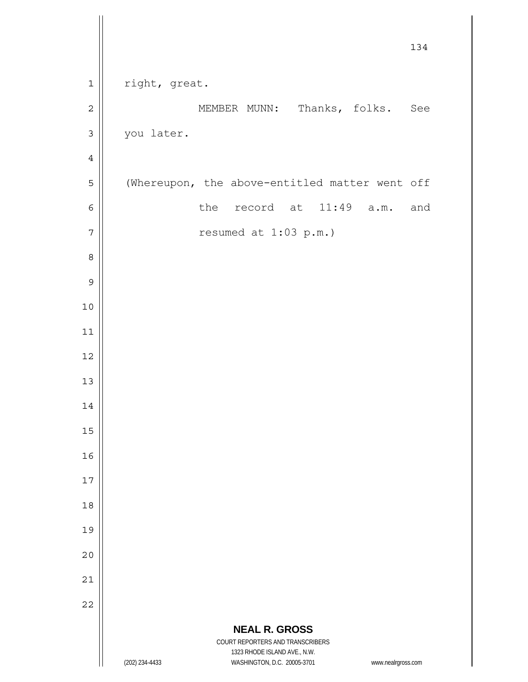|                  | 134                                                                                                 |
|------------------|-----------------------------------------------------------------------------------------------------|
| $\mathbf 1$      | right, great.                                                                                       |
| $\overline{c}$   | MEMBER MUNN: Thanks, folks. See                                                                     |
| $\mathfrak{Z}$   | you later.                                                                                          |
| $\ensuremath{4}$ |                                                                                                     |
| 5                | (Whereupon, the above-entitled matter went off                                                      |
| $\epsilon$       | 11:49<br>the record at<br>and<br>a.m.                                                               |
| $\boldsymbol{7}$ | resumed at 1:03 p.m.)                                                                               |
| 8                |                                                                                                     |
| $\mathcal{G}$    |                                                                                                     |
| $10$             |                                                                                                     |
| $11$             |                                                                                                     |
| 12               |                                                                                                     |
| 13               |                                                                                                     |
| 14               |                                                                                                     |
| 15               |                                                                                                     |
| 16               |                                                                                                     |
| $17$             |                                                                                                     |
| 18               |                                                                                                     |
| 19               |                                                                                                     |
| 20               |                                                                                                     |
| 21               |                                                                                                     |
| 22               |                                                                                                     |
|                  | <b>NEAL R. GROSS</b><br>COURT REPORTERS AND TRANSCRIBERS                                            |
|                  | 1323 RHODE ISLAND AVE., N.W.<br>(202) 234-4433<br>WASHINGTON, D.C. 20005-3701<br>www.nealrgross.com |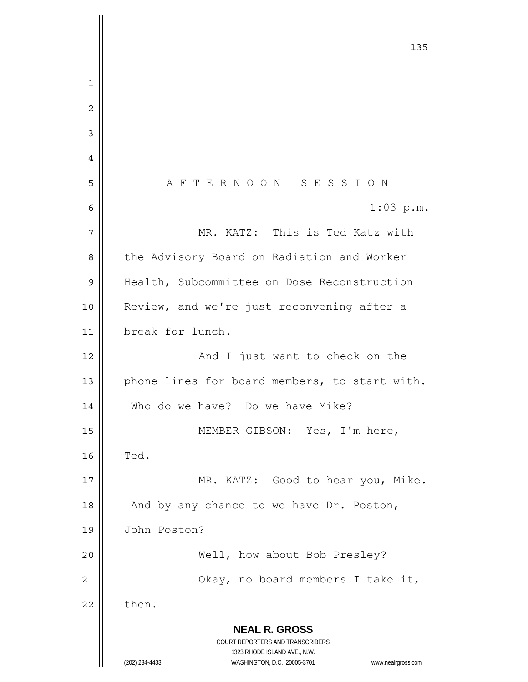**NEAL R. GROSS** COURT REPORTERS AND TRANSCRIBERS 1323 RHODE ISLAND AVE., N.W. (202) 234-4433 WASHINGTON, D.C. 20005-3701 www.nealrgross.com <u>135</u> 1 2 3 4 5 A F T E R N O O N S E S S I O N 6 7 8 9 10 11 12 13 14 15 16 17 18 19 20 21 22 1:03 p.m. MR. KATZ: This is Ted Katz with the Advisory Board on Radiation and Worker Health, Subcommittee on Dose Reconstruction Review, and we're just reconvening after a break for lunch. And I just want to check on the phone lines for board members, to start with. Who do we have? Do we have Mike? MEMBER GIBSON: Yes, I'm here, Ted. MR. KATZ: Good to hear you, Mike. And by any chance to we have Dr. Poston, John Poston? Well, how about Bob Presley? Okay, no board members I take it, then.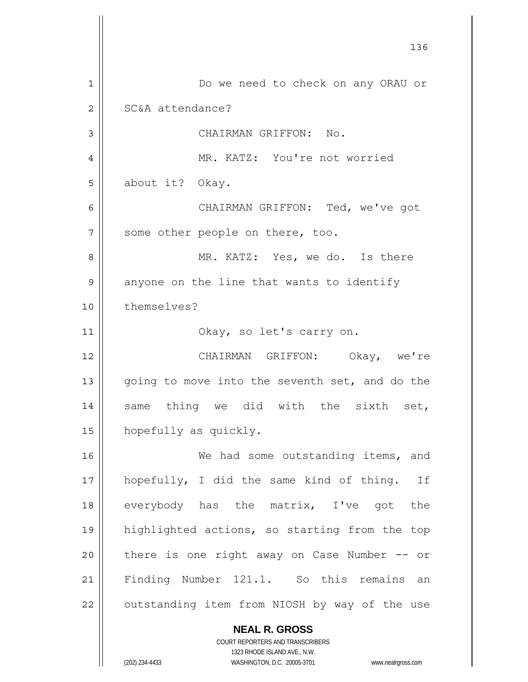**NEAL R. GROSS** 136 1 2 3 4 5 6 7 8 9 10 11 12 13 14 15 16 17 18 19 20 21 22 Do we need to check on any ORAU or SC&A attendance? CHAIRMAN GRIFFON: No. MR. KATZ: You're not worried about it? Okay. CHAIRMAN GRIFFON: Ted, we've got some other people on there, too. MR. KATZ: Yes, we do. Is there anyone on the line that wants to identify themselves? Okay, so let's carry on. CHAIRMAN GRIFFON: Okay, we're going to move into the seventh set, and do the same thing we did with the sixth set, hopefully as quickly. We had some outstanding items, and hopefully, I did the same kind of thing. If everybody has the matrix, I've got the highlighted actions, so starting from the top there is one right away on Case Number -- or Finding Number 121.1. So this remains an outstanding item from NIOSH by way of the use

1323 RHODE ISLAND AVE., N.W. (202) 234-4433 WASHINGTON, D.C. 20005-3701 www.nealrgross.com

COURT REPORTERS AND TRANSCRIBERS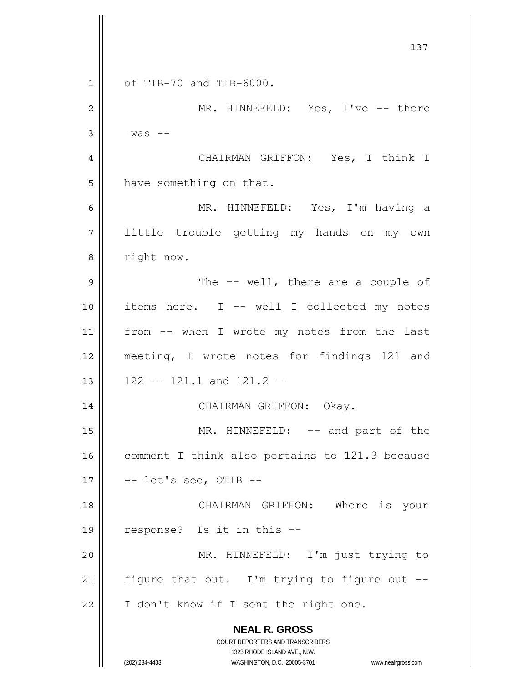**NEAL R. GROSS** COURT REPORTERS AND TRANSCRIBERS 1323 RHODE ISLAND AVE., N.W. (202) 234-4433 WASHINGTON, D.C. 20005-3701 www.nealrgross.com 137 1 2 3 4 5 6 7 8 9 10 11 12 13 14 15 16 17 18 19 20 21 22 of TIB-70 and TIB-6000. MR. HINNEFELD: Yes, I've -- there was -- CHAIRMAN GRIFFON: Yes, I think I have something on that. MR. HINNEFELD: Yes, I'm having a little trouble getting my hands on my own right now. The -- well, there are a couple of items here. I -- well I collected my notes from -- when I wrote my notes from the last meeting, I wrote notes for findings 121 and 122 -- 121.1 and 121.2 -- CHAIRMAN GRIFFON: Okay. MR. HINNEFELD: -- and part of the comment I think also pertains to 121.3 because -- let's see, OTIB -- CHAIRMAN GRIFFON: Where is your response? Is it in this -- MR. HINNEFELD: I'm just trying to figure that out. I'm trying to figure out -- I don't know if I sent the right one.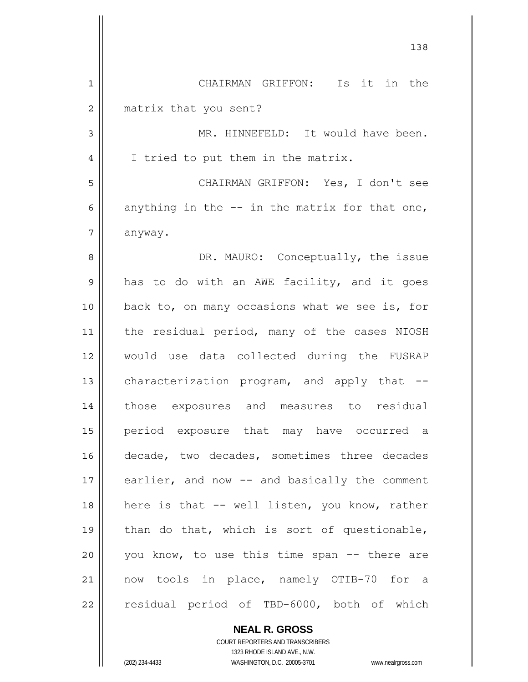|                | 138                                             |
|----------------|-------------------------------------------------|
| $\mathbf 1$    | Is it in the<br>CHAIRMAN GRIFFON:               |
| $\overline{2}$ | matrix that you sent?                           |
| 3              | MR. HINNEFELD: It would have been.              |
| 4              | I tried to put them in the matrix.              |
| 5              | CHAIRMAN GRIFFON: Yes, I don't see              |
| 6              | anything in the $-$ in the matrix for that one, |
| 7              | anyway.                                         |
| 8              | DR. MAURO: Conceptually, the issue              |
| 9              | has to do with an AWE facility, and it goes     |
| 10             | back to, on many occasions what we see is, for  |
| 11             | the residual period, many of the cases NIOSH    |
| 12             | would use data collected during the FUSRAP      |
| 13             | characterization program, and apply that --     |
| 14             | those exposures and measures to residual        |
| 15             | period exposure that may have occurred a        |
| 16             | decade, two decades, sometimes three decades    |
| 17             | earlier, and now -- and basically the comment   |
| 18             | here is that -- well listen, you know, rather   |
| 19             | than do that, which is sort of questionable,    |
| 20             | you know, to use this time span -- there are    |
| 21             | now tools in place, namely OTIB-70 for a        |
| 22             | residual period of TBD-6000, both of which      |

**NEAL R. GROSS** COURT REPORTERS AND TRANSCRIBERS

1323 RHODE ISLAND AVE., N.W.

(202) 234-4433 WASHINGTON, D.C. 20005-3701 www.nealrgross.com

 $\mathbf{I}$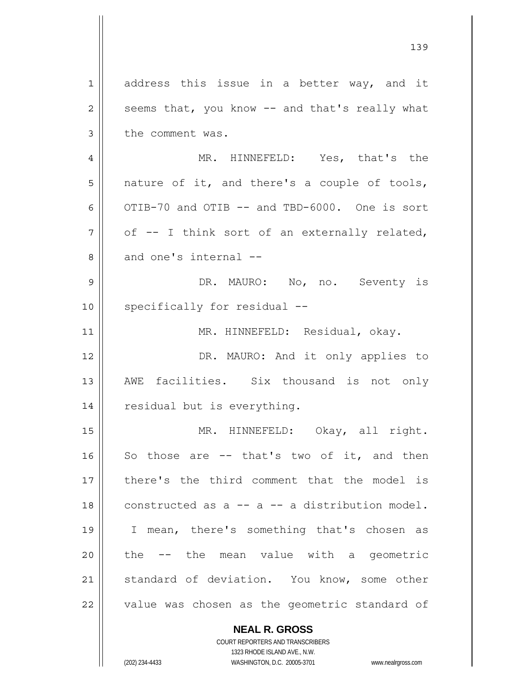1 2 3 4 5 6 7 8 9 10 11 12 13 14 15 16 17 18 19 20 21 22 address this issue in a better way, and it seems that, you know -- and that's really what the comment was. MR. HINNEFELD: Yes, that's the nature of it, and there's a couple of tools, OTIB-70 and OTIB -- and TBD-6000. One is sort of -- I think sort of an externally related, and one's internal -- DR. MAURO: No, no. Seventy is specifically for residual -- MR. HINNEFELD: Residual, okay. DR. MAURO: And it only applies to AWE facilities. Six thousand is not only residual but is everything. MR. HINNEFELD: Okay, all right. So those are -- that's two of it, and then there's the third comment that the model is constructed as a -- a -- a distribution model. I mean, there's something that's chosen as the -- the mean value with a geometric standard of deviation. You know, some other value was chosen as the geometric standard of

139

**NEAL R. GROSS** COURT REPORTERS AND TRANSCRIBERS 1323 RHODE ISLAND AVE., N.W.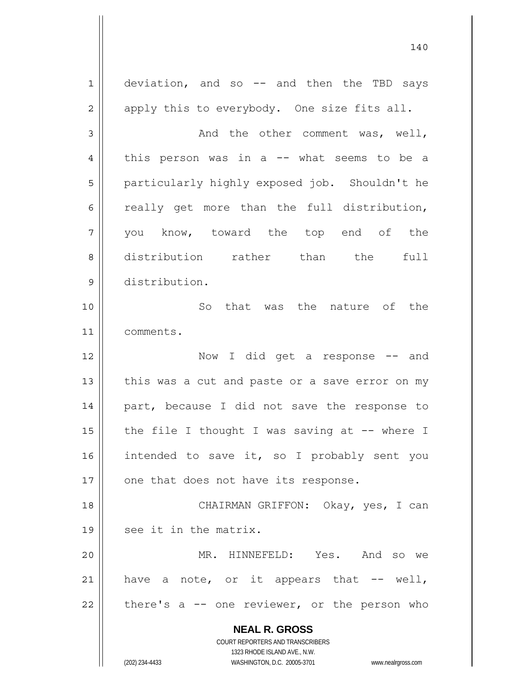**NEAL R. GROSS** COURT REPORTERS AND TRANSCRIBERS 1323 RHODE ISLAND AVE., N.W. (202) 234-4433 WASHINGTON, D.C. 20005-3701 www.nealrgross.com 1 2 3 4 5 6 7 8 9 10 11 12 13 14 15 16 17 18 19 20 21 22 deviation, and so -- and then the TBD says apply this to everybody. One size fits all. And the other comment was, well, this person was in a  $--$  what seems to be a particularly highly exposed job. Shouldn't he really get more than the full distribution, you know, toward the top end of the distribution rather than the full distribution. So that was the nature of the comments. Now I did get a response -- and this was a cut and paste or a save error on my part, because I did not save the response to the file I thought I was saving at  $-$ - where I intended to save it, so I probably sent you one that does not have its response. CHAIRMAN GRIFFON: Okay, yes, I can see it in the matrix. MR. HINNEFELD: Yes. And so we have a note, or it appears that  $--$  well, there's a -- one reviewer, or the person who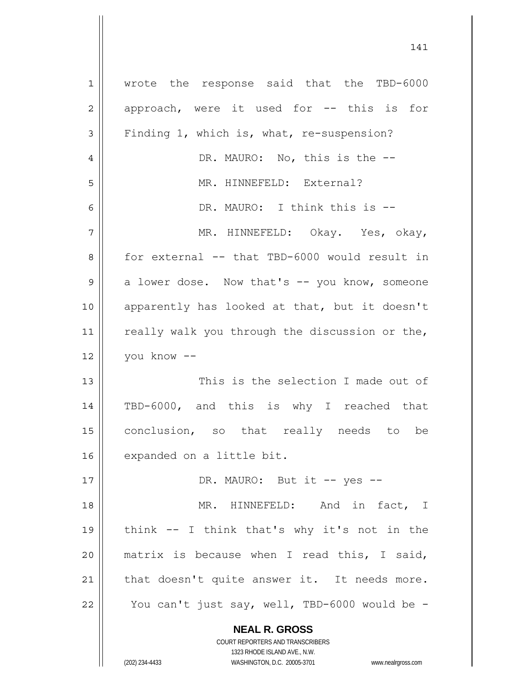**NEAL R. GROSS** COURT REPORTERS AND TRANSCRIBERS 1 2 3 4 5 6 7 8 9 10 11 12 13 14 15 16 17 18 19 20 21 22 wrote the response said that the TBD-6000 approach, were it used for -- this is for Finding 1, which is, what, re-suspension? DR. MAURO: No, this is the --MR. HINNEFELD: External? DR. MAURO: I think this is -- MR. HINNEFELD: Okay. Yes, okay, for external -- that TBD-6000 would result in a lower dose. Now that's -- you know, someone apparently has looked at that, but it doesn't really walk you through the discussion or the, you know -- This is the selection I made out of TBD-6000, and this is why I reached that conclusion, so that really needs to be expanded on a little bit. DR. MAURO: But it -- yes -- MR. HINNEFELD: And in fact, I think -- I think that's why it's not in the matrix is because when I read this, I said, that doesn't quite answer it. It needs more. You can't just say, well, TBD-6000 would be -

141

1323 RHODE ISLAND AVE., N.W.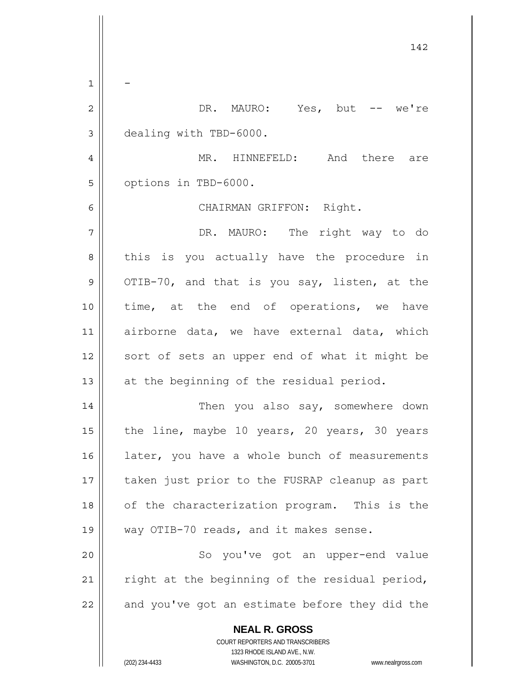| 142                                                                                                 |
|-----------------------------------------------------------------------------------------------------|
|                                                                                                     |
| DR. MAURO: Yes, but -- we're                                                                        |
| dealing with TBD-6000.                                                                              |
| MR. HINNEFELD: And there are                                                                        |
| options in TBD-6000.                                                                                |
| CHAIRMAN GRIFFON: Right.                                                                            |
| DR. MAURO: The right way to do                                                                      |
| this is you actually have the procedure in                                                          |
| OTIB-70, and that is you say, listen, at the                                                        |
| time, at the end of operations, we have                                                             |
|                                                                                                     |
| airborne data, we have external data, which                                                         |
| sort of sets an upper end of what it might be                                                       |
| at the beginning of the residual period.                                                            |
| Then you also say, somewhere down                                                                   |
| the line, maybe 10 years, 20 years, 30 years                                                        |
| later, you have a whole bunch of measurements                                                       |
| taken just prior to the FUSRAP cleanup as part                                                      |
| of the characterization program. This is the                                                        |
| way OTIB-70 reads, and it makes sense.                                                              |
| So you've got an upper-end value                                                                    |
| right at the beginning of the residual period,                                                      |
| and you've got an estimate before they did the                                                      |
| <b>NEAL R. GROSS</b>                                                                                |
| <b>COURT REPORTERS AND TRANSCRIBERS</b>                                                             |
| 1323 RHODE ISLAND AVE., N.W.<br>(202) 234-4433<br>WASHINGTON, D.C. 20005-3701<br>www.nealrgross.com |
|                                                                                                     |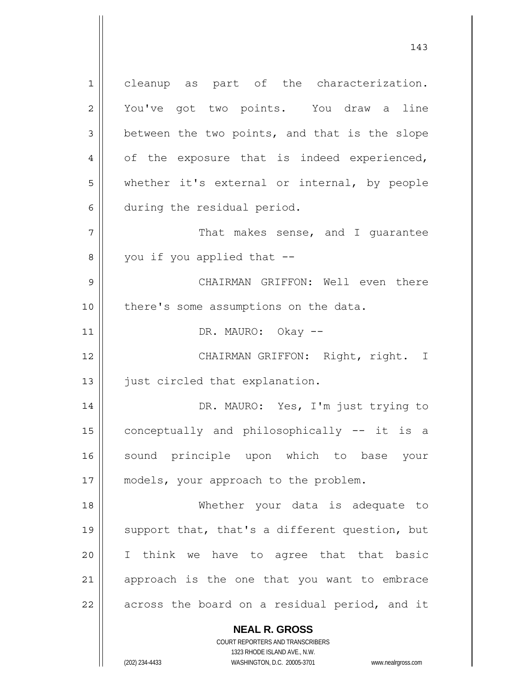1 2 3 4 5 6 7 8 9 10 11 12 13 14 15 16 17 18 19 20 21 22 cleanup as part of the characterization. You've got two points. You draw a line between the two points, and that is the slope of the exposure that is indeed experienced, whether it's external or internal, by people during the residual period. That makes sense, and I guarantee you if you applied that -- CHAIRMAN GRIFFON: Well even there there's some assumptions on the data. DR. MAURO: Okay -- CHAIRMAN GRIFFON: Right, right. I just circled that explanation. DR. MAURO: Yes, I'm just trying to conceptually and philosophically -- it is a sound principle upon which to base your models, your approach to the problem. Whether your data is adequate to support that, that's a different question, but I think we have to agree that that basic approach is the one that you want to embrace across the board on a residual period, and it

> **NEAL R. GROSS** COURT REPORTERS AND TRANSCRIBERS

> > 1323 RHODE ISLAND AVE., N.W.

(202) 234-4433 WASHINGTON, D.C. 20005-3701 www.nealrgross.com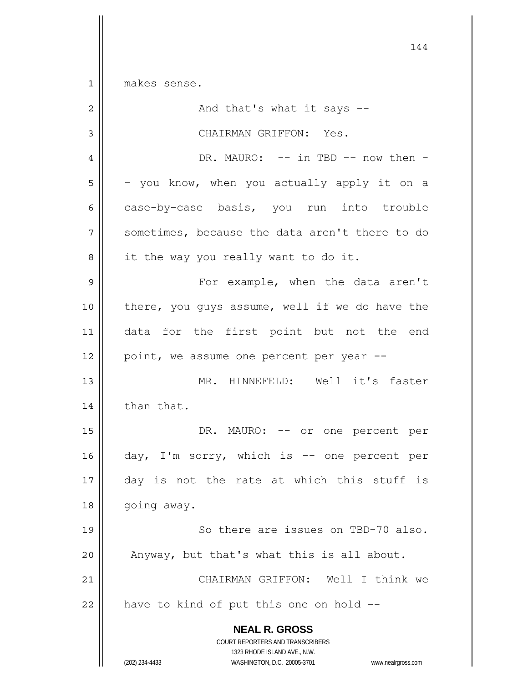$1$ makes sense.

| $\mathbf 2$    | And that's what it says --                                                                                                                                             |
|----------------|------------------------------------------------------------------------------------------------------------------------------------------------------------------------|
| $\mathfrak{Z}$ | CHAIRMAN GRIFFON: Yes.                                                                                                                                                 |
| $\overline{4}$ | DR. MAURO: -- in TBD -- now then -                                                                                                                                     |
| 5              | - you know, when you actually apply it on a                                                                                                                            |
| 6              | case-by-case basis, you run into trouble                                                                                                                               |
| 7              | sometimes, because the data aren't there to do                                                                                                                         |
| 8              | it the way you really want to do it.                                                                                                                                   |
| $\mathsf 9$    | For example, when the data aren't                                                                                                                                      |
| 10             | there, you guys assume, well if we do have the                                                                                                                         |
| 11             | data for the first point but not the end                                                                                                                               |
| 12             | point, we assume one percent per year --                                                                                                                               |
| 13             | MR. HINNEFELD: Well it's faster                                                                                                                                        |
| 14             | than that.                                                                                                                                                             |
| 15             | DR. MAURO: -- or one percent per                                                                                                                                       |
| 16             | day, I'm sorry, which is -- one percent per                                                                                                                            |
| $17$           | day is not the rate at which this stuff is                                                                                                                             |
| 18             | going away.                                                                                                                                                            |
| 19             | So there are issues on TBD-70 also.                                                                                                                                    |
| 20             | Anyway, but that's what this is all about.                                                                                                                             |
| 21             | CHAIRMAN GRIFFON: Well I think we                                                                                                                                      |
| 22             | have to kind of put this one on hold --                                                                                                                                |
|                | <b>NEAL R. GROSS</b><br><b>COURT REPORTERS AND TRANSCRIBERS</b><br>1323 RHODE ISLAND AVE., N.W.<br>(202) 234-4433<br>WASHINGTON, D.C. 20005-3701<br>www.nealrgross.com |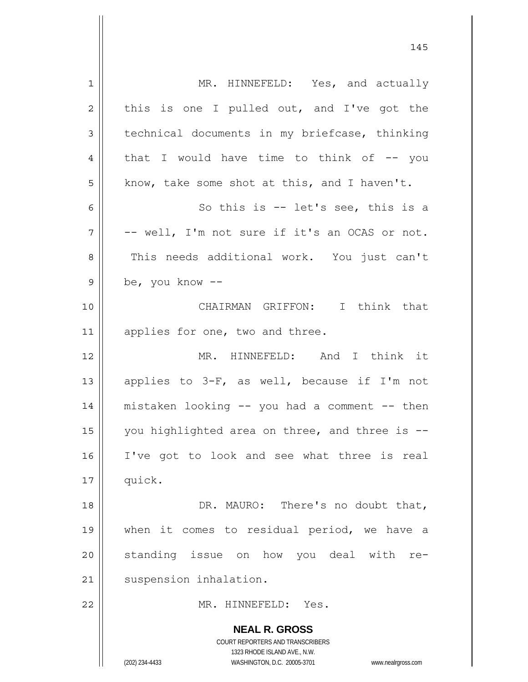| $\mathbf 1$    | MR. HINNEFELD: Yes, and actually                                                                    |
|----------------|-----------------------------------------------------------------------------------------------------|
| $\overline{2}$ | this is one I pulled out, and I've got the                                                          |
| 3              | technical documents in my briefcase, thinking                                                       |
| 4              | that I would have time to think of $-$ - you                                                        |
| 5              | know, take some shot at this, and I haven't.                                                        |
| 6              | So this is $-$ let's see, this is a                                                                 |
| 7              | -- well, I'm not sure if it's an OCAS or not.                                                       |
| 8              | This needs additional work. You just can't                                                          |
| 9              | be, you know --                                                                                     |
| 10             | CHAIRMAN GRIFFON: I think that                                                                      |
| 11             | applies for one, two and three.                                                                     |
| 12             | MR. HINNEFELD: And I think it                                                                       |
| 13             | applies to 3-F, as well, because if I'm not                                                         |
| 14             | mistaken looking -- you had a comment -- then                                                       |
| 15             | you highlighted area on three, and three is --                                                      |
| 16             | I've got to look and see what three is real                                                         |
|                |                                                                                                     |
| 17             | quick.                                                                                              |
| 18             | DR. MAURO: There's no doubt that,                                                                   |
| 19             | when it comes to residual period, we have a                                                         |
| 20             | standing issue on how you deal with re-                                                             |
| 21             | suspension inhalation.                                                                              |
| 22             | MR. HINNEFELD: Yes.                                                                                 |
|                | <b>NEAL R. GROSS</b>                                                                                |
|                | COURT REPORTERS AND TRANSCRIBERS                                                                    |
|                | 1323 RHODE ISLAND AVE., N.W.<br>(202) 234-4433<br>WASHINGTON, D.C. 20005-3701<br>www.nealrgross.com |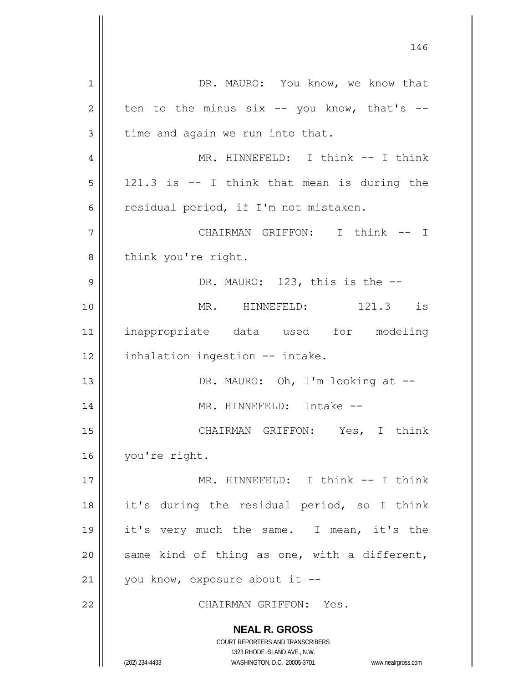| $\mathbf{1}$   | DR. MAURO: You know, we know that                                   |
|----------------|---------------------------------------------------------------------|
| $\overline{2}$ | ten to the minus $six$ -- you know, that's --                       |
| 3              | time and again we run into that.                                    |
| 4              | MR. HINNEFELD: I think -- I think                                   |
| 5              | 121.3 is -- I think that mean is during the                         |
| 6              | residual period, if I'm not mistaken.                               |
| 7              | CHAIRMAN GRIFFON: I think -- I                                      |
| 8              | think you're right.                                                 |
| 9              | DR. MAURO: 123, this is the --                                      |
| 10             | MR. HINNEFELD: 121.3 is                                             |
| 11             | inappropriate data used for modeling                                |
| 12             | inhalation ingestion -- intake.                                     |
| 13             | DR. MAURO: Oh, I'm looking at --                                    |
| 14             | MR. HINNEFELD: Intake --                                            |
| 15             | CHAIRMAN GRIFFON: Yes, I think                                      |
| 16             | you're right.                                                       |
| 17             | MR. HINNEFELD: I think -- I think                                   |
| 18             | it's during the residual period, so I think                         |
| 19             | it's very much the same. I mean, it's the                           |
| 20             | same kind of thing as one, with a different,                        |
| 21             | you know, exposure about it --                                      |
| 22             | CHAIRMAN GRIFFON: Yes.                                              |
|                |                                                                     |
|                | <b>NEAL R. GROSS</b><br><b>COURT REPORTERS AND TRANSCRIBERS</b>     |
|                | 1323 RHODE ISLAND AVE., N.W.                                        |
|                | (202) 234-4433<br>WASHINGTON, D.C. 20005-3701<br>www.nealrgross.com |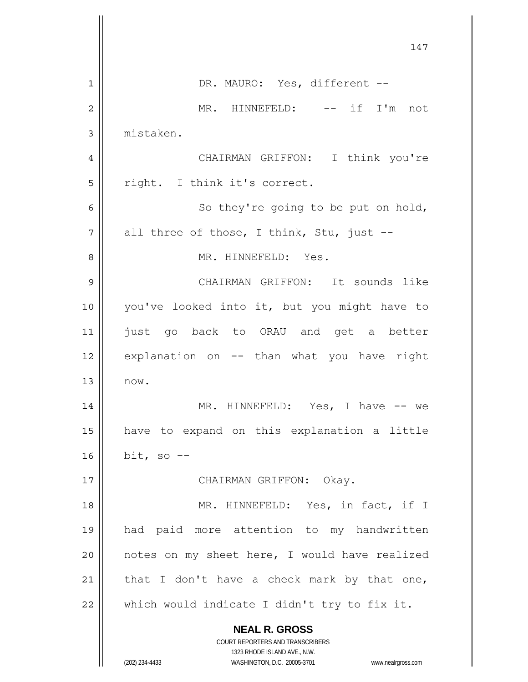|                | 147                                                                     |
|----------------|-------------------------------------------------------------------------|
| 1              | DR. MAURO: Yes, different --                                            |
| $\overline{2}$ | MR. HINNEFELD: -- if I'm not                                            |
| 3              | mistaken.                                                               |
| 4              | CHAIRMAN GRIFFON: I think you're                                        |
| 5              | right. I think it's correct.                                            |
| 6              | So they're going to be put on hold,                                     |
| 7              | all three of those, I think, Stu, just --                               |
| 8              | MR. HINNEFELD: Yes.                                                     |
| 9              | CHAIRMAN GRIFFON: It sounds like                                        |
| 10             | you've looked into it, but you might have to                            |
| 11             | just go back to ORAU and get a better                                   |
| 12             | explanation on -- than what you have right                              |
| 13             | now.                                                                    |
| 14             | MR. HINNEFELD: Yes, I have -- we                                        |
| 15             | have to expand on this explanation a little                             |
| 16             | bit, so $-$ -                                                           |
| 17             | CHAIRMAN GRIFFON: Okay.                                                 |
| 18             | MR. HINNEFELD: Yes, in fact, if I                                       |
| 19             | had paid more attention to my handwritten                               |
| 20             | notes on my sheet here, I would have realized                           |
| 21             | that I don't have a check mark by that one,                             |
| 22             | which would indicate I didn't try to fix it.                            |
|                | <b>NEAL R. GROSS</b>                                                    |
|                | <b>COURT REPORTERS AND TRANSCRIBERS</b><br>1323 RHODE ISLAND AVE., N.W. |
|                | (202) 234-4433<br>WASHINGTON, D.C. 20005-3701<br>www.nealrgross.com     |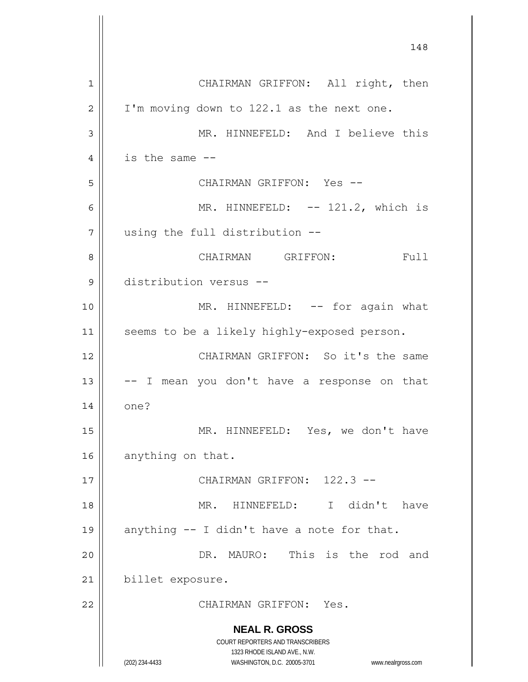**NEAL R. GROSS** COURT REPORTERS AND TRANSCRIBERS 1323 RHODE ISLAND AVE., N.W. (202) 234-4433 WASHINGTON, D.C. 20005-3701 www.nealrgross.com 148 1 2 3 4 5 6 7 8 9 10 11 12 13 14 15 16 17 18 19 20 21 22 CHAIRMAN GRIFFON: All right, then I'm moving down to 122.1 as the next one. MR. HINNEFELD: And I believe this is the same -- CHAIRMAN GRIFFON: Yes -- MR. HINNEFELD: -- 121.2, which is using the full distribution -- CHAIRMAN GRIFFON: Full distribution versus -- MR. HINNEFELD: -- for again what seems to be a likely highly-exposed person. CHAIRMAN GRIFFON: So it's the same -- I mean you don't have a response on that one? MR. HINNEFELD: Yes, we don't have anything on that. CHAIRMAN GRIFFON: 122.3 -- MR. HINNEFELD: I didn't have anything -- I didn't have a note for that. DR. MAURO: This is the rod and billet exposure. CHAIRMAN GRIFFON: Yes.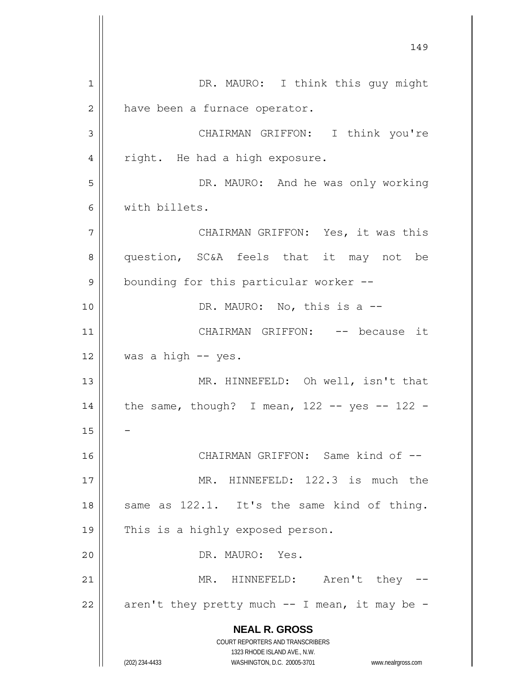**NEAL R. GROSS** COURT REPORTERS AND TRANSCRIBERS 1323 RHODE ISLAND AVE., N.W. (202) 234-4433 WASHINGTON, D.C. 20005-3701 www.nealrgross.com 1 2 3 4 5 6 7 8 9 10 11 12 13 14 15 16 17 18 19 20 21 22 DR. MAURO: I think this guy might have been a furnace operator. CHAIRMAN GRIFFON: I think you're right. He had a high exposure. DR. MAURO: And he was only working with billets. CHAIRMAN GRIFFON: Yes, it was this question, SC&A feels that it may not be bounding for this particular worker -- DR. MAURO: No, this is a --CHAIRMAN GRIFFON: -- because it was a high -- yes. MR. HINNEFELD: Oh well, isn't that the same, though? I mean,  $122 - -$  yes  $- - 122 -$ - CHAIRMAN GRIFFON: Same kind of -- MR. HINNEFELD: 122.3 is much the same as 122.1. It's the same kind of thing. This is a highly exposed person. DR. MAURO: Yes. MR. HINNEFELD: Aren't they -aren't they pretty much  $--$  I mean, it may be  $-$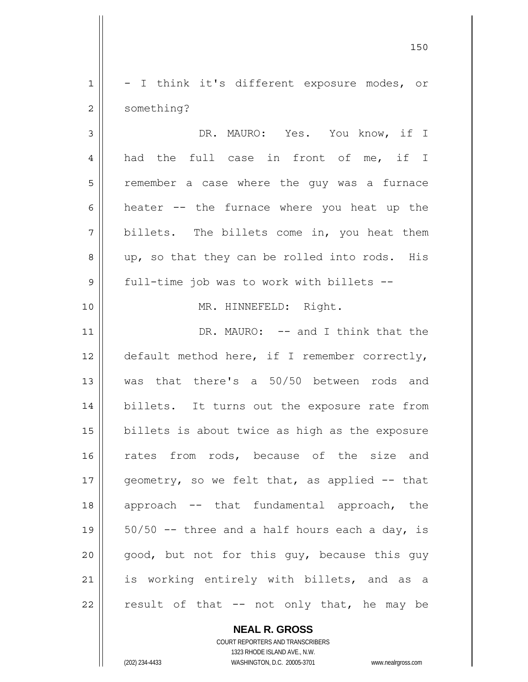1 2 - I think it's different exposure modes, or something?

<u>150</u>

3 4 5 6 7 8 9 DR. MAURO: Yes. You know, if I had the full case in front of me, if I remember a case where the guy was a furnace heater -- the furnace where you heat up the billets. The billets come in, you heat them up, so that they can be rolled into rods. His full-time job was to work with billets --

MR. HINNEFELD: Right.

11 12 13 14 15 16 17 18 19 20 21 22 DR. MAURO: -- and I think that the default method here, if I remember correctly, was that there's a 50/50 between rods and billets. It turns out the exposure rate from billets is about twice as high as the exposure rates from rods, because of the size and geometry, so we felt that, as applied -- that approach -- that fundamental approach, the  $50/50$  -- three and a half hours each a day, is good, but not for this guy, because this guy is working entirely with billets, and as a result of that -- not only that, he may be

> **NEAL R. GROSS** COURT REPORTERS AND TRANSCRIBERS

> > 1323 RHODE ISLAND AVE., N.W.

(202) 234-4433 WASHINGTON, D.C. 20005-3701 www.nealrgross.com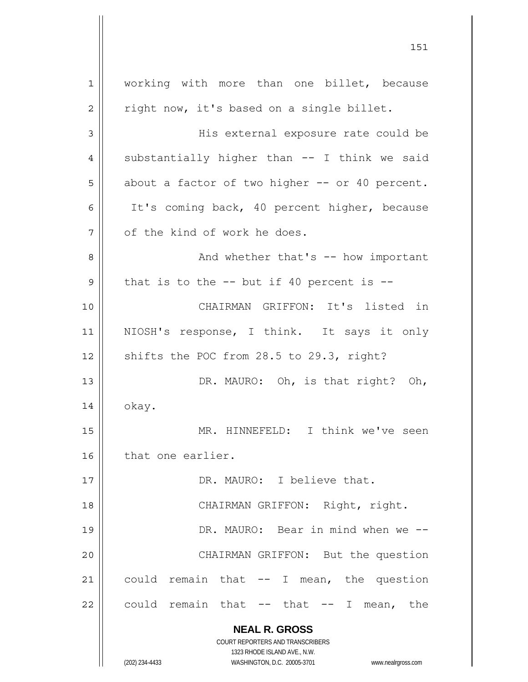**NEAL R. GROSS** COURT REPORTERS AND TRANSCRIBERS 1323 RHODE ISLAND AVE., N.W. (202) 234-4433 WASHINGTON, D.C. 20005-3701 www.nealrgross.com 1 2 3 4 5 6 7 8 9 10 11 12 13 14 15 16 17 18 19 20 21 22 working with more than one billet, because right now, it's based on a single billet. His external exposure rate could be substantially higher than -- I think we said about a factor of two higher -- or 40 percent. It's coming back, 40 percent higher, because of the kind of work he does. And whether that's -- how important that is to the  $-$ - but if 40 percent is  $-$ - CHAIRMAN GRIFFON: It's listed in NIOSH's response, I think. It says it only shifts the POC from 28.5 to 29.3, right? DR. MAURO: Oh, is that right? Oh, okay. MR. HINNEFELD: I think we've seen that one earlier. DR. MAURO: I believe that. CHAIRMAN GRIFFON: Right, right. DR. MAURO: Bear in mind when we -- CHAIRMAN GRIFFON: But the question could remain that  $--$  I mean, the question could remain that  $--$  that  $--$  I mean, the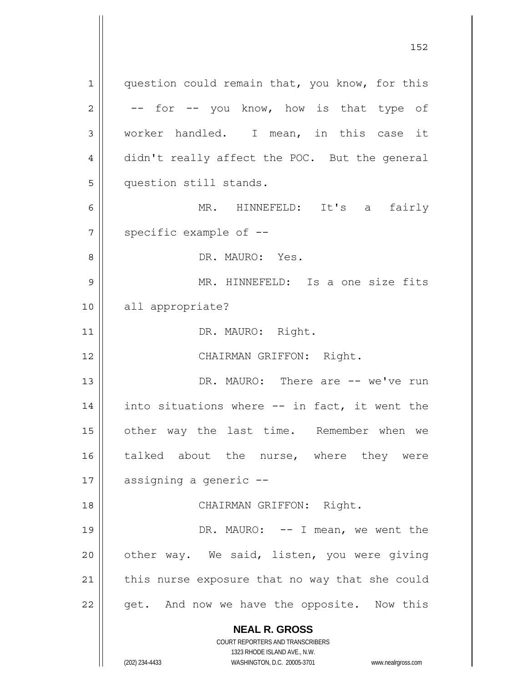**NEAL R. GROSS** COURT REPORTERS AND TRANSCRIBERS 1 2 3 4 5 6 7 8 9 10 11 12 13 14 15 16 17 18 19 20 21 22 question could remain that, you know, for this -- for -- you know, how is that type of worker handled. I mean, in this case it didn't really affect the POC. But the general question still stands. MR. HINNEFELD: It's a fairly specific example of -- DR. MAURO: Yes. MR. HINNEFELD: Is a one size fits all appropriate? DR. MAURO: Right. CHAIRMAN GRIFFON: Right. DR. MAURO: There are -- we've run into situations where -- in fact, it went the other way the last time. Remember when we talked about the nurse, where they were assigning a generic -- CHAIRMAN GRIFFON: Right. DR. MAURO: -- I mean, we went the other way. We said, listen, you were giving this nurse exposure that no way that she could get. And now we have the opposite. Now this

1323 RHODE ISLAND AVE., N.W.

(202) 234-4433 WASHINGTON, D.C. 20005-3701 www.nealrgross.com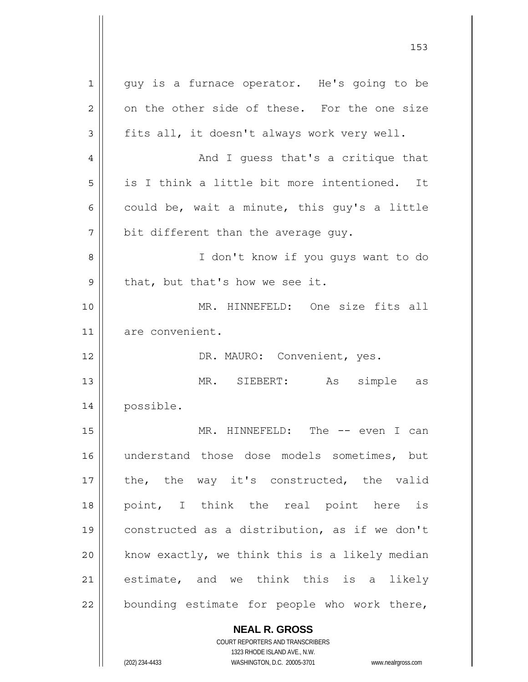**NEAL R. GROSS** COURT REPORTERS AND TRANSCRIBERS 1 2 3 4 5 6 7 8 9 10 11 12 13 14 15 16 17 18 19 20 21 22 guy is a furnace operator. He's going to be on the other side of these. For the one size fits all, it doesn't always work very well. And I guess that's a critique that is I think a little bit more intentioned. It could be, wait a minute, this guy's a little bit different than the average guy. I don't know if you guys want to do that, but that's how we see it. MR. HINNEFELD: One size fits all are convenient. DR. MAURO: Convenient, yes. MR. SIEBERT: As simple as possible. MR. HINNEFELD: The -- even I can understand those dose models sometimes, but the, the way it's constructed, the valid point, I think the real point here is constructed as a distribution, as if we don't know exactly, we think this is a likely median estimate, and we think this is a likely bounding estimate for people who work there,

153

1323 RHODE ISLAND AVE., N.W. (202) 234-4433 WASHINGTON, D.C. 20005-3701 www.nealrgross.com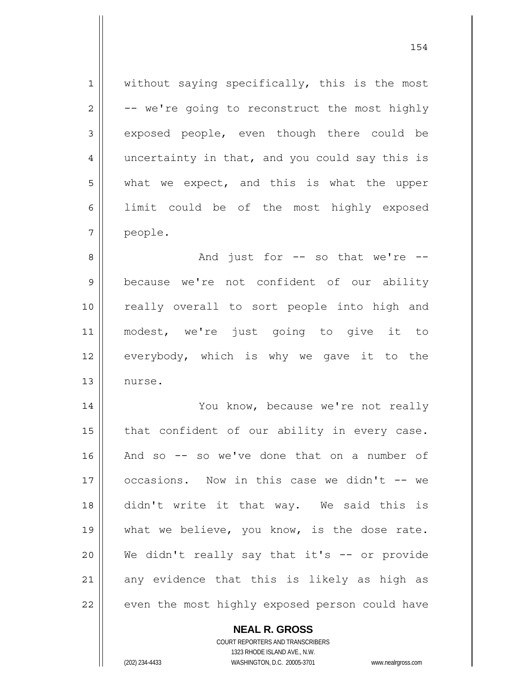1 2 3 4 5 6 7 without saying specifically, this is the most -- we're going to reconstruct the most highly exposed people, even though there could be uncertainty in that, and you could say this is what we expect, and this is what the upper limit could be of the most highly exposed people.

8 9 10 11 12 13 And just for -- so that we're - because we're not confident of our ability really overall to sort people into high and modest, we're just going to give it to everybody, which is why we gave it to the nurse.

14 15 16 17 18 19 20 21 22 You know, because we're not really that confident of our ability in every case. And so -- so we've done that on a number of occasions. Now in this case we didn't -- we didn't write it that way. We said this is what we believe, you know, is the dose rate. We didn't really say that it's -- or provide any evidence that this is likely as high as even the most highly exposed person could have

**NEAL R. GROSS**

COURT REPORTERS AND TRANSCRIBERS 1323 RHODE ISLAND AVE., N.W. (202) 234-4433 WASHINGTON, D.C. 20005-3701 www.nealrgross.com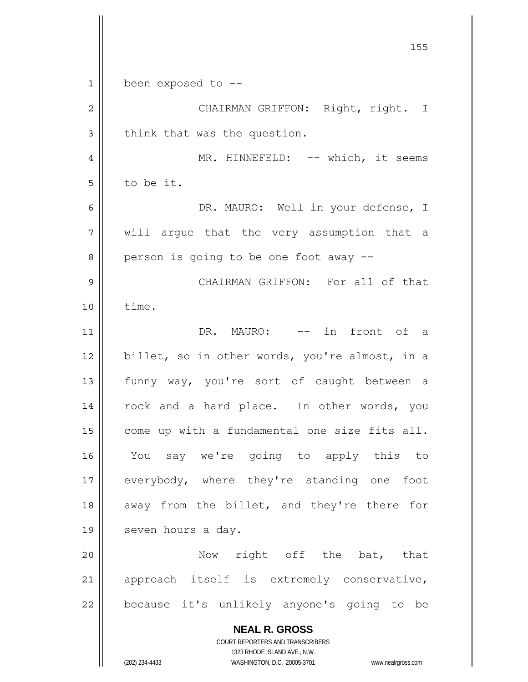**NEAL R. GROSS** COURT REPORTERS AND TRANSCRIBERS 1323 RHODE ISLAND AVE., N.W. <u>155 میں اس کی استعمال کرتا ہے۔ اس کی اس کی اس کی اس کی اس کی اس کی اس کی اس کی اس کی اس کی اس کی اس کی اس کی</u> 1 2 3 4 5 6 7 8 9 10 11 12 13 14 15 16 17 18 19 20 21 22 been exposed to -- CHAIRMAN GRIFFON: Right, right. I think that was the question. MR. HINNEFELD: -- which, it seems to be it. DR. MAURO: Well in your defense, I will argue that the very assumption that a person is going to be one foot away -- CHAIRMAN GRIFFON: For all of that time. DR. MAURO: -- in front of a billet, so in other words, you're almost, in a funny way, you're sort of caught between a rock and a hard place. In other words, you come up with a fundamental one size fits all. You say we're going to apply this to everybody, where they're standing one foot away from the billet, and they're there for seven hours a day. Now right off the bat, that approach itself is extremely conservative, because it's unlikely anyone's going to be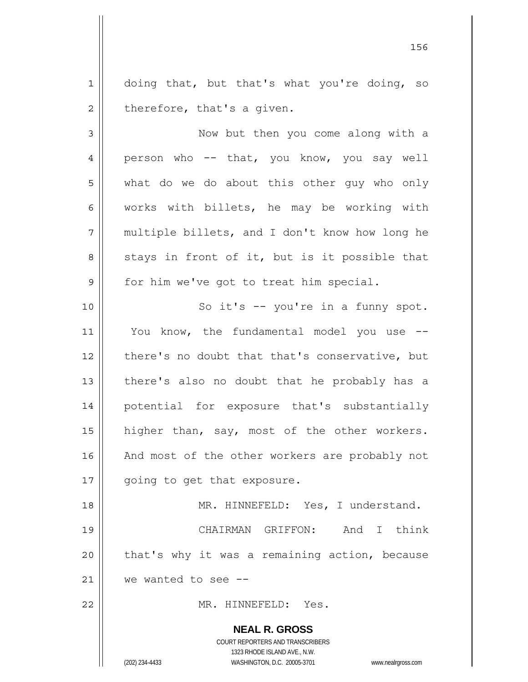1 2 doing that, but that's what you're doing, so therefore, that's a given.

3 4 5 6 7 8 9 10 11 12 13 14 15 16 17 Now but then you come along with a person who -- that, you know, you say well what do we do about this other guy who only works with billets, he may be working with multiple billets, and I don't know how long he stays in front of it, but is it possible that for him we've got to treat him special. So it's -- you're in a funny spot. You know, the fundamental model you use - there's no doubt that that's conservative, but there's also no doubt that he probably has a potential for exposure that's substantially higher than, say, most of the other workers. And most of the other workers are probably not going to get that exposure.

18 19 20 21 MR. HINNEFELD: Yes, I understand. CHAIRMAN GRIFFON: And I think that's why it was a remaining action, because we wanted to see --

MR. HINNEFELD: Yes.

**NEAL R. GROSS** COURT REPORTERS AND TRANSCRIBERS

1323 RHODE ISLAND AVE., N.W.

22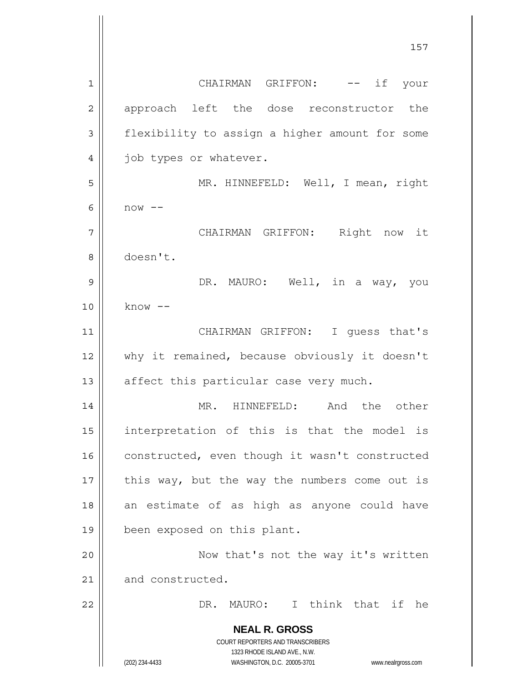**NEAL R. GROSS** COURT REPORTERS AND TRANSCRIBERS 1323 RHODE ISLAND AVE., N.W. (202) 234-4433 WASHINGTON, D.C. 20005-3701 www.nealrgross.com 1 2 3 4 5 6 7 8 9 10 11 12 13 14 15 16 17 18 19 20 21 22 CHAIRMAN GRIFFON: -- if your approach left the dose reconstructor the flexibility to assign a higher amount for some job types or whatever. MR. HINNEFELD: Well, I mean, right  $now --$  CHAIRMAN GRIFFON: Right now it doesn't. DR. MAURO: Well, in a way, you  $know$   $--$  CHAIRMAN GRIFFON: I guess that's why it remained, because obviously it doesn't affect this particular case very much. MR. HINNEFELD: And the other interpretation of this is that the model is constructed, even though it wasn't constructed this way, but the way the numbers come out is an estimate of as high as anyone could have been exposed on this plant. Now that's not the way it's written and constructed. DR. MAURO: I think that if he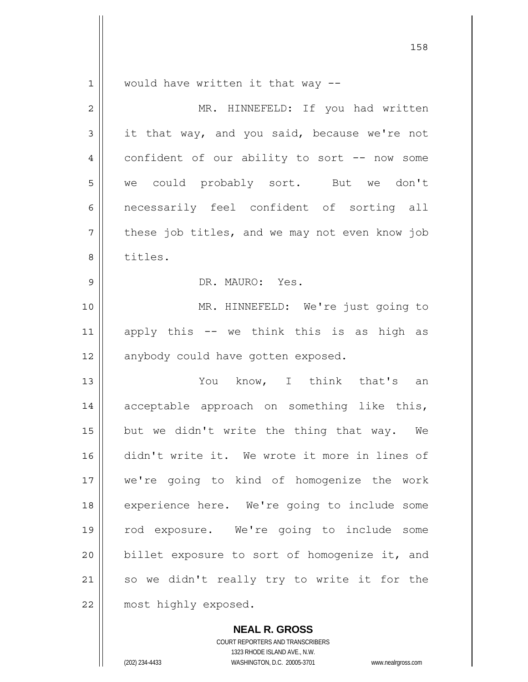1 would have written it that way --

158

| $\overline{2}$ | MR. HINNEFELD: If you had written              |
|----------------|------------------------------------------------|
| 3              | it that way, and you said, because we're not   |
| 4              | confident of our ability to sort -- now some   |
| 5              | we could probably sort. But we don't           |
| 6              | necessarily feel confident of sorting all      |
| 7              | these job titles, and we may not even know job |
| 8              | titles.                                        |
| $\mathsf 9$    | DR. MAURO: Yes.                                |
| 10             | MR. HINNEFELD: We're just going to             |
| 11             | apply this -- we think this is as high as      |
| 12             | anybody could have gotten exposed.             |
| 13             | You know, I think that's an                    |
| 14             | acceptable approach on something like this,    |
| 15             | but we didn't write the thing that way. We     |
| 16             | didn't write it. We wrote it more in lines of  |
| 17             | we're going to kind of homogenize the work     |
| 18             | experience here. We're going to include some   |
| 19             | rod exposure. We're going to include some      |
| 20             | billet exposure to sort of homogenize it, and  |
| 21             | so we didn't really try to write it for the    |
| 22             | most highly exposed.                           |

**NEAL R. GROSS**

COURT REPORTERS AND TRANSCRIBERS 1323 RHODE ISLAND AVE., N.W. (202) 234-4433 WASHINGTON, D.C. 20005-3701 www.nealrgross.com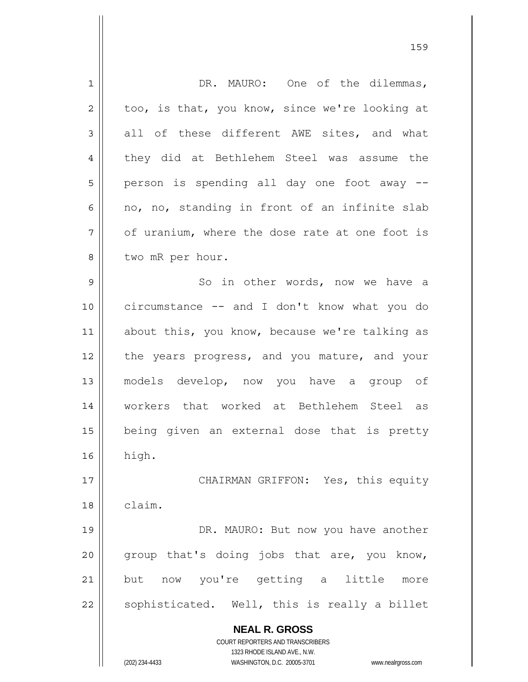| $\mathbf 1$    | DR. MAURO: One of the dilemmas,                                     |
|----------------|---------------------------------------------------------------------|
| $\overline{c}$ | too, is that, you know, since we're looking at                      |
| 3              | all of these different AWE sites, and what                          |
| 4              | they did at Bethlehem Steel was assume the                          |
| 5              | person is spending all day one foot away --                         |
| 6              | no, no, standing in front of an infinite slab                       |
| 7              | of uranium, where the dose rate at one foot is                      |
| 8              | two mR per hour.                                                    |
| 9              | So in other words, now we have a                                    |
| 10             | circumstance -- and I don't know what you do                        |
| 11             | about this, you know, because we're talking as                      |
| 12             | the years progress, and you mature, and your                        |
| 13             | models develop, now you have a group of                             |
| 14             | workers that worked at Bethlehem Steel as                           |
| 15             | being given an external dose that is pretty                         |
| 16             | high.                                                               |
|                |                                                                     |
| 17             | CHAIRMAN GRIFFON: Yes, this equity                                  |
| 18             | claim.                                                              |
| 19             | DR. MAURO: But now you have another                                 |
| 20             | group that's doing jobs that are, you know,                         |
| 21             | now you're getting a little<br>but<br>more                          |
| 22             | sophisticated. Well, this is really a billet                        |
|                | <b>NEAL R. GROSS</b>                                                |
|                | COURT REPORTERS AND TRANSCRIBERS                                    |
|                | 1323 RHODE ISLAND AVE., N.W.                                        |
|                | (202) 234-4433<br>WASHINGTON, D.C. 20005-3701<br>www.nealrgross.com |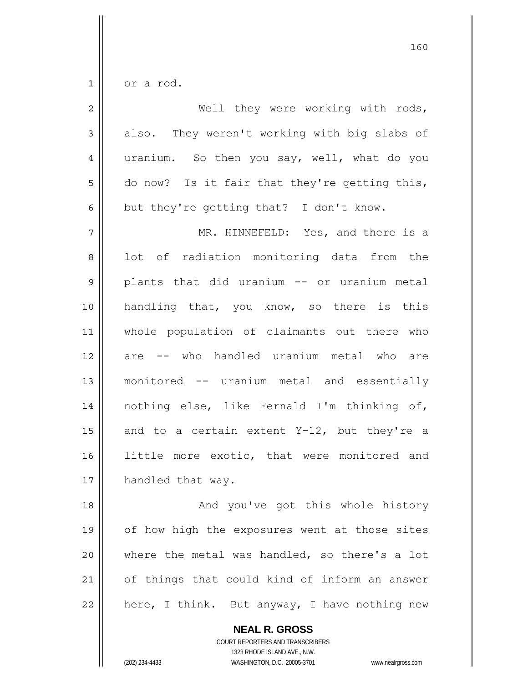$1$ or a rod.

| $\overline{2}$ | Well they were working with rods,             |
|----------------|-----------------------------------------------|
| 3              | also. They weren't working with big slabs of  |
| 4              | uranium. So then you say, well, what do you   |
| 5              | do now? Is it fair that they're getting this, |
| 6              | but they're getting that? I don't know.       |
| 7              | MR. HINNEFELD: Yes, and there is a            |
| 8              | lot of radiation monitoring data from the     |
| $\mathsf{S}$   | plants that did uranium -- or uranium metal   |
| 10             | handling that, you know, so there is this     |
| 11             | whole population of claimants out there who   |
| 12             | are -- who handled uranium metal who are      |
| 13             | monitored -- uranium metal and essentially    |
| 14             | nothing else, like Fernald I'm thinking of,   |
| 15             | and to a certain extent Y-12, but they're a   |
| 16             | little more exotic, that were monitored and   |
| 17             | handled that way.                             |
| 18             | And you've got this whole history             |
| 19             | of how high the exposures went at those sites |
| 20             | where the metal was handled, so there's a lot |
| 21             | of things that could kind of inform an answer |
| 22             | here, I think. But anyway, I have nothing new |

**NEAL R. GROSS** COURT REPORTERS AND TRANSCRIBERS

1323 RHODE ISLAND AVE., N.W.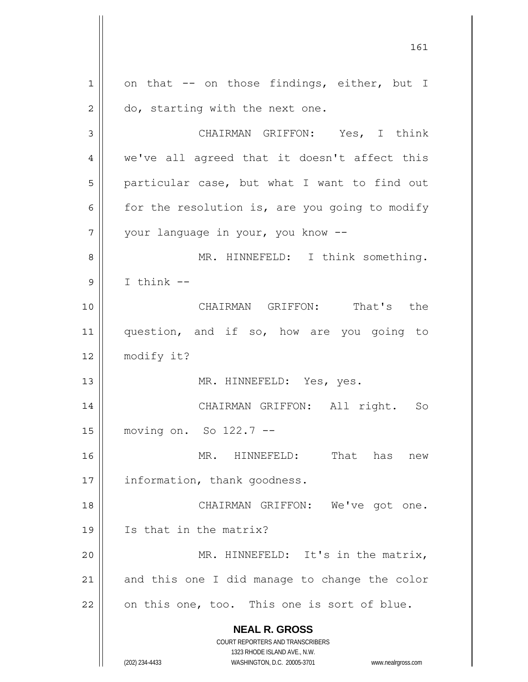**NEAL R. GROSS** COURT REPORTERS AND TRANSCRIBERS 1323 RHODE ISLAND AVE., N.W. (202) 234-4433 WASHINGTON, D.C. 20005-3701 www.nealrgross.com 1 2 3 4 5 6 7 8 9 10 11 12 13 14 15 16 17 18 19 20 21 22 on that -- on those findings, either, but I do, starting with the next one. CHAIRMAN GRIFFON: Yes, I think we've all agreed that it doesn't affect this particular case, but what I want to find out for the resolution is, are you going to modify your language in your, you know -- MR. HINNEFELD: I think something. I think -- CHAIRMAN GRIFFON: That's the question, and if so, how are you going to modify it? MR. HINNEFELD: Yes, yes. CHAIRMAN GRIFFON: All right. So moving on. So 122.7 -- MR. HINNEFELD: That has new information, thank goodness. CHAIRMAN GRIFFON: We've got one. Is that in the matrix? MR. HINNEFELD: It's in the matrix, and this one I did manage to change the color on this one, too. This one is sort of blue.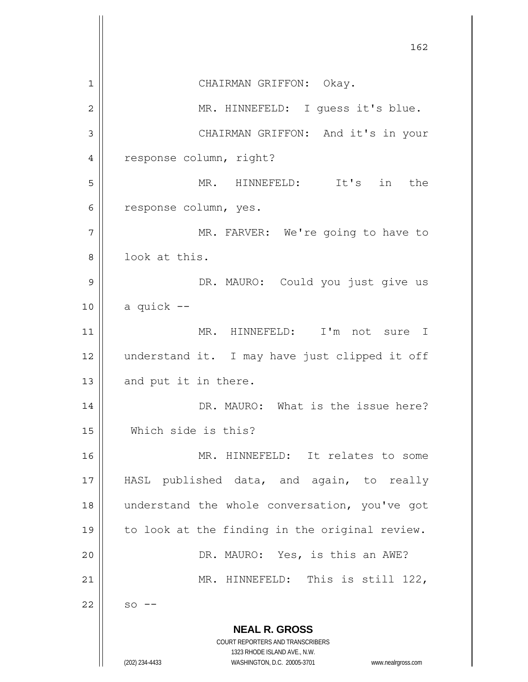**NEAL R. GROSS** COURT REPORTERS AND TRANSCRIBERS 1323 RHODE ISLAND AVE., N.W. (202) 234-4433 WASHINGTON, D.C. 20005-3701 www.nealrgross.com <u>162</u> 1 2 3 4 5 6 7 8 9 10 11 12 13 14 15 16 17 18 19 20 21 22 CHAIRMAN GRIFFON: Okay. MR. HINNEFELD: I guess it's blue. CHAIRMAN GRIFFON: And it's in your response column, right? MR. HINNEFELD: It's in the response column, yes. MR. FARVER: We're going to have to look at this. DR. MAURO: Could you just give us a quick -- MR. HINNEFELD: I'm not sure I understand it. I may have just clipped it off and put it in there. DR. MAURO: What is the issue here? Which side is this? MR. HINNEFELD: It relates to some HASL published data, and again, to really understand the whole conversation, you've got to look at the finding in the original review. DR. MAURO: Yes, is this an AWE? MR. HINNEFELD: This is still 122,  $so$   $--$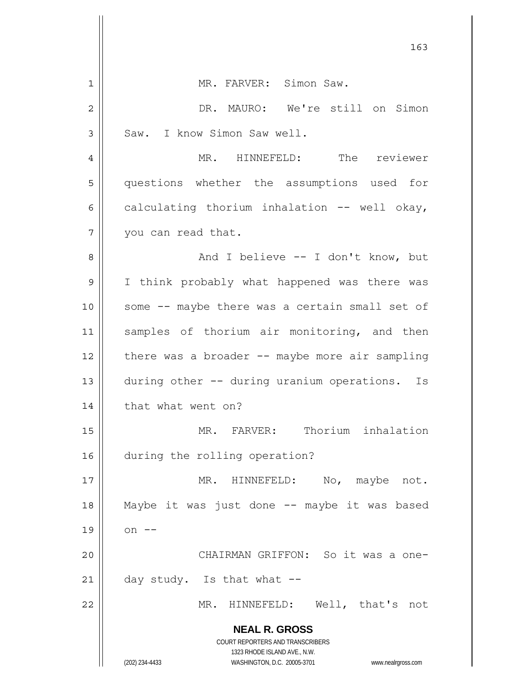| 163                                                                                                 |
|-----------------------------------------------------------------------------------------------------|
| MR. FARVER: Simon Saw.<br>1                                                                         |
| DR. MAURO: We're still on Simon<br>$\overline{2}$                                                   |
| Saw. I know Simon Saw well.<br>3                                                                    |
| MR. HINNEFELD: The reviewer<br>4                                                                    |
| 5<br>questions whether the assumptions used for                                                     |
| calculating thorium inhalation -- well okay,<br>6                                                   |
| 7<br>you can read that.                                                                             |
| And I believe -- I don't know, but<br>8                                                             |
| 9<br>I think probably what happened was there was                                                   |
| 10<br>some -- maybe there was a certain small set of                                                |
| samples of thorium air monitoring, and then<br>11                                                   |
| there was a broader $--$ maybe more air sampling<br>12                                              |
| during other -- during uranium operations.<br>13<br>Is                                              |
| that what went on?<br>14                                                                            |
| MR. FARVER: Thorium inhalation<br>15                                                                |
| during the rolling operation?<br>16                                                                 |
| MR. HINNEFELD: No, maybe not.<br>17                                                                 |
| Maybe it was just done -- maybe it was based<br>18                                                  |
| 19<br>on $--$                                                                                       |
| CHAIRMAN GRIFFON: So it was a one-<br>20                                                            |
| 21<br>day study. Is that what --                                                                    |
| MR. HINNEFELD: Well, that's not<br>22                                                               |
| <b>NEAL R. GROSS</b>                                                                                |
| COURT REPORTERS AND TRANSCRIBERS                                                                    |
| 1323 RHODE ISLAND AVE., N.W.<br>(202) 234-4433<br>WASHINGTON, D.C. 20005-3701<br>www.nealrgross.com |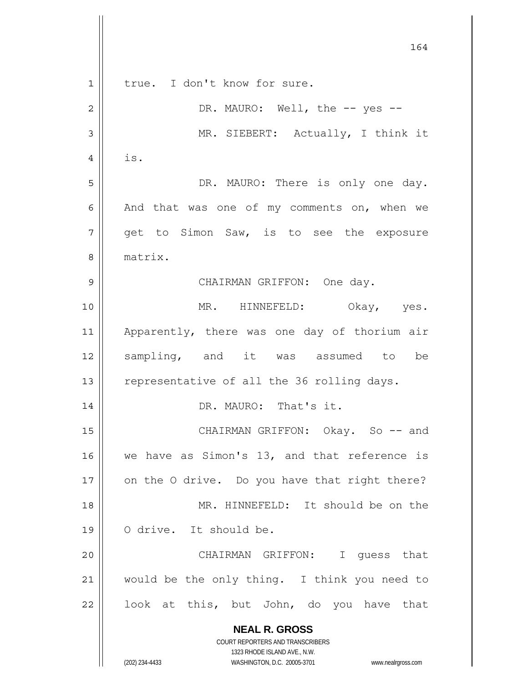|                | 164                                                                 |
|----------------|---------------------------------------------------------------------|
| $\mathbf 1$    | true. I don't know for sure.                                        |
| $\overline{c}$ | DR. MAURO: Well, the -- yes --                                      |
| 3              | MR. SIEBERT: Actually, I think it                                   |
| 4              | is.                                                                 |
| 5              | DR. MAURO: There is only one day.                                   |
| 6              | And that was one of my comments on, when we                         |
| 7              | get to Simon Saw, is to see the exposure                            |
| 8              | matrix.                                                             |
| 9              | CHAIRMAN GRIFFON: One day.                                          |
| 10             | MR. HINNEFELD: Okay, yes.                                           |
| 11             | Apparently, there was one day of thorium air                        |
| 12             | sampling, and it was assumed to be                                  |
| 13             | representative of all the 36 rolling days.                          |
| 14             | DR. MAURO: That's it.                                               |
| 15             | CHAIRMAN GRIFFON: Okay. So -- and                                   |
| 16             | we have as Simon's 13, and that reference is                        |
| 17             | on the O drive. Do you have that right there?                       |
| 18             | MR. HINNEFELD: It should be on the                                  |
| 19             | O drive. It should be.                                              |
| 20             | CHAIRMAN GRIFFON: I quess that                                      |
| 21             | would be the only thing. I think you need to                        |
| 22             | look at this, but John, do you have that                            |
|                | <b>NEAL R. GROSS</b>                                                |
|                | COURT REPORTERS AND TRANSCRIBERS<br>1323 RHODE ISLAND AVE., N.W.    |
|                | (202) 234-4433<br>WASHINGTON, D.C. 20005-3701<br>www.nealrgross.com |

 $\overline{\phantom{a}}$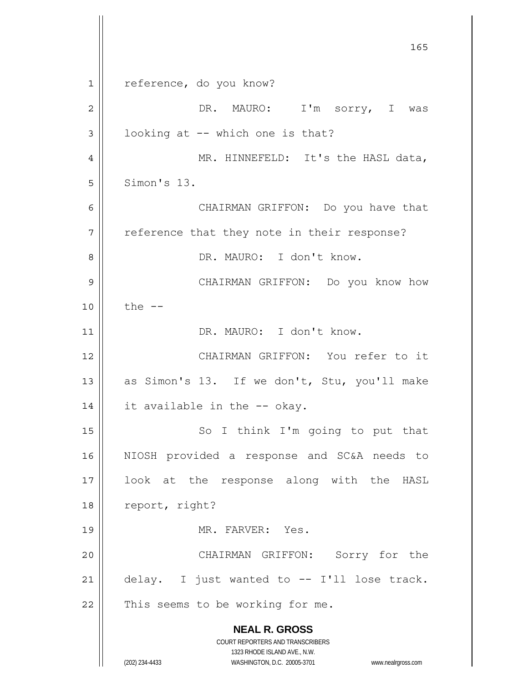**NEAL R. GROSS** COURT REPORTERS AND TRANSCRIBERS 1323 RHODE ISLAND AVE., N.W. (202) 234-4433 WASHINGTON, D.C. 20005-3701 www.nealrgross.com <u>165</u> 1 2 3 4 5 6 7 8 9 10 11 12 13 14 15 16 17 18 19 20 21 22 reference, do you know? DR. MAURO: I'm sorry, I was looking at -- which one is that? MR. HINNEFELD: It's the HASL data, Simon's 13. CHAIRMAN GRIFFON: Do you have that reference that they note in their response? DR. MAURO: I don't know. CHAIRMAN GRIFFON: Do you know how the  $-$  DR. MAURO: I don't know. CHAIRMAN GRIFFON: You refer to it as Simon's 13. If we don't, Stu, you'll make it available in the -- okay. So I think I'm going to put that NIOSH provided a response and SC&A needs to look at the response along with the HASL report, right? MR. FARVER: Yes. CHAIRMAN GRIFFON: Sorry for the delay. I just wanted to -- I'll lose track. This seems to be working for me.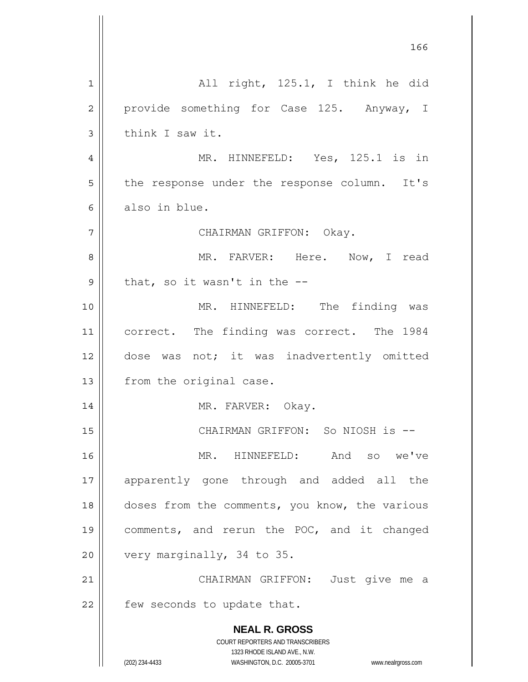|                | 166                                                                                                 |
|----------------|-----------------------------------------------------------------------------------------------------|
| $\mathbf{1}$   | All right, 125.1, I think he did                                                                    |
| $\overline{2}$ | provide something for Case 125. Anyway, I                                                           |
| 3              | think I saw it.                                                                                     |
| 4              | MR. HINNEFELD: Yes, 125.1 is in                                                                     |
| 5              | the response under the response column. It's                                                        |
| 6              | also in blue.                                                                                       |
| 7              | CHAIRMAN GRIFFON: Okay.                                                                             |
| 8              | MR. FARVER: Here. Now, I read                                                                       |
| 9              | that, so it wasn't in the $-$ -                                                                     |
| 10             | MR. HINNEFELD: The finding was                                                                      |
| 11             | correct. The finding was correct. The 1984                                                          |
| 12             | dose was not; it was inadvertently omitted                                                          |
| 13             | from the original case.                                                                             |
| 14             | MR. FARVER: Okay.                                                                                   |
| 15             | CHAIRMAN GRIFFON: So NIOSH is --                                                                    |
| 16             | MR. HINNEFELD: And so we've                                                                         |
| 17             | apparently gone through and added all the                                                           |
| 18             | doses from the comments, you know, the various                                                      |
| 19             | comments, and rerun the POC, and it changed                                                         |
| 20             | very marginally, 34 to 35.                                                                          |
| 21             | CHAIRMAN GRIFFON: Just give me a                                                                    |
| 22             | few seconds to update that.                                                                         |
|                | <b>NEAL R. GROSS</b>                                                                                |
|                | COURT REPORTERS AND TRANSCRIBERS                                                                    |
|                | 1323 RHODE ISLAND AVE., N.W.<br>(202) 234-4433<br>WASHINGTON, D.C. 20005-3701<br>www.nealrgross.com |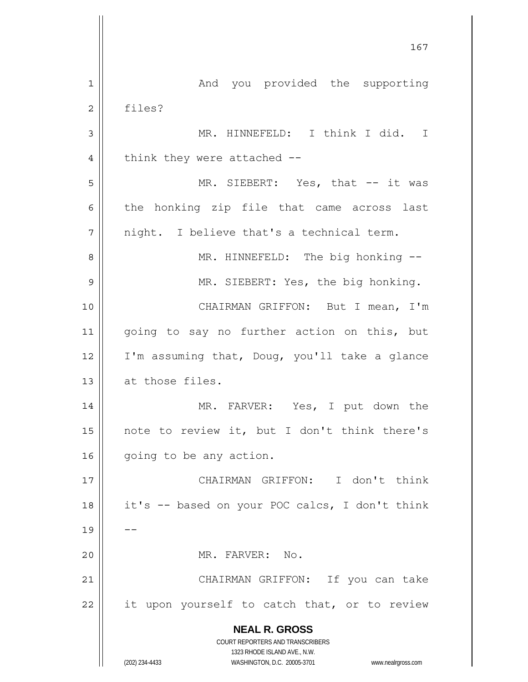**NEAL R. GROSS** COURT REPORTERS AND TRANSCRIBERS 1323 RHODE ISLAND AVE., N.W. (202) 234-4433 WASHINGTON, D.C. 20005-3701 www.nealrgross.com 167 1 2 3 4 5 6 7 8 9 10 11 12 13 14 15 16 17 18 19 20 21 22 And you provided the supporting files? MR. HINNEFELD: I think I did. I think they were attached -- MR. SIEBERT: Yes, that -- it was the honking zip file that came across last night. I believe that's a technical term. MR. HINNEFELD: The big honking -- MR. SIEBERT: Yes, the big honking. CHAIRMAN GRIFFON: But I mean, I'm going to say no further action on this, but I'm assuming that, Doug, you'll take a glance at those files. MR. FARVER: Yes, I put down the note to review it, but I don't think there's going to be any action. CHAIRMAN GRIFFON: I don't think it's -- based on your POC calcs, I don't think -- MR. FARVER: No. CHAIRMAN GRIFFON: If you can take it upon yourself to catch that, or to review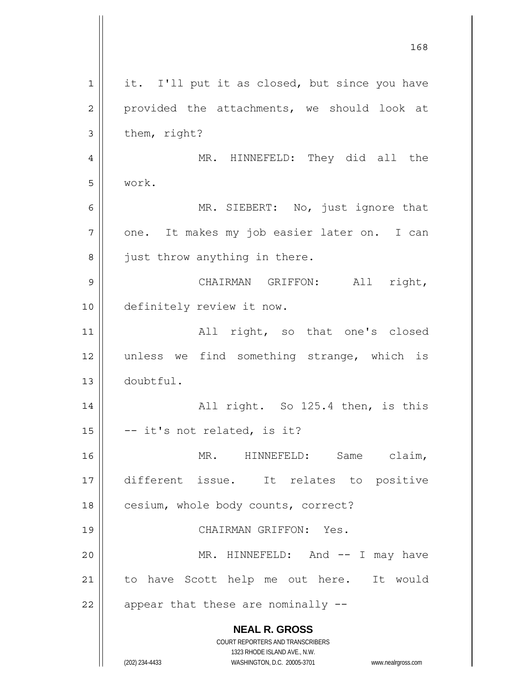|                | 168                                                                 |
|----------------|---------------------------------------------------------------------|
| $\mathbf 1$    | it. I'll put it as closed, but since you have                       |
| $\overline{c}$ | provided the attachments, we should look at                         |
| 3              | them, right?                                                        |
| 4              | MR. HINNEFELD: They did all the                                     |
| 5              | work.                                                               |
| 6              | MR. SIEBERT: No, just ignore that                                   |
| 7              | one. It makes my job easier later on. I can                         |
| 8              | just throw anything in there.                                       |
| 9              | CHAIRMAN GRIFFON: All right,                                        |
| 10             | definitely review it now.                                           |
| 11             | All right, so that one's closed                                     |
| 12             | unless we find something strange, which is                          |
| 13             | doubtful.                                                           |
| 14             | All right. So 125.4 then, is this                                   |
| 15             | -- it's not related, is it?                                         |
| 16             | MR. HINNEFELD: Same claim,                                          |
| 17             | different issue. It relates to positive                             |
| 18             | cesium, whole body counts, correct?                                 |
| 19             | CHAIRMAN GRIFFON: Yes.                                              |
| 20             | MR. HINNEFELD: And -- I may have                                    |
| 21             | to have Scott help me out here. It would                            |
| 22             | appear that these are nominally --                                  |
|                | <b>NEAL R. GROSS</b>                                                |
|                | COURT REPORTERS AND TRANSCRIBERS<br>1323 RHODE ISLAND AVE., N.W.    |
|                | (202) 234-4433<br>WASHINGTON, D.C. 20005-3701<br>www.nealrgross.com |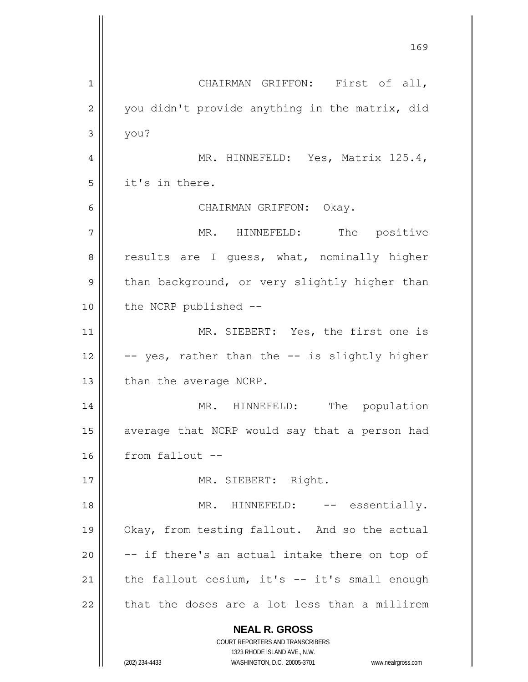**NEAL R. GROSS** COURT REPORTERS AND TRANSCRIBERS 1323 RHODE ISLAND AVE., N.W. (202) 234-4433 WASHINGTON, D.C. 20005-3701 www.nealrgross.com 169 1 2 3 4 5 6 7 8 9 10 11 12 13 14 15 16 17 18 19 20 21 22 CHAIRMAN GRIFFON: First of all, you didn't provide anything in the matrix, did you? MR. HINNEFELD: Yes, Matrix 125.4, it's in there. CHAIRMAN GRIFFON: Okay. MR. HINNEFELD: The positive results are I guess, what, nominally higher than background, or very slightly higher than the NCRP published -- MR. SIEBERT: Yes, the first one is -- yes, rather than the -- is slightly higher than the average NCRP. MR. HINNEFELD: The population average that NCRP would say that a person had from fallout -- MR. SIEBERT: Right. MR. HINNEFELD: -- essentially. Okay, from testing fallout. And so the actual -- if there's an actual intake there on top of the fallout cesium, it's -- it's small enough that the doses are a lot less than a millirem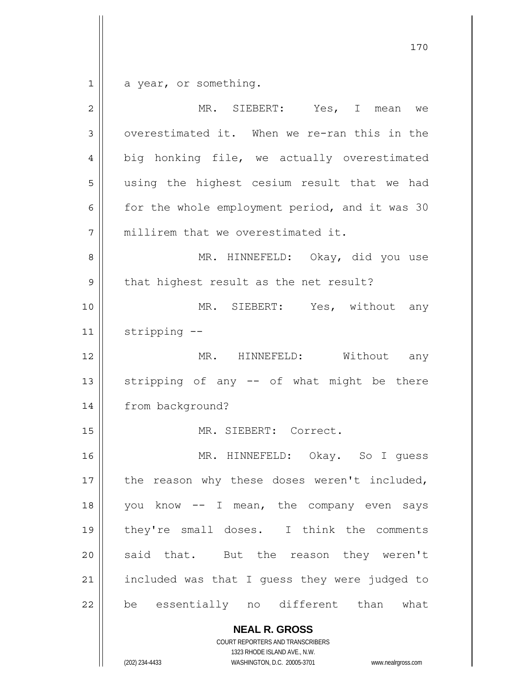$\begin{array}{c|c|c|c} 1 & 1 \\ \hline \end{array}$ a year, or something.

| $\overline{2}$ | MR. SIEBERT: Yes, I mean we                    |
|----------------|------------------------------------------------|
| 3              | overestimated it. When we re-ran this in the   |
| 4              | big honking file, we actually overestimated    |
| 5              | using the highest cesium result that we had    |
| 6              | for the whole employment period, and it was 30 |
| 7              | millirem that we overestimated it.             |
| 8              | MR. HINNEFELD: Okay, did you use               |
| $\mathsf 9$    | that highest result as the net result?         |
| 10             | MR. SIEBERT: Yes, without any                  |
| 11             | stripping --                                   |
| 12             | MR. HINNEFELD: Without any                     |
| 13             | stripping of any -- of what might be there     |
| 14             | from background?                               |
| 15             | MR. SIEBERT: Correct.                          |
| 16             | MR. HINNEFELD: Okay. So I guess                |
| $17$           | the reason why these doses weren't included,   |
| 18             | you know -- I mean, the company even says      |
| 19             | they're small doses. I think the comments      |
| 20             | said that. But the reason they weren't         |
| 21             | included was that I guess they were judged to  |
| 22             | be essentially no different than what          |
|                | <b>NEAL R. GROSS</b>                           |

COURT REPORTERS AND TRANSCRIBERS 1323 RHODE ISLAND AVE., N.W.

 $\mathsf{II}$ 

(202) 234-4433 WASHINGTON, D.C. 20005-3701 www.nealrgross.com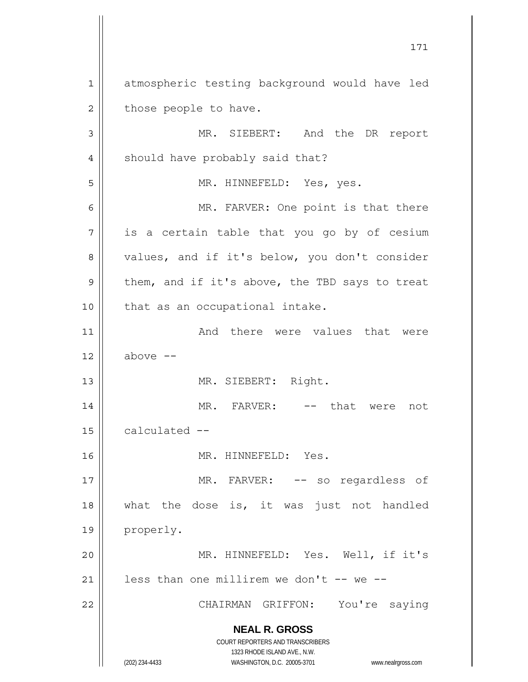**NEAL R. GROSS** COURT REPORTERS AND TRANSCRIBERS 1323 RHODE ISLAND AVE., N.W. (202) 234-4433 WASHINGTON, D.C. 20005-3701 www.nealrgross.com 171 1 2 3 4 5 6 7 8 9 10 11 12 13 14 15 16 17 18 19 20 21 22 atmospheric testing background would have led those people to have. MR. SIEBERT: And the DR report should have probably said that? MR. HINNEFELD: Yes, yes. MR. FARVER: One point is that there is a certain table that you go by of cesium values, and if it's below, you don't consider them, and if it's above, the TBD says to treat that as an occupational intake. And there were values that were above -- MR. SIEBERT: Right. MR. FARVER: -- that were not calculated -- MR. HINNEFELD: Yes. MR. FARVER: -- so regardless of what the dose is, it was just not handled properly. MR. HINNEFELD: Yes. Well, if it's less than one millirem we don't  $-$ - we  $-$ -CHAIRMAN GRIFFON: You're saying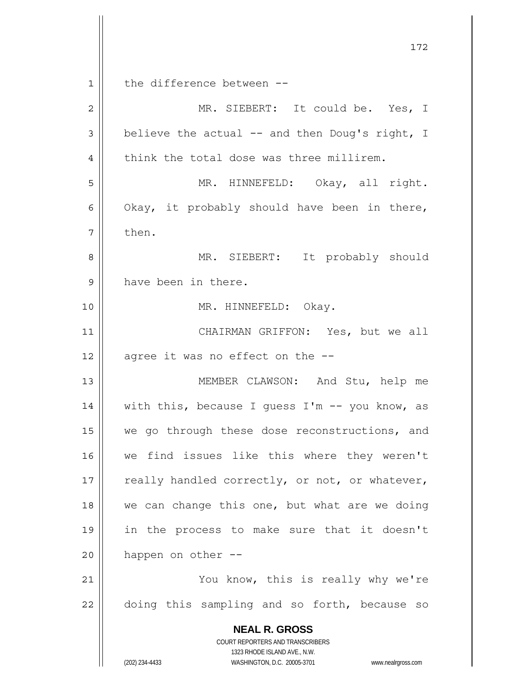**NEAL R. GROSS** COURT REPORTERS AND TRANSCRIBERS 1323 RHODE ISLAND AVE., N.W. (202) 234-4433 WASHINGTON, D.C. 20005-3701 www.nealrgross.com 172 1 2 3 4 5 6 7 8 9 10 11 12 13 14 15 16 17 18 19 20 21 22 the difference between -- MR. SIEBERT: It could be. Yes, I believe the actual -- and then Doug's right, I think the total dose was three millirem. MR. HINNEFELD: Okay, all right. Okay, it probably should have been in there, then. MR. SIEBERT: It probably should have been in there. MR. HINNEFELD: Okay. CHAIRMAN GRIFFON: Yes, but we all agree it was no effect on the -- MEMBER CLAWSON: And Stu, help me with this, because I guess I'm -- you know, as we go through these dose reconstructions, and we find issues like this where they weren't really handled correctly, or not, or whatever, we can change this one, but what are we doing in the process to make sure that it doesn't happen on other -- You know, this is really why we're doing this sampling and so forth, because so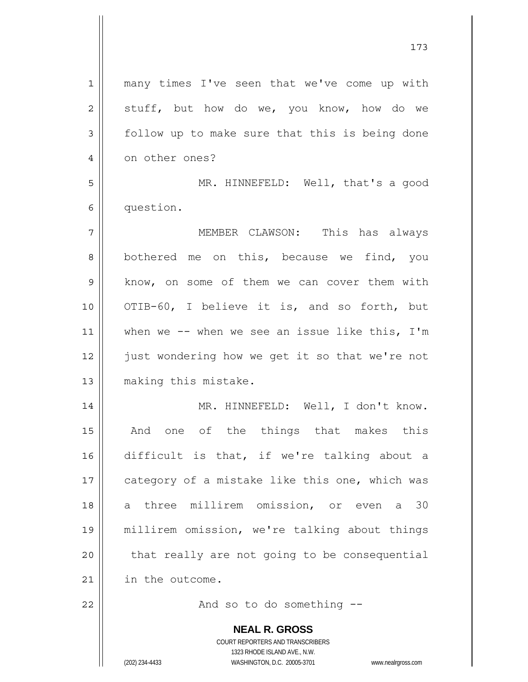| $\mathbf 1$    | many times I've seen that we've come up with                        |
|----------------|---------------------------------------------------------------------|
| $\overline{c}$ | stuff, but how do we, you know, how do we                           |
| 3              | follow up to make sure that this is being done                      |
| $\overline{4}$ | on other ones?                                                      |
| 5              | MR. HINNEFELD: Well, that's a good                                  |
| 6              | question.                                                           |
| 7              | MEMBER CLAWSON: This has always                                     |
| 8              | bothered me on this, because we find, you                           |
| $\mathcal{G}$  | know, on some of them we can cover them with                        |
| 10             | OTIB-60, I believe it is, and so forth, but                         |
| 11             | when we $--$ when we see an issue like this, $I'm$                  |
| 12             | just wondering how we get it so that we're not                      |
| 13             | making this mistake.                                                |
| 14             | MR. HINNEFELD: Well, I don't know.                                  |
| 15             | And one of the things that makes this                               |
| 16             | difficult is that, if we're talking about a                         |
| 17             | category of a mistake like this one, which was                      |
| 18             | three millirem omission, or even a 30<br>a                          |
| 19             | millirem omission, we're talking about things                       |
| 20             | that really are not going to be consequential                       |
| 21             | in the outcome.                                                     |
| 22             | And so to do something --                                           |
|                | <b>NEAL R. GROSS</b>                                                |
|                | COURT REPORTERS AND TRANSCRIBERS                                    |
|                | 1323 RHODE ISLAND AVE., N.W.                                        |
|                | (202) 234-4433<br>WASHINGTON, D.C. 20005-3701<br>www.nealrgross.com |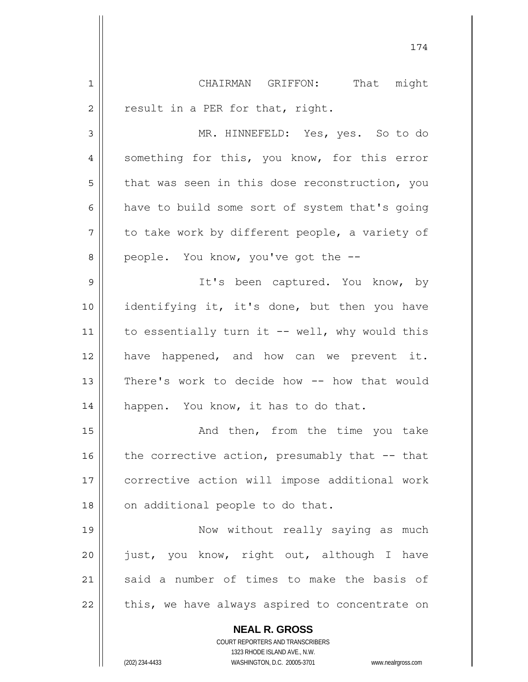**NEAL R. GROSS** COURT REPORTERS AND TRANSCRIBERS 1 2 3 4 5 6 7 8 9 10 11 12 13 14 15 16 17 18 19 20 21 22 CHAIRMAN GRIFFON: That might result in a PER for that, right. MR. HINNEFELD: Yes, yes. So to do something for this, you know, for this error that was seen in this dose reconstruction, you have to build some sort of system that's going to take work by different people, a variety of people. You know, you've got the -- It's been captured. You know, by identifying it, it's done, but then you have to essentially turn it -- well, why would this have happened, and how can we prevent it. There's work to decide how -- how that would happen. You know, it has to do that. And then, from the time you take the corrective action, presumably that -- that corrective action will impose additional work on additional people to do that. Now without really saying as much just, you know, right out, although I have said a number of times to make the basis of this, we have always aspired to concentrate on

174

1323 RHODE ISLAND AVE., N.W.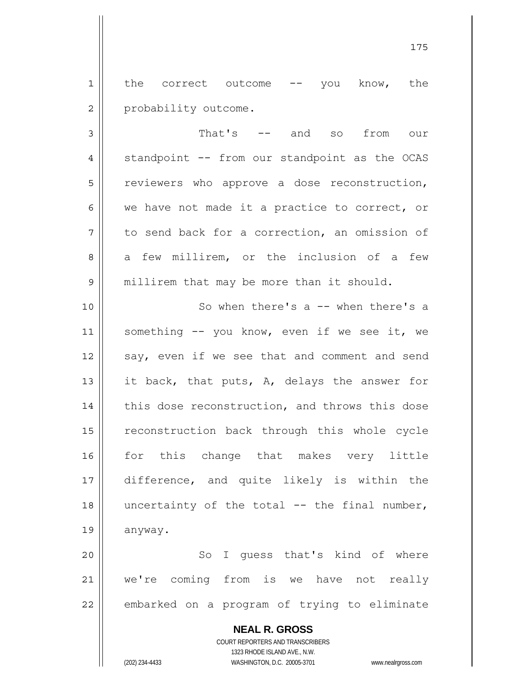1 2 the correct outcome -- you know, the probability outcome.

3 4 5 6 7 8 9 That's -- and so from our standpoint -- from our standpoint as the OCAS reviewers who approve a dose reconstruction, we have not made it a practice to correct, or to send back for a correction, an omission of a few millirem, or the inclusion of a few millirem that may be more than it should.

10 11 12 13 14 15 16 17 18 19 So when there's a -- when there's a something -- you know, even if we see it, we say, even if we see that and comment and send it back, that puts, A, delays the answer for this dose reconstruction, and throws this dose reconstruction back through this whole cycle for this change that makes very little difference, and quite likely is within the uncertainty of the total  $--$  the final number, anyway.

20 21 22 So I guess that's kind of where we're coming from is we have not really embarked on a program of trying to eliminate

> **NEAL R. GROSS** COURT REPORTERS AND TRANSCRIBERS 1323 RHODE ISLAND AVE., N.W. (202) 234-4433 WASHINGTON, D.C. 20005-3701 www.nealrgross.com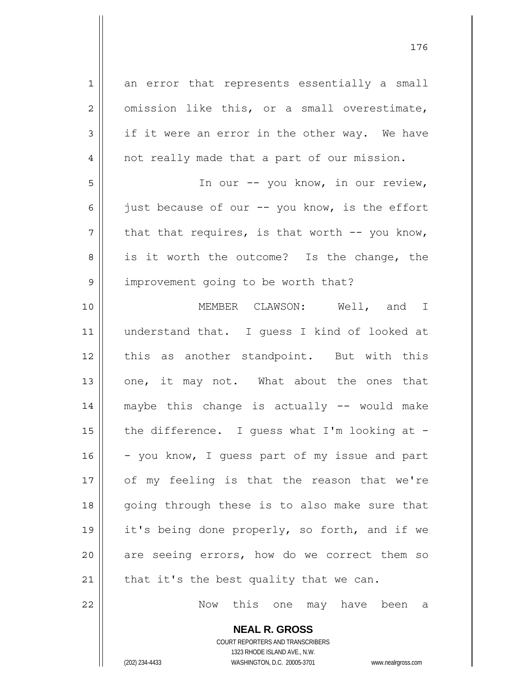1 2 3 4 5 6 7 8 9 10 11 12 13 14 15 16 17 18 19 20 21 an error that represents essentially a small omission like this, or a small overestimate, if it were an error in the other way. We have not really made that a part of our mission. In our -- you know, in our review, just because of our -- you know, is the effort that that requires, is that worth -- you know, is it worth the outcome? Is the change, the improvement going to be worth that? MEMBER CLAWSON: Well, and I understand that. I guess I kind of looked at this as another standpoint. But with this one, it may not. What about the ones that maybe this change is actually -- would make the difference. I guess what I'm looking at - - you know, I guess part of my issue and part of my feeling is that the reason that we're going through these is to also make sure that it's being done properly, so forth, and if we are seeing errors, how do we correct them so that it's the best quality that we can.

Now this one may have been a

**NEAL R. GROSS** COURT REPORTERS AND TRANSCRIBERS 1323 RHODE ISLAND AVE., N.W. (202) 234-4433 WASHINGTON, D.C. 20005-3701 www.nealrgross.com

22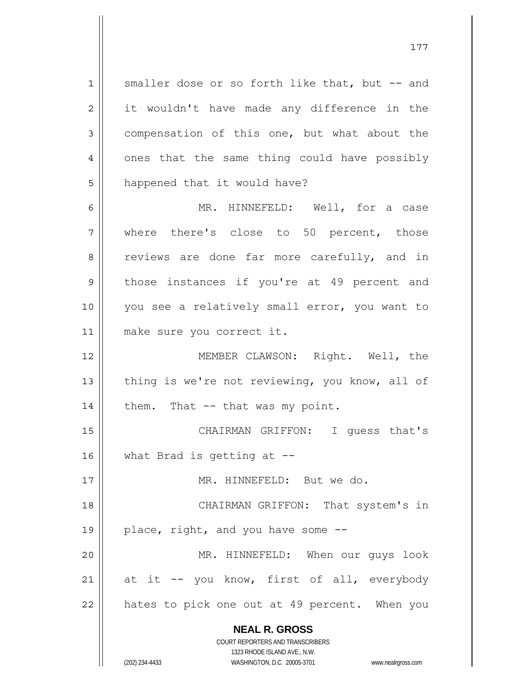1 2 3 4 5 6 7 8 9 10 11 12 13 14 15 16 17 18 19 20 21 22 smaller dose or so forth like that, but -- and it wouldn't have made any difference in the compensation of this one, but what about the ones that the same thing could have possibly happened that it would have? MR. HINNEFELD: Well, for a case where there's close to 50 percent, those reviews are done far more carefully, and in those instances if you're at 49 percent and you see a relatively small error, you want to make sure you correct it. MEMBER CLAWSON: Right. Well, the thing is we're not reviewing, you know, all of them. That -- that was my point. CHAIRMAN GRIFFON: I guess that's what Brad is getting at -- MR. HINNEFELD: But we do. CHAIRMAN GRIFFON: That system's in place, right, and you have some -- MR. HINNEFELD: When our guys look at it -- you know, first of all, everybody hates to pick one out at 49 percent. When you

177

**NEAL R. GROSS** COURT REPORTERS AND TRANSCRIBERS

1323 RHODE ISLAND AVE., N.W. (202) 234-4433 WASHINGTON, D.C. 20005-3701 www.nealrgross.com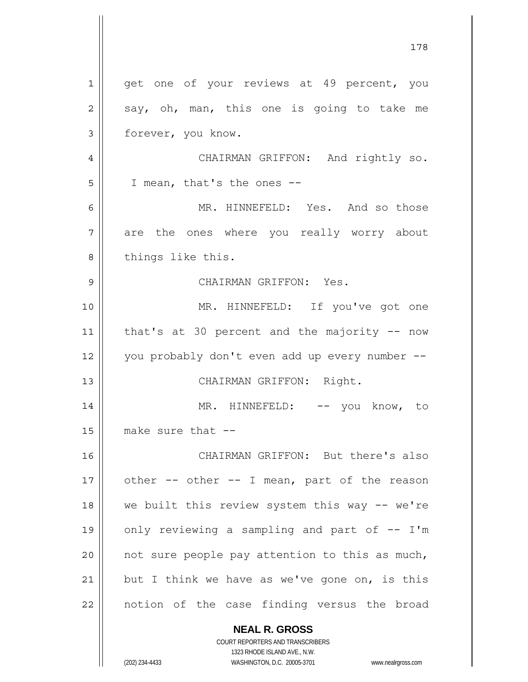|    | 178                                            |
|----|------------------------------------------------|
| 1  | get one of your reviews at 49 percent, you     |
| 2  | say, oh, man, this one is going to take me     |
| 3  | forever, you know.                             |
| 4  | CHAIRMAN GRIFFON: And rightly so.              |
| 5  | I mean, that's the ones --                     |
| 6  | MR. HINNEFELD: Yes. And so those               |
| 7  | are the ones where you really worry about      |
| 8  | things like this.                              |
| 9  | CHAIRMAN GRIFFON: Yes.                         |
| 10 | MR. HINNEFELD: If you've got one               |
| 11 | that's at 30 percent and the majority $-$ now  |
| 12 | you probably don't even add up every number -- |
| 13 | CHAIRMAN GRIFFON: Right.                       |
| 14 | MR. HINNEFELD: -- you know, to                 |
| 15 | make sure that --                              |
| 16 | CHAIRMAN GRIFFON: But there's also             |
| 17 | other -- other -- I mean, part of the reason   |
| 18 | we built this review system this way -- we're  |
| 19 | only reviewing a sampling and part of -- I'm   |
| 20 | not sure people pay attention to this as much, |
| 21 | but I think we have as we've gone on, is this  |
| 22 | notion of the case finding versus the broad    |
|    | <b>NEAL R. GROSS</b>                           |

COURT REPORTERS AND TRANSCRIBERS 1323 RHODE ISLAND AVE., N.W.

 $\mathsf{II}$ 

 $\overline{\phantom{a}}$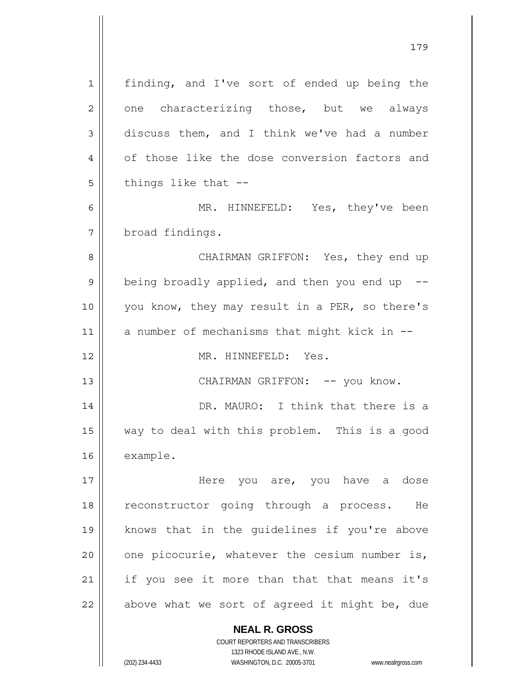**NEAL R. GROSS** 1 2 3 4 5 6 7 8 9 10 11 12 13 14 15 16 17 18 19 20 21 22 finding, and I've sort of ended up being the one characterizing those, but we always discuss them, and I think we've had a number of those like the dose conversion factors and things like that -- MR. HINNEFELD: Yes, they've been broad findings. CHAIRMAN GRIFFON: Yes, they end up being broadly applied, and then you end up  $-$ you know, they may result in a PER, so there's a number of mechanisms that might kick in -- MR. HINNEFELD: Yes. CHAIRMAN GRIFFON: -- you know. DR. MAURO: I think that there is a way to deal with this problem. This is a good example. Here you are, you have a dose reconstructor going through a process. He knows that in the guidelines if you're above one picocurie, whatever the cesium number is, if you see it more than that that means it's above what we sort of agreed it might be, due

179

1323 RHODE ISLAND AVE., N.W. (202) 234-4433 WASHINGTON, D.C. 20005-3701 www.nealrgross.com

COURT REPORTERS AND TRANSCRIBERS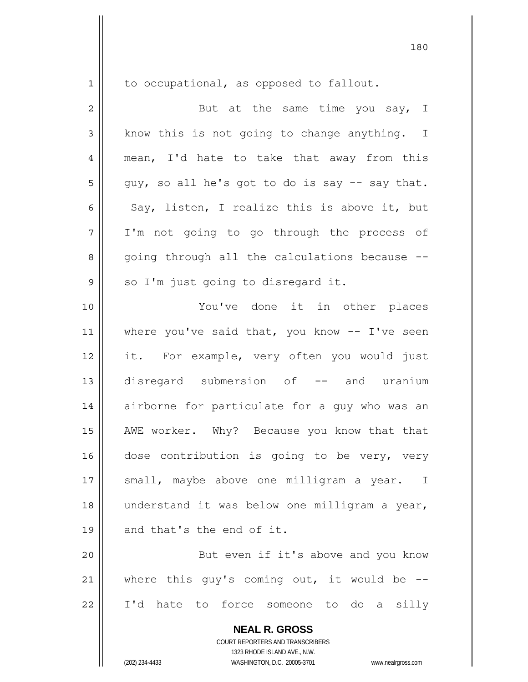1

to occupational, as opposed to fallout.

2 3 4 5 6 7 8 9 10 11 12 13 14 15 16 17 18 19 20 21 But at the same time you say, I know this is not going to change anything. I mean, I'd hate to take that away from this guy, so all he's got to do is say -- say that. Say, listen, I realize this is above it, but I'm not going to go through the process of going through all the calculations because - so I'm just going to disregard it. You've done it in other places where you've said that, you know  $-$ - I've seen it. For example, very often you would just disregard submersion of -- and uranium airborne for particulate for a guy who was an AWE worker. Why? Because you know that that dose contribution is going to be very, very small, maybe above one milligram a year. I understand it was below one milligram a year, and that's the end of it. But even if it's above and you know where this guy's coming out, it would be --

22

**NEAL R. GROSS** COURT REPORTERS AND TRANSCRIBERS

I'd hate to force someone to do a silly

1323 RHODE ISLAND AVE., N.W.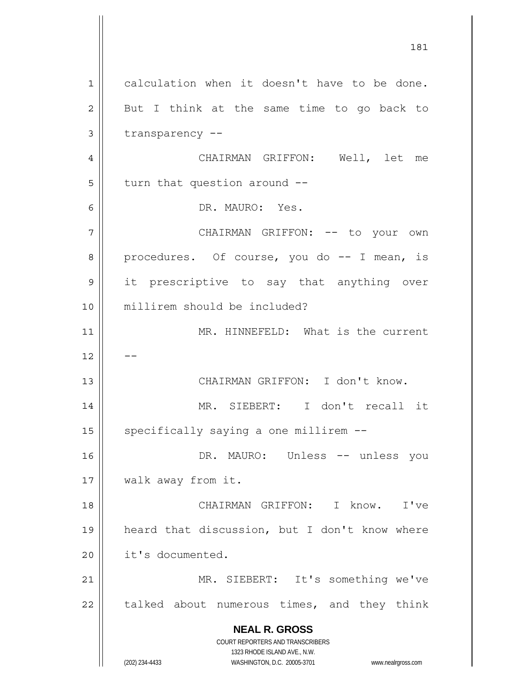**NEAL R. GROSS** COURT REPORTERS AND TRANSCRIBERS 1323 RHODE ISLAND AVE., N.W. (202) 234-4433 WASHINGTON, D.C. 20005-3701 www.nealrgross.com 181 1 2 3 4 5 6 7 8 9 10 11 12 13 14 15 16 17 18 19 20 21 22 calculation when it doesn't have to be done. But I think at the same time to go back to transparency -- CHAIRMAN GRIFFON: Well, let me turn that question around -- DR. MAURO: Yes. CHAIRMAN GRIFFON: -- to your own procedures. Of course, you do -- I mean, is it prescriptive to say that anything over millirem should be included? MR. HINNEFELD: What is the current -- CHAIRMAN GRIFFON: I don't know. MR. SIEBERT: I don't recall it specifically saying a one millirem -- DR. MAURO: Unless -- unless you walk away from it. CHAIRMAN GRIFFON: I know. I've heard that discussion, but I don't know where it's documented. MR. SIEBERT: It's something we've talked about numerous times, and they think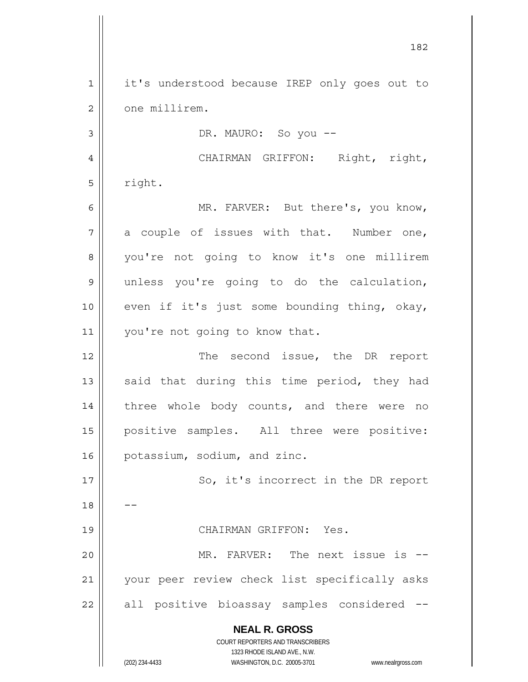**NEAL R. GROSS** COURT REPORTERS AND TRANSCRIBERS 1323 RHODE ISLAND AVE., N.W. (202) 234-4433 WASHINGTON, D.C. 20005-3701 www.nealrgross.com 1 2 3 4 5 6 7 8 9 10 11 12 13 14 15 16 17 18 19 20 21 22 it's understood because IREP only goes out to one millirem. DR. MAURO: So you -- CHAIRMAN GRIFFON: Right, right, right. MR. FARVER: But there's, you know, a couple of issues with that. Number one, you're not going to know it's one millirem unless you're going to do the calculation, even if it's just some bounding thing, okay, you're not going to know that. The second issue, the DR report said that during this time period, they had three whole body counts, and there were no positive samples. All three were positive: potassium, sodium, and zinc. So, it's incorrect in the DR report -- CHAIRMAN GRIFFON: Yes. MR. FARVER: The next issue is -your peer review check list specifically asks all positive bioassay samples considered --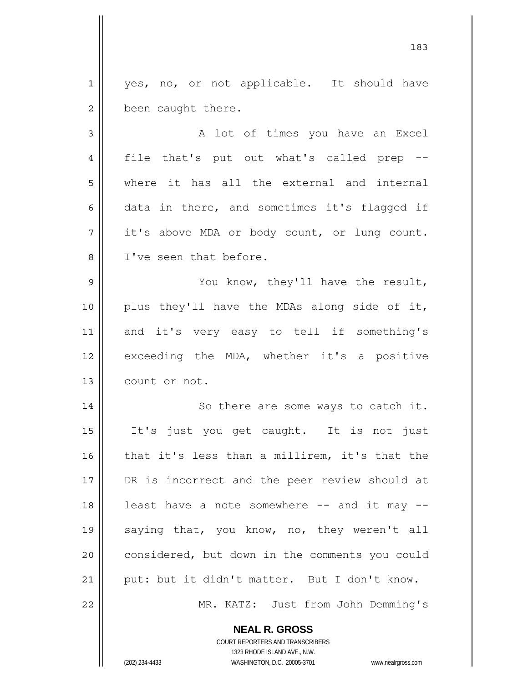1 2 yes, no, or not applicable. It should have been caught there.

3 4 5 6 7 8 A lot of times you have an Excel file that's put out what's called prep - where it has all the external and internal data in there, and sometimes it's flagged if it's above MDA or body count, or lung count. I've seen that before.

9 10 11 12 13 You know, they'll have the result, plus they'll have the MDAs along side of it, and it's very easy to tell if something's exceeding the MDA, whether it's a positive count or not.

14 15 16 17 18 19 20 21 22 So there are some ways to catch it. It's just you get caught. It is not just that it's less than a millirem, it's that the DR is incorrect and the peer review should at least have a note somewhere  $--$  and it may  $-$ saying that, you know, no, they weren't all considered, but down in the comments you could put: but it didn't matter. But I don't know. MR. KATZ: Just from John Demming's

> **NEAL R. GROSS** COURT REPORTERS AND TRANSCRIBERS

> > 1323 RHODE ISLAND AVE., N.W.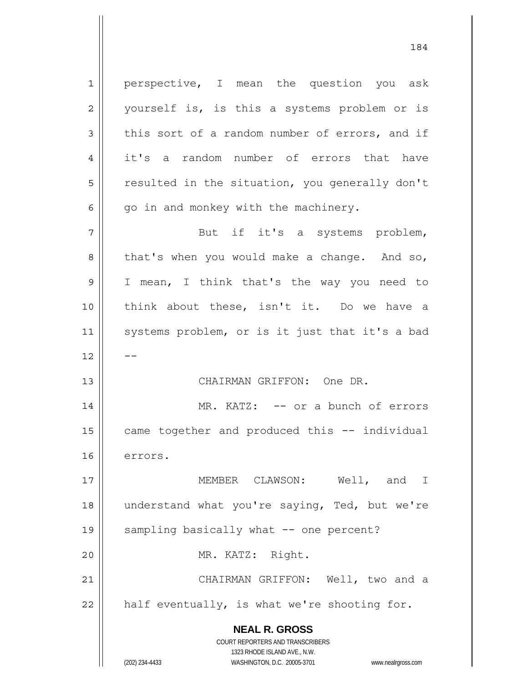**NEAL R. GROSS** COURT REPORTERS AND TRANSCRIBERS 1323 RHODE ISLAND AVE., N.W. 1 2 3 4 5 6 7 8 9 10 11 12 13 14 15 16 17 18 19 20 21 22 perspective, I mean the question you ask yourself is, is this a systems problem or is this sort of a random number of errors, and if it's a random number of errors that have resulted in the situation, you generally don't go in and monkey with the machinery. But if it's a systems problem, that's when you would make a change. And so, I mean, I think that's the way you need to think about these, isn't it. Do we have a systems problem, or is it just that it's a bad -- CHAIRMAN GRIFFON: One DR. MR. KATZ: -- or a bunch of errors came together and produced this -- individual errors. MEMBER CLAWSON: Well, and I understand what you're saying, Ted, but we're sampling basically what -- one percent? MR. KATZ: Right. CHAIRMAN GRIFFON: Well, two and a half eventually, is what we're shooting for.

184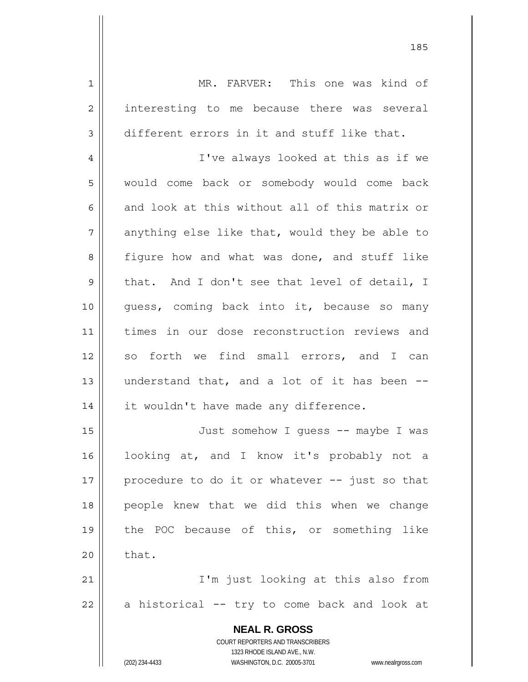1 2 3 4 5 6 7 8 9 10 11 12 13 14 15 16 17 18 19 20 21 22 MR. FARVER: This one was kind of interesting to me because there was several different errors in it and stuff like that. I've always looked at this as if we would come back or somebody would come back and look at this without all of this matrix or anything else like that, would they be able to figure how and what was done, and stuff like that. And I don't see that level of detail, I guess, coming back into it, because so many times in our dose reconstruction reviews and so forth we find small errors, and I can understand that, and a lot of it has been - it wouldn't have made any difference. Just somehow I guess -- maybe I was looking at, and I know it's probably not a procedure to do it or whatever -- just so that people knew that we did this when we change the POC because of this, or something like that. I'm just looking at this also from a historical -- try to come back and look at

> **NEAL R. GROSS** COURT REPORTERS AND TRANSCRIBERS 1323 RHODE ISLAND AVE., N.W.

(202) 234-4433 WASHINGTON, D.C. 20005-3701 www.nealrgross.com

<u>185</u>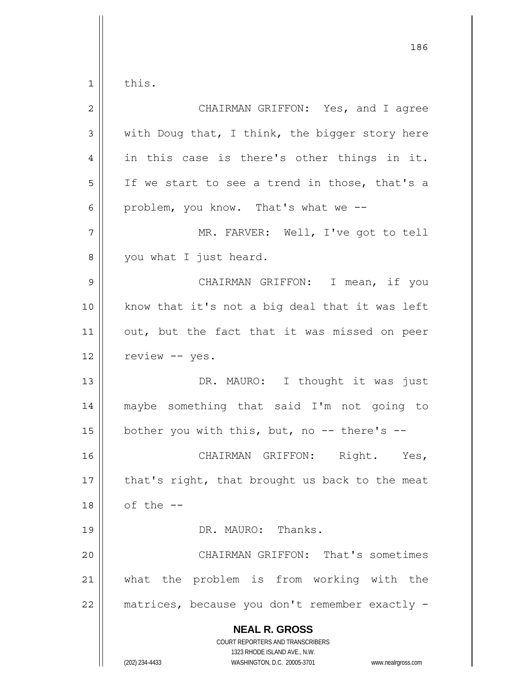1 this.

| $\overline{2}$ | CHAIRMAN GRIFFON: Yes, and I agree                                                                                                                              |
|----------------|-----------------------------------------------------------------------------------------------------------------------------------------------------------------|
| $\mathfrak{Z}$ | with Doug that, I think, the bigger story here                                                                                                                  |
| $\overline{4}$ | in this case is there's other things in it.                                                                                                                     |
| 5              | If we start to see a trend in those, that's a                                                                                                                   |
| 6              | problem, you know. That's what we --                                                                                                                            |
| 7              | MR. FARVER: Well, I've got to tell                                                                                                                              |
| 8              | you what I just heard.                                                                                                                                          |
| 9              | CHAIRMAN GRIFFON: I mean, if you                                                                                                                                |
| 10             | know that it's not a big deal that it was left                                                                                                                  |
| 11             | out, but the fact that it was missed on peer                                                                                                                    |
| 12             | review -- yes.                                                                                                                                                  |
| 13             | DR. MAURO: I thought it was just                                                                                                                                |
| 14             | maybe something that said I'm not going to                                                                                                                      |
| 15             | bother you with this, but, no -- there's --                                                                                                                     |
| 16             | CHAIRMAN GRIFFON: Right. Yes,                                                                                                                                   |
| 17             | that's right, that brought us back to the meat                                                                                                                  |
| 18             | of the --                                                                                                                                                       |
| 19             | DR. MAURO: Thanks.                                                                                                                                              |
| 20             | CHAIRMAN GRIFFON: That's sometimes                                                                                                                              |
| 21             | what the problem is from working with the                                                                                                                       |
| 22             | matrices, because you don't remember exactly -                                                                                                                  |
|                | <b>NEAL R. GROSS</b><br>COURT REPORTERS AND TRANSCRIBERS<br>1323 RHODE ISLAND AVE., N.W.<br>(202) 234-4433<br>WASHINGTON, D.C. 20005-3701<br>www.nealrgross.com |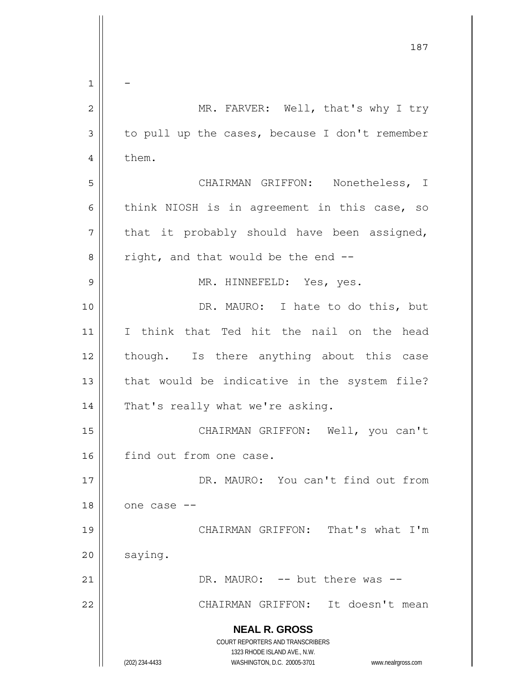|                | 187                                                                 |
|----------------|---------------------------------------------------------------------|
| 1              |                                                                     |
| $\overline{2}$ | MR. FARVER: Well, that's why I try                                  |
| 3              | to pull up the cases, because I don't remember                      |
| 4              | them.                                                               |
| 5              | CHAIRMAN GRIFFON: Nonetheless, I                                    |
|                |                                                                     |
| 6              | think NIOSH is in agreement in this case, so                        |
| 7              | that it probably should have been assigned,                         |
| 8              | right, and that would be the end --                                 |
| 9              | MR. HINNEFELD: Yes, yes.                                            |
| 10             | DR. MAURO: I hate to do this, but                                   |
| 11             | I think that Ted hit the nail on the head                           |
| 12             | though. Is there anything about this case                           |
| 13             | that would be indicative in the system file?                        |
| 14             | That's really what we're asking.                                    |
| 15             | CHAIRMAN GRIFFON: Well, you can't                                   |
| 16             | find out from one case.                                             |
| 17             | DR. MAURO: You can't find out from                                  |
| 18             | one case --                                                         |
| 19             | CHAIRMAN GRIFFON: That's what I'm                                   |
| 20             | saying.                                                             |
| 21             | DR. MAURO: -- but there was --                                      |
| 22             | CHAIRMAN GRIFFON: It doesn't mean                                   |
|                | <b>NEAL R. GROSS</b>                                                |
|                | COURT REPORTERS AND TRANSCRIBERS<br>1323 RHODE ISLAND AVE., N.W.    |
|                | (202) 234-4433<br>WASHINGTON, D.C. 20005-3701<br>www.nealrgross.com |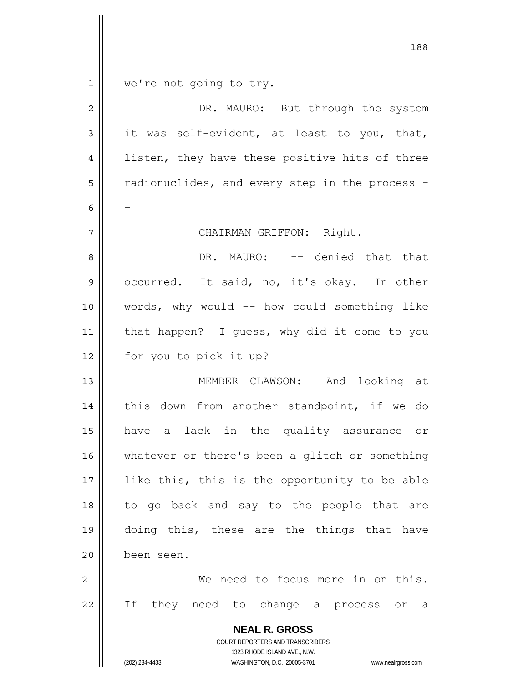|             | 188                                                                 |
|-------------|---------------------------------------------------------------------|
| $\mathbf 1$ | we're not going to try.                                             |
| $\mathbf 2$ | DR. MAURO: But through the system                                   |
| $\mathsf 3$ | it was self-evident, at least to you, that,                         |
| 4           | listen, they have these positive hits of three                      |
| 5           | radionuclides, and every step in the process -                      |
| 6           |                                                                     |
| 7           | CHAIRMAN GRIFFON: Right.                                            |
| 8           | DR. MAURO: -- denied that that                                      |
| $\mathsf 9$ | occurred. It said, no, it's okay. In other                          |
| 10          | words, why would -- how could something like                        |
| 11          | that happen? I guess, why did it come to you                        |
| 12          | for you to pick it up?                                              |
| 13          | MEMBER CLAWSON: And looking at                                      |
| 14          | this down from another standpoint, if we do                         |
| 15          | have a lack in the quality assurance or                             |
| 16          | whatever or there's been a glitch or something                      |
| 17          | like this, this is the opportunity to be able                       |
| 18          | to go back and say to the people that are                           |
| 19          | doing this, these are the things that have                          |
| 20          | been seen.                                                          |
| 21          | We need to focus more in on this.                                   |
| 22          | If<br>they need to change a process or a                            |
|             | <b>NEAL R. GROSS</b>                                                |
|             | COURT REPORTERS AND TRANSCRIBERS<br>1323 RHODE ISLAND AVE., N.W.    |
|             | (202) 234-4433<br>WASHINGTON, D.C. 20005-3701<br>www.nealrgross.com |

 $\mathsf{I}$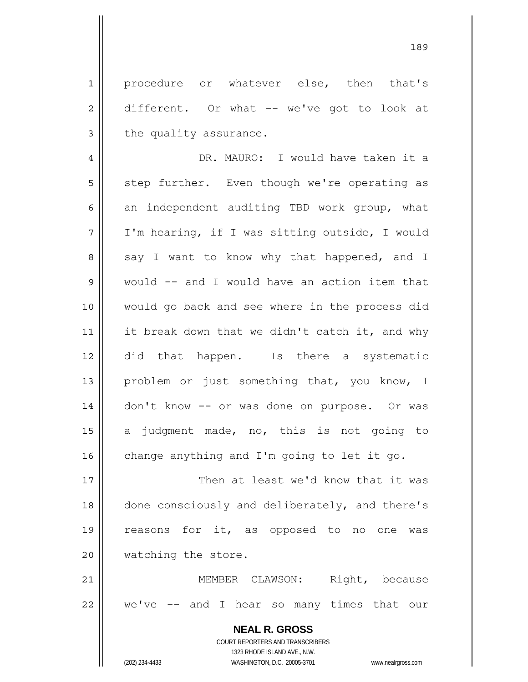1 2 3 procedure or whatever else, then that's different. Or what -- we've got to look at the quality assurance.

4 5 6 7 8 9 10 11 12 13 14 15 16 DR. MAURO: I would have taken it a step further. Even though we're operating as an independent auditing TBD work group, what I'm hearing, if I was sitting outside, I would say I want to know why that happened, and I would -- and I would have an action item that would go back and see where in the process did it break down that we didn't catch it, and why did that happen. Is there a systematic problem or just something that, you know, I don't know -- or was done on purpose. Or was a judgment made, no, this is not going to change anything and I'm going to let it go.

17 18 19 20 Then at least we'd know that it was done consciously and deliberately, and there's reasons for it, as opposed to no one was watching the store.

21 22 MEMBER CLAWSON: Right, because we've -- and I hear so many times that our

> **NEAL R. GROSS** COURT REPORTERS AND TRANSCRIBERS 1323 RHODE ISLAND AVE., N.W. (202) 234-4433 WASHINGTON, D.C. 20005-3701 www.nealrgross.com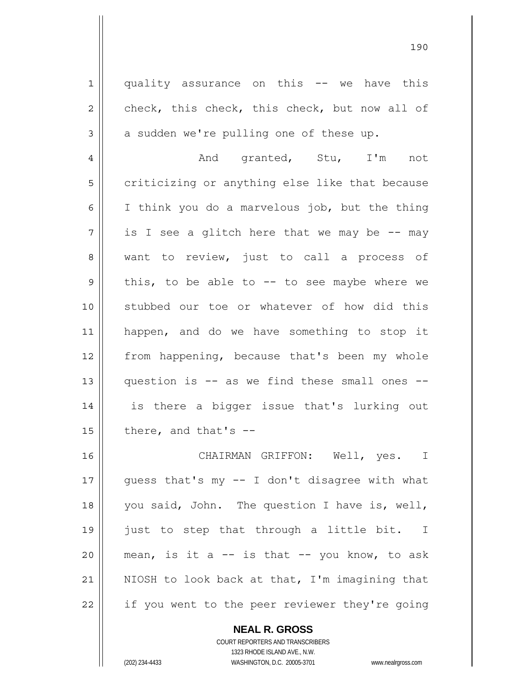1 2 3 4 5 quality assurance on this -- we have this check, this check, this check, but now all of a sudden we're pulling one of these up. And granted, Stu, I'm not criticizing or anything else like that because

6 7 8 9 10 11 12 13 14 15 I think you do a marvelous job, but the thing is I see a glitch here that we may be  $-$ - may want to review, just to call a process of this, to be able to  $-$  to see maybe where we stubbed our toe or whatever of how did this happen, and do we have something to stop it from happening, because that's been my whole question is -- as we find these small ones - is there a bigger issue that's lurking out there, and that's --

16 17 18 19 20 21 22 CHAIRMAN GRIFFON: Well, yes. I guess that's my -- I don't disagree with what you said, John. The question I have is, well, just to step that through a little bit. I mean, is it a  $--$  is that  $--$  you know, to ask NIOSH to look back at that, I'm imagining that if you went to the peer reviewer they're going

> **NEAL R. GROSS** COURT REPORTERS AND TRANSCRIBERS 1323 RHODE ISLAND AVE., N.W. (202) 234-4433 WASHINGTON, D.C. 20005-3701 www.nealrgross.com

<u>190</u>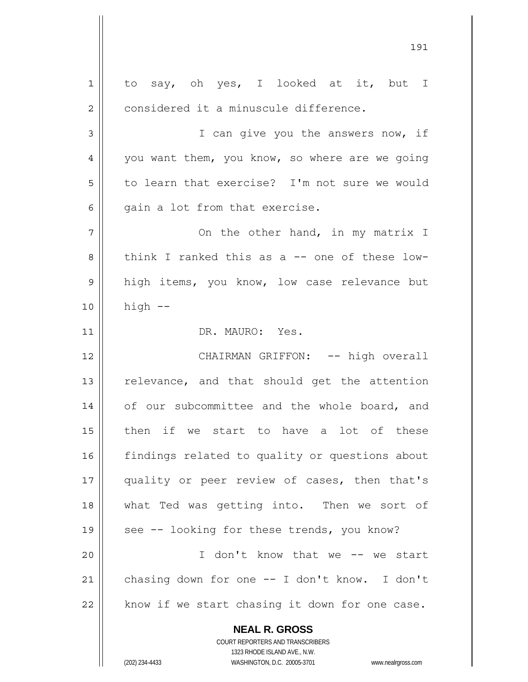**NEAL R. GROSS** COURT REPORTERS AND TRANSCRIBERS 1323 RHODE ISLAND AVE., N.W. 1 2 3 4 5 6 7 8 9 10 11 12 13 14 15 16 17 18 19 20 21 22 to say, oh yes, I looked at it, but I considered it a minuscule difference. I can give you the answers now, if you want them, you know, so where are we going to learn that exercise? I'm not sure we would gain a lot from that exercise. On the other hand, in my matrix I think I ranked this as a -- one of these lowhigh items, you know, low case relevance but high -- DR. MAURO: Yes. CHAIRMAN GRIFFON: -- high overall relevance, and that should get the attention of our subcommittee and the whole board, and then if we start to have a lot of these findings related to quality or questions about quality or peer review of cases, then that's what Ted was getting into. Then we sort of see -- looking for these trends, you know? I don't know that we -- we start chasing down for one -- I don't know. I don't know if we start chasing it down for one case.

191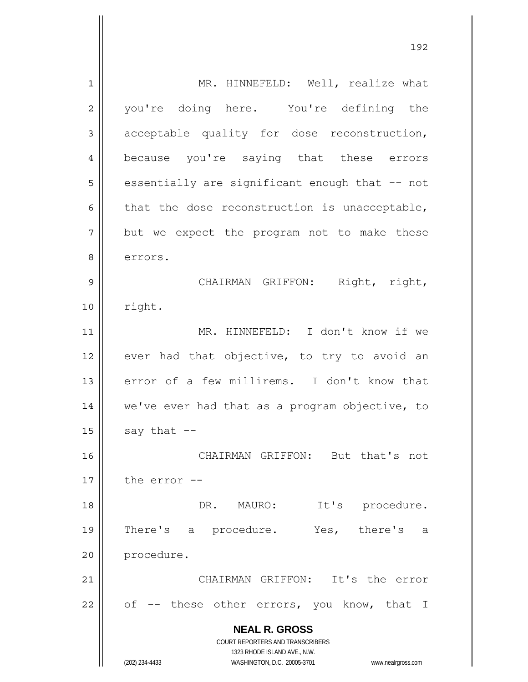**NEAL R. GROSS** COURT REPORTERS AND TRANSCRIBERS 1323 RHODE ISLAND AVE., N.W. (202) 234-4433 WASHINGTON, D.C. 20005-3701 www.nealrgross.com 1 2 3 4 5 6 7 8 9 10 11 12 13 14 15 16 17 18 19 20 21 22 MR. HINNEFELD: Well, realize what you're doing here. You're defining the acceptable quality for dose reconstruction, because you're saying that these errors essentially are significant enough that -- not that the dose reconstruction is unacceptable, but we expect the program not to make these errors. CHAIRMAN GRIFFON: Right, right, right. MR. HINNEFELD: I don't know if we ever had that objective, to try to avoid an error of a few millirems. I don't know that we've ever had that as a program objective, to say that -- CHAIRMAN GRIFFON: But that's not the error -- DR. MAURO: It's procedure. There's a procedure. Yes, there's a procedure. CHAIRMAN GRIFFON: It's the error of -- these other errors, you know, that I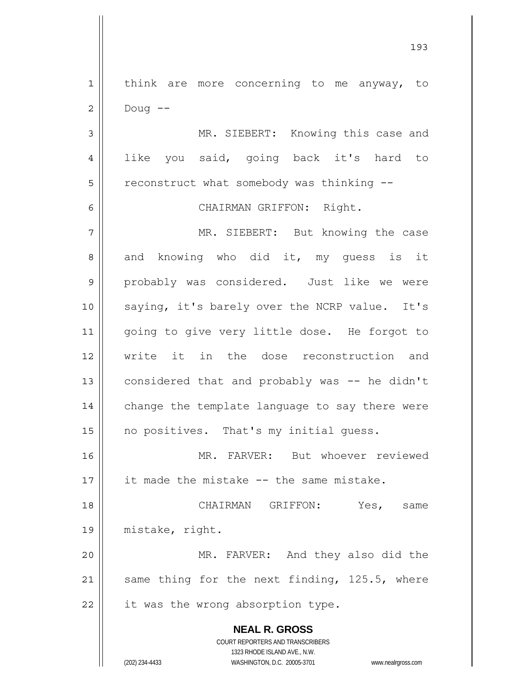1 2 3 4 5 6 7 8 9 10 11 12 13 14 15 16 17 18 19 20 21 22 think are more concerning to me anyway, to Doug -- MR. SIEBERT: Knowing this case and like you said, going back it's hard to reconstruct what somebody was thinking -- CHAIRMAN GRIFFON: Right. MR. SIEBERT: But knowing the case and knowing who did it, my guess is it probably was considered. Just like we were saying, it's barely over the NCRP value. It's going to give very little dose. He forgot to write it in the dose reconstruction and considered that and probably was -- he didn't change the template language to say there were no positives. That's my initial guess. MR. FARVER: But whoever reviewed it made the mistake -- the same mistake. CHAIRMAN GRIFFON: Yes, same mistake, right. MR. FARVER: And they also did the same thing for the next finding, 125.5, where it was the wrong absorption type.

193

1323 RHODE ISLAND AVE., N.W. (202) 234-4433 WASHINGTON, D.C. 20005-3701 www.nealrgross.com

**NEAL R. GROSS** COURT REPORTERS AND TRANSCRIBERS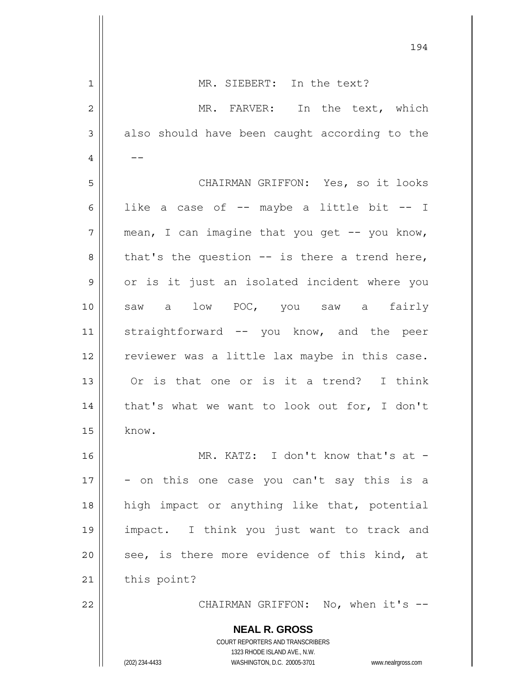|                | 194                                                                                                 |
|----------------|-----------------------------------------------------------------------------------------------------|
| $\mathbf{1}$   | MR. SIEBERT: In the text?                                                                           |
| $\overline{c}$ | MR. FARVER:<br>In the text, which                                                                   |
| $\mathsf 3$    | also should have been caught according to the                                                       |
| 4              |                                                                                                     |
| 5              | CHAIRMAN GRIFFON: Yes, so it looks                                                                  |
| 6              | like a case of -- maybe a little bit -- I                                                           |
| 7              | mean, I can imagine that you get -- you know,                                                       |
| 8              | that's the question $--$ is there a trend here,                                                     |
| 9              | or is it just an isolated incident where you                                                        |
| 10             | saw a low POC, you saw a fairly                                                                     |
| 11             | straightforward -- you know, and the peer                                                           |
| 12             | reviewer was a little lax maybe in this case.                                                       |
| 13             | Or is that one or is it a trend? I think                                                            |
| 14             | that's what we want to look out for, I don't                                                        |
| 15             | know.                                                                                               |
| 16             | MR. KATZ: I don't know that's at -                                                                  |
| 17             | - on this one case you can't say this is a                                                          |
| 18             | high impact or anything like that, potential                                                        |
| 19             | impact. I think you just want to track and                                                          |
| 20             | see, is there more evidence of this kind, at                                                        |
| 21             | this point?                                                                                         |
| 22             | CHAIRMAN GRIFFON: No, when it's --                                                                  |
|                | <b>NEAL R. GROSS</b><br>COURT REPORTERS AND TRANSCRIBERS                                            |
|                | 1323 RHODE ISLAND AVE., N.W.<br>(202) 234-4433<br>WASHINGTON, D.C. 20005-3701<br>www.nealrgross.com |

 $\overline{\phantom{a}}$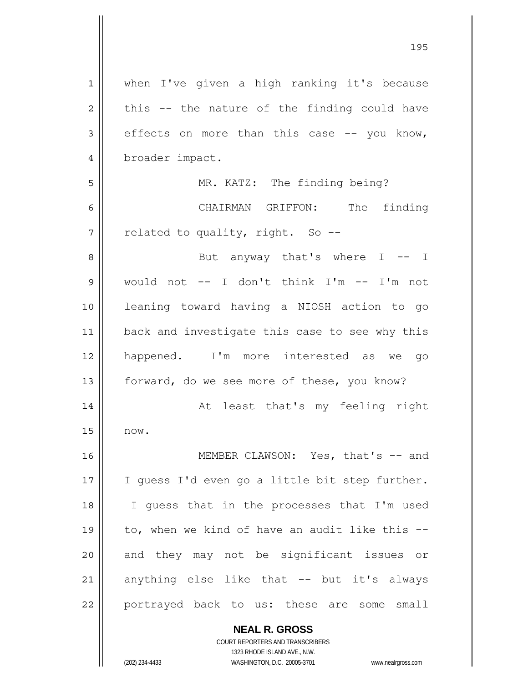| when I've given a high ranking it's because    |
|------------------------------------------------|
| this -- the nature of the finding could have   |
| effects on more than this case -- you know,    |
| broader impact.                                |
| MR. KATZ: The finding being?                   |
| CHAIRMAN GRIFFON: The<br>finding               |
| related to quality, right. So --               |
| But anyway that's where I -- I                 |
| would not -- I don't think I'm -- I'm not      |
| leaning toward having a NIOSH action to go     |
| back and investigate this case to see why this |
| happened. I'm more interested as we go         |
| forward, do we see more of these, you know?    |
| At least that's my feeling right               |
| now.                                           |
| MEMBER CLAWSON: Yes, that's -- and             |
| I guess I'd even go a little bit step further. |
| I quess that in the processes that I'm used    |
| to, when we kind of have an audit like this -- |
| and they may not be significant issues or      |
| anything else like that -- but it's always     |
| portrayed back to us: these are some small     |
|                                                |

**NEAL R. GROSS** COURT REPORTERS AND TRANSCRIBERS 1323 RHODE ISLAND AVE., N.W.

(202) 234-4433 WASHINGTON, D.C. 20005-3701 www.nealrgross.com

<u>195</u>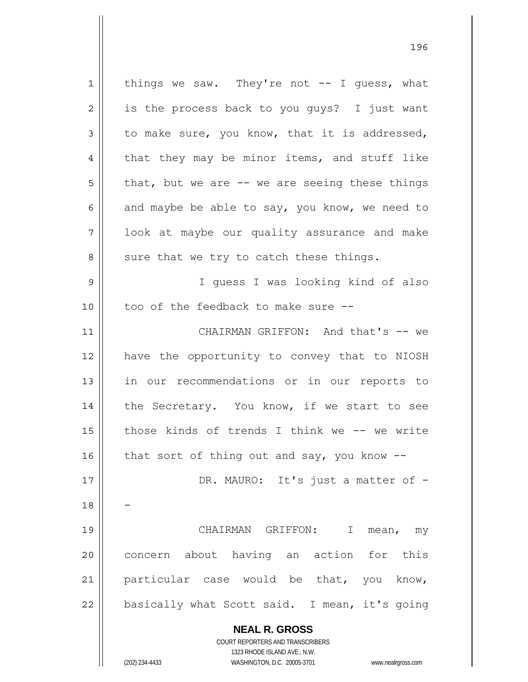**NEAL R. GROSS** COURT REPORTERS AND TRANSCRIBERS 1323 RHODE ISLAND AVE., N.W. 1 2 3 4 5 6 7 8 9 10 11 12 13 14 15 16 17 18 19 20 21 22 things we saw. They're not  $-$ - I guess, what is the process back to you guys? I just want to make sure, you know, that it is addressed, that they may be minor items, and stuff like that, but we are  $--$  we are seeing these things and maybe be able to say, you know, we need to look at maybe our quality assurance and make sure that we try to catch these things. I guess I was looking kind of also too of the feedback to make sure -- CHAIRMAN GRIFFON: And that's -- we have the opportunity to convey that to NIOSH in our recommendations or in our reports to the Secretary. You know, if we start to see those kinds of trends I think we -- we write that sort of thing out and say, you know  $-$ -DR. MAURO: It's just a matter of -- CHAIRMAN GRIFFON: I mean, my concern about having an action for this particular case would be that, you know, basically what Scott said. I mean, it's going

(202) 234-4433 WASHINGTON, D.C. 20005-3701 www.nealrgross.com

<u>1962 - Johann Amerikaanse konstantine (</u>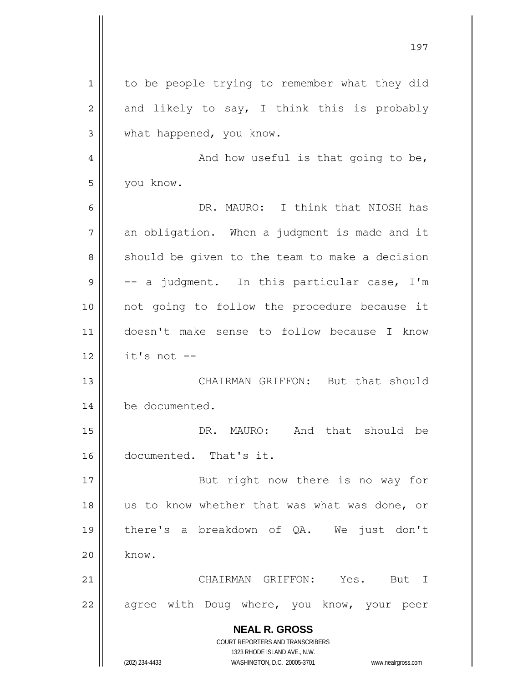|                | 197                                                                 |
|----------------|---------------------------------------------------------------------|
| $\mathbf 1$    | to be people trying to remember what they did                       |
| $\overline{c}$ | and likely to say, I think this is probably                         |
| 3              | what happened, you know.                                            |
| 4              | And how useful is that going to be,                                 |
| 5              | you know.                                                           |
| 6              | DR. MAURO: I think that NIOSH has                                   |
| 7              | an obligation. When a judgment is made and it                       |
| 8              | should be given to the team to make a decision                      |
| 9              | -- a judgment. In this particular case, I'm                         |
| 10             | not going to follow the procedure because it                        |
| 11             | doesn't make sense to follow because I know                         |
| 12             | it's not --                                                         |
| 13             | CHAIRMAN GRIFFON: But that should                                   |
| 14             | be documented.                                                      |
| 15             | MAURO: And that should be<br>DR.                                    |
| 16             | documented. That's it.                                              |
| 17             | But right now there is no way for                                   |
| 18             | us to know whether that was what was done, or                       |
| 19             | there's a breakdown of QA. We just don't                            |
| 20             | know.                                                               |
| 21             | CHAIRMAN GRIFFON: Yes. But I                                        |
| 22             | agree with Doug where, you know, your peer                          |
|                | <b>NEAL R. GROSS</b>                                                |
|                | COURT REPORTERS AND TRANSCRIBERS<br>1323 RHODE ISLAND AVE., N.W.    |
|                | (202) 234-4433<br>WASHINGTON, D.C. 20005-3701<br>www.nealrgross.com |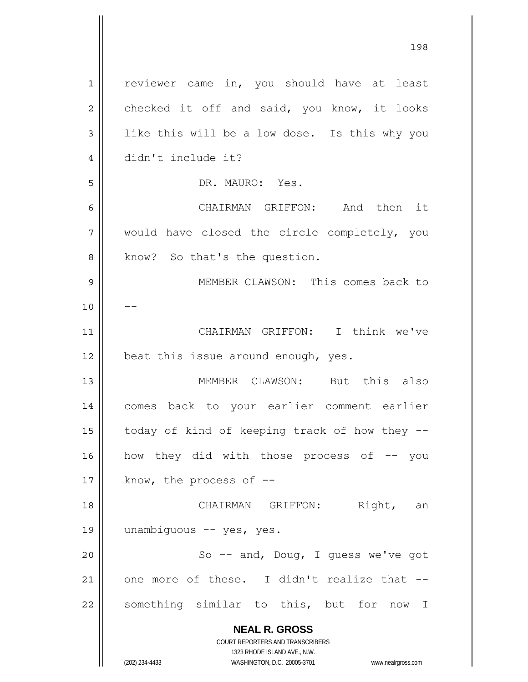**NEAL R. GROSS** COURT REPORTERS AND TRANSCRIBERS 1323 RHODE ISLAND AVE., N.W. 1 2 3 4 5 6 7 8 9 10 11 12 13 14 15 16 17 18 19 20 21 22 reviewer came in, you should have at least checked it off and said, you know, it looks like this will be a low dose. Is this why you didn't include it? DR. MAURO: Yes. CHAIRMAN GRIFFON: And then it would have closed the circle completely, you know? So that's the question. MEMBER CLAWSON: This comes back to -- CHAIRMAN GRIFFON: I think we've beat this issue around enough, yes. MEMBER CLAWSON: But this also comes back to your earlier comment earlier today of kind of keeping track of how they - how they did with those process of -- you know, the process of  $-$ - CHAIRMAN GRIFFON: Right, an unambiguous -- yes, yes. So -- and, Doug, I guess we've got one more of these. I didn't realize that - something similar to this, but for now I

198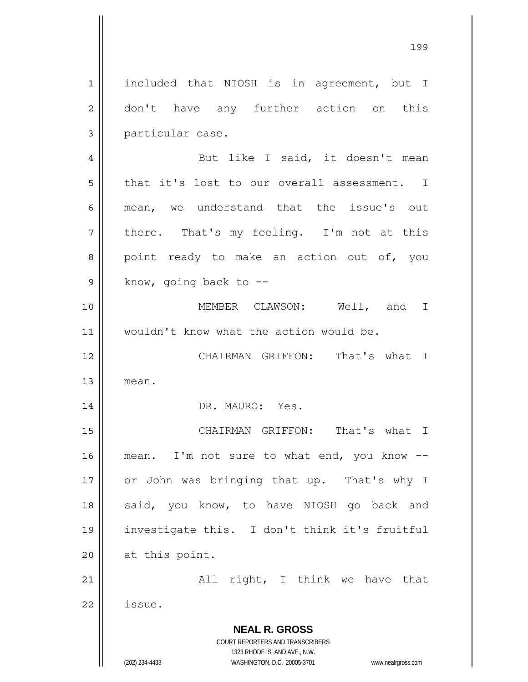**NEAL R. GROSS** COURT REPORTERS AND TRANSCRIBERS 1323 RHODE ISLAND AVE., N.W. (202) 234-4433 WASHINGTON, D.C. 20005-3701 www.nealrgross.com 1 2 3 4 5 6 7 8 9 10 11 12 13 14 15 16 17 18 19 20 21 22 included that NIOSH is in agreement, but I don't have any further action on this particular case. But like I said, it doesn't mean that it's lost to our overall assessment. I mean, we understand that the issue's out there. That's my feeling. I'm not at this point ready to make an action out of, you know, going back to -- MEMBER CLAWSON: Well, and I wouldn't know what the action would be. CHAIRMAN GRIFFON: That's what I mean. DR. MAURO: Yes. CHAIRMAN GRIFFON: That's what I mean. I'm not sure to what end, you know -or John was bringing that up. That's why I said, you know, to have NIOSH go back and investigate this. I don't think it's fruitful at this point. All right, I think we have that issue.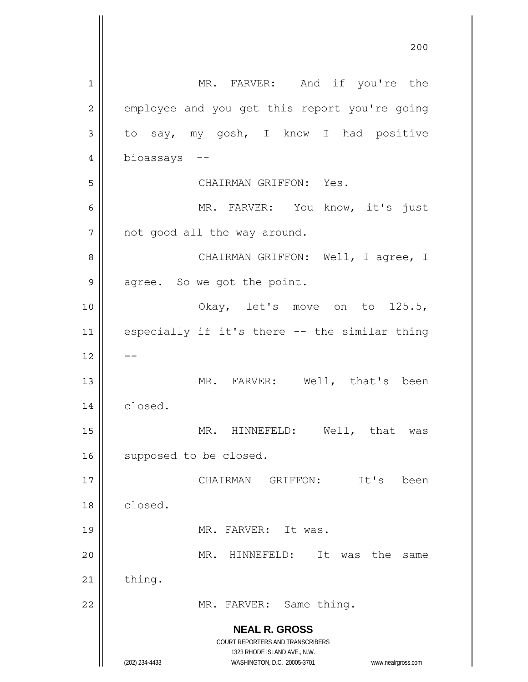|    | 200                                                                 |
|----|---------------------------------------------------------------------|
| 1  | MR. FARVER: And if you're the                                       |
| 2  | employee and you get this report you're going                       |
| 3  | to say, my gosh, I know I had positive                              |
| 4  | bioassays --                                                        |
| 5  | CHAIRMAN GRIFFON: Yes.                                              |
| 6  | MR. FARVER: You know, it's just                                     |
| 7  | not good all the way around.                                        |
| 8  | CHAIRMAN GRIFFON: Well, I agree, I                                  |
| 9  | agree. So we got the point.                                         |
| 10 | Okay, let's move on to 125.5,                                       |
| 11 | especially if it's there -- the similar thing                       |
| 12 |                                                                     |
| 13 | MR. FARVER: Well, that's been                                       |
| 14 | closed.                                                             |
| 15 | HINNEFELD:<br>Well,<br>that<br>MR.<br>was                           |
| 16 | supposed to be closed.                                              |
| 17 | GRIFFON:<br>It's<br>CHAIRMAN<br>been                                |
| 18 | closed.                                                             |
| 19 | MR. FARVER: It was.                                                 |
| 20 | HINNEFELD:<br>It<br>the<br>MR.<br>was<br>same                       |
| 21 | thing.                                                              |
| 22 | MR. FARVER: Same thing.                                             |
|    | <b>NEAL R. GROSS</b>                                                |
|    | COURT REPORTERS AND TRANSCRIBERS<br>1323 RHODE ISLAND AVE., N.W.    |
|    | (202) 234-4433<br>WASHINGTON, D.C. 20005-3701<br>www.nealrgross.com |

 $\mathbf{I}$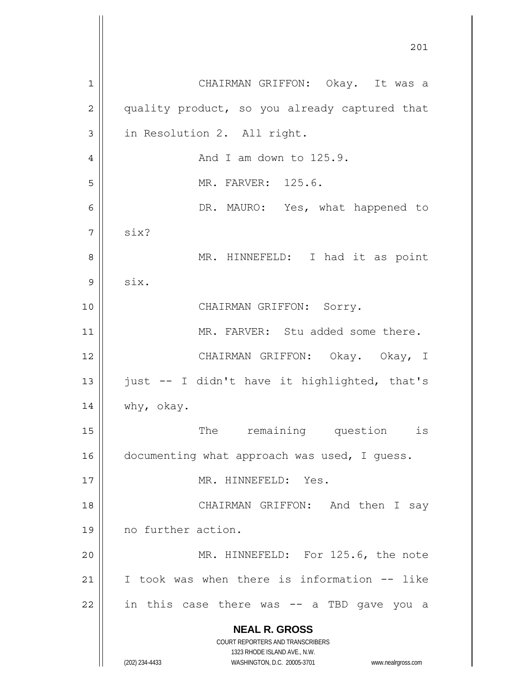**NEAL R. GROSS** COURT REPORTERS AND TRANSCRIBERS 1323 RHODE ISLAND AVE., N.W. (202) 234-4433 WASHINGTON, D.C. 20005-3701 www.nealrgross.com 1 2 3 4 5 6 7 8 9 10 11 12 13 14 15 16 17 18 19 20 21 22 CHAIRMAN GRIFFON: Okay. It was a quality product, so you already captured that in Resolution 2. All right. And I am down to 125.9. MR. FARVER: 125.6. DR. MAURO: Yes, what happened to six? MR. HINNEFELD: I had it as point six. CHAIRMAN GRIFFON: Sorry. MR. FARVER: Stu added some there. CHAIRMAN GRIFFON: Okay. Okay, I just -- I didn't have it highlighted, that's why, okay. The remaining question is documenting what approach was used, I guess. MR. HINNEFELD: Yes. CHAIRMAN GRIFFON: And then I say no further action. MR. HINNEFELD: For 125.6, the note I took was when there is information -- like in this case there was -- a TBD gave you a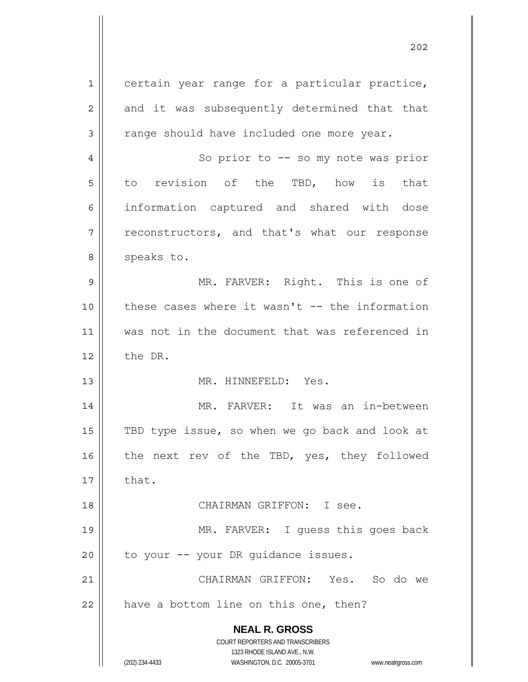**NEAL R. GROSS** COURT REPORTERS AND TRANSCRIBERS 1323 RHODE ISLAND AVE., N.W. 1 2 3 4 5 6 7 8 9 10 11 12 13 14 15 16 17 18 19 20 21 22 certain year range for a particular practice, and it was subsequently determined that that range should have included one more year. So prior to -- so my note was prior to revision of the TBD, how is that information captured and shared with dose reconstructors, and that's what our response speaks to. MR. FARVER: Right. This is one of these cases where it wasn't -- the information was not in the document that was referenced in the DR. MR. HINNEFELD: Yes. MR. FARVER: It was an in-between TBD type issue, so when we go back and look at the next rev of the TBD, yes, they followed that. CHAIRMAN GRIFFON: I see. MR. FARVER: I guess this goes back to your -- your DR guidance issues. CHAIRMAN GRIFFON: Yes. So do we have a bottom line on this one, then?

(202) 234-4433 WASHINGTON, D.C. 20005-3701 www.nealrgross.com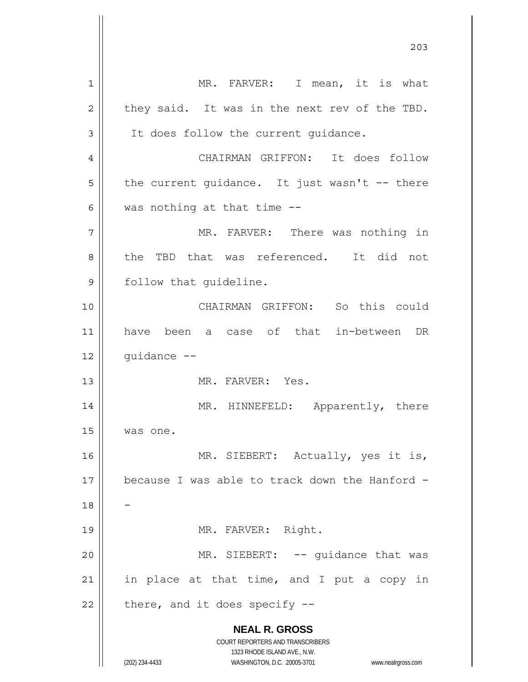**NEAL R. GROSS** COURT REPORTERS AND TRANSCRIBERS 1323 RHODE ISLAND AVE., N.W. (202) 234-4433 WASHINGTON, D.C. 20005-3701 www.nealrgross.com 1 2 3 4 5 6 7 8 9 10 11 12 13 14 15 16 17 18 19 20 21 22 MR. FARVER: I mean, it is what they said. It was in the next rev of the TBD. It does follow the current guidance. CHAIRMAN GRIFFON: It does follow the current guidance. It just wasn't -- there was nothing at that time -- MR. FARVER: There was nothing in the TBD that was referenced. It did not follow that guideline. CHAIRMAN GRIFFON: So this could have been a case of that in-between DR guidance -- MR. FARVER: Yes. MR. HINNEFELD: Apparently, there was one. MR. SIEBERT: Actually, yes it is, because I was able to track down the Hanford - - MR. FARVER: Right. MR. SIEBERT: -- quidance that was in place at that time, and I put a copy in there, and it does specify --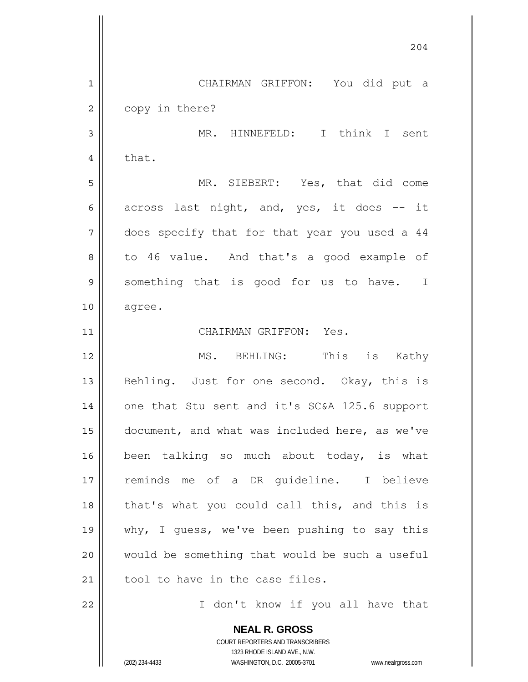**NEAL R. GROSS** COURT REPORTERS AND TRANSCRIBERS 1323 RHODE ISLAND AVE., N.W. 204 1 2 3 4 5 6 7 8 9 10 11 12 13 14 15 16 17 18 19 20 21 22 CHAIRMAN GRIFFON: You did put a copy in there? MR. HINNEFELD: I think I sent that. MR. SIEBERT: Yes, that did come across last night, and, yes, it does -- it does specify that for that year you used a 44 to 46 value. And that's a good example of something that is good for us to have. I agree. CHAIRMAN GRIFFON: Yes. MS. BEHLING: This is Kathy Behling. Just for one second. Okay, this is one that Stu sent and it's SC&A 125.6 support document, and what was included here, as we've been talking so much about today, is what reminds me of a DR guideline. I believe that's what you could call this, and this is why, I guess, we've been pushing to say this would be something that would be such a useful tool to have in the case files. I don't know if you all have that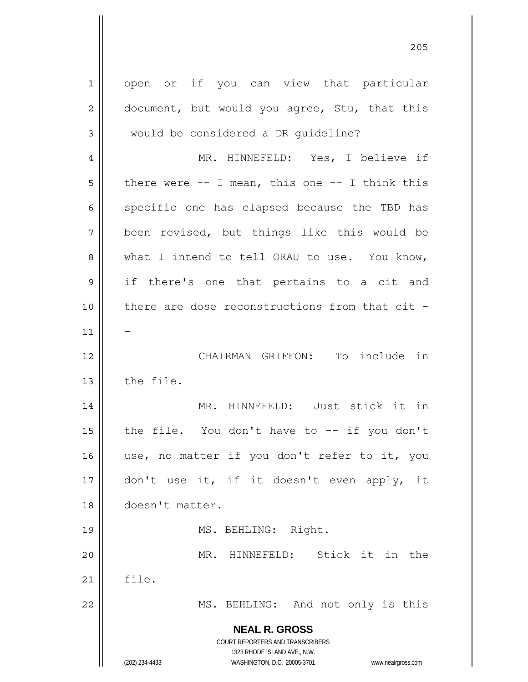**NEAL R. GROSS** COURT REPORTERS AND TRANSCRIBERS 1323 RHODE ISLAND AVE., N.W. (202) 234-4433 WASHINGTON, D.C. 20005-3701 www.nealrgross.com 1 2 3 4 5 6 7 8 9 10 11 12 13 14 15 16 17 18 19 20 21 22 open or if you can view that particular document, but would you agree, Stu, that this would be considered a DR guideline? MR. HINNEFELD: Yes, I believe if there were  $--$  I mean, this one  $--$  I think this specific one has elapsed because the TBD has been revised, but things like this would be what I intend to tell ORAU to use. You know, if there's one that pertains to a cit and there are dose reconstructions from that cit -- CHAIRMAN GRIFFON: To include in the file. MR. HINNEFELD: Just stick it in the file. You don't have to -- if you don't use, no matter if you don't refer to it, you don't use it, if it doesn't even apply, it doesn't matter. MS. BEHLING: Right. MR. HINNEFELD: Stick it in the file. MS. BEHLING: And not only is this

<u>205</u>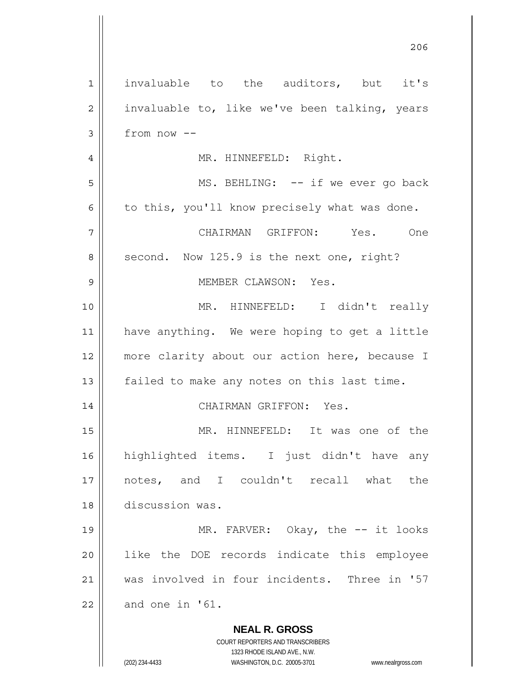| $\mathbf{1}$   | invaluable to the auditors, but it's                                                                |
|----------------|-----------------------------------------------------------------------------------------------------|
| $\overline{2}$ | invaluable to, like we've been talking, years                                                       |
| 3              | from now --                                                                                         |
| 4              | MR. HINNEFELD: Right.                                                                               |
| 5              | MS. BEHLING: -- if we ever go back                                                                  |
| 6              | to this, you'll know precisely what was done.                                                       |
| 7              | CHAIRMAN GRIFFON: Yes. One                                                                          |
| 8              | second. Now 125.9 is the next one, right?                                                           |
| 9              | MEMBER CLAWSON: Yes.                                                                                |
| 10             | MR. HINNEFELD: I didn't really                                                                      |
| 11             | have anything. We were hoping to get a little                                                       |
| 12             | more clarity about our action here, because I                                                       |
| 13             | failed to make any notes on this last time.                                                         |
| 14             | CHAIRMAN GRIFFON: Yes.                                                                              |
| 15             | MR. HINNEFELD: It was one of the                                                                    |
| 16             | highlighted items. I just didn't have any                                                           |
| 17             | notes, and I couldn't recall what<br>the                                                            |
| 18             | discussion was.                                                                                     |
| 19             | MR. FARVER: Okay, the -- it looks                                                                   |
| 20             | like the DOE records indicate this employee                                                         |
| 21             | was involved in four incidents. Three in '57                                                        |
| 22             | and one in '61.                                                                                     |
|                | <b>NEAL R. GROSS</b>                                                                                |
|                | COURT REPORTERS AND TRANSCRIBERS                                                                    |
|                | 1323 RHODE ISLAND AVE., N.W.<br>(202) 234-4433<br>WASHINGTON, D.C. 20005-3701<br>www.nealrgross.com |

206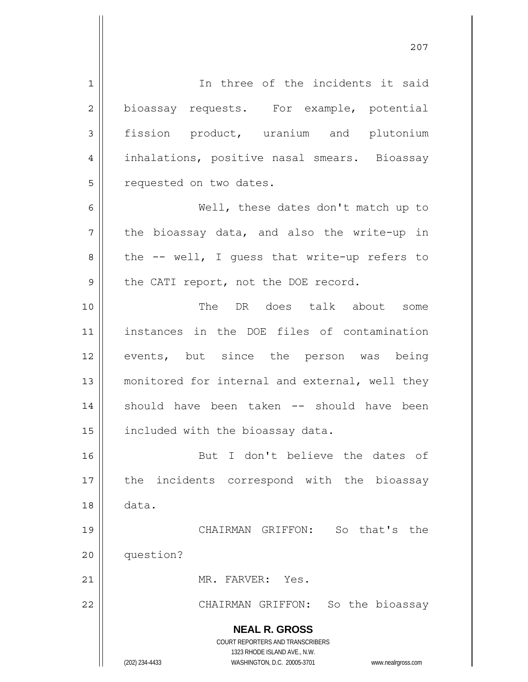**NEAL R. GROSS** COURT REPORTERS AND TRANSCRIBERS 1323 RHODE ISLAND AVE., N.W. (202) 234-4433 WASHINGTON, D.C. 20005-3701 www.nealrgross.com 1 2 3 4 5 6 7 8 9 10 11 12 13 14 15 16 17 18 19 20 21 22 In three of the incidents it said bioassay requests. For example, potential fission product, uranium and plutonium inhalations, positive nasal smears. Bioassay requested on two dates. Well, these dates don't match up to the bioassay data, and also the write-up in the -- well, I guess that write-up refers to the CATI report, not the DOE record. The DR does talk about some instances in the DOE files of contamination events, but since the person was being monitored for internal and external, well they should have been taken -- should have been included with the bioassay data. But I don't believe the dates of the incidents correspond with the bioassay data. CHAIRMAN GRIFFON: So that's the question? MR. FARVER: Yes. CHAIRMAN GRIFFON: So the bioassay

<u>207</u>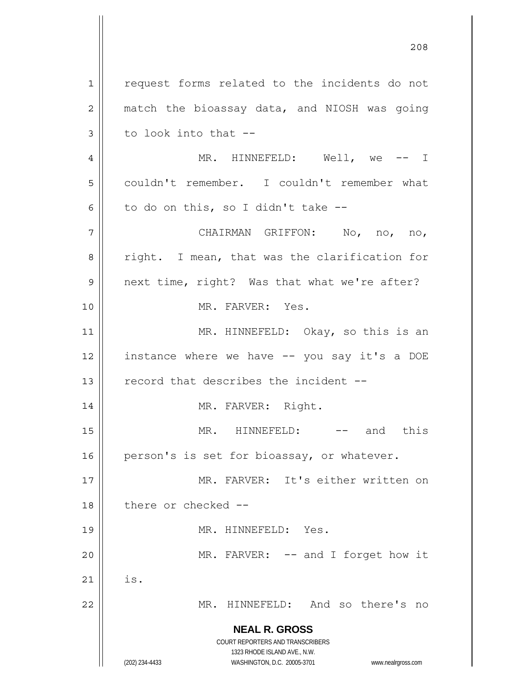**NEAL R. GROSS** COURT REPORTERS AND TRANSCRIBERS 1323 RHODE ISLAND AVE., N.W. (202) 234-4433 WASHINGTON, D.C. 20005-3701 www.nealrgross.com 1 2 3 4 5 6 7 8 9 10 11 12 13 14 15 16 17 18 19 20 21 22 request forms related to the incidents do not match the bioassay data, and NIOSH was going to look into that -- MR. HINNEFELD: Well, we -- I couldn't remember. I couldn't remember what to do on this, so I didn't take -- CHAIRMAN GRIFFON: No, no, no, right. I mean, that was the clarification for next time, right? Was that what we're after? MR. FARVER: Yes. MR. HINNEFELD: Okay, so this is an instance where we have -- you say it's a DOE record that describes the incident -- MR. FARVER: Right. MR. HINNEFELD: -- and this person's is set for bioassay, or whatever. MR. FARVER: It's either written on there or checked -- MR. HINNEFELD: Yes. MR. FARVER: -- and I forget how it is. MR. HINNEFELD: And so there's no

<u>208</u>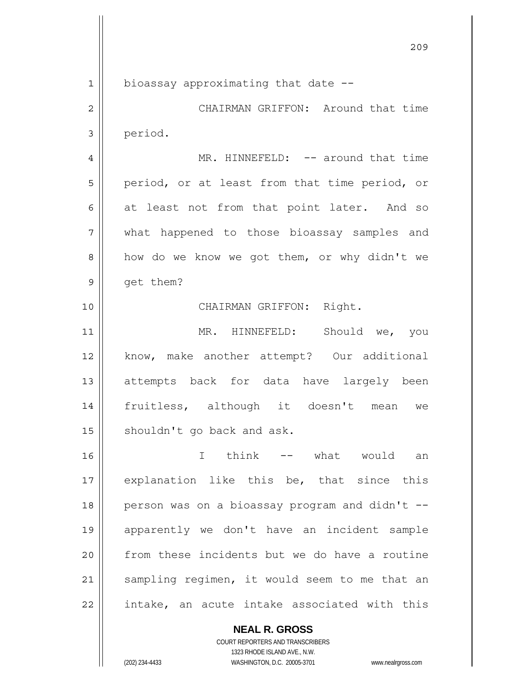1

10

bioassay approximating that date --

2 3 CHAIRMAN GRIFFON: Around that time period.

4 5 6 7 8 9 MR. HINNEFELD: -- around that time period, or at least from that time period, or at least not from that point later. And so what happened to those bioassay samples and how do we know we got them, or why didn't we get them?

CHAIRMAN GRIFFON: Right.

11 12 13 14 15 MR. HINNEFELD: Should we, you know, make another attempt? Our additional attempts back for data have largely been fruitless, although it doesn't mean we shouldn't go back and ask.

16 17 18 19 20 21 22 I think -- what would an explanation like this be, that since this person was on a bioassay program and didn't - apparently we don't have an incident sample from these incidents but we do have a routine sampling regimen, it would seem to me that an intake, an acute intake associated with this

**NEAL R. GROSS**

COURT REPORTERS AND TRANSCRIBERS 1323 RHODE ISLAND AVE., N.W. (202) 234-4433 WASHINGTON, D.C. 20005-3701 www.nealrgross.com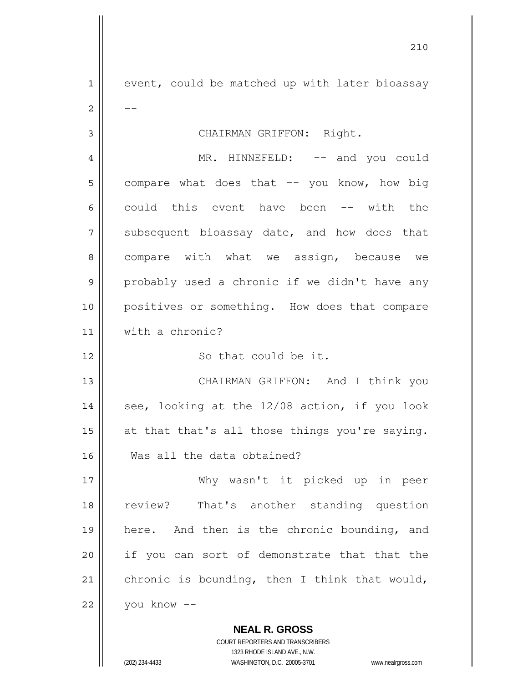1 2 3 4 5 6 7 8 9 10 11 12 13 14 15 16 17 18 19 20 21 22 event, could be matched up with later bioassay -- CHAIRMAN GRIFFON: Right. MR. HINNEFELD: -- and you could compare what does that -- you know, how big could this event have been -- with the subsequent bioassay date, and how does that compare with what we assign, because we probably used a chronic if we didn't have any positives or something. How does that compare with a chronic? So that could be it. CHAIRMAN GRIFFON: And I think you see, looking at the 12/08 action, if you look at that that's all those things you're saying. Was all the data obtained? Why wasn't it picked up in peer review? That's another standing question here. And then is the chronic bounding, and if you can sort of demonstrate that that the chronic is bounding, then I think that would, you know --

<u>210</u>

COURT REPORTERS AND TRANSCRIBERS 1323 RHODE ISLAND AVE., N.W. (202) 234-4433 WASHINGTON, D.C. 20005-3701 www.nealrgross.com

**NEAL R. GROSS**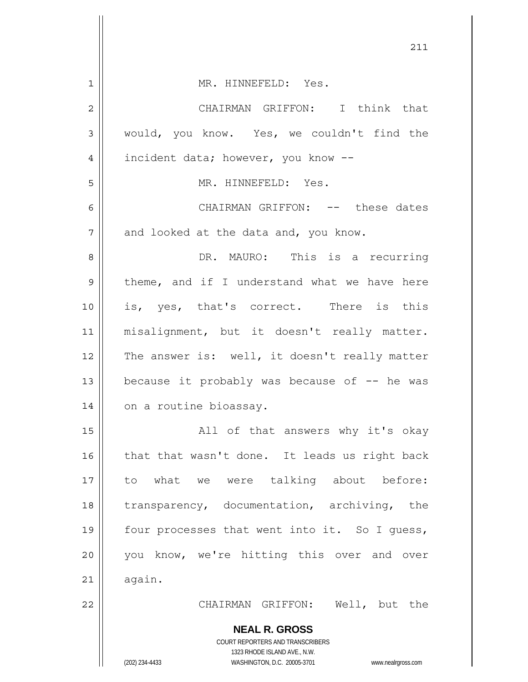|              | 211                                                                                                 |
|--------------|-----------------------------------------------------------------------------------------------------|
| $\mathbf{1}$ | MR. HINNEFELD: Yes.                                                                                 |
| 2            | CHAIRMAN GRIFFON: I think that                                                                      |
| 3            | would, you know. Yes, we couldn't find the                                                          |
| 4            | incident data; however, you know --                                                                 |
| 5            | MR. HINNEFELD: Yes.                                                                                 |
| 6            | CHAIRMAN GRIFFON: -- these dates                                                                    |
| 7            | and looked at the data and, you know.                                                               |
| 8            | DR. MAURO: This is a recurring                                                                      |
| 9            | theme, and if I understand what we have here                                                        |
| 10           | is, yes, that's correct. There is this                                                              |
| 11           | misalignment, but it doesn't really matter.                                                         |
| 12           | The answer is: well, it doesn't really matter                                                       |
| 13           | because it probably was because of -- he was                                                        |
| 14           | on a routine bioassay.                                                                              |
| 15           | All of that answers why it's okay                                                                   |
| 16           | that that wasn't done. It leads us right back                                                       |
| 17           | to what we were talking about before:                                                               |
| 18           | transparency, documentation, archiving, the                                                         |
| 19           | four processes that went into it. So I guess,                                                       |
| 20           | you know, we're hitting this over and over                                                          |
| 21           | again.                                                                                              |
| 22           | CHAIRMAN GRIFFON: Well, but the                                                                     |
|              | <b>NEAL R. GROSS</b>                                                                                |
|              | COURT REPORTERS AND TRANSCRIBERS                                                                    |
|              | 1323 RHODE ISLAND AVE., N.W.<br>(202) 234-4433<br>WASHINGTON, D.C. 20005-3701<br>www.nealrgross.com |

 $\mathsf{l}$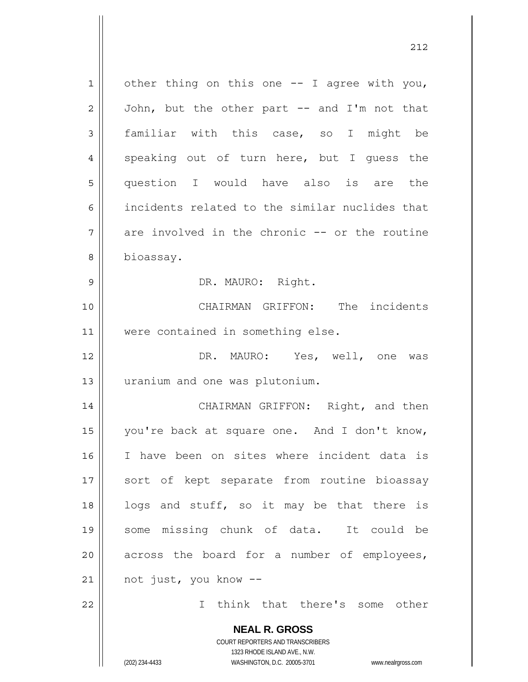**NEAL R. GROSS** 1 2 3 4 5 6 7 8 9 10 11 12 13 14 15 16 17 18 19 20 21 22 other thing on this one -- I agree with you, John, but the other part -- and I'm not that familiar with this case, so I might be speaking out of turn here, but I guess the question I would have also is are the incidents related to the similar nuclides that are involved in the chronic -- or the routine bioassay. DR. MAURO: Right. CHAIRMAN GRIFFON: The incidents were contained in something else. DR. MAURO: Yes, well, one was uranium and one was plutonium. CHAIRMAN GRIFFON: Right, and then you're back at square one. And I don't know, I have been on sites where incident data is sort of kept separate from routine bioassay logs and stuff, so it may be that there is some missing chunk of data. It could be across the board for a number of employees, not just, you know -- I think that there's some other

> COURT REPORTERS AND TRANSCRIBERS 1323 RHODE ISLAND AVE., N.W.

(202) 234-4433 WASHINGTON, D.C. 20005-3701 www.nealrgross.com

<u>212</u>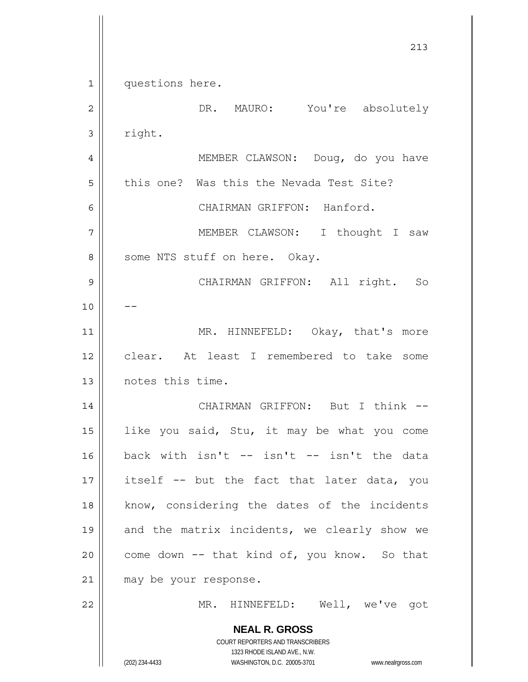**NEAL R. GROSS** COURT REPORTERS AND TRANSCRIBERS 1323 RHODE ISLAND AVE., N.W. (202) 234-4433 WASHINGTON, D.C. 20005-3701 www.nealrgross.com 213 1 2 3 4 5 6 7 8 9 10 11 12 13 14 15 16 17 18 19 20 21 22 questions here. DR. MAURO: You're absolutely right. MEMBER CLAWSON: Doug, do you have this one? Was this the Nevada Test Site? CHAIRMAN GRIFFON: Hanford. MEMBER CLAWSON: I thought I saw some NTS stuff on here. Okay. CHAIRMAN GRIFFON: All right. So -- MR. HINNEFELD: Okay, that's more clear. At least I remembered to take some notes this time. CHAIRMAN GRIFFON: But I think - like you said, Stu, it may be what you come back with isn't -- isn't -- isn't the data itself -- but the fact that later data, you know, considering the dates of the incidents and the matrix incidents, we clearly show we come down -- that kind of, you know. So that may be your response. MR. HINNEFELD: Well, we've got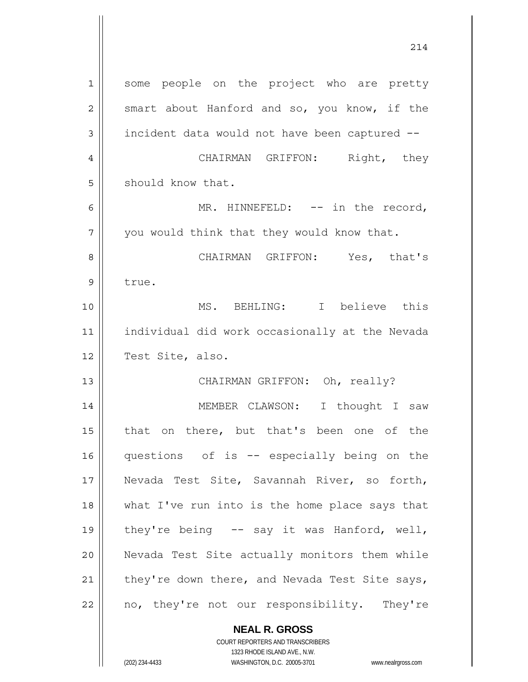**NEAL R. GROSS** 1 2 3 4 5 6 7 8 9 10 11 12 13 14 15 16 17 18 19 20 21 22 some people on the project who are pretty smart about Hanford and so, you know, if the incident data would not have been captured -- CHAIRMAN GRIFFON: Right, they should know that. MR. HINNEFELD: -- in the record, you would think that they would know that. CHAIRMAN GRIFFON: Yes, that's true. MS. BEHLING: I believe this individual did work occasionally at the Nevada Test Site, also. CHAIRMAN GRIFFON: Oh, really? MEMBER CLAWSON: I thought I saw that on there, but that's been one of the questions of is -- especially being on the Nevada Test Site, Savannah River, so forth, what I've run into is the home place says that they're being -- say it was Hanford, well, Nevada Test Site actually monitors them while they're down there, and Nevada Test Site says, no, they're not our responsibility. They're

214

COURT REPORTERS AND TRANSCRIBERS 1323 RHODE ISLAND AVE., N.W.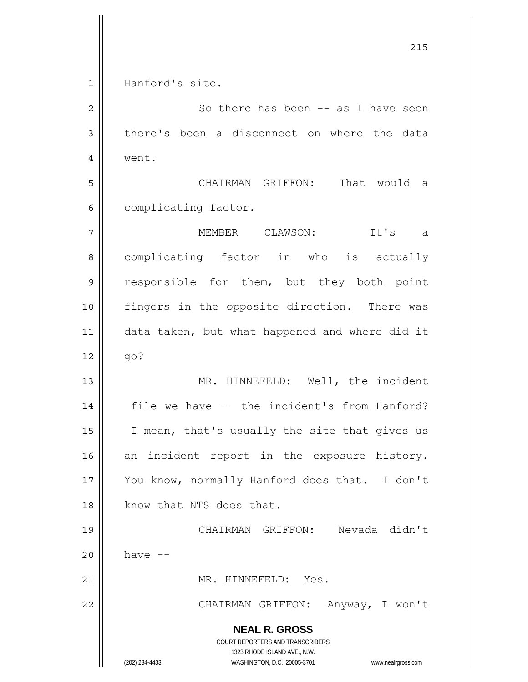**NEAL R. GROSS** COURT REPORTERS AND TRANSCRIBERS 1323 RHODE ISLAND AVE., N.W. (202) 234-4433 WASHINGTON, D.C. 20005-3701 www.nealrgross.com <u>215</u> 1 2 3 4 5 6 7 8 9 10 11 12 13 14 15 16 17 18 19 20 21 22 Hanford's site. So there has been -- as I have seen there's been a disconnect on where the data went. CHAIRMAN GRIFFON: That would a complicating factor. MEMBER CLAWSON: It's a complicating factor in who is actually responsible for them, but they both point fingers in the opposite direction. There was data taken, but what happened and where did it go? MR. HINNEFELD: Well, the incident file we have -- the incident's from Hanford? I mean, that's usually the site that gives us an incident report in the exposure history. You know, normally Hanford does that. I don't know that NTS does that. CHAIRMAN GRIFFON: Nevada didn't have -- MR. HINNEFELD: Yes. CHAIRMAN GRIFFON: Anyway, I won't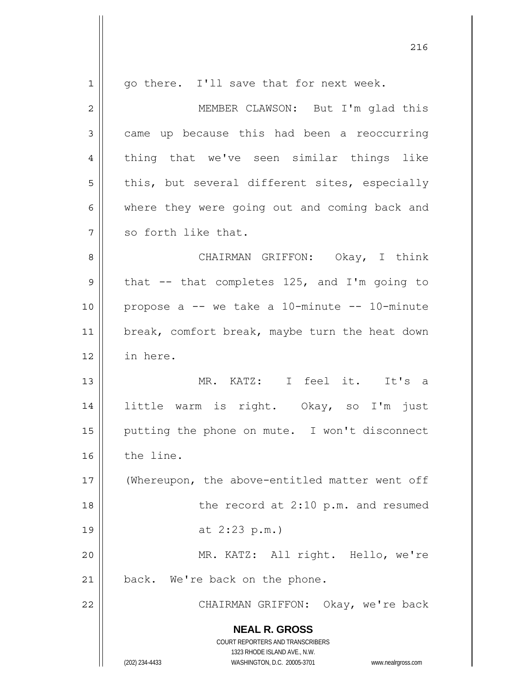| $\mathbf 1$    | go there. I'll save that for next week.                                                             |
|----------------|-----------------------------------------------------------------------------------------------------|
| $\overline{c}$ | MEMBER CLAWSON: But I'm glad this                                                                   |
| 3              | came up because this had been a reoccurring                                                         |
| 4              | thing that we've seen similar things like                                                           |
| 5              | this, but several different sites, especially                                                       |
| 6              | where they were going out and coming back and                                                       |
| 7              | so forth like that.                                                                                 |
| 8              | CHAIRMAN GRIFFON: Okay, I think                                                                     |
| 9              | that -- that completes 125, and I'm going to                                                        |
| 10             | propose a -- we take a 10-minute -- 10-minute                                                       |
| 11             | break, comfort break, maybe turn the heat down                                                      |
| 12             | in here.                                                                                            |
| 13             | MR. KATZ: I feel it. It's a                                                                         |
| 14             | little warm is right. Okay, so I'm just                                                             |
| 15             | putting the phone on mute. I won't disconnect                                                       |
| 16             | the line.                                                                                           |
| 17             | (Whereupon, the above-entitled matter went off                                                      |
| 18             | the record at 2:10 p.m. and resumed                                                                 |
| 19             | at $2:23$ p.m.)                                                                                     |
| 20             | MR. KATZ: All right. Hello, we're                                                                   |
| 21             | back. We're back on the phone.                                                                      |
| 22             | CHAIRMAN GRIFFON: Okay, we're back                                                                  |
|                | <b>NEAL R. GROSS</b>                                                                                |
|                | COURT REPORTERS AND TRANSCRIBERS                                                                    |
|                | 1323 RHODE ISLAND AVE., N.W.<br>(202) 234-4433<br>WASHINGTON, D.C. 20005-3701<br>www.nealrgross.com |

<u>216</u>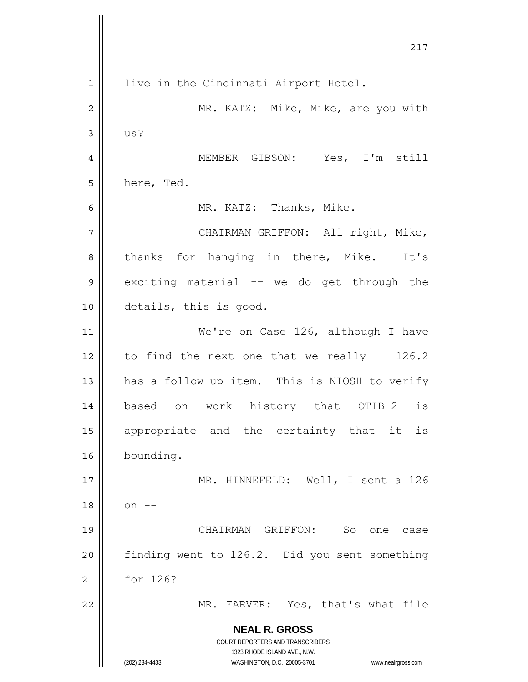**NEAL R. GROSS** COURT REPORTERS AND TRANSCRIBERS 1323 RHODE ISLAND AVE., N.W. (202) 234-4433 WASHINGTON, D.C. 20005-3701 www.nealrgross.com 217 1 2 3 4 5 6 7 8 9 10 11 12 13 14 15 16 17 18 19 20 21 22 live in the Cincinnati Airport Hotel. MR. KATZ: Mike, Mike, are you with us? MEMBER GIBSON: Yes, I'm still here, Ted. MR. KATZ: Thanks, Mike. CHAIRMAN GRIFFON: All right, Mike, thanks for hanging in there, Mike. It's exciting material -- we do get through the details, this is good. We're on Case 126, although I have to find the next one that we really -- 126.2 has a follow-up item. This is NIOSH to verify based on work history that OTIB-2 is appropriate and the certainty that it is bounding. MR. HINNEFELD: Well, I sent a 126  $on$   $--$  CHAIRMAN GRIFFON: So one case finding went to 126.2. Did you sent something for 126? MR. FARVER: Yes, that's what file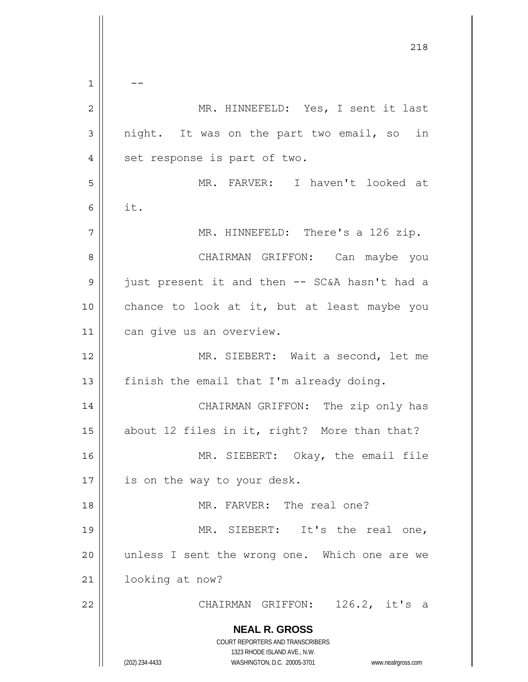**NEAL R. GROSS** COURT REPORTERS AND TRANSCRIBERS 1323 RHODE ISLAND AVE., N.W. (202) 234-4433 WASHINGTON, D.C. 20005-3701 www.nealrgross.com <u>218</u> 1 2 3 4 5 6 7 8 9 10 11 12 13 14 15 16 17 18 19 20 21 22  $-$  MR. HINNEFELD: Yes, I sent it last night. It was on the part two email, so in set response is part of two. MR. FARVER: I haven't looked at it. MR. HINNEFELD: There's a 126 zip. CHAIRMAN GRIFFON: Can maybe you just present it and then -- SC&A hasn't had a chance to look at it, but at least maybe you can give us an overview. MR. SIEBERT: Wait a second, let me finish the email that I'm already doing. CHAIRMAN GRIFFON: The zip only has about 12 files in it, right? More than that? MR. SIEBERT: Okay, the email file is on the way to your desk. MR. FARVER: The real one? MR. SIEBERT: It's the real one, unless I sent the wrong one. Which one are we looking at now? CHAIRMAN GRIFFON: 126.2, it's a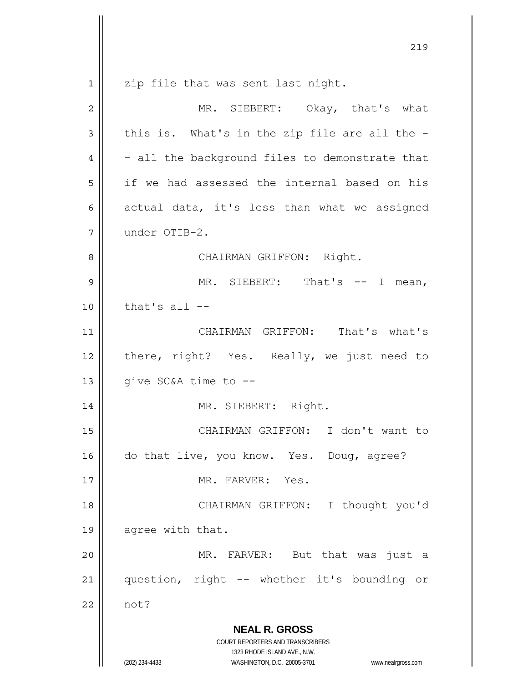**NEAL R. GROSS** COURT REPORTERS AND TRANSCRIBERS 1323 RHODE ISLAND AVE., N.W. <u>219</u> 1 2 3 4 5 6 7 8 9 10 11 12 13 14 15 16 17 18 19 20 21 22 zip file that was sent last night. MR. SIEBERT: Okay, that's what this is. What's in the zip file are all the - - all the background files to demonstrate that if we had assessed the internal based on his actual data, it's less than what we assigned under OTIB-2. CHAIRMAN GRIFFON: Right. MR. SIEBERT: That's -- I mean, that's all  $-$  CHAIRMAN GRIFFON: That's what's there, right? Yes. Really, we just need to give SC&A time to -- MR. SIEBERT: Right. CHAIRMAN GRIFFON: I don't want to do that live, you know. Yes. Doug, agree? MR. FARVER: Yes. CHAIRMAN GRIFFON: I thought you'd agree with that. MR. FARVER: But that was just a question, right -- whether it's bounding or not?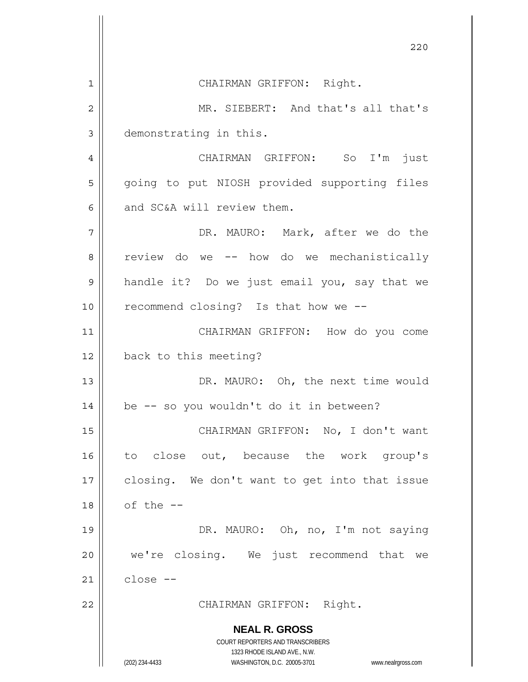**NEAL R. GROSS** COURT REPORTERS AND TRANSCRIBERS 1323 RHODE ISLAND AVE., N.W. (202) 234-4433 WASHINGTON, D.C. 20005-3701 www.nealrgross.com <u>220</u> 1 2 3 4 5 6 7 8 9 10 11 12 13 14 15 16 17 18 19 20 21 22 CHAIRMAN GRIFFON: Right. MR. SIEBERT: And that's all that's demonstrating in this. CHAIRMAN GRIFFON: So I'm just going to put NIOSH provided supporting files and SC&A will review them. DR. MAURO: Mark, after we do the review do we -- how do we mechanistically handle it? Do we just email you, say that we recommend closing? Is that how we -- CHAIRMAN GRIFFON: How do you come back to this meeting? DR. MAURO: Oh, the next time would be -- so you wouldn't do it in between? CHAIRMAN GRIFFON: No, I don't want to close out, because the work group's closing. We don't want to get into that issue of the -- DR. MAURO: Oh, no, I'm not saying we're closing. We just recommend that we close -- CHAIRMAN GRIFFON: Right.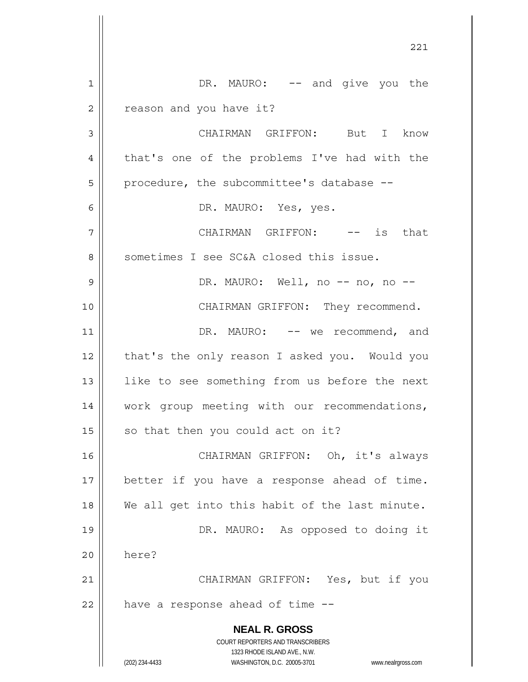|    | 221                                                                 |
|----|---------------------------------------------------------------------|
| 1  | DR. MAURO: -- and give you the                                      |
| 2  | reason and you have it?                                             |
| 3  | CHAIRMAN GRIFFON: But I know                                        |
| 4  | that's one of the problems I've had with the                        |
| 5  | procedure, the subcommittee's database --                           |
| 6  | DR. MAURO: Yes, yes.                                                |
| 7  | CHAIRMAN GRIFFON: -- is that                                        |
| 8  | sometimes I see SC&A closed this issue.                             |
| 9  | DR. MAURO: Well, no -- no, no --                                    |
| 10 | CHAIRMAN GRIFFON: They recommend.                                   |
| 11 | DR. MAURO: -- we recommend, and                                     |
| 12 | that's the only reason I asked you. Would you                       |
| 13 | like to see something from us before the next                       |
| 14 | work group meeting with our recommendations,                        |
| 15 | so that then you could act on it?                                   |
| 16 | CHAIRMAN GRIFFON: Oh, it's always                                   |
| 17 | better if you have a response ahead of time.                        |
| 18 | We all get into this habit of the last minute.                      |
| 19 | DR. MAURO: As opposed to doing it                                   |
| 20 | here?                                                               |
| 21 | CHAIRMAN GRIFFON: Yes, but if you                                   |
| 22 | have a response ahead of time --                                    |
|    | <b>NEAL R. GROSS</b>                                                |
|    | COURT REPORTERS AND TRANSCRIBERS<br>1323 RHODE ISLAND AVE., N.W.    |
|    | (202) 234-4433<br>WASHINGTON, D.C. 20005-3701<br>www.nealrgross.com |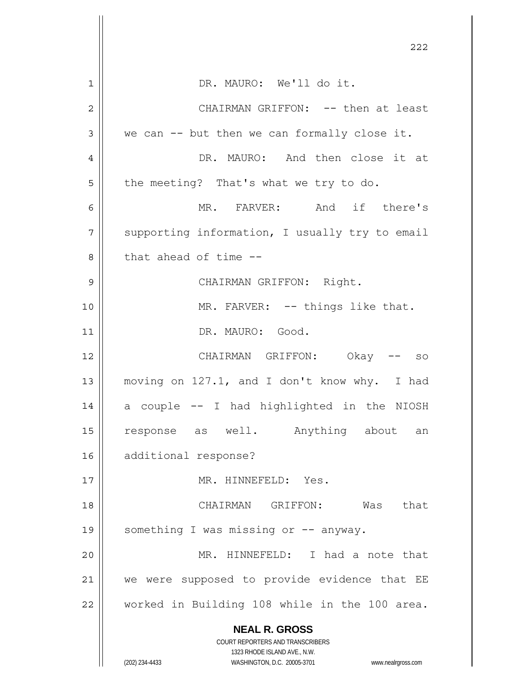|                | 222                                                                 |
|----------------|---------------------------------------------------------------------|
| 1              | DR. MAURO: We'll do it.                                             |
| $\overline{2}$ | CHAIRMAN GRIFFON: -- then at least                                  |
| 3              | we can -- but then we can formally close it.                        |
| 4              | DR. MAURO: And then close it at                                     |
| 5              | the meeting? That's what we try to do.                              |
| 6              | MR. FARVER: And if there's                                          |
| 7              | supporting information, I usually try to email                      |
| 8              | that ahead of time --                                               |
| 9              | CHAIRMAN GRIFFON: Right.                                            |
| 10             | MR. FARVER: -- things like that.                                    |
| 11             | DR. MAURO: Good.                                                    |
| 12             | CHAIRMAN GRIFFON: Okay -- so                                        |
| 13             | moving on 127.1, and I don't know why. I had                        |
| 14             | a couple -- I had highlighted in the NIOSH                          |
| 15             | response as well. Anything about<br>an                              |
| 16             | additional response?                                                |
| 17             | MR. HINNEFELD: Yes.                                                 |
| 18             | CHAIRMAN GRIFFON: Was<br>that                                       |
| 19             | something I was missing or -- anyway.                               |
| 20             | MR. HINNEFELD: I had a note that                                    |
| 21             | we were supposed to provide evidence that EE                        |
| 22             | worked in Building 108 while in the 100 area.                       |
|                | <b>NEAL R. GROSS</b>                                                |
|                | COURT REPORTERS AND TRANSCRIBERS<br>1323 RHODE ISLAND AVE., N.W.    |
|                | (202) 234-4433<br>WASHINGTON, D.C. 20005-3701<br>www.nealrgross.com |

 $\mathbb{I}$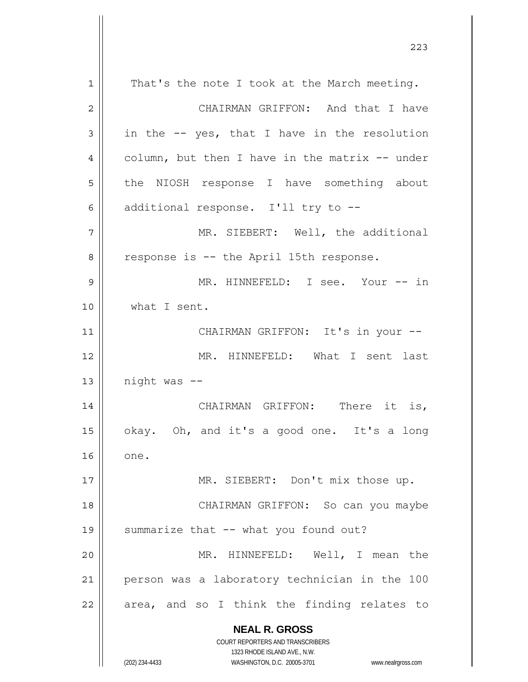**NEAL R. GROSS** COURT REPORTERS AND TRANSCRIBERS 1323 RHODE ISLAND AVE., N.W. (202) 234-4433 WASHINGTON, D.C. 20005-3701 www.nealrgross.com 1 2 3 4 5 6 7 8 9 10 11 12 13 14 15 16 17 18 19 20 21 22 That's the note I took at the March meeting. CHAIRMAN GRIFFON: And that I have in the -- yes, that I have in the resolution column, but then I have in the matrix -- under the NIOSH response I have something about additional response. I'll try to -- MR. SIEBERT: Well, the additional response is -- the April 15th response. MR. HINNEFELD: I see. Your -- in what I sent. CHAIRMAN GRIFFON: It's in your -- MR. HINNEFELD: What I sent last night was -- CHAIRMAN GRIFFON: There it is, okay. Oh, and it's a good one. It's a long one. MR. SIEBERT: Don't mix those up. CHAIRMAN GRIFFON: So can you maybe summarize that -- what you found out? MR. HINNEFELD: Well, I mean the person was a laboratory technician in the 100 area, and so I think the finding relates to

<u>223</u>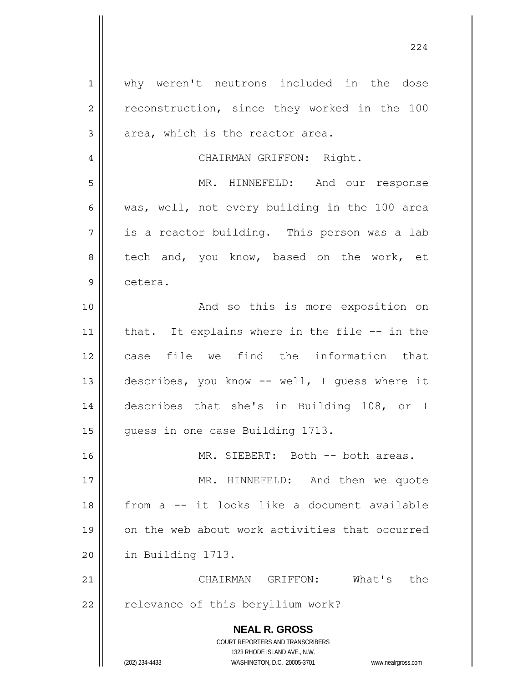**NEAL R. GROSS** COURT REPORTERS AND TRANSCRIBERS 1323 RHODE ISLAND AVE., N.W. (202) 234-4433 WASHINGTON, D.C. 20005-3701 www.nealrgross.com 1 2 3 4 5 6 7 8 9 10 11 12 13 14 15 16 17 18 19 20 21 22 why weren't neutrons included in the dose reconstruction, since they worked in the 100 area, which is the reactor area. CHAIRMAN GRIFFON: Right. MR. HINNEFELD: And our response was, well, not every building in the 100 area is a reactor building. This person was a lab tech and, you know, based on the work, et cetera. And so this is more exposition on that. It explains where in the file -- in the case file we find the information that describes, you know -- well, I guess where it describes that she's in Building 108, or I guess in one case Building 1713. MR. SIEBERT: Both -- both areas. MR. HINNEFELD: And then we quote from a -- it looks like a document available on the web about work activities that occurred in Building 1713. CHAIRMAN GRIFFON: What's the relevance of this beryllium work?

224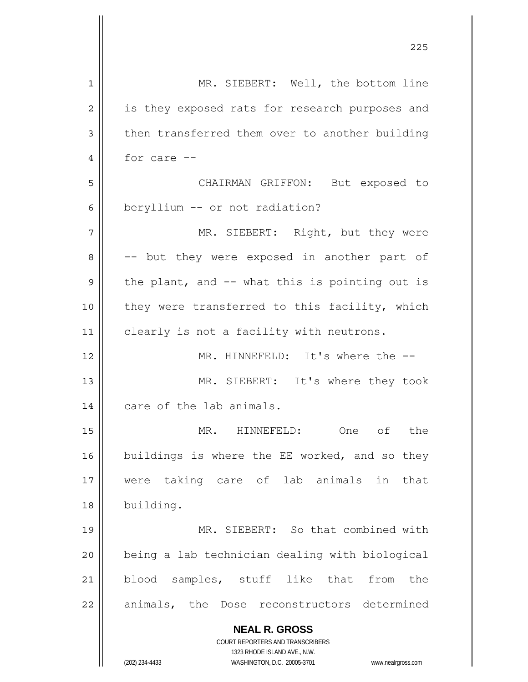| 1              | MR. SIEBERT: Well, the bottom line                                                                  |
|----------------|-----------------------------------------------------------------------------------------------------|
| $\overline{2}$ | is they exposed rats for research purposes and                                                      |
| 3              | then transferred them over to another building                                                      |
| 4              | for care --                                                                                         |
| 5              | CHAIRMAN GRIFFON: But exposed to                                                                    |
| 6              | beryllium -- or not radiation?                                                                      |
| 7              | MR. SIEBERT: Right, but they were                                                                   |
| 8              | -- but they were exposed in another part of                                                         |
| 9              | the plant, and -- what this is pointing out is                                                      |
| 10             | they were transferred to this facility, which                                                       |
| 11             | clearly is not a facility with neutrons.                                                            |
| 12             | MR. HINNEFELD: It's where the --                                                                    |
| 13             | MR. SIEBERT: It's where they took                                                                   |
| 14             | care of the lab animals.                                                                            |
| 15             | One of the<br>MR. HINNEFELD:                                                                        |
| 16             | buildings is where the EE worked, and so they                                                       |
|                |                                                                                                     |
| 17             | were taking care of lab animals in<br>that                                                          |
| 18             | building.                                                                                           |
| 19             | MR. SIEBERT: So that combined with                                                                  |
| 20             | being a lab technician dealing with biological                                                      |
| 21             | blood samples, stuff like that from<br>the                                                          |
| 22             | animals, the Dose reconstructors determined                                                         |
|                | <b>NEAL R. GROSS</b>                                                                                |
|                | COURT REPORTERS AND TRANSCRIBERS                                                                    |
|                | 1323 RHODE ISLAND AVE., N.W.<br>(202) 234-4433<br>WASHINGTON, D.C. 20005-3701<br>www.nealrgross.com |
|                |                                                                                                     |

<u>225</u>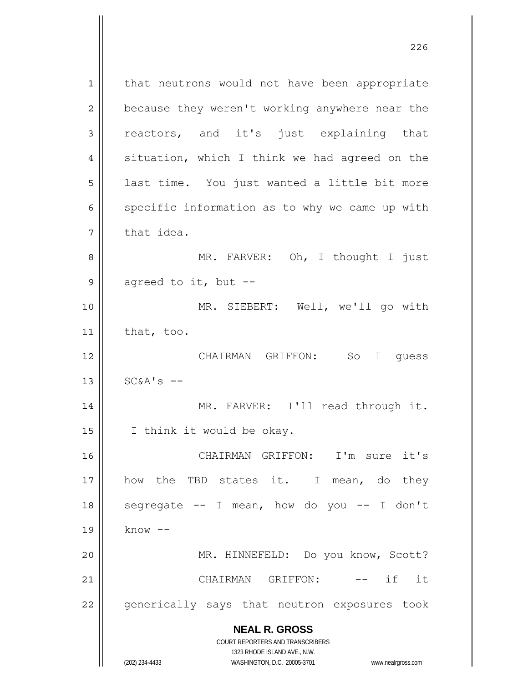**NEAL R. GROSS** COURT REPORTERS AND TRANSCRIBERS 1323 RHODE ISLAND AVE., N.W. 1 2 3 4 5 6 7 8 9 10 11 12 13 14 15 16 17 18 19 20 21 22 that neutrons would not have been appropriate because they weren't working anywhere near the reactors, and it's just explaining that situation, which I think we had agreed on the last time. You just wanted a little bit more specific information as to why we came up with that idea. MR. FARVER: Oh, I thought I just agreed to it, but -- MR. SIEBERT: Well, we'll go with that, too. CHAIRMAN GRIFFON: So I guess  $SC&A's --$  MR. FARVER: I'll read through it. I think it would be okay. CHAIRMAN GRIFFON: I'm sure it's how the TBD states it. I mean, do they segregate  $--$  I mean, how do you  $--$  I don't know -- MR. HINNEFELD: Do you know, Scott? CHAIRMAN GRIFFON: -- if it generically says that neutron exposures took

(202) 234-4433 WASHINGTON, D.C. 20005-3701 www.nealrgross.com

<u>226</u>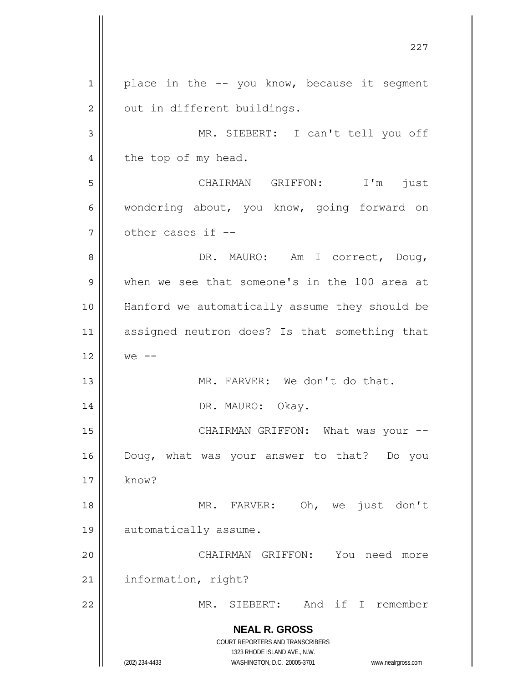**NEAL R. GROSS** COURT REPORTERS AND TRANSCRIBERS 1323 RHODE ISLAND AVE., N.W. (202) 234-4433 WASHINGTON, D.C. 20005-3701 www.nealrgross.com <u>227</u> 1 2 3 4 5 6 7 8 9 10 11 12 13 14 15 16 17 18 19 20 21 22 place in the -- you know, because it segment out in different buildings. MR. SIEBERT: I can't tell you off the top of my head. CHAIRMAN GRIFFON: I'm just wondering about, you know, going forward on other cases if -- DR. MAURO: Am I correct, Doug, when we see that someone's in the 100 area at Hanford we automatically assume they should be assigned neutron does? Is that something that  $we$   $--$  MR. FARVER: We don't do that. DR. MAURO: Okay. CHAIRMAN GRIFFON: What was your -- Doug, what was your answer to that? Do you know? MR. FARVER: Oh, we just don't automatically assume. CHAIRMAN GRIFFON: You need more information, right? MR. SIEBERT: And if I remember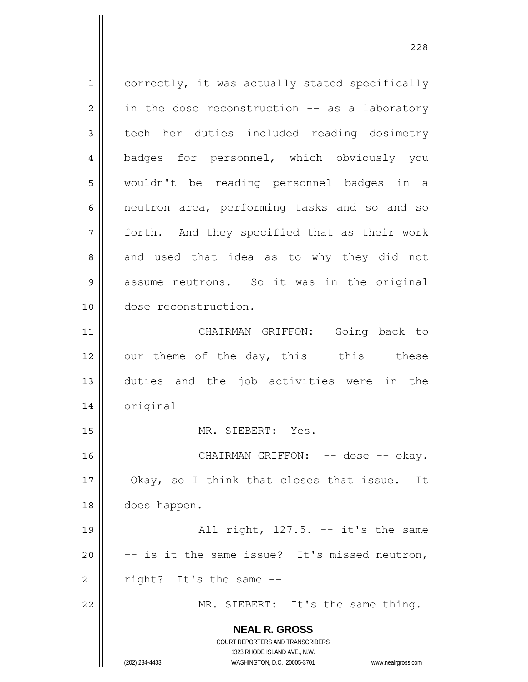**NEAL R. GROSS** COURT REPORTERS AND TRANSCRIBERS 1323 RHODE ISLAND AVE., N.W. 1 2 3 4 5 6 7 8 9 10 11 12 13 14 15 16 17 18 19 20 21 22 correctly, it was actually stated specifically in the dose reconstruction -- as a laboratory tech her duties included reading dosimetry badges for personnel, which obviously you wouldn't be reading personnel badges in a neutron area, performing tasks and so and so forth. And they specified that as their work and used that idea as to why they did not assume neutrons. So it was in the original dose reconstruction. CHAIRMAN GRIFFON: Going back to our theme of the day, this  $--$  this  $--$  these duties and the job activities were in the original -- MR. SIEBERT: Yes. CHAIRMAN GRIFFON: -- dose -- okay. Okay, so I think that closes that issue. It does happen. All right, 127.5. -- it's the same -- is it the same issue? It's missed neutron, right? It's the same -- MR. SIEBERT: It's the same thing.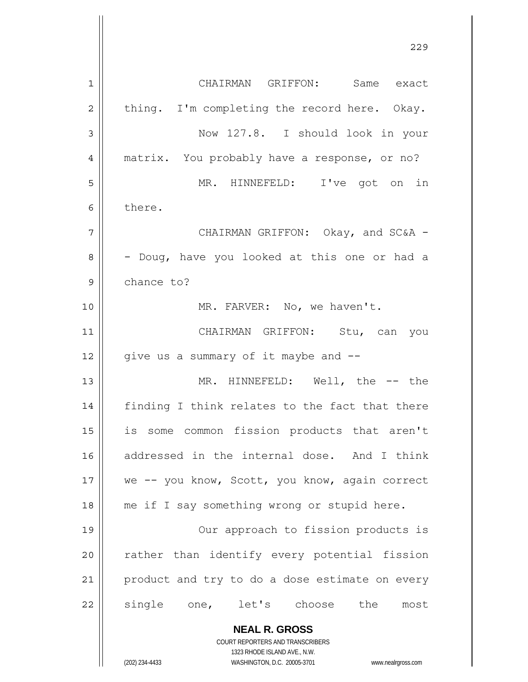|                | 229                                            |
|----------------|------------------------------------------------|
| $\mathbf 1$    | CHAIRMAN GRIFFON: Same exact                   |
| $\overline{2}$ | thing. I'm completing the record here. Okay.   |
| 3              | Now 127.8. I should look in your               |
| 4              | matrix. You probably have a response, or no?   |
| 5              | MR. HINNEFELD: I've got on in                  |
| 6              | there.                                         |
| 7              | CHAIRMAN GRIFFON: Okay, and SC&A -             |
| 8              | - Doug, have you looked at this one or had a   |
| 9              | chance to?                                     |
| 10             | MR. FARVER: No, we haven't.                    |
| 11             | CHAIRMAN GRIFFON: Stu, can you                 |
| 12             | give us a summary of it maybe and --           |
| 13             | MR. HINNEFELD: Well, the -- the                |
| 14             | finding I think relates to the fact that there |
| 15             | is some common fission products that aren't    |
| 16             | addressed in the internal dose. And I think    |
| 17             | we -- you know, Scott, you know, again correct |
| 18             | me if I say something wrong or stupid here.    |
| 19             | Our approach to fission products is            |
| 20             | rather than identify every potential fission   |
| 21             | product and try to do a dose estimate on every |
| 22             | single one, let's choose the<br>most           |
|                | <b>NEAL R. GROSS</b>                           |

COURT REPORTERS AND TRANSCRIBERS 1323 RHODE ISLAND AVE., N.W.

 $\prod$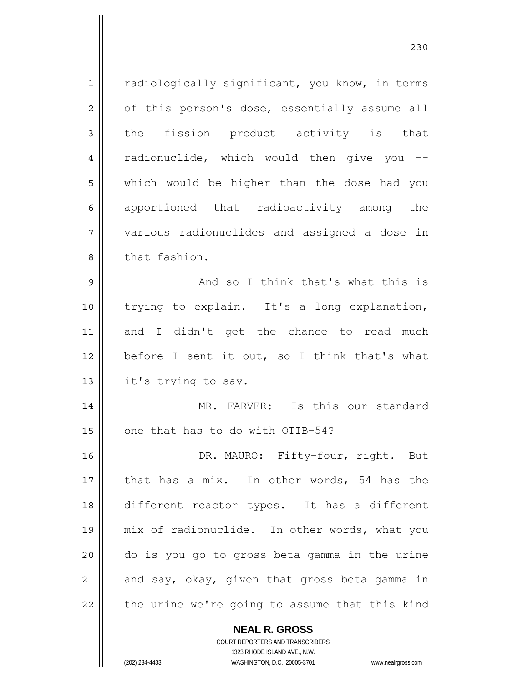1 2 3 4 5 6 7 8 9 10 11 12 13 14 15 16 17 18 19 20 21 22 radiologically significant, you know, in terms of this person's dose, essentially assume all the fission product activity is that radionuclide, which would then give you - which would be higher than the dose had you apportioned that radioactivity among the various radionuclides and assigned a dose in that fashion. And so I think that's what this is trying to explain. It's a long explanation, and I didn't get the chance to read much before I sent it out, so I think that's what it's trying to say. MR. FARVER: Is this our standard one that has to do with OTIB-54? DR. MAURO: Fifty-four, right. But that has a mix. In other words, 54 has the different reactor types. It has a different mix of radionuclide. In other words, what you do is you go to gross beta gamma in the urine and say, okay, given that gross beta gamma in the urine we're going to assume that this kind

<u>230</u>

**NEAL R. GROSS** COURT REPORTERS AND TRANSCRIBERS

1323 RHODE ISLAND AVE., N.W.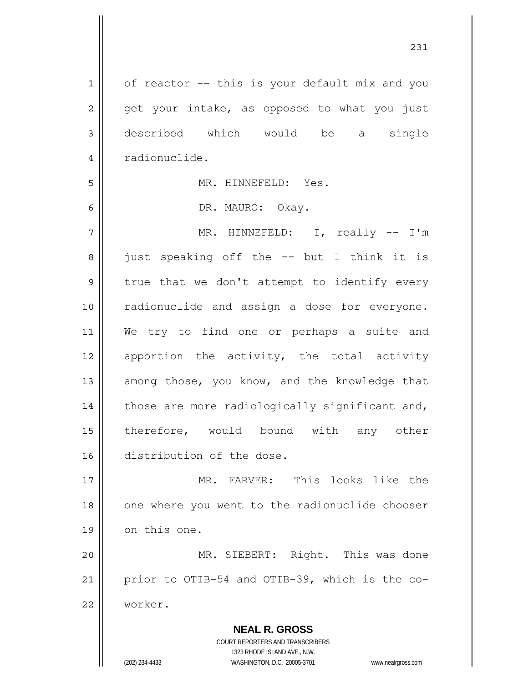**NEAL R. GROSS** 1 2 3 4 5 6 7 8 9 10 11 12 13 14 15 16 17 18 19 20 21 22 of reactor -- this is your default mix and you get your intake, as opposed to what you just described which would be a single radionuclide. MR. HINNEFELD: Yes. DR. MAURO: Okay. MR. HINNEFELD: I, really -- I'm just speaking off the -- but I think it is true that we don't attempt to identify every radionuclide and assign a dose for everyone. We try to find one or perhaps a suite and apportion the activity, the total activity among those, you know, and the knowledge that those are more radiologically significant and, therefore, would bound with any other distribution of the dose. MR. FARVER: This looks like the one where you went to the radionuclide chooser on this one. MR. SIEBERT: Right. This was done prior to OTIB-54 and OTIB-39, which is the coworker.

> COURT REPORTERS AND TRANSCRIBERS 1323 RHODE ISLAND AVE., N.W.

(202) 234-4433 WASHINGTON, D.C. 20005-3701 www.nealrgross.com

231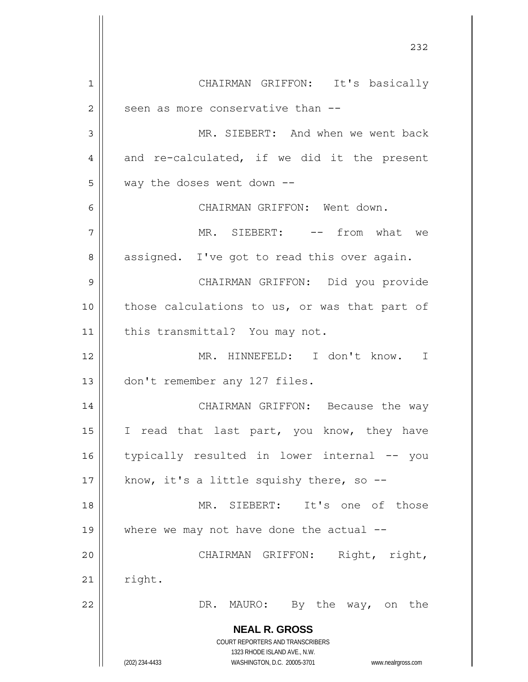**NEAL R. GROSS** COURT REPORTERS AND TRANSCRIBERS 1323 RHODE ISLAND AVE., N.W. (202) 234-4433 WASHINGTON, D.C. 20005-3701 www.nealrgross.com <u>232</u> 1 2 3 4 5 6 7 8 9 10 11 12 13 14 15 16 17 18 19 20 21 22 CHAIRMAN GRIFFON: It's basically seen as more conservative than -- MR. SIEBERT: And when we went back and re-calculated, if we did it the present way the doses went down -- CHAIRMAN GRIFFON: Went down. MR. SIEBERT: -- from what we assigned. I've got to read this over again. CHAIRMAN GRIFFON: Did you provide those calculations to us, or was that part of this transmittal? You may not. MR. HINNEFELD: I don't know. I don't remember any 127 files. CHAIRMAN GRIFFON: Because the way I read that last part, you know, they have typically resulted in lower internal -- you know, it's a little squishy there, so -- MR. SIEBERT: It's one of those where we may not have done the actual  $-$ - CHAIRMAN GRIFFON: Right, right, right. DR. MAURO: By the way, on the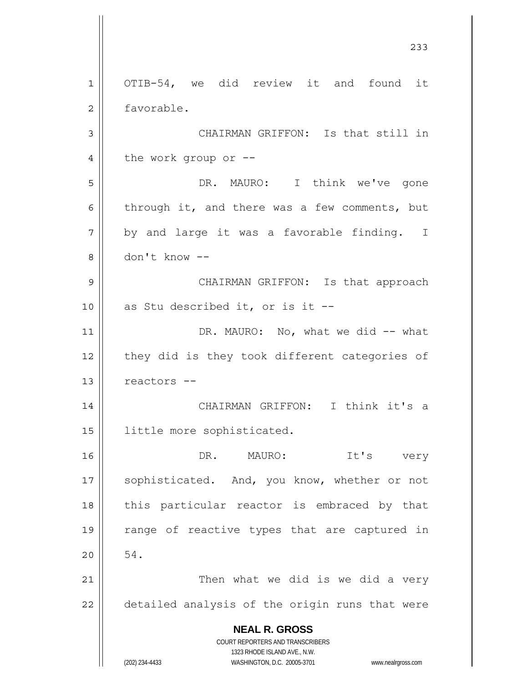**NEAL R. GROSS** COURT REPORTERS AND TRANSCRIBERS 1323 RHODE ISLAND AVE., N.W. (202) 234-4433 WASHINGTON, D.C. 20005-3701 www.nealrgross.com 233 1 2 3 4 5 6 7 8 9 10 11 12 13 14 15 16 17 18 19 20 21 22 OTIB-54, we did review it and found it favorable. CHAIRMAN GRIFFON: Is that still in the work group or -- DR. MAURO: I think we've gone through it, and there was a few comments, but by and large it was a favorable finding. I don't know -- CHAIRMAN GRIFFON: Is that approach as Stu described it, or is it -- DR. MAURO: No, what we did -- what they did is they took different categories of reactors -- CHAIRMAN GRIFFON: I think it's a little more sophisticated. DR. MAURO: It's very sophisticated. And, you know, whether or not this particular reactor is embraced by that range of reactive types that are captured in 54. Then what we did is we did a very detailed analysis of the origin runs that were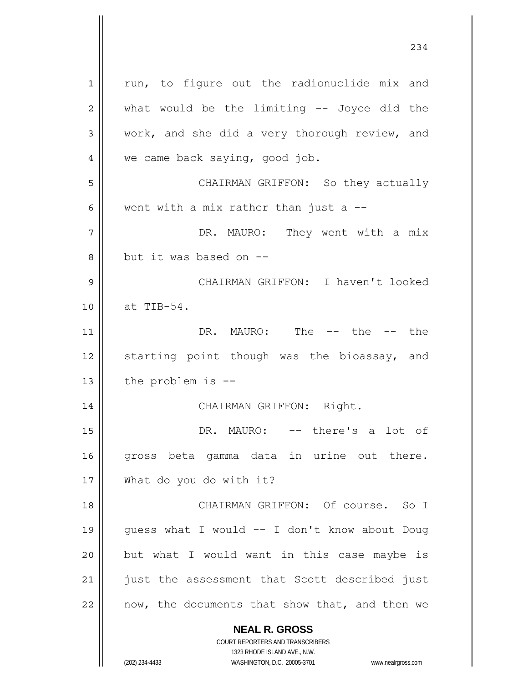**NEAL R. GROSS** COURT REPORTERS AND TRANSCRIBERS 1323 RHODE ISLAND AVE., N.W. 1 2 3 4 5 6 7 8 9 10 11 12 13 14 15 16 17 18 19 20 21 22 run, to figure out the radionuclide mix and what would be the limiting -- Joyce did the work, and she did a very thorough review, and we came back saying, good job. CHAIRMAN GRIFFON: So they actually went with a mix rather than just a  $-$ -DR. MAURO: They went with a mix but it was based on -- CHAIRMAN GRIFFON: I haven't looked at TIB-54. DR. MAURO: The -- the -- the starting point though was the bioassay, and the problem is -- CHAIRMAN GRIFFON: Right. DR. MAURO: -- there's a lot of gross beta gamma data in urine out there. What do you do with it? CHAIRMAN GRIFFON: Of course. So I guess what I would -- I don't know about Doug but what I would want in this case maybe is just the assessment that Scott described just now, the documents that show that, and then we

234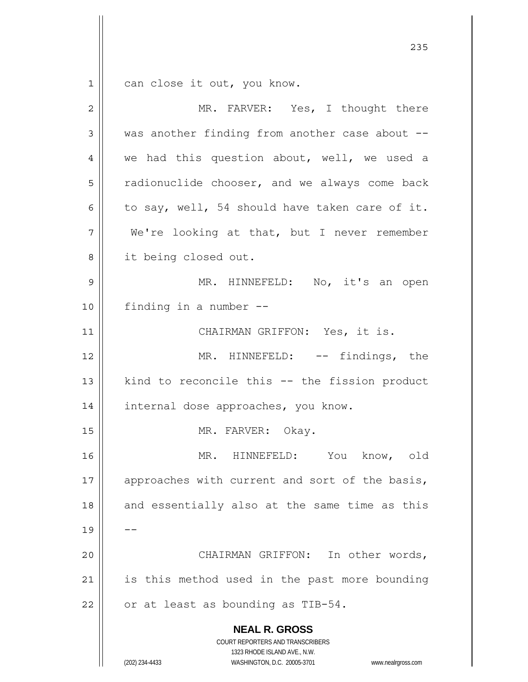1 can close it out, you know.

| $\overline{2}$ | MR. FARVER: Yes, I thought there                                                                                                                                       |
|----------------|------------------------------------------------------------------------------------------------------------------------------------------------------------------------|
| 3              | was another finding from another case about --                                                                                                                         |
| 4              | we had this question about, well, we used a                                                                                                                            |
| 5              | radionuclide chooser, and we always come back                                                                                                                          |
| 6              | to say, well, 54 should have taken care of it.                                                                                                                         |
| 7              | We're looking at that, but I never remember                                                                                                                            |
| 8              | it being closed out.                                                                                                                                                   |
| $\mathsf 9$    | MR. HINNEFELD: No, it's an open                                                                                                                                        |
| 10             | finding in a number --                                                                                                                                                 |
| 11             | CHAIRMAN GRIFFON: Yes, it is.                                                                                                                                          |
| 12             | MR. HINNEFELD: -- findings, the                                                                                                                                        |
| 13             | kind to reconcile this -- the fission product                                                                                                                          |
| 14             | internal dose approaches, you know.                                                                                                                                    |
| 15             | MR. FARVER: Okay.                                                                                                                                                      |
| 16             | MR. HINNEFELD: You know, old                                                                                                                                           |
| 17             | approaches with current and sort of the basis,                                                                                                                         |
| 18             | and essentially also at the same time as this                                                                                                                          |
| 19             |                                                                                                                                                                        |
| 20             | CHAIRMAN GRIFFON: In other words,                                                                                                                                      |
| 21             | is this method used in the past more bounding                                                                                                                          |
| 22             | or at least as bounding as TIB-54.                                                                                                                                     |
|                | <b>NEAL R. GROSS</b><br><b>COURT REPORTERS AND TRANSCRIBERS</b><br>1323 RHODE ISLAND AVE., N.W.<br>(202) 234-4433<br>WASHINGTON, D.C. 20005-3701<br>www.nealrgross.com |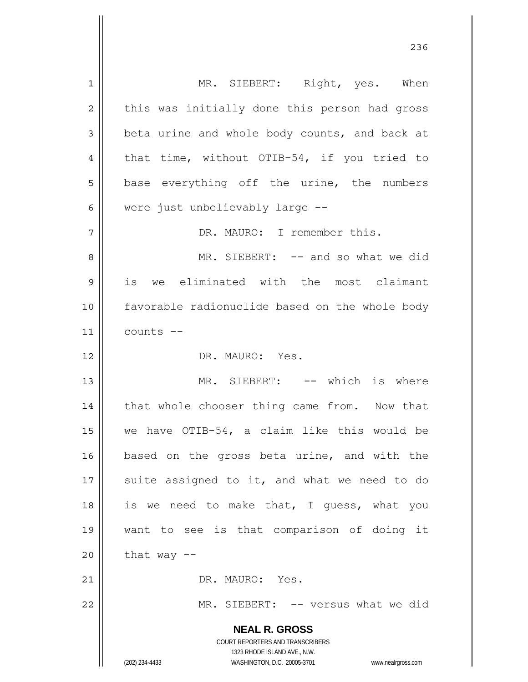**NEAL R. GROSS** COURT REPORTERS AND TRANSCRIBERS 1323 RHODE ISLAND AVE., N.W. (202) 234-4433 WASHINGTON, D.C. 20005-3701 www.nealrgross.com 1 2 3 4 5 6 7 8 9 10 11 12 13 14 15 16 17 18 19 20 21 22 MR. SIEBERT: Right, yes. When this was initially done this person had gross beta urine and whole body counts, and back at that time, without OTIB-54, if you tried to base everything off the urine, the numbers were just unbelievably large -- DR. MAURO: I remember this. MR. SIEBERT: -- and so what we did is we eliminated with the most claimant favorable radionuclide based on the whole body counts -- DR. MAURO: Yes. MR. SIEBERT: -- which is where that whole chooser thing came from. Now that we have OTIB-54, a claim like this would be based on the gross beta urine, and with the suite assigned to it, and what we need to do is we need to make that, I guess, what you want to see is that comparison of doing it that way  $--$  DR. MAURO: Yes. MR. SIEBERT: -- versus what we did

<u>236</u>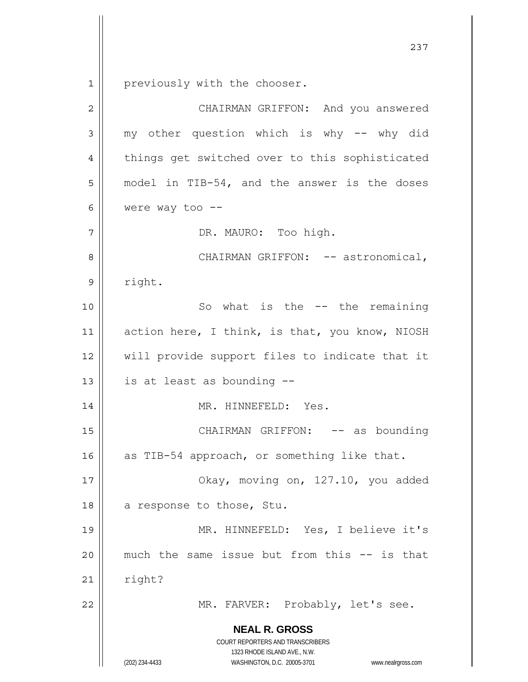$\begin{array}{c|c|c|c} 1 & 1 \\ \hline \end{array}$ previously with the chooser.

| $\overline{2}$ | CHAIRMAN GRIFFON: And you answered                                                                                                                              |
|----------------|-----------------------------------------------------------------------------------------------------------------------------------------------------------------|
| 3              | my other question which is why -- why did                                                                                                                       |
| 4              | things get switched over to this sophisticated                                                                                                                  |
| 5              | model in TIB-54, and the answer is the doses                                                                                                                    |
| 6              | were way too $--$                                                                                                                                               |
| 7              | DR. MAURO: Too high.                                                                                                                                            |
| 8              | CHAIRMAN GRIFFON: -- astronomical,                                                                                                                              |
| 9              | right.                                                                                                                                                          |
| 10             | So what is the -- the remaining                                                                                                                                 |
| 11             | action here, I think, is that, you know, NIOSH                                                                                                                  |
| 12             | will provide support files to indicate that it                                                                                                                  |
| 13             | is at least as bounding --                                                                                                                                      |
| 14             | MR. HINNEFELD: Yes.                                                                                                                                             |
| 15             | CHAIRMAN GRIFFON: -- as bounding                                                                                                                                |
| 16             | as TIB-54 approach, or something like that.                                                                                                                     |
| $17$           | Okay, moving on, 127.10, you added                                                                                                                              |
| 18             | a response to those, Stu.                                                                                                                                       |
| 19             | MR. HINNEFELD: Yes, I believe it's                                                                                                                              |
| 20             | much the same issue but from this -- is that                                                                                                                    |
| 21             | right?                                                                                                                                                          |
| 22             | MR. FARVER: Probably, let's see.                                                                                                                                |
|                | <b>NEAL R. GROSS</b><br>COURT REPORTERS AND TRANSCRIBERS<br>1323 RHODE ISLAND AVE., N.W.<br>(202) 234-4433<br>WASHINGTON, D.C. 20005-3701<br>www.nealrgross.com |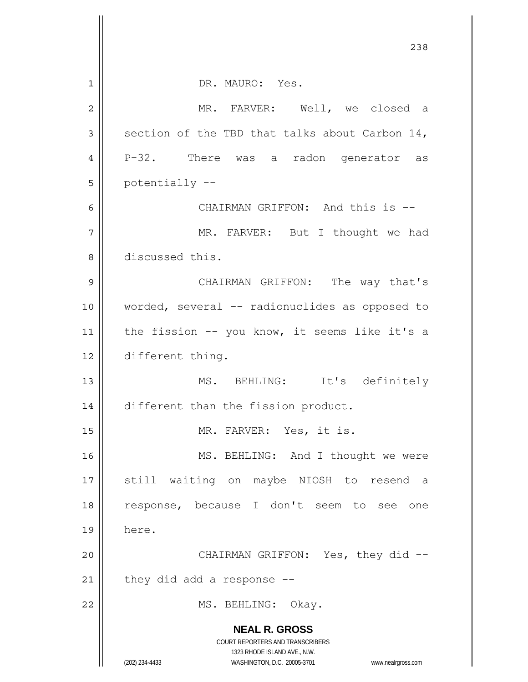|    | 238                                                              |
|----|------------------------------------------------------------------|
|    |                                                                  |
| 1  | DR. MAURO: Yes.                                                  |
| 2  | MR. FARVER: Well, we closed a                                    |
| 3  | section of the TBD that talks about Carbon 14,                   |
| 4  | P-32. There was a radon generator as                             |
| 5  | potentially --                                                   |
| 6  | CHAIRMAN GRIFFON: And this is --                                 |
| 7  | MR. FARVER: But I thought we had                                 |
| 8  | discussed this.                                                  |
| 9  | CHAIRMAN GRIFFON: The way that's                                 |
| 10 | worded, several -- radionuclides as opposed to                   |
| 11 | the fission -- you know, it seems like it's a                    |
| 12 | different thing.                                                 |
| 13 | MS. BEHLING: It's definitely                                     |
| 14 | different than the fission product.                              |
| 15 | MR. FARVER: Yes, it is.                                          |
| 16 | MS. BEHLING: And I thought we were                               |
| 17 | still waiting on maybe NIOSH to resend a                         |
| 18 | response, because I don't seem to see one                        |
| 19 | here.                                                            |
| 20 | CHAIRMAN GRIFFON: Yes, they did --                               |
| 21 | they did add a response $-$ -                                    |
| 22 | MS. BEHLING: Okay.                                               |
|    | <b>NEAL R. GROSS</b>                                             |
|    | COURT REPORTERS AND TRANSCRIBERS<br>1323 RHODE ISLAND AVE., N.W. |
|    | (202) 234-4433<br>WASHINGTON, D.C. 20005-3701 www.nealrgross.com |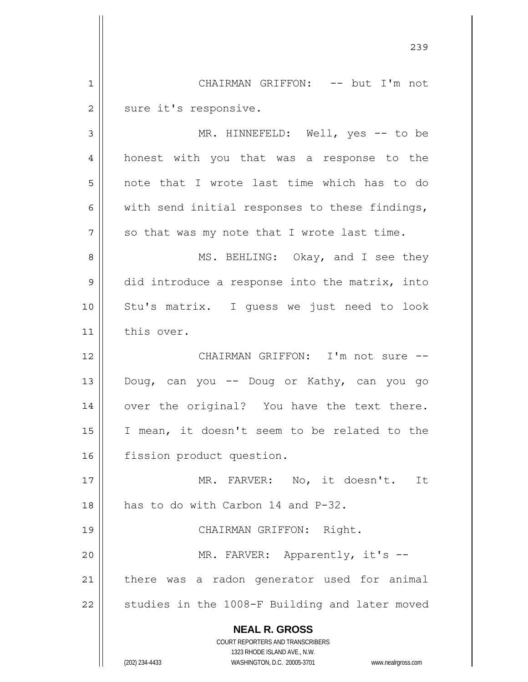**NEAL R. GROSS** COURT REPORTERS AND TRANSCRIBERS 1323 RHODE ISLAND AVE., N.W. (202) 234-4433 WASHINGTON, D.C. 20005-3701 www.nealrgross.com <u>239</u> 1 2 3 4 5 6 7 8 9 10 11 12 13 14 15 16 17 18 19 20 21 22 CHAIRMAN GRIFFON: -- but I'm not sure it's responsive. MR. HINNEFELD: Well, yes -- to be honest with you that was a response to the note that I wrote last time which has to do with send initial responses to these findings, so that was my note that I wrote last time. MS. BEHLING: Okay, and I see they did introduce a response into the matrix, into Stu's matrix. I guess we just need to look this over. CHAIRMAN GRIFFON: I'm not sure -- Doug, can you -- Doug or Kathy, can you go over the original? You have the text there. I mean, it doesn't seem to be related to the fission product question. MR. FARVER: No, it doesn't. It has to do with Carbon 14 and P-32. CHAIRMAN GRIFFON: Right. MR. FARVER: Apparently, it's -there was a radon generator used for animal studies in the 1008-F Building and later moved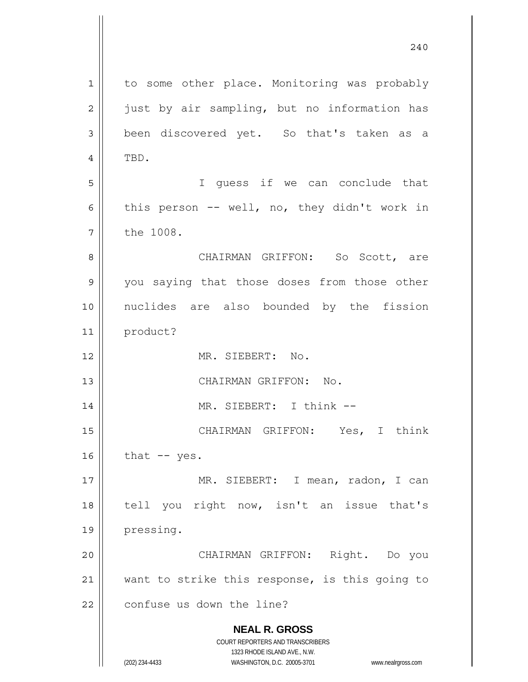**NEAL R. GROSS** COURT REPORTERS AND TRANSCRIBERS 1323 RHODE ISLAND AVE., N.W. (202) 234-4433 WASHINGTON, D.C. 20005-3701 www.nealrgross.com 240 1 2 3 4 5 6 7 8 9 10 11 12 13 14 15 16 17 18 19 20 21 22 to some other place. Monitoring was probably just by air sampling, but no information has been discovered yet. So that's taken as a TBD. I guess if we can conclude that this person -- well, no, they didn't work in the 1008. CHAIRMAN GRIFFON: So Scott, are you saying that those doses from those other nuclides are also bounded by the fission product? MR. SIEBERT: No. CHAIRMAN GRIFFON: No. MR. SIEBERT: I think -- CHAIRMAN GRIFFON: Yes, I think that -- yes. MR. SIEBERT: I mean, radon, I can tell you right now, isn't an issue that's pressing. CHAIRMAN GRIFFON: Right. Do you want to strike this response, is this going to confuse us down the line?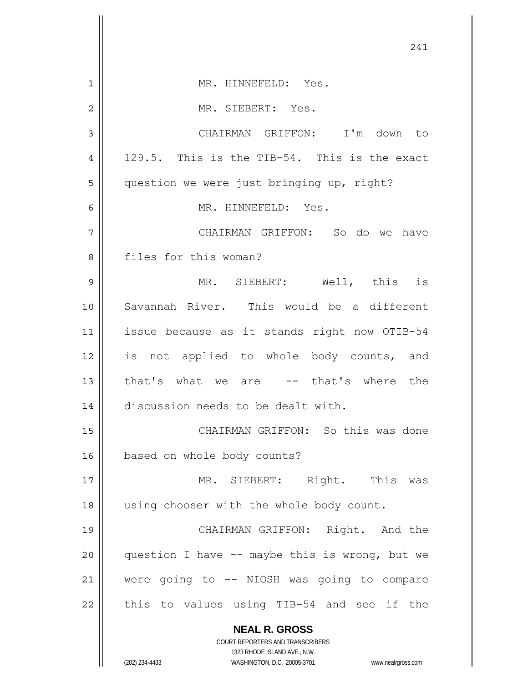|                | 241                                                                                                 |
|----------------|-----------------------------------------------------------------------------------------------------|
| 1              | MR. HINNEFELD: Yes.                                                                                 |
| $\overline{2}$ | MR. SIEBERT: Yes.                                                                                   |
| 3              | CHAIRMAN GRIFFON: I'm down to                                                                       |
| 4              | 129.5. This is the TIB-54. This is the exact                                                        |
| 5              | question we were just bringing up, right?                                                           |
| 6              | MR. HINNEFELD: Yes.                                                                                 |
| 7              | CHAIRMAN GRIFFON: So do we have                                                                     |
| 8              | files for this woman?                                                                               |
| 9              | MR. SIEBERT: Well, this is                                                                          |
| 10             | Savannah River. This would be a different                                                           |
| 11             | issue because as it stands right now OTIB-54                                                        |
| 12             | is not applied to whole body counts, and                                                            |
| 13             | that's what we are -- that's where the                                                              |
| 14             | discussion needs to be dealt with.                                                                  |
| 15             | CHAIRMAN GRIFFON: So this was done                                                                  |
| 16             | based on whole body counts?                                                                         |
| 17             | MR. SIEBERT: Right. This was                                                                        |
| 18             | using chooser with the whole body count.                                                            |
| 19             | CHAIRMAN GRIFFON: Right. And the                                                                    |
| 20             | question I have -- maybe this is wrong, but we                                                      |
| 21             | were going to -- NIOSH was going to compare                                                         |
| 22             | this to values using TIB-54 and see if the                                                          |
|                | <b>NEAL R. GROSS</b>                                                                                |
|                | COURT REPORTERS AND TRANSCRIBERS                                                                    |
|                | 1323 RHODE ISLAND AVE., N.W.<br>(202) 234-4433<br>WASHINGTON, D.C. 20005-3701<br>www.nealrgross.com |

 $\mathsf{I}$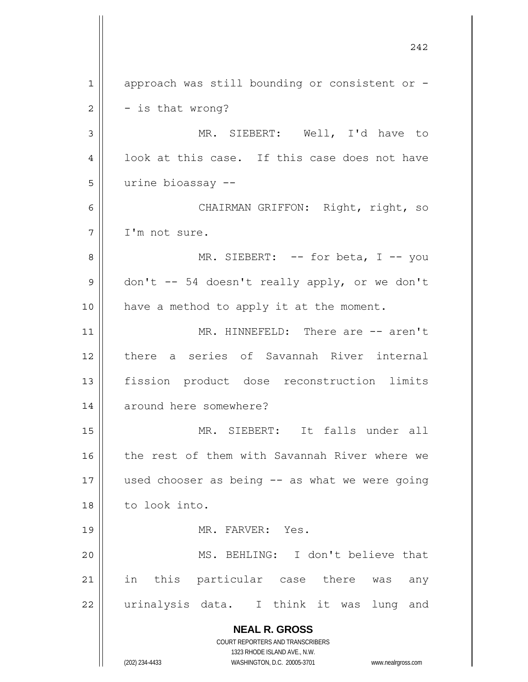**NEAL R. GROSS** COURT REPORTERS AND TRANSCRIBERS 1323 RHODE ISLAND AVE., N.W. (202) 234-4433 WASHINGTON, D.C. 20005-3701 www.nealrgross.com 242 1 2 3 4 5 6 7 8 9 10 11 12 13 14 15 16 17 18 19 20 21 22 approach was still bounding or consistent or - - is that wrong? MR. SIEBERT: Well, I'd have to look at this case. If this case does not have urine bioassay -- CHAIRMAN GRIFFON: Right, right, so I'm not sure. MR. SIEBERT: -- for beta, I -- you don't -- 54 doesn't really apply, or we don't have a method to apply it at the moment. MR. HINNEFELD: There are -- aren't there a series of Savannah River internal fission product dose reconstruction limits around here somewhere? MR. SIEBERT: It falls under all the rest of them with Savannah River where we used chooser as being -- as what we were going to look into. MR. FARVER: Yes. MS. BEHLING: I don't believe that in this particular case there was any urinalysis data. I think it was lung and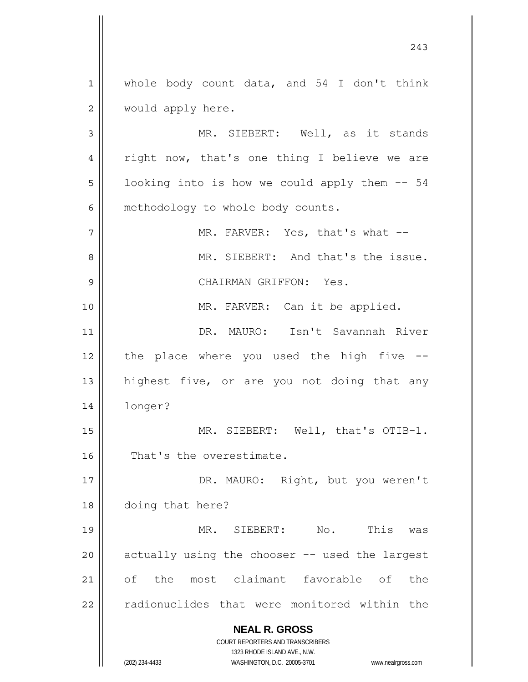1 2 whole body count data, and 54 I don't think would apply here.

3 4 5 6 MR. SIEBERT: Well, as it stands right now, that's one thing I believe we are looking into is how we could apply them -- 54 methodology to whole body counts.

7 8 9 10 11 12 13 14 15 MR. FARVER: Yes, that's what -- MR. SIEBERT: And that's the issue. CHAIRMAN GRIFFON: Yes. MR. FARVER: Can it be applied. DR. MAURO: Isn't Savannah River the place where you used the high five - highest five, or are you not doing that any longer? MR. SIEBERT: Well, that's OTIB-1.

16 That's the overestimate.

17 18 DR. MAURO: Right, but you weren't doing that here?

19 20 21 22 MR. SIEBERT: No. This was actually using the chooser -- used the largest of the most claimant favorable of the radionuclides that were monitored within the

**NEAL R. GROSS**

COURT REPORTERS AND TRANSCRIBERS 1323 RHODE ISLAND AVE., N.W. (202) 234-4433 WASHINGTON, D.C. 20005-3701 www.nealrgross.com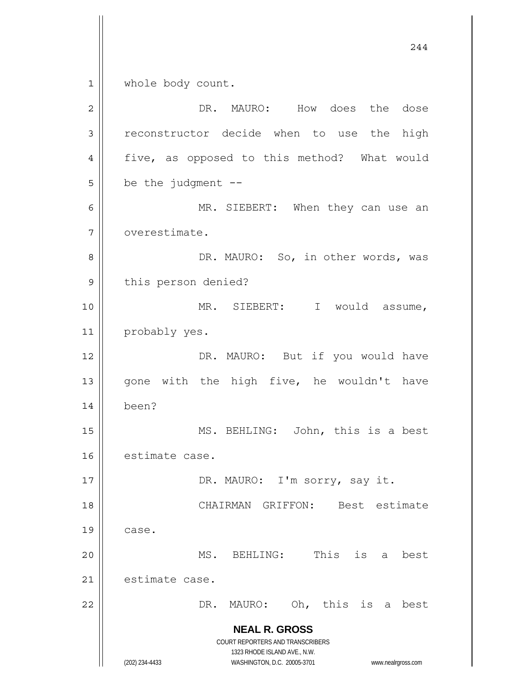**NEAL R. GROSS** COURT REPORTERS AND TRANSCRIBERS 1323 RHODE ISLAND AVE., N.W. (202) 234-4433 WASHINGTON, D.C. 20005-3701 www.nealrgross.com 244 1 2 3 4 5 6 7 8 9 10 11 12 13 14 15 16 17 18 19 20 21 22 whole body count. DR. MAURO: How does the dose reconstructor decide when to use the high five, as opposed to this method? What would be the judgment  $--$  MR. SIEBERT: When they can use an overestimate. DR. MAURO: So, in other words, was this person denied? MR. SIEBERT: I would assume, probably yes. DR. MAURO: But if you would have gone with the high five, he wouldn't have been? MS. BEHLING: John, this is a best estimate case. DR. MAURO: I'm sorry, say it. CHAIRMAN GRIFFON: Best estimate case. MS. BEHLING: This is a best estimate case. DR. MAURO: Oh, this is a best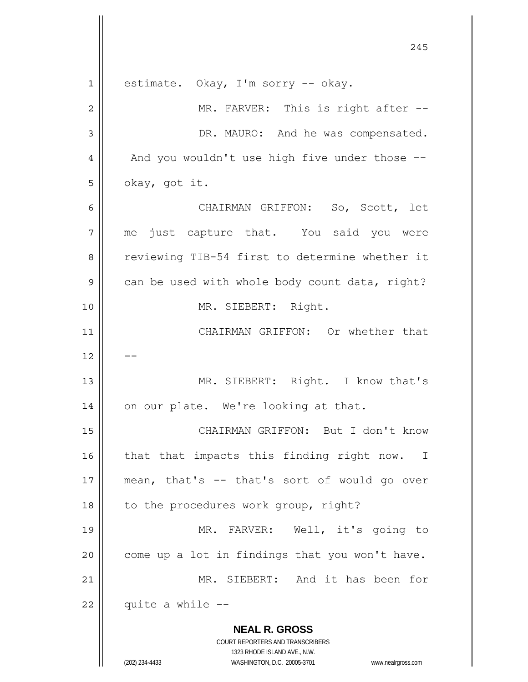|             | 245                                                                 |
|-------------|---------------------------------------------------------------------|
| $\mathbf 1$ | estimate. Okay, I'm sorry -- okay.                                  |
| 2           | MR. FARVER: This is right after --                                  |
| 3           | DR. MAURO: And he was compensated.                                  |
| 4           | And you wouldn't use high five under those --                       |
| 5           | okay, got it.                                                       |
| 6           | CHAIRMAN GRIFFON: So, Scott, let                                    |
| 7           | me just capture that. You said you were                             |
| 8           | reviewing TIB-54 first to determine whether it                      |
| 9           | can be used with whole body count data, right?                      |
| 10          | MR. SIEBERT: Right.                                                 |
| 11          | CHAIRMAN GRIFFON: Or whether that                                   |
| 12          |                                                                     |
| 13          | MR. SIEBERT: Right. I know that's                                   |
| 14          | on our plate. We're looking at that.                                |
| 15          | CHAIRMAN GRIFFON: But I don't know                                  |
| 16          | that that impacts this finding right now. I                         |
| 17          | mean, that's -- that's sort of would go over                        |
| 18          | to the procedures work group, right?                                |
| 19          | MR. FARVER: Well, it's going to                                     |
| 20          | come up a lot in findings that you won't have.                      |
| 21          | MR. SIEBERT: And it has been for                                    |
| 22          | quite a while --                                                    |
|             | <b>NEAL R. GROSS</b>                                                |
|             | COURT REPORTERS AND TRANSCRIBERS<br>1323 RHODE ISLAND AVE., N.W.    |
|             | (202) 234-4433<br>WASHINGTON, D.C. 20005-3701<br>www.nealrgross.com |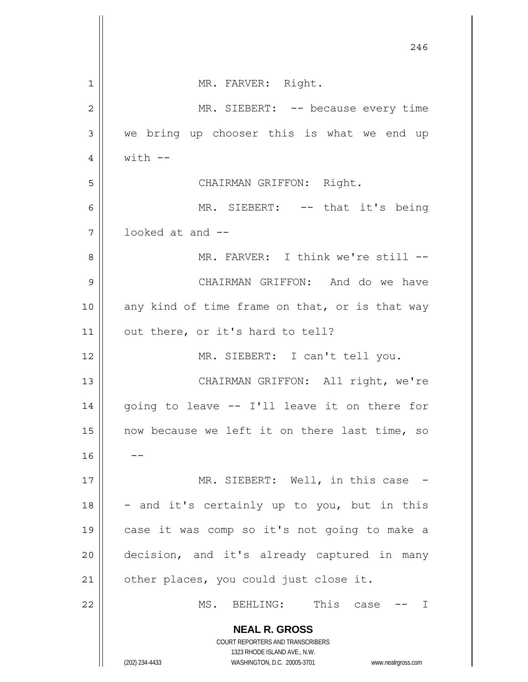|                | 246                                                                 |
|----------------|---------------------------------------------------------------------|
| 1              | MR. FARVER: Right.                                                  |
| $\overline{2}$ | MR. SIEBERT: -- because every time                                  |
| 3              | we bring up chooser this is what we end up                          |
| 4              | $with$ $-$                                                          |
| 5              | CHAIRMAN GRIFFON: Right.                                            |
| 6              | MR. SIEBERT: -- that it's being                                     |
| 7              | looked at and --                                                    |
| 8              | MR. FARVER: I think we're still --                                  |
| 9              | CHAIRMAN GRIFFON: And do we have                                    |
| 10             | any kind of time frame on that, or is that way                      |
| 11             | out there, or it's hard to tell?                                    |
| 12             | MR. SIEBERT: I can't tell you.                                      |
| 13             | CHAIRMAN GRIFFON: All right, we're                                  |
| 14             | going to leave -- I'll leave it on there for                        |
| 15             | now because we left it on there last time, so                       |
| 16             |                                                                     |
| 17             | MR. SIEBERT: Well, in this case -                                   |
| 18             | - and it's certainly up to you, but in this                         |
| 19             | case it was comp so it's not going to make a                        |
| 20             | decision, and it's already captured in many                         |
| 21             | other places, you could just close it.                              |
| 22             | MS.<br>BEHLING: This case -- I                                      |
|                | <b>NEAL R. GROSS</b>                                                |
|                | COURT REPORTERS AND TRANSCRIBERS<br>1323 RHODE ISLAND AVE., N.W.    |
|                | (202) 234-4433<br>WASHINGTON, D.C. 20005-3701<br>www.nealrgross.com |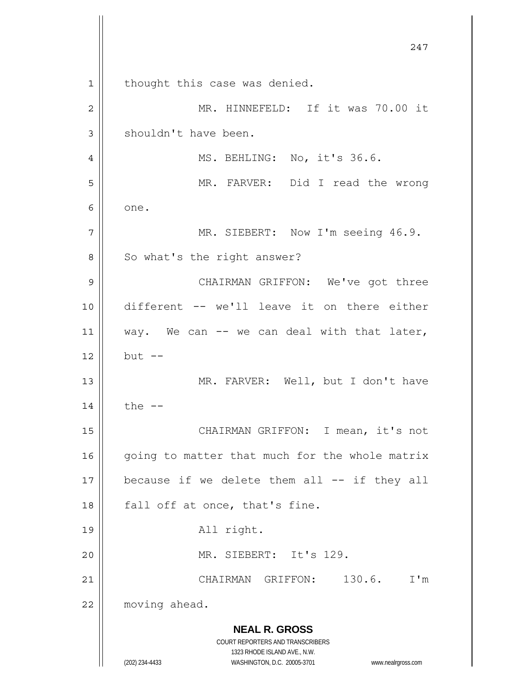**NEAL R. GROSS** COURT REPORTERS AND TRANSCRIBERS 1323 RHODE ISLAND AVE., N.W. (202) 234-4433 WASHINGTON, D.C. 20005-3701 www.nealrgross.com 247 1 2 3 4 5 6 7 8 9 10 11 12 13 14 15 16 17 18 19 20 21 22 thought this case was denied. MR. HINNEFELD: If it was 70.00 it shouldn't have been. MS. BEHLING: No, it's 36.6. MR. FARVER: Did I read the wrong one. MR. SIEBERT: Now I'm seeing 46.9. So what's the right answer? CHAIRMAN GRIFFON: We've got three different -- we'll leave it on there either way. We can -- we can deal with that later, but  $--$  MR. FARVER: Well, but I don't have the  $--$  CHAIRMAN GRIFFON: I mean, it's not going to matter that much for the whole matrix because if we delete them all -- if they all fall off at once, that's fine. All right. MR. SIEBERT: It's 129. CHAIRMAN GRIFFON: 130.6. I'm moving ahead.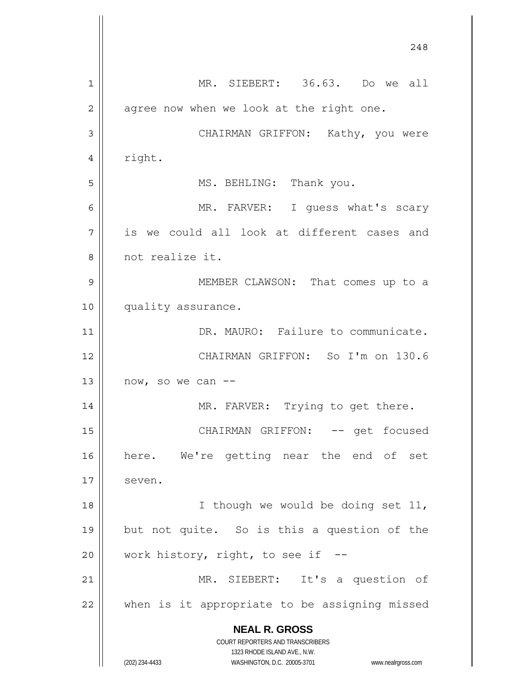**NEAL R. GROSS** COURT REPORTERS AND TRANSCRIBERS 1323 RHODE ISLAND AVE., N.W. (202) 234-4433 WASHINGTON, D.C. 20005-3701 www.nealrgross.com 248 1 2 3 4 5 6 7 8 9 10 11 12 13 14 15 16 17 18 19 20 21 22 MR. SIEBERT: 36.63. Do we all agree now when we look at the right one. CHAIRMAN GRIFFON: Kathy, you were right. MS. BEHLING: Thank you. MR. FARVER: I guess what's scary is we could all look at different cases and not realize it. MEMBER CLAWSON: That comes up to a quality assurance. DR. MAURO: Failure to communicate. CHAIRMAN GRIFFON: So I'm on 130.6 now, so we can -- MR. FARVER: Trying to get there. CHAIRMAN GRIFFON: -- get focused here. We're getting near the end of set seven. I though we would be doing set 11, but not quite. So is this a question of the work history, right, to see if -- MR. SIEBERT: It's a question of when is it appropriate to be assigning missed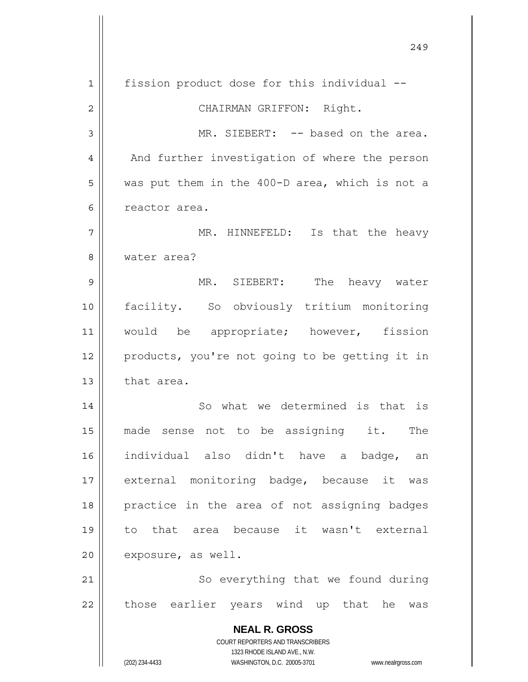**NEAL R. GROSS** COURT REPORTERS AND TRANSCRIBERS 1323 RHODE ISLAND AVE., N.W. (202) 234-4433 WASHINGTON, D.C. 20005-3701 www.nealrgross.com 1 2 3 4 5 6 7 8 9 10 11 12 13 14 15 16 17 18 19 20 21 22 fission product dose for this individual -- CHAIRMAN GRIFFON: Right. MR. SIEBERT: -- based on the area. And further investigation of where the person was put them in the 400-D area, which is not a reactor area. MR. HINNEFELD: Is that the heavy water area? MR. SIEBERT: The heavy water facility. So obviously tritium monitoring would be appropriate; however, fission products, you're not going to be getting it in that area. So what we determined is that is made sense not to be assigning it. The individual also didn't have a badge, an external monitoring badge, because it was practice in the area of not assigning badges to that area because it wasn't external exposure, as well. So everything that we found during those earlier years wind up that he was

249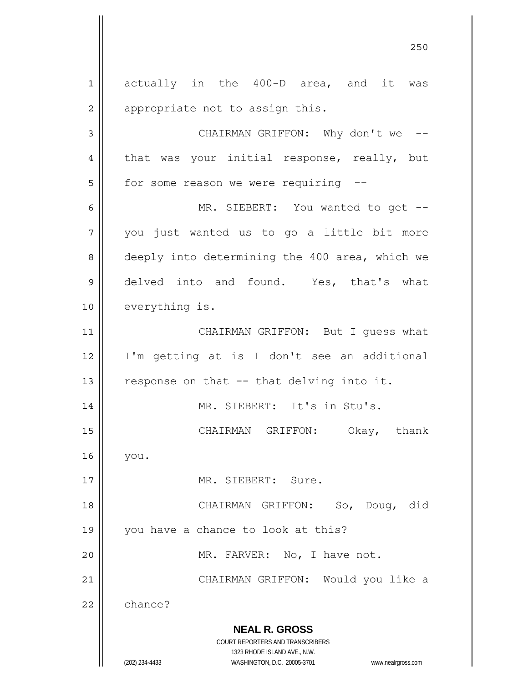**NEAL R. GROSS** COURT REPORTERS AND TRANSCRIBERS 1323 RHODE ISLAND AVE., N.W. (202) 234-4433 WASHINGTON, D.C. 20005-3701 www.nealrgross.com 1 2 3 4 5 6 7 8 9 10 11 12 13 14 15 16 17 18 19 20 21 22 actually in the 400-D area, and it was appropriate not to assign this. CHAIRMAN GRIFFON: Why don't we -that was your initial response, really, but for some reason we were requiring -- MR. SIEBERT: You wanted to get -you just wanted us to go a little bit more deeply into determining the 400 area, which we delved into and found. Yes, that's what everything is. CHAIRMAN GRIFFON: But I guess what I'm getting at is I don't see an additional response on that -- that delving into it. MR. SIEBERT: It's in Stu's. CHAIRMAN GRIFFON: Okay, thank you. MR. SIEBERT: Sure. CHAIRMAN GRIFFON: So, Doug, did you have a chance to look at this? MR. FARVER: No, I have not. CHAIRMAN GRIFFON: Would you like a chance?

<u>250</u>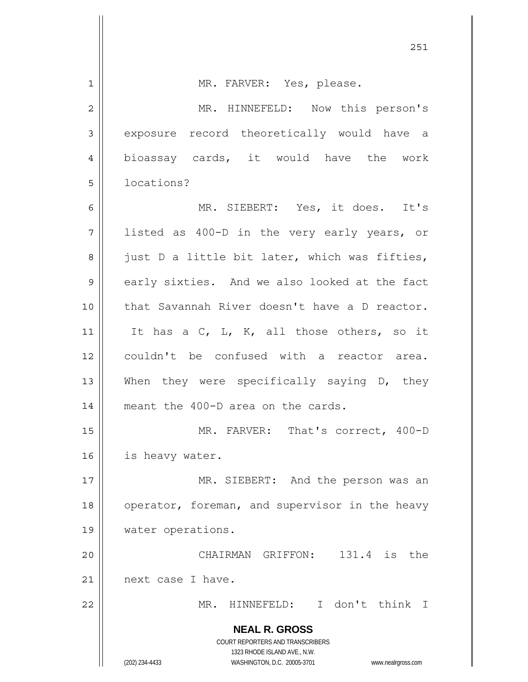| $\mathbf 1$    | MR. FARVER: Yes, please.                                                |
|----------------|-------------------------------------------------------------------------|
| $\overline{2}$ | MR. HINNEFELD: Now this person's                                        |
| 3              | exposure record theoretically would have a                              |
| 4              | bioassay cards, it would have the work                                  |
| 5              | locations?                                                              |
| 6              | MR. SIEBERT: Yes, it does. It's                                         |
| 7              | listed as 400-D in the very early years, or                             |
| 8              | just D a little bit later, which was fifties,                           |
| $\mathsf 9$    | early sixties. And we also looked at the fact                           |
| 10             | that Savannah River doesn't have a D reactor.                           |
| 11             | It has a C, L, K, all those others, so it                               |
| 12             | couldn't be confused with a reactor area.                               |
| 13             | When they were specifically saying D, they                              |
| 14             | meant the 400-D area on the cards.                                      |
| 15             | MR. FARVER: That's correct, 400-D                                       |
| 16             | is heavy water.                                                         |
| 17             | MR. SIEBERT: And the person was an                                      |
| 18             | operator, foreman, and supervisor in the heavy                          |
| 19             | water operations.                                                       |
| 20             | CHAIRMAN GRIFFON: 131.4 is the                                          |
| 21             | next case I have.                                                       |
| 22             | HINNEFELD: I don't think I<br>MR.                                       |
|                | <b>NEAL R. GROSS</b>                                                    |
|                | <b>COURT REPORTERS AND TRANSCRIBERS</b><br>1323 RHODE ISLAND AVE., N.W. |
|                | (202) 234-4433<br>WASHINGTON, D.C. 20005-3701<br>www.nealrgross.com     |

251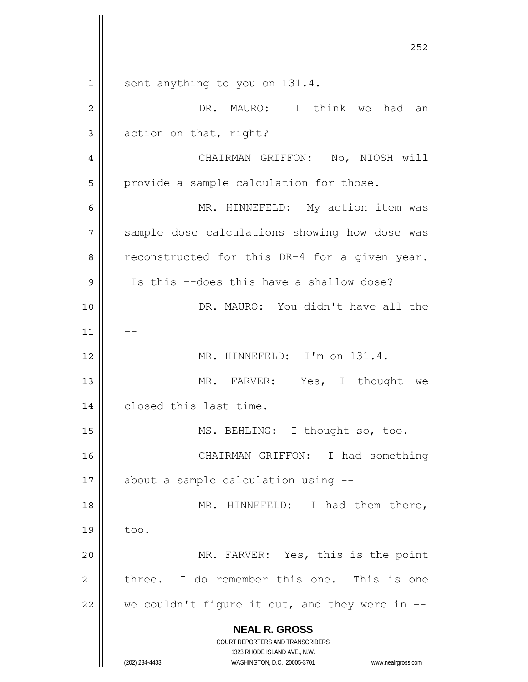**NEAL R. GROSS** COURT REPORTERS AND TRANSCRIBERS 1323 RHODE ISLAND AVE., N.W. (202) 234-4433 WASHINGTON, D.C. 20005-3701 www.nealrgross.com <u>252</u> 1 2 3 4 5 6 7 8 9 10 11 12 13 14 15 16 17 18 19 20 21 22 sent anything to you on 131.4. DR. MAURO: I think we had an action on that, right? CHAIRMAN GRIFFON: No, NIOSH will provide a sample calculation for those. MR. HINNEFELD: My action item was sample dose calculations showing how dose was reconstructed for this DR-4 for a given year. Is this --does this have a shallow dose? DR. MAURO: You didn't have all the -- MR. HINNEFELD: I'm on 131.4. MR. FARVER: Yes, I thought we closed this last time. MS. BEHLING: I thought so, too. CHAIRMAN GRIFFON: I had something about a sample calculation using -- MR. HINNEFELD: I had them there, too. MR. FARVER: Yes, this is the point three. I do remember this one. This is one we couldn't figure it out, and they were in --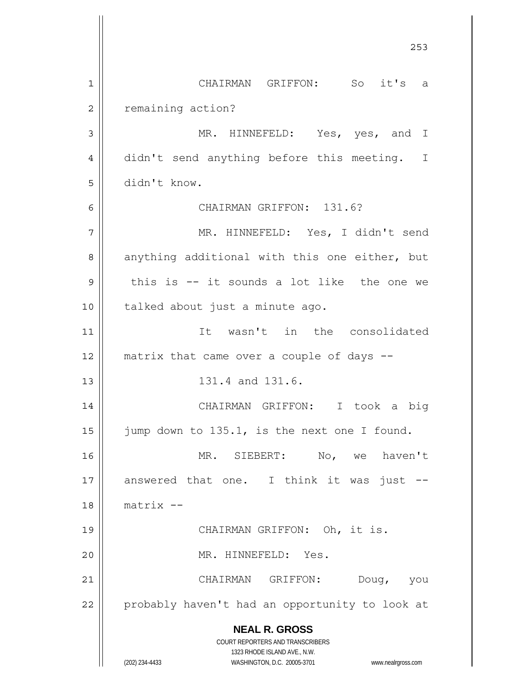**NEAL R. GROSS** COURT REPORTERS AND TRANSCRIBERS 1323 RHODE ISLAND AVE., N.W. (202) 234-4433 WASHINGTON, D.C. 20005-3701 www.nealrgross.com <u>253</u> 1 2 3 4 5 6 7 8 9 10 11 12 13 14 15 16 17 18 19 20 21 22 CHAIRMAN GRIFFON: So it's a remaining action? MR. HINNEFELD: Yes, yes, and I didn't send anything before this meeting. I didn't know. CHAIRMAN GRIFFON: 131.6? MR. HINNEFELD: Yes, I didn't send anything additional with this one either, but this is -- it sounds a lot like the one we talked about just a minute ago. It wasn't in the consolidated matrix that came over a couple of days -- 131.4 and 131.6. CHAIRMAN GRIFFON: I took a big jump down to 135.1, is the next one I found. MR. SIEBERT: No, we haven't answered that one. I think it was just - matrix -- CHAIRMAN GRIFFON: Oh, it is. MR. HINNEFELD: Yes. CHAIRMAN GRIFFON: Doug, you probably haven't had an opportunity to look at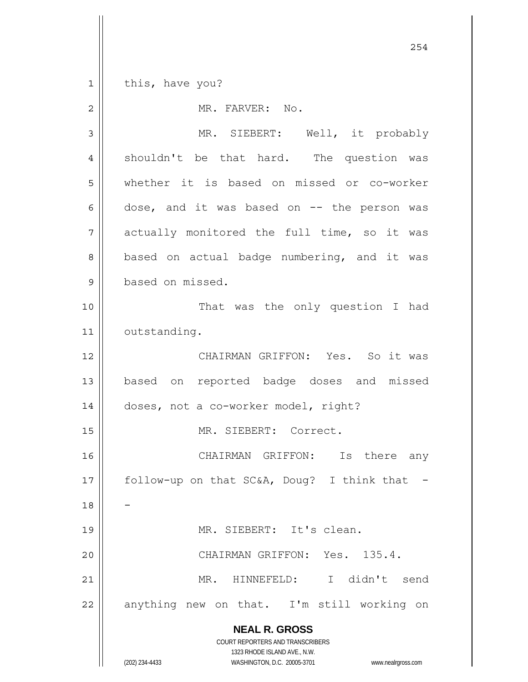**NEAL R. GROSS** COURT REPORTERS AND TRANSCRIBERS 254 1 2 3 4 5 6 7 8 9 10 11 12 13 14 15 16 17 18 19 20 21 22 this, have you? MR. FARVER: No. MR. SIEBERT: Well, it probably shouldn't be that hard. The question was whether it is based on missed or co-worker dose, and it was based on -- the person was actually monitored the full time, so it was based on actual badge numbering, and it was based on missed. That was the only question I had outstanding. CHAIRMAN GRIFFON: Yes. So it was based on reported badge doses and missed doses, not a co-worker model, right? MR. SIEBERT: Correct. CHAIRMAN GRIFFON: Is there any follow-up on that SC&A, Doug? I think that - - MR. SIEBERT: It's clean. CHAIRMAN GRIFFON: Yes. 135.4. MR. HINNEFELD: I didn't send anything new on that. I'm still working on

1323 RHODE ISLAND AVE., N.W.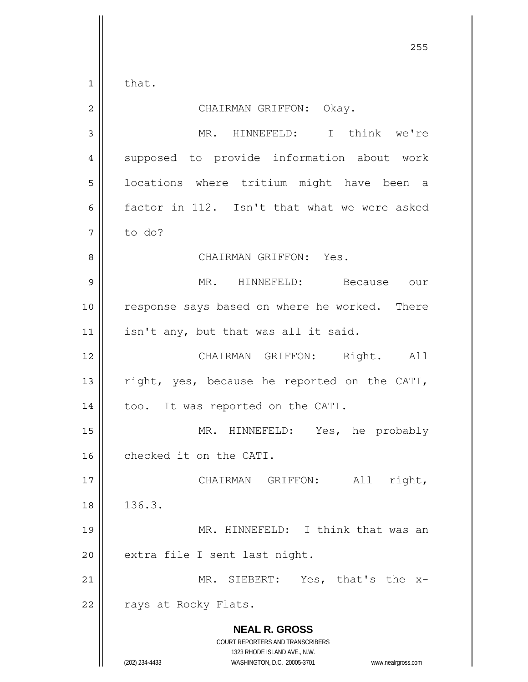that.

1

| $\overline{2}$ | CHAIRMAN GRIFFON: Okay.                                                                                                                                                |
|----------------|------------------------------------------------------------------------------------------------------------------------------------------------------------------------|
| 3              | MR. HINNEFELD: I think we're                                                                                                                                           |
| $\overline{4}$ | supposed to provide information about work                                                                                                                             |
| 5              | locations where tritium might have been a                                                                                                                              |
| 6              | factor in 112. Isn't that what we were asked                                                                                                                           |
| 7              | to do?                                                                                                                                                                 |
| 8              | CHAIRMAN GRIFFON: Yes.                                                                                                                                                 |
| 9              | MR. HINNEFELD: Because our                                                                                                                                             |
| 10             | response says based on where he worked. There                                                                                                                          |
| 11             | isn't any, but that was all it said.                                                                                                                                   |
| 12             | CHAIRMAN GRIFFON: Right. All                                                                                                                                           |
| 13             | right, yes, because he reported on the CATI,                                                                                                                           |
| 14             | too. It was reported on the CATI.                                                                                                                                      |
| 15             | MR. HINNEFELD: Yes, he probably                                                                                                                                        |
| 16             | checked it on the CATI.                                                                                                                                                |
| 17             | CHAIRMAN GRIFFON:<br>All<br>right,                                                                                                                                     |
| 18             | 136.3.                                                                                                                                                                 |
| 19             | MR. HINNEFELD: I think that was an                                                                                                                                     |
| 20             | extra file I sent last night.                                                                                                                                          |
| 21             | MR. SIEBERT: Yes, that's the<br>$-x$                                                                                                                                   |
| 22             | rays at Rocky Flats.                                                                                                                                                   |
|                | <b>NEAL R. GROSS</b><br><b>COURT REPORTERS AND TRANSCRIBERS</b><br>1323 RHODE ISLAND AVE., N.W.<br>(202) 234-4433<br>WASHINGTON, D.C. 20005-3701<br>www.nealrgross.com |

<u>255</u>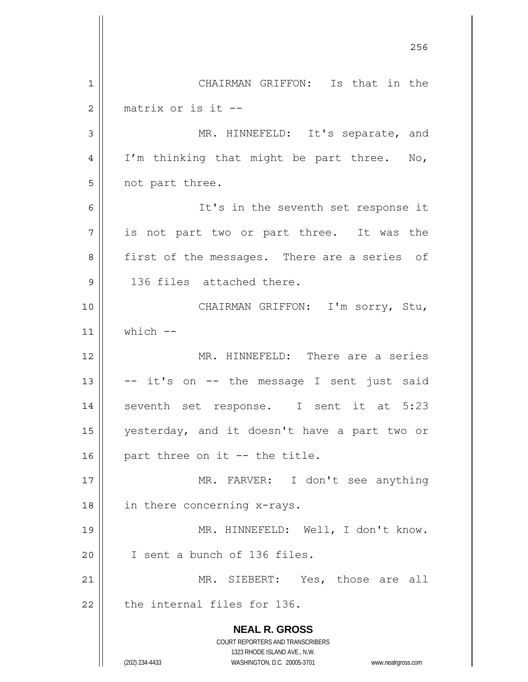**NEAL R. GROSS** COURT REPORTERS AND TRANSCRIBERS 1323 RHODE ISLAND AVE., N.W. (202) 234-4433 WASHINGTON, D.C. 20005-3701 www.nealrgross.com <u>256 میں اس کا 17 مئی میں اس کا 17 مئی میں اس کا 17 مئی میں اس کا 17 مئی میں اس کا 17 مئی میں اس کا 256 مئی می</u> 1 2 3 4 5 6 7 8 9 10 11 12 13 14 15 16 17 18 19 20 21 22 CHAIRMAN GRIFFON: Is that in the matrix or is it -- MR. HINNEFELD: It's separate, and I'm thinking that might be part three. No, not part three. It's in the seventh set response it is not part two or part three. It was the first of the messages. There are a series of 136 files attached there. CHAIRMAN GRIFFON: I'm sorry, Stu, which -- MR. HINNEFELD: There are a series -- it's on -- the message I sent just said seventh set response. I sent it at 5:23 yesterday, and it doesn't have a part two or part three on it -- the title. MR. FARVER: I don't see anything in there concerning x-rays. MR. HINNEFELD: Well, I don't know. I sent a bunch of 136 files. MR. SIEBERT: Yes, those are all the internal files for 136.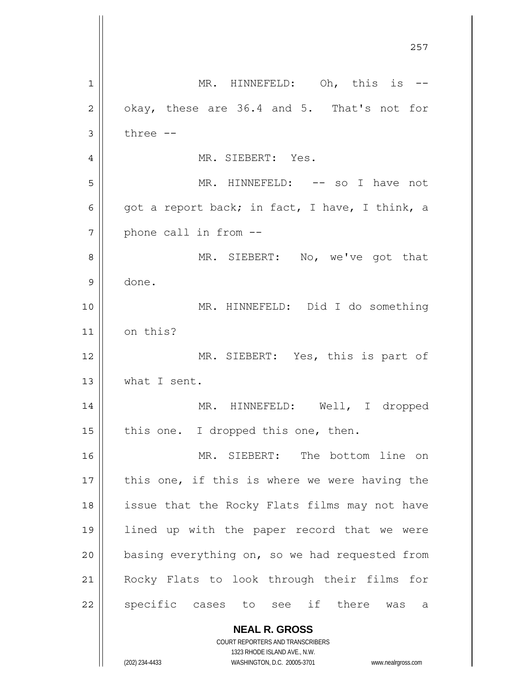**NEAL R. GROSS** COURT REPORTERS AND TRANSCRIBERS <u>257 and 257</u> 1 2 3 4 5 6 7 8 9 10 11 12 13 14 15 16 17 18 19 20 21 22 MR. HINNEFELD: Oh, this is -okay, these are 36.4 and 5. That's not for three -- MR. SIEBERT: Yes. MR. HINNEFELD: -- so I have not got a report back; in fact, I have, I think, a phone call in from -- MR. SIEBERT: No, we've got that done. MR. HINNEFELD: Did I do something on this? MR. SIEBERT: Yes, this is part of what I sent. MR. HINNEFELD: Well, I dropped this one. I dropped this one, then. MR. SIEBERT: The bottom line on this one, if this is where we were having the issue that the Rocky Flats films may not have lined up with the paper record that we were basing everything on, so we had requested from Rocky Flats to look through their films for specific cases to see if there was a

1323 RHODE ISLAND AVE., N.W.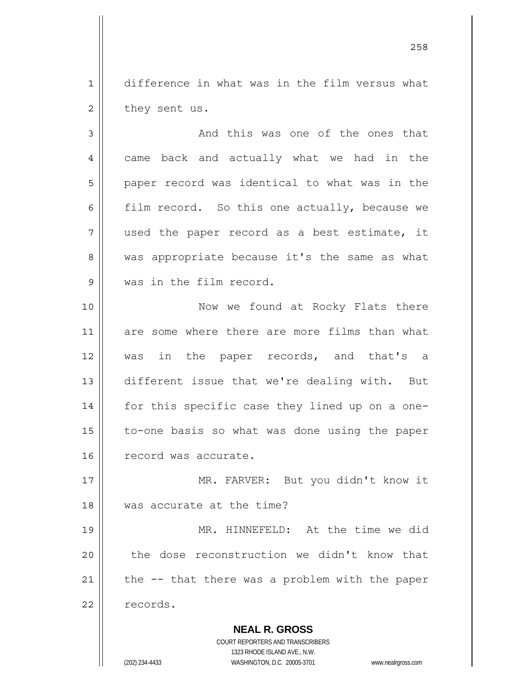difference in what was in the film versus what they sent us.

1

2

3 4 5 6 7 8 9 10 11 12 13 14 15 16 And this was one of the ones that came back and actually what we had in the paper record was identical to what was in the film record. So this one actually, because we used the paper record as a best estimate, it was appropriate because it's the same as what was in the film record. Now we found at Rocky Flats there are some where there are more films than what was in the paper records, and that's a different issue that we're dealing with. But for this specific case they lined up on a oneto-one basis so what was done using the paper record was accurate.

17 18 MR. FARVER: But you didn't know it was accurate at the time?

19 20 21 22 MR. HINNEFELD: At the time we did the dose reconstruction we didn't know that the -- that there was a problem with the paper records.

> **NEAL R. GROSS** COURT REPORTERS AND TRANSCRIBERS 1323 RHODE ISLAND AVE., N.W. (202) 234-4433 WASHINGTON, D.C. 20005-3701 www.nealrgross.com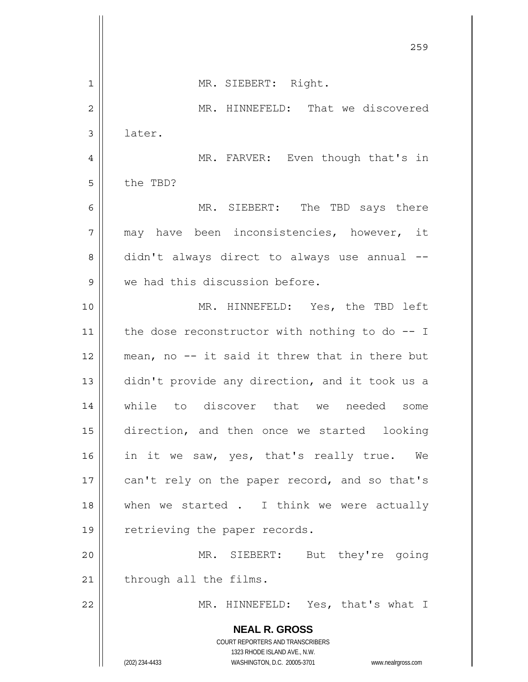|                | 259                                                                                                 |
|----------------|-----------------------------------------------------------------------------------------------------|
| 1              | MR. SIEBERT: Right.                                                                                 |
| $\overline{2}$ | MR. HINNEFELD: That we discovered                                                                   |
| 3              | later.                                                                                              |
| 4              | MR. FARVER: Even though that's in                                                                   |
| 5              | the TBD?                                                                                            |
| 6              | MR. SIEBERT: The TBD says there                                                                     |
| 7              | may have been inconsistencies, however, it                                                          |
| 8              | didn't always direct to always use annual --                                                        |
| 9              | we had this discussion before.                                                                      |
| 10             | MR. HINNEFELD: Yes, the TBD left                                                                    |
| 11             | the dose reconstructor with nothing to do $-$ - I                                                   |
| 12             | mean, no -- it said it threw that in there but                                                      |
| 13             | didn't provide any direction, and it took us a                                                      |
| 14             | discover that<br>while to<br>needed<br>some<br>we                                                   |
| 15             | direction, and then once we started looking                                                         |
| 16             | in it we saw, yes, that's really true. We                                                           |
| 17             | can't rely on the paper record, and so that's                                                       |
| 18             | when we started . I think we were actually                                                          |
| 19             | retrieving the paper records.                                                                       |
| 20             | MR. SIEBERT: But they're going                                                                      |
| 21             | through all the films.                                                                              |
| 22             | MR. HINNEFELD: Yes, that's what I                                                                   |
|                | <b>NEAL R. GROSS</b><br>COURT REPORTERS AND TRANSCRIBERS                                            |
|                | 1323 RHODE ISLAND AVE., N.W.<br>(202) 234-4433<br>WASHINGTON, D.C. 20005-3701<br>www.nealrgross.com |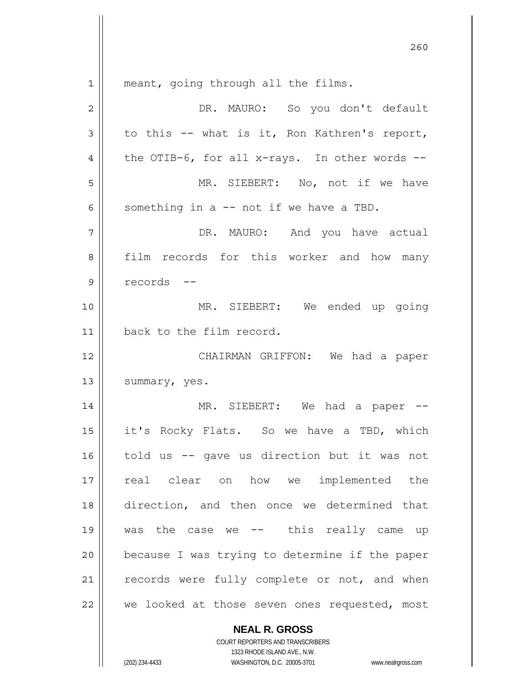| 1  | meant, going through all the films.            |
|----|------------------------------------------------|
| 2  | DR. MAURO: So you don't default                |
| 3  | to this -- what is it, Ron Kathren's report,   |
| 4  | the OTIB-6, for all x-rays. In other words --  |
| 5  | MR. SIEBERT: No, not if we have                |
| 6  | something in a -- not if we have a TBD.        |
| 7  | DR. MAURO: And you have actual                 |
| 8  | film records for this worker and how many      |
| 9  | records --                                     |
| 10 | MR. SIEBERT: We ended up going                 |
| 11 | back to the film record.                       |
| 12 | CHAIRMAN GRIFFON: We had a paper               |
| 13 | summary, yes.                                  |
| 14 | MR. SIEBERT: We had a paper --                 |
| 15 | it's Rocky Flats. So we have a TBD, which      |
| 16 | told us -- gave us direction but it was not    |
| 17 | real clear on how we implemented the           |
| 18 | direction, and then once we determined that    |
| 19 | was the case we $--$ this really came up       |
| 20 | because I was trying to determine if the paper |
| 21 | records were fully complete or not, and when   |
| 22 | we looked at those seven ones requested, most  |
|    | <b>NEAL R. GROSS</b>                           |

 $\mathsf{I}$ 

1323 RHODE ISLAND AVE., N.W. (202) 234-4433 WASHINGTON, D.C. 20005-3701 www.nealrgross.com

COURT REPORTERS AND TRANSCRIBERS

<u>260</u>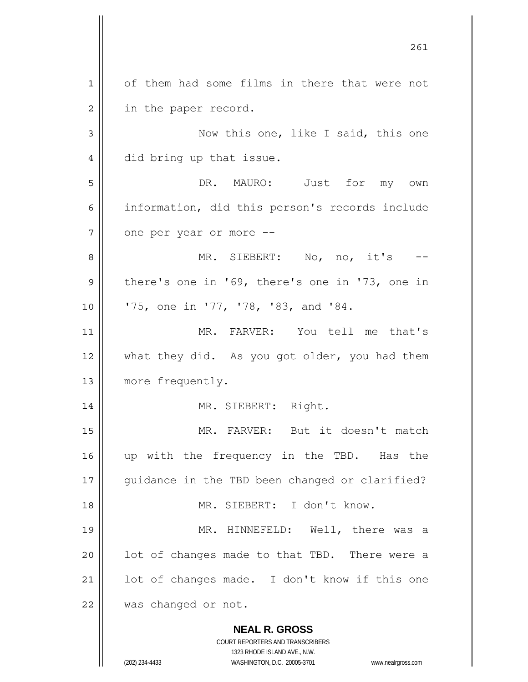**NEAL R. GROSS** COURT REPORTERS AND TRANSCRIBERS 1323 RHODE ISLAND AVE., N.W. 1 2 3 4 5 6 7 8 9 10 11 12 13 14 15 16 17 18 19 20 21 22 of them had some films in there that were not in the paper record. Now this one, like I said, this one did bring up that issue. DR. MAURO: Just for my own information, did this person's records include one per year or more -- MR. SIEBERT: No, no, it's there's one in '69, there's one in '73, one in '75, one in '77, '78, '83, and '84. MR. FARVER: You tell me that's what they did. As you got older, you had them more frequently. MR. SIEBERT: Right. MR. FARVER: But it doesn't match up with the frequency in the TBD. Has the guidance in the TBD been changed or clarified? MR. SIEBERT: I don't know. MR. HINNEFELD: Well, there was a lot of changes made to that TBD. There were a lot of changes made. I don't know if this one was changed or not.

261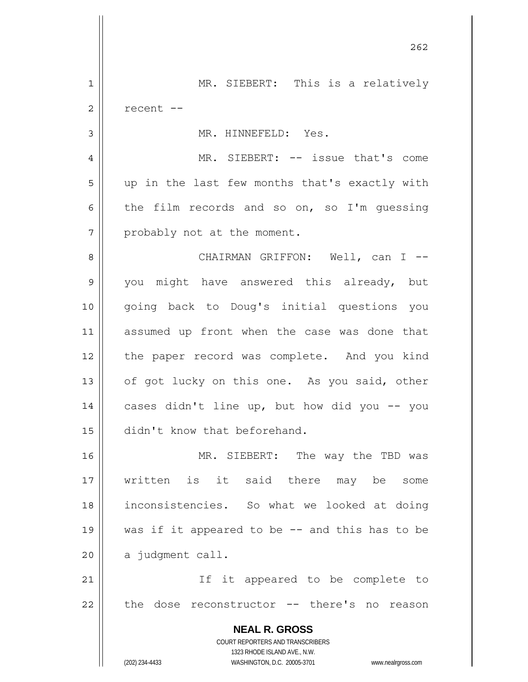**NEAL R. GROSS** COURT REPORTERS AND TRANSCRIBERS 1323 RHODE ISLAND AVE., N.W. (202) 234-4433 WASHINGTON, D.C. 20005-3701 www.nealrgross.com 262 1 2 3 4 5 6 7 8 9 10 11 12 13 14 15 16 17 18 19 20 21 22 MR. SIEBERT: This is a relatively recent -- MR. HINNEFELD: Yes. MR. SIEBERT: -- issue that's come up in the last few months that's exactly with the film records and so on, so I'm guessing probably not at the moment. CHAIRMAN GRIFFON: Well, can I -you might have answered this already, but going back to Doug's initial questions you assumed up front when the case was done that the paper record was complete. And you kind of got lucky on this one. As you said, other cases didn't line up, but how did you -- you didn't know that beforehand. MR. SIEBERT: The way the TBD was written is it said there may be some inconsistencies. So what we looked at doing was if it appeared to be -- and this has to be a judgment call. If it appeared to be complete to the dose reconstructor -- there's no reason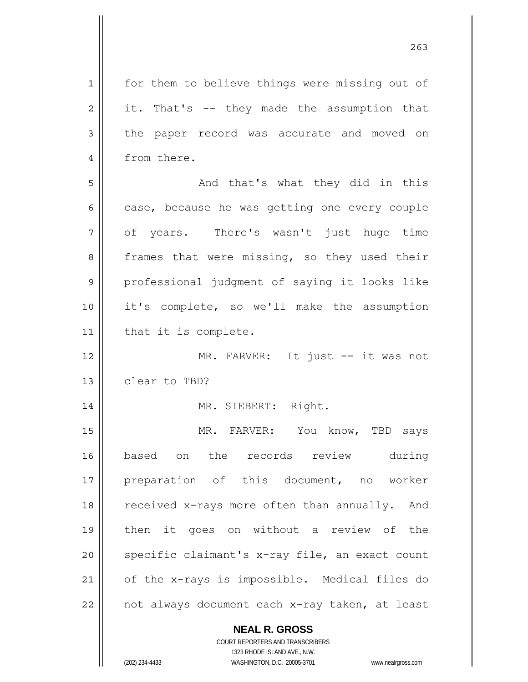**NEAL R. GROSS** 1 2 3 4 5 6 7 8 9 10 11 12 13 14 15 16 17 18 19 20 21 22 for them to believe things were missing out of it. That's -- they made the assumption that the paper record was accurate and moved on from there. And that's what they did in this case, because he was getting one every couple of years. There's wasn't just huge time frames that were missing, so they used their professional judgment of saying it looks like it's complete, so we'll make the assumption that it is complete. MR. FARVER: It just -- it was not clear to TBD? MR. SIEBERT: Right. MR. FARVER: You know, TBD says based on the records review during preparation of this document, no worker received x-rays more often than annually. And then it goes on without a review of the specific claimant's x-ray file, an exact count of the x-rays is impossible. Medical files do not always document each x-ray taken, at least

263

COURT REPORTERS AND TRANSCRIBERS 1323 RHODE ISLAND AVE., N.W. (202) 234-4433 WASHINGTON, D.C. 20005-3701 www.nealrgross.com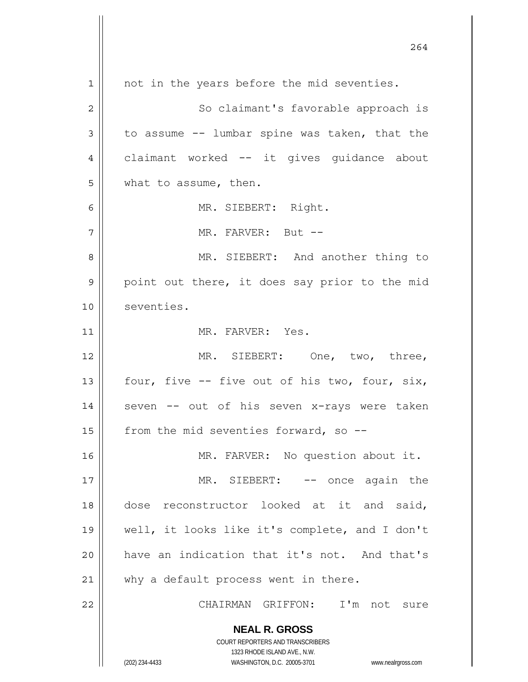**NEAL R. GROSS** COURT REPORTERS AND TRANSCRIBERS 1323 RHODE ISLAND AVE., N.W. (202) 234-4433 WASHINGTON, D.C. 20005-3701 www.nealrgross.com 1 2 3 4 5 6 7 8 9 10 11 12 13 14 15 16 17 18 19 20 21 22 not in the years before the mid seventies. So claimant's favorable approach is to assume -- lumbar spine was taken, that the claimant worked -- it gives guidance about what to assume, then. MR. SIEBERT: Right. MR. FARVER: But -- MR. SIEBERT: And another thing to point out there, it does say prior to the mid seventies. MR. FARVER: Yes. MR. SIEBERT: One, two, three, four, five -- five out of his two, four, six, seven -- out of his seven x-rays were taken from the mid seventies forward, so -- MR. FARVER: No question about it. MR. SIEBERT: -- once again the dose reconstructor looked at it and said, well, it looks like it's complete, and I don't have an indication that it's not. And that's why a default process went in there. CHAIRMAN GRIFFON: I'm not sure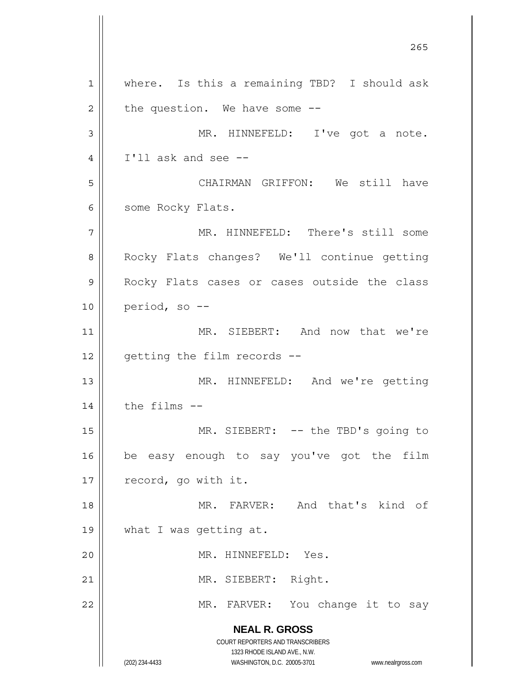**NEAL R. GROSS** COURT REPORTERS AND TRANSCRIBERS 1323 RHODE ISLAND AVE., N.W. (202) 234-4433 WASHINGTON, D.C. 20005-3701 www.nealrgross.com <u>265</u> 1 2 3 4 5 6 7 8 9 10 11 12 13 14 15 16 17 18 19 20 21 22 where. Is this a remaining TBD? I should ask the question. We have some -- MR. HINNEFELD: I've got a note. I'll ask and see -- CHAIRMAN GRIFFON: We still have some Rocky Flats. MR. HINNEFELD: There's still some Rocky Flats changes? We'll continue getting Rocky Flats cases or cases outside the class period, so -- MR. SIEBERT: And now that we're getting the film records -- MR. HINNEFELD: And we're getting the films -- MR. SIEBERT: -- the TBD's going to be easy enough to say you've got the film record, go with it. MR. FARVER: And that's kind of what I was getting at. MR. HINNEFELD: Yes. MR. SIEBERT: Right. MR. FARVER: You change it to say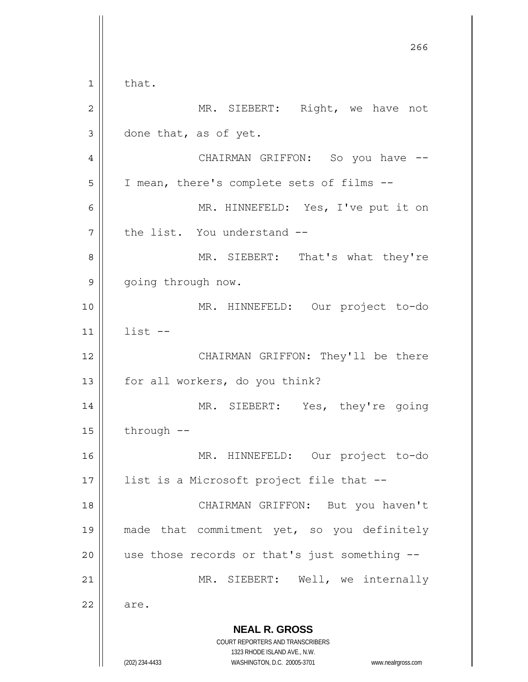**NEAL R. GROSS** COURT REPORTERS AND TRANSCRIBERS 1323 RHODE ISLAND AVE., N.W. (202) 234-4433 WASHINGTON, D.C. 20005-3701 www.nealrgross.com проставляют производите в 266 году в 266 году в 266 году в 266 году в 266 году в 266 году в 266 году в 266 год 1 2 3 4 5 6 7 8 9 10 11 12 13 14 15 16 17 18 19 20 21 22 that. MR. SIEBERT: Right, we have not done that, as of yet. CHAIRMAN GRIFFON: So you have --I mean, there's complete sets of films -- MR. HINNEFELD: Yes, I've put it on the list. You understand -- MR. SIEBERT: That's what they're going through now. MR. HINNEFELD: Our project to-do list -- CHAIRMAN GRIFFON: They'll be there for all workers, do you think? MR. SIEBERT: Yes, they're going through -- MR. HINNEFELD: Our project to-do list is a Microsoft project file that -- CHAIRMAN GRIFFON: But you haven't made that commitment yet, so you definitely use those records or that's just something -- MR. SIEBERT: Well, we internally are.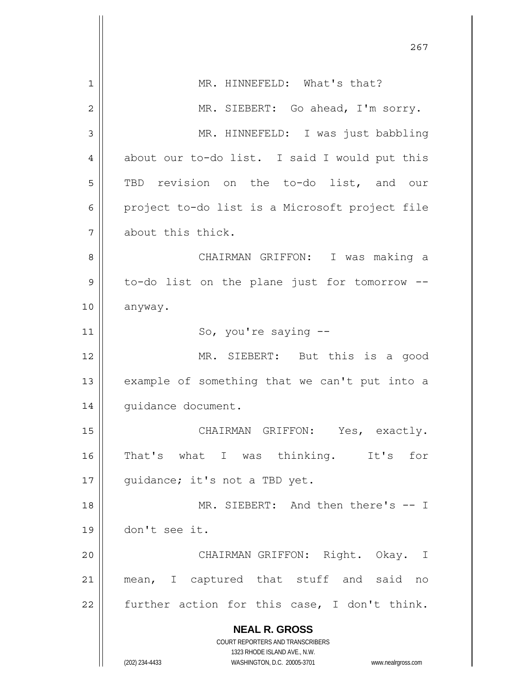|    | 267                                                                     |
|----|-------------------------------------------------------------------------|
| 1  | MR. HINNEFELD: What's that?                                             |
| 2  | MR. SIEBERT: Go ahead, I'm sorry.                                       |
| 3  | MR. HINNEFELD: I was just babbling                                      |
| 4  | about our to-do list. I said I would put this                           |
| 5  | TBD revision on the to-do list, and our                                 |
| 6  | project to-do list is a Microsoft project file                          |
|    |                                                                         |
| 7  | about this thick.                                                       |
| 8  | CHAIRMAN GRIFFON: I was making a                                        |
| 9  | to-do list on the plane just for tomorrow --                            |
| 10 | anyway.                                                                 |
| 11 | So, you're saying --                                                    |
| 12 | MR. SIEBERT: But this is a good                                         |
| 13 | example of something that we can't put into a                           |
| 14 | quidance document.                                                      |
| 15 | CHAIRMAN GRIFFON: Yes, exactly.                                         |
| 16 | That's what I was thinking. It's<br>for                                 |
| 17 | quidance; it's not a TBD yet.                                           |
| 18 | MR. SIEBERT: And then there's -- I                                      |
| 19 | don't see it.                                                           |
| 20 | CHAIRMAN GRIFFON: Right. Okay. I                                        |
| 21 | mean, I captured that stuff and said no                                 |
| 22 | further action for this case, I don't think.                            |
|    | <b>NEAL R. GROSS</b>                                                    |
|    | <b>COURT REPORTERS AND TRANSCRIBERS</b><br>1323 RHODE ISLAND AVE., N.W. |
|    | (202) 234-4433<br>WASHINGTON, D.C. 20005-3701<br>www.nealrgross.com     |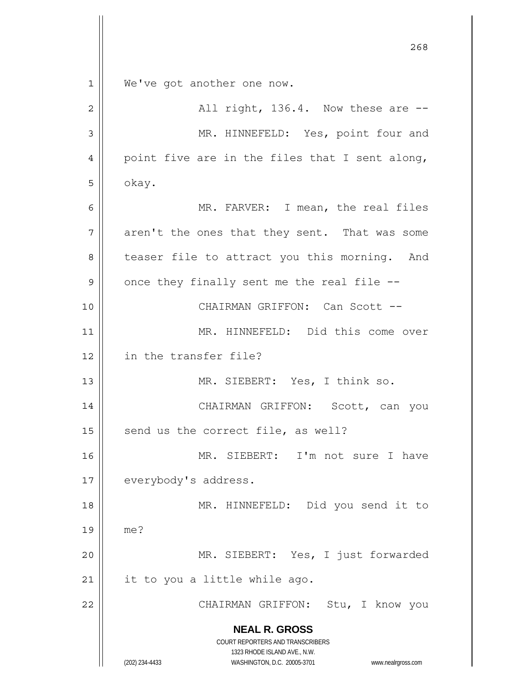**NEAL R. GROSS** COURT REPORTERS AND TRANSCRIBERS 1323 RHODE ISLAND AVE., N.W. (202) 234-4433 WASHINGTON, D.C. 20005-3701 www.nealrgross.com <u>268</u> 1 2 3 4 5 6 7 8 9 10 11 12 13 14 15 16 17 18 19 20 21 22 We've got another one now. All right, 136.4. Now these are -- MR. HINNEFELD: Yes, point four and point five are in the files that I sent along, okay. MR. FARVER: I mean, the real files aren't the ones that they sent. That was some teaser file to attract you this morning. And once they finally sent me the real file -- CHAIRMAN GRIFFON: Can Scott -- MR. HINNEFELD: Did this come over in the transfer file? MR. SIEBERT: Yes, I think so. CHAIRMAN GRIFFON: Scott, can you send us the correct file, as well? MR. SIEBERT: I'm not sure I have everybody's address. MR. HINNEFELD: Did you send it to me? MR. SIEBERT: Yes, I just forwarded it to you a little while ago. CHAIRMAN GRIFFON: Stu, I know you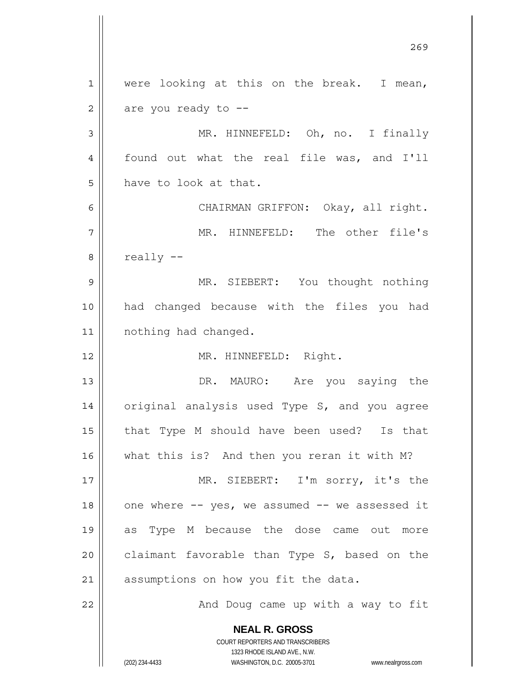**NEAL R. GROSS** COURT REPORTERS AND TRANSCRIBERS 1323 RHODE ISLAND AVE., N.W. <u>269</u> 1 2 3 4 5 6 7 8 9 10 11 12 13 14 15 16 17 18 19 20 21 22 were looking at this on the break. I mean, are you ready to -- MR. HINNEFELD: Oh, no. I finally found out what the real file was, and I'll have to look at that. CHAIRMAN GRIFFON: Okay, all right. MR. HINNEFELD: The other file's really -- MR. SIEBERT: You thought nothing had changed because with the files you had nothing had changed. MR. HINNEFELD: Right. DR. MAURO: Are you saying the original analysis used Type S, and you agree that Type M should have been used? Is that what this is? And then you reran it with M? MR. SIEBERT: I'm sorry, it's the one where -- yes, we assumed -- we assessed it as Type M because the dose came out more claimant favorable than Type S, based on the assumptions on how you fit the data. And Doug came up with a way to fit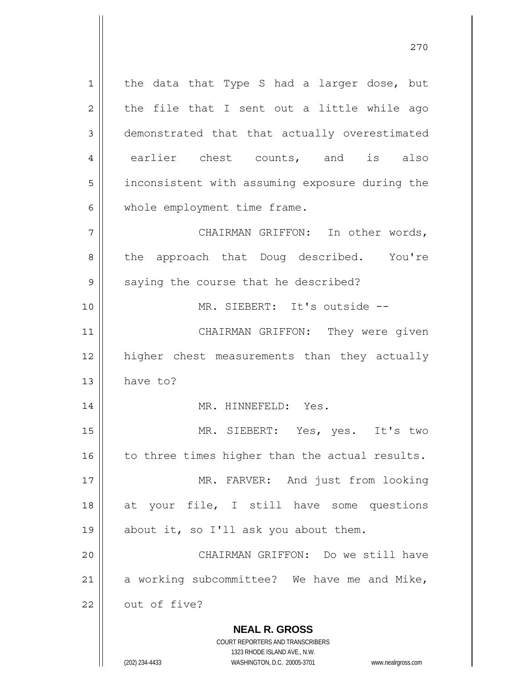**NEAL R. GROSS** COURT REPORTERS AND TRANSCRIBERS 1 2 3 4 5 6 7 8 9 10 11 12 13 14 15 16 17 18 19 20 21 22 the data that Type S had a larger dose, but the file that I sent out a little while ago demonstrated that that actually overestimated earlier chest counts, and is also inconsistent with assuming exposure during the whole employment time frame. CHAIRMAN GRIFFON: In other words, the approach that Doug described. You're saying the course that he described? MR. SIEBERT: It's outside -- CHAIRMAN GRIFFON: They were given higher chest measurements than they actually have to? MR. HINNEFELD: Yes. MR. SIEBERT: Yes, yes. It's two to three times higher than the actual results. MR. FARVER: And just from looking at your file, I still have some questions about it, so I'll ask you about them. CHAIRMAN GRIFFON: Do we still have a working subcommittee? We have me and Mike, out of five?

1323 RHODE ISLAND AVE., N.W.

(202) 234-4433 WASHINGTON, D.C. 20005-3701 www.nealrgross.com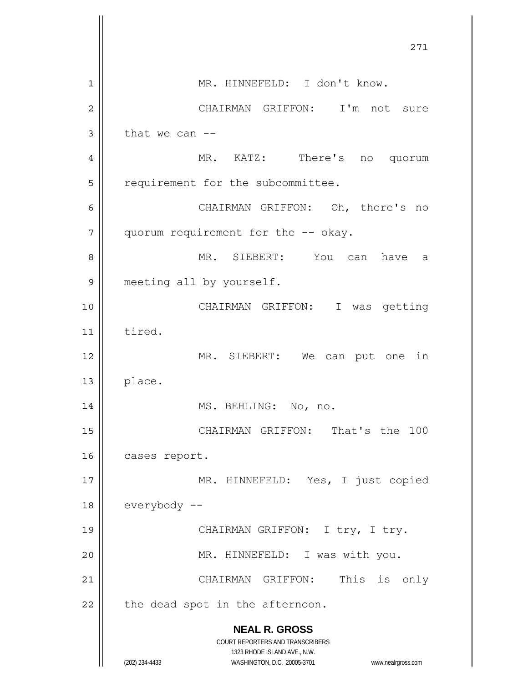|    | 271                                                                                      |
|----|------------------------------------------------------------------------------------------|
| 1  | MR. HINNEFELD: I don't know.                                                             |
| 2  | CHAIRMAN GRIFFON:<br>I'm not sure                                                        |
| 3  | that we can $-$                                                                          |
| 4  | MR. KATZ: There's no quorum                                                              |
| 5  | requirement for the subcommittee.                                                        |
| 6  | CHAIRMAN GRIFFON: Oh, there's<br>no                                                      |
| 7  | quorum requirement for the -- okay.                                                      |
| 8  | MR. SIEBERT: You can have<br>a                                                           |
| 9  | meeting all by yourself.                                                                 |
| 10 | CHAIRMAN GRIFFON: I was getting                                                          |
| 11 | tired.                                                                                   |
| 12 | MR. SIEBERT: We<br>can put one<br>in                                                     |
| 13 | place.                                                                                   |
| 14 | MS. BEHLING: No, no.                                                                     |
| 15 | CHAIRMAN GRIFFON: That's the 100                                                         |
| 16 | cases report.                                                                            |
| 17 | MR. HINNEFELD: Yes, I just copied                                                        |
| 18 | everybody --                                                                             |
| 19 | CHAIRMAN GRIFFON: I try, I try.                                                          |
| 20 | MR. HINNEFELD: I was with you.                                                           |
| 21 | CHAIRMAN GRIFFON: This is only                                                           |
| 22 | the dead spot in the afternoon.                                                          |
|    | <b>NEAL R. GROSS</b><br>COURT REPORTERS AND TRANSCRIBERS<br>1323 RHODE ISLAND AVE., N.W. |
|    | (202) 234-4433<br>WASHINGTON, D.C. 20005-3701<br>www.nealrgross.com                      |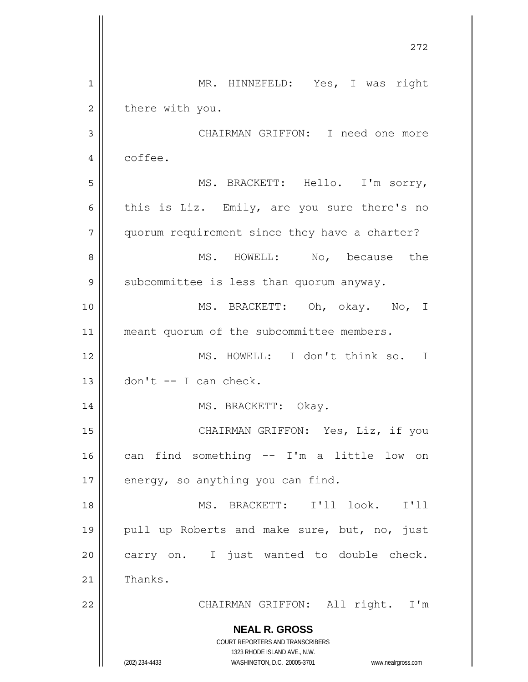**NEAL R. GROSS** COURT REPORTERS AND TRANSCRIBERS 1323 RHODE ISLAND AVE., N.W. (202) 234-4433 WASHINGTON, D.C. 20005-3701 www.nealrgross.com 272 1 2 3 4 5 6 7 8 9 10 11 12 13 14 15 16 17 18 19 20 21 22 MR. HINNEFELD: Yes, I was right there with you. CHAIRMAN GRIFFON: I need one more coffee. MS. BRACKETT: Hello. I'm sorry, this is Liz. Emily, are you sure there's no quorum requirement since they have a charter? MS. HOWELL: No, because the subcommittee is less than quorum anyway. MS. BRACKETT: Oh, okay. No, I meant quorum of the subcommittee members. MS. HOWELL: I don't think so. I don't -- I can check. MS. BRACKETT: Okay. CHAIRMAN GRIFFON: Yes, Liz, if you can find something -- I'm a little low on energy, so anything you can find. MS. BRACKETT: I'll look. I'll pull up Roberts and make sure, but, no, just carry on. I just wanted to double check. Thanks. CHAIRMAN GRIFFON: All right. I'm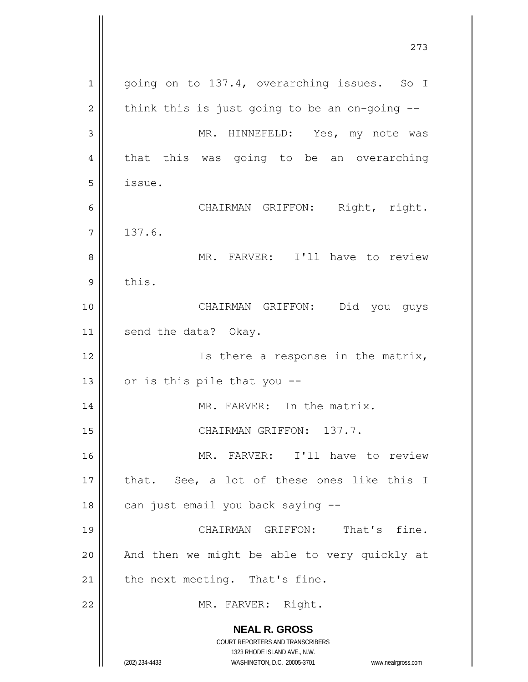**NEAL R. GROSS** COURT REPORTERS AND TRANSCRIBERS 1323 RHODE ISLAND AVE., N.W. 1 2 3 4 5 6 7 8 9 10 11 12 13 14 15 16 17 18 19 20 21 22 going on to 137.4, overarching issues. So I think this is just going to be an on-going -- MR. HINNEFELD: Yes, my note was that this was going to be an overarching issue. CHAIRMAN GRIFFON: Right, right. 137.6. MR. FARVER: I'll have to review this. CHAIRMAN GRIFFON: Did you guys send the data? Okay. Is there a response in the matrix, or is this pile that you -- MR. FARVER: In the matrix. CHAIRMAN GRIFFON: 137.7. MR. FARVER: I'll have to review that. See, a lot of these ones like this I can just email you back saying -- CHAIRMAN GRIFFON: That's fine. And then we might be able to very quickly at the next meeting. That's fine. MR. FARVER: Right.

273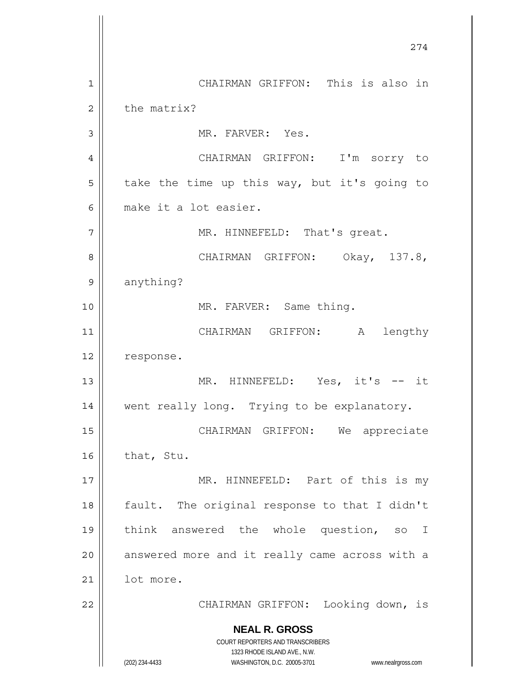**NEAL R. GROSS** COURT REPORTERS AND TRANSCRIBERS 1323 RHODE ISLAND AVE., N.W. (202) 234-4433 WASHINGTON, D.C. 20005-3701 www.nealrgross.com 274 1 2 3 4 5 6 7 8 9 10 11 12 13 14 15 16 17 18 19 20 21 22 CHAIRMAN GRIFFON: This is also in the matrix? MR. FARVER: Yes. CHAIRMAN GRIFFON: I'm sorry to take the time up this way, but it's going to make it a lot easier. MR. HINNEFELD: That's great. CHAIRMAN GRIFFON: Okay, 137.8, anything? MR. FARVER: Same thing. CHAIRMAN GRIFFON: A lengthy response. MR. HINNEFELD: Yes, it's -- it went really long. Trying to be explanatory. CHAIRMAN GRIFFON: We appreciate that, Stu. MR. HINNEFELD: Part of this is my fault. The original response to that I didn't think answered the whole question, so I answered more and it really came across with a lot more. CHAIRMAN GRIFFON: Looking down, is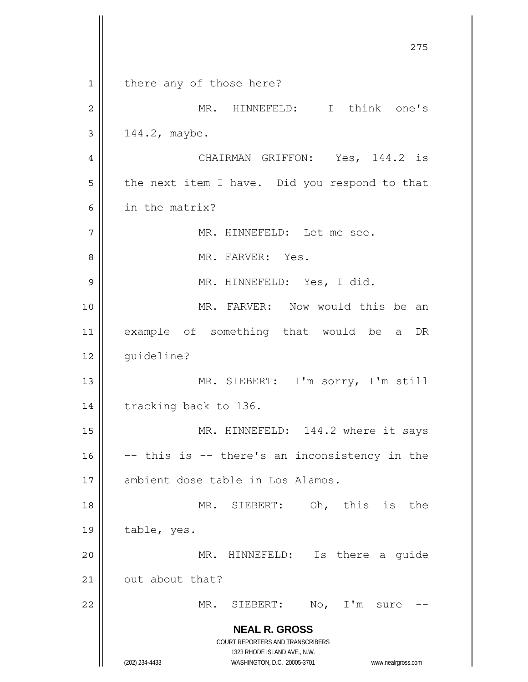**NEAL R. GROSS** COURT REPORTERS AND TRANSCRIBERS 1323 RHODE ISLAND AVE., N.W. (202) 234-4433 WASHINGTON, D.C. 20005-3701 www.nealrgross.com <u>275</u> 1 2 3 4 5 6 7 8 9 10 11 12 13 14 15 16 17 18 19 20 21 22 there any of those here? MR. HINNEFELD: I think one's 144.2, maybe. CHAIRMAN GRIFFON: Yes, 144.2 is the next item I have. Did you respond to that in the matrix? MR. HINNEFELD: Let me see. MR. FARVER: Yes. MR. HINNEFELD: Yes, I did. MR. FARVER: Now would this be an example of something that would be a DR guideline? MR. SIEBERT: I'm sorry, I'm still tracking back to 136. MR. HINNEFELD: 144.2 where it says -- this is -- there's an inconsistency in the ambient dose table in Los Alamos. MR. SIEBERT: Oh, this is the table, yes. MR. HINNEFELD: Is there a guide out about that? MR. SIEBERT: No, I'm sure --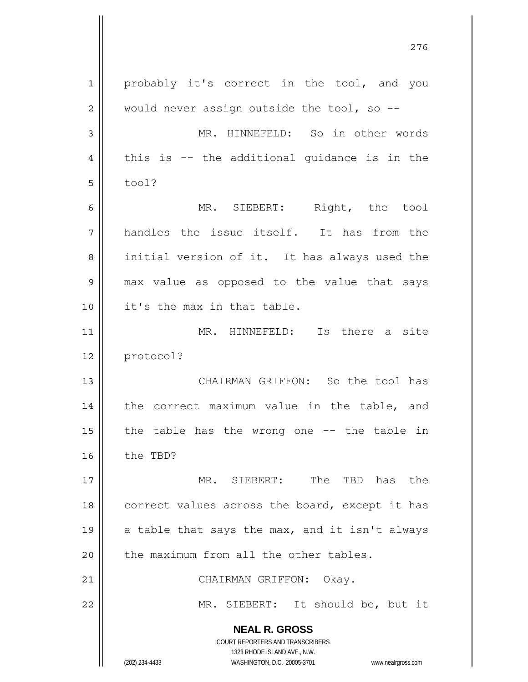**NEAL R. GROSS** COURT REPORTERS AND TRANSCRIBERS 1323 RHODE ISLAND AVE., N.W. (202) 234-4433 WASHINGTON, D.C. 20005-3701 www.nealrgross.com 1 2 3 4 5 6 7 8 9 10 11 12 13 14 15 16 17 18 19 20 21 22 probably it's correct in the tool, and you would never assign outside the tool, so  $-$ - MR. HINNEFELD: So in other words this is -- the additional guidance is in the tool? MR. SIEBERT: Right, the tool handles the issue itself. It has from the initial version of it. It has always used the max value as opposed to the value that says it's the max in that table. MR. HINNEFELD: Is there a site protocol? CHAIRMAN GRIFFON: So the tool has the correct maximum value in the table, and the table has the wrong one -- the table in the TBD? MR. SIEBERT: The TBD has the correct values across the board, except it has a table that says the max, and it isn't always the maximum from all the other tables. CHAIRMAN GRIFFON: Okay. MR. SIEBERT: It should be, but it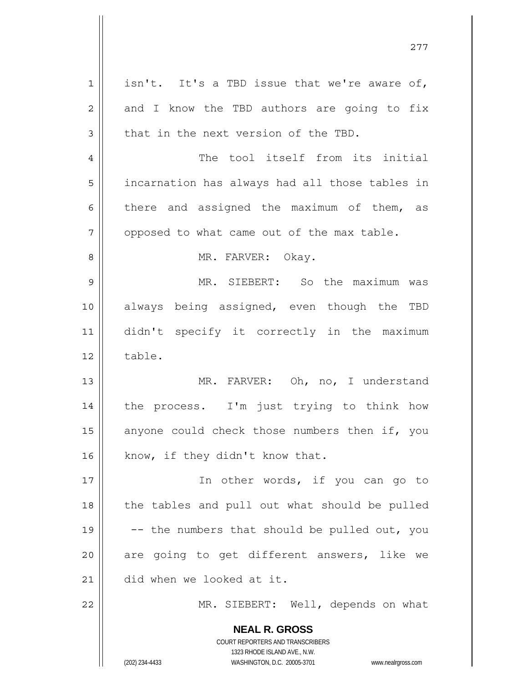| $\mathbf 1$    | isn't. It's a TBD issue that we're aware of,                                                        |
|----------------|-----------------------------------------------------------------------------------------------------|
| $\overline{c}$ | and I know the TBD authors are going to fix                                                         |
| 3              | that in the next version of the TBD.                                                                |
| $\overline{4}$ | The tool itself from its initial                                                                    |
| 5              | incarnation has always had all those tables in                                                      |
| 6              | there and assigned the maximum of them, as                                                          |
| 7              | opposed to what came out of the max table.                                                          |
| 8              | MR. FARVER: Okay.                                                                                   |
| 9              | MR. SIEBERT: So the maximum was                                                                     |
| 10             | always being assigned, even though the TBD                                                          |
| 11             | didn't specify it correctly in the maximum                                                          |
| 12             | table.                                                                                              |
| 13             | MR. FARVER: Oh, no, I understand                                                                    |
| 14             | the process. I'm just trying to think how                                                           |
| 15             | anyone could check those numbers then if, you                                                       |
| 16             | know, if they didn't know that.                                                                     |
| 17             | In other words, if you can go to                                                                    |
| 18             | the tables and pull out what should be pulled                                                       |
| 19             | -- the numbers that should be pulled out, you                                                       |
| 20             | are going to get different answers, like we                                                         |
| 21             | did when we looked at it.                                                                           |
| 22             | MR. SIEBERT: Well, depends on what                                                                  |
|                | <b>NEAL R. GROSS</b>                                                                                |
|                | COURT REPORTERS AND TRANSCRIBERS                                                                    |
|                | 1323 RHODE ISLAND AVE., N.W.<br>(202) 234-4433<br>WASHINGTON, D.C. 20005-3701<br>www.nealrgross.com |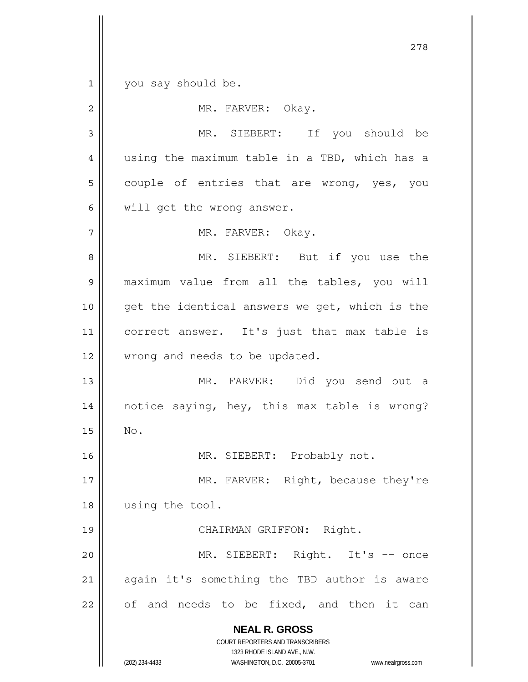1 you say should be.

| 2      | MR. FARVER: Okay.                                                                                                                                               |
|--------|-----------------------------------------------------------------------------------------------------------------------------------------------------------------|
| 3      | MR. SIEBERT: If you should be                                                                                                                                   |
| 4      | using the maximum table in a TBD, which has a                                                                                                                   |
| 5      | couple of entries that are wrong, yes, you                                                                                                                      |
| 6      | will get the wrong answer.                                                                                                                                      |
| 7      | MR. FARVER: Okay.                                                                                                                                               |
| 8      | MR. SIEBERT: But if you use the                                                                                                                                 |
| 9      | maximum value from all the tables, you will                                                                                                                     |
| 10     | get the identical answers we get, which is the                                                                                                                  |
| 11     | correct answer. It's just that max table is                                                                                                                     |
| 12     | wrong and needs to be updated.                                                                                                                                  |
| 13     | MR. FARVER: Did you send out a                                                                                                                                  |
| 14     | notice saying, hey, this max table is wrong?                                                                                                                    |
| 15     | No.                                                                                                                                                             |
| 16     | MR. SIEBERT: Probably not.                                                                                                                                      |
| $17\,$ | MR. FARVER: Right, because they're                                                                                                                              |
| 18     | using the tool.                                                                                                                                                 |
| 19     | CHAIRMAN GRIFFON: Right.                                                                                                                                        |
| 20     | MR. SIEBERT: Right. It's -- once                                                                                                                                |
| 21     | again it's something the TBD author is aware                                                                                                                    |
| 22     | of and needs to be fixed, and then it can                                                                                                                       |
|        | <b>NEAL R. GROSS</b><br>COURT REPORTERS AND TRANSCRIBERS<br>1323 RHODE ISLAND AVE., N.W.<br>(202) 234-4433<br>WASHINGTON, D.C. 20005-3701<br>www.nealrgross.com |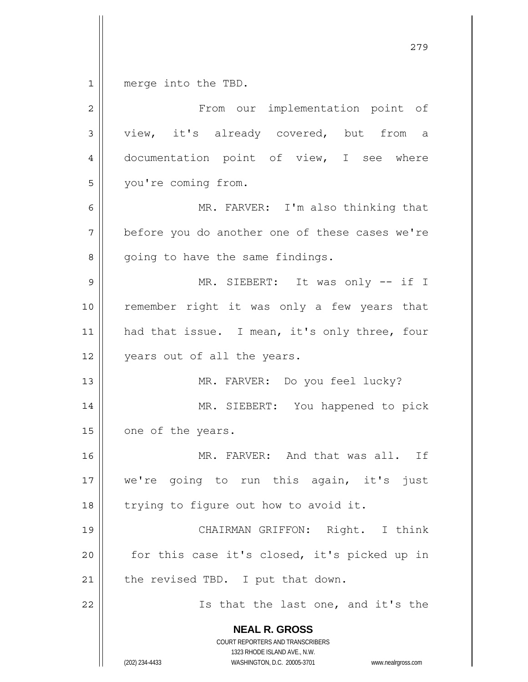$\begin{array}{c|c|c|c} 1 & 1 \end{array}$ merge into the TBD.

| $\overline{2}$ | From our implementation point of                                                                                                                                |
|----------------|-----------------------------------------------------------------------------------------------------------------------------------------------------------------|
| 3              | view, it's already covered, but from a                                                                                                                          |
| 4              | documentation point of view, I see where                                                                                                                        |
| 5              | you're coming from.                                                                                                                                             |
| 6              | MR. FARVER: I'm also thinking that                                                                                                                              |
| 7              | before you do another one of these cases we're                                                                                                                  |
| 8              | going to have the same findings.                                                                                                                                |
| 9              | MR. SIEBERT: It was only -- if I                                                                                                                                |
| 10             | remember right it was only a few years that                                                                                                                     |
| 11             | had that issue. I mean, it's only three, four                                                                                                                   |
| 12             | years out of all the years.                                                                                                                                     |
| 13             | MR. FARVER: Do you feel lucky?                                                                                                                                  |
| 14             | MR. SIEBERT: You happened to pick                                                                                                                               |
| 15             | one of the years.                                                                                                                                               |
| 16             | MR. FARVER: And that was all. If                                                                                                                                |
| 17             | we're going to run this again, it's just                                                                                                                        |
| 18             | trying to figure out how to avoid it.                                                                                                                           |
| 19             | CHAIRMAN GRIFFON: Right. I think                                                                                                                                |
| 20             | for this case it's closed, it's picked up in                                                                                                                    |
| 21             | the revised TBD. I put that down.                                                                                                                               |
| 22             | Is that the last one, and it's the                                                                                                                              |
|                | <b>NEAL R. GROSS</b><br>COURT REPORTERS AND TRANSCRIBERS<br>1323 RHODE ISLAND AVE., N.W.<br>(202) 234-4433<br>WASHINGTON, D.C. 20005-3701<br>www.nealrgross.com |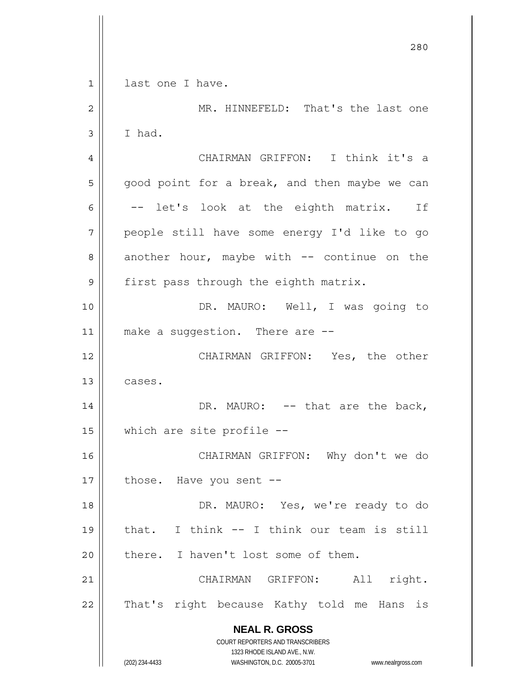**NEAL R. GROSS** COURT REPORTERS AND TRANSCRIBERS 1323 RHODE ISLAND AVE., N.W. (202) 234-4433 WASHINGTON, D.C. 20005-3701 www.nealrgross.com <u>280</u> 1 2 3 4 5 6 7 8 9 10 11 12 13 14 15 16 17 18 19 20 21 22 last one I have. MR. HINNEFELD: That's the last one I had. CHAIRMAN GRIFFON: I think it's a good point for a break, and then maybe we can -- let's look at the eighth matrix. If people still have some energy I'd like to go another hour, maybe with  $--$  continue on the first pass through the eighth matrix. DR. MAURO: Well, I was going to make a suggestion. There are -- CHAIRMAN GRIFFON: Yes, the other cases. DR. MAURO: -- that are the back, which are site profile -- CHAIRMAN GRIFFON: Why don't we do those. Have you sent -- DR. MAURO: Yes, we're ready to do that. I think -- I think our team is still there. I haven't lost some of them. CHAIRMAN GRIFFON: All right. That's right because Kathy told me Hans is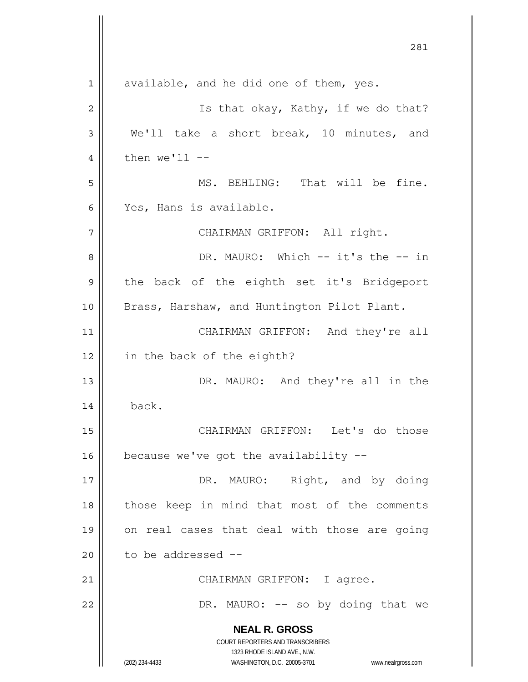**NEAL R. GROSS** COURT REPORTERS AND TRANSCRIBERS 1323 RHODE ISLAND AVE., N.W. (202) 234-4433 WASHINGTON, D.C. 20005-3701 www.nealrgross.com 281 1 2 3 4 5 6 7 8 9 10 11 12 13 14 15 16 17 18 19 20 21 22 available, and he did one of them, yes. Is that okay, Kathy, if we do that? We'll take a short break, 10 minutes, and then  $we'll$  -- MS. BEHLING: That will be fine. Yes, Hans is available. CHAIRMAN GRIFFON: All right. DR. MAURO: Which -- it's the -- in the back of the eighth set it's Bridgeport Brass, Harshaw, and Huntington Pilot Plant. CHAIRMAN GRIFFON: And they're all in the back of the eighth? DR. MAURO: And they're all in the back. CHAIRMAN GRIFFON: Let's do those because we've got the availability -- DR. MAURO: Right, and by doing those keep in mind that most of the comments on real cases that deal with those are going to be addressed -- CHAIRMAN GRIFFON: I agree. DR. MAURO: -- so by doing that we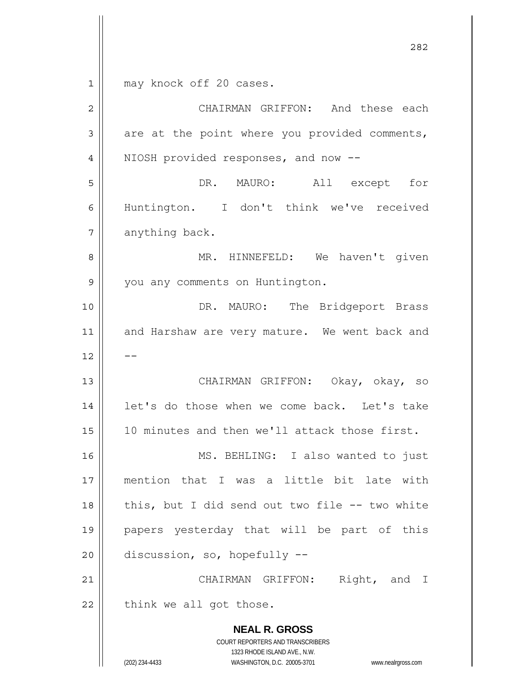1 may knock off 20 cases.

| $\overline{c}$ | CHAIRMAN GRIFFON: And these each                                                                                                                                |
|----------------|-----------------------------------------------------------------------------------------------------------------------------------------------------------------|
| 3              | are at the point where you provided comments,                                                                                                                   |
| $\overline{4}$ | NIOSH provided responses, and now --                                                                                                                            |
| 5              | DR. MAURO:<br>All except for                                                                                                                                    |
| 6              | Huntington. I don't think we've received                                                                                                                        |
| 7              | anything back.                                                                                                                                                  |
| 8              | MR. HINNEFELD: We haven't given                                                                                                                                 |
| 9              | you any comments on Huntington.                                                                                                                                 |
| 10             | DR. MAURO: The Bridgeport Brass                                                                                                                                 |
| 11             | and Harshaw are very mature. We went back and                                                                                                                   |
| 12             |                                                                                                                                                                 |
| 13             | CHAIRMAN GRIFFON: Okay, okay, so                                                                                                                                |
| 14             | let's do those when we come back. Let's take                                                                                                                    |
| 15             | 10 minutes and then we'll attack those first.                                                                                                                   |
| 16             | MS. BEHLING: I also wanted to just                                                                                                                              |
| 17             | mention that I was a little bit late with                                                                                                                       |
| 18             | this, but I did send out two file -- two white                                                                                                                  |
| 19             | papers yesterday that will be part of this                                                                                                                      |
| 20             | discussion, so, hopefully --                                                                                                                                    |
| 21             | Right, and I<br>CHAIRMAN GRIFFON:                                                                                                                               |
| 22             | think we all got those.                                                                                                                                         |
|                | <b>NEAL R. GROSS</b><br>COURT REPORTERS AND TRANSCRIBERS<br>1323 RHODE ISLAND AVE., N.W.<br>(202) 234-4433<br>WASHINGTON, D.C. 20005-3701<br>www.nealrgross.com |

<u>282</u>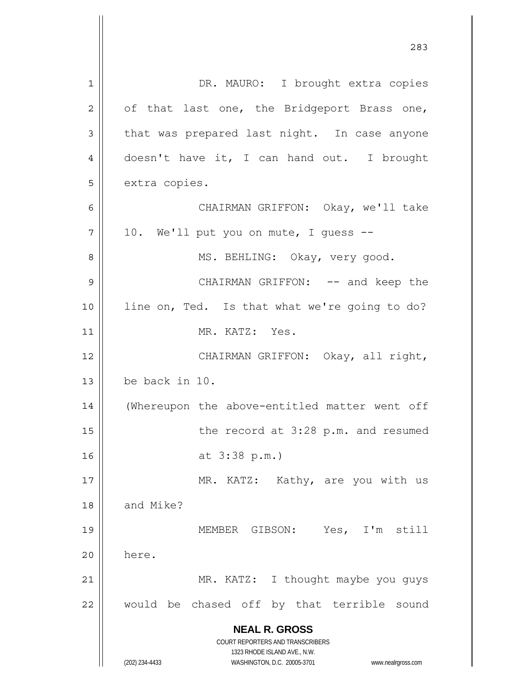**NEAL R. GROSS** COURT REPORTERS AND TRANSCRIBERS 1323 RHODE ISLAND AVE., N.W. (202) 234-4433 WASHINGTON, D.C. 20005-3701 www.nealrgross.com 1 2 3 4 5 6 7 8 9 10 11 12 13 14 15 16 17 18 19 20 21 22 DR. MAURO: I brought extra copies of that last one, the Bridgeport Brass one, that was prepared last night. In case anyone doesn't have it, I can hand out. I brought extra copies. CHAIRMAN GRIFFON: Okay, we'll take 10. We'll put you on mute, I guess -- MS. BEHLING: Okay, very good. CHAIRMAN GRIFFON: -- and keep the line on, Ted. Is that what we're going to do? MR. KATZ: Yes. CHAIRMAN GRIFFON: Okay, all right, be back in 10. (Whereupon the above-entitled matter went off the record at 3:28 p.m. and resumed at 3:38 p.m.) MR. KATZ: Kathy, are you with us and Mike? MEMBER GIBSON: Yes, I'm still here. MR. KATZ: I thought maybe you guys would be chased off by that terrible sound

<u>283</u>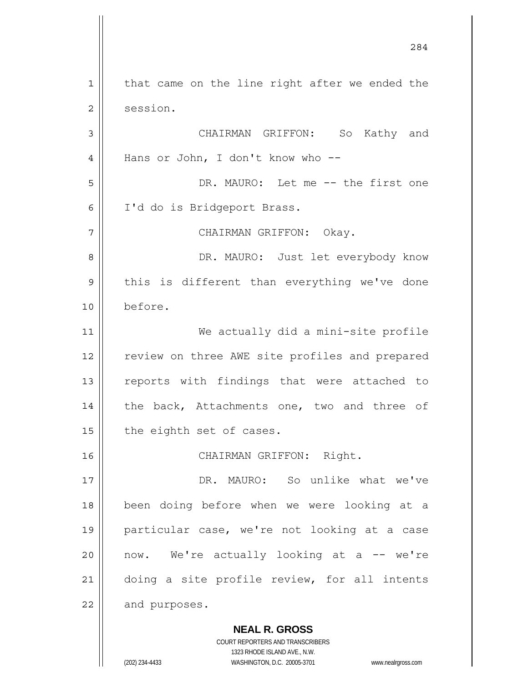**NEAL R. GROSS** COURT REPORTERS AND TRANSCRIBERS 1 2 3 4 5 6 7 8 9 10 11 12 13 14 15 16 17 18 19 20 21 22 that came on the line right after we ended the session. CHAIRMAN GRIFFON: So Kathy and Hans or John, I don't know who -- DR. MAURO: Let me -- the first one I'd do is Bridgeport Brass. CHAIRMAN GRIFFON: Okay. DR. MAURO: Just let everybody know this is different than everything we've done before. We actually did a mini-site profile review on three AWE site profiles and prepared reports with findings that were attached to the back, Attachments one, two and three of the eighth set of cases. CHAIRMAN GRIFFON: Right. DR. MAURO: So unlike what we've been doing before when we were looking at a particular case, we're not looking at a case now. We're actually looking at a -- we're doing a site profile review, for all intents and purposes.

284

1323 RHODE ISLAND AVE., N.W.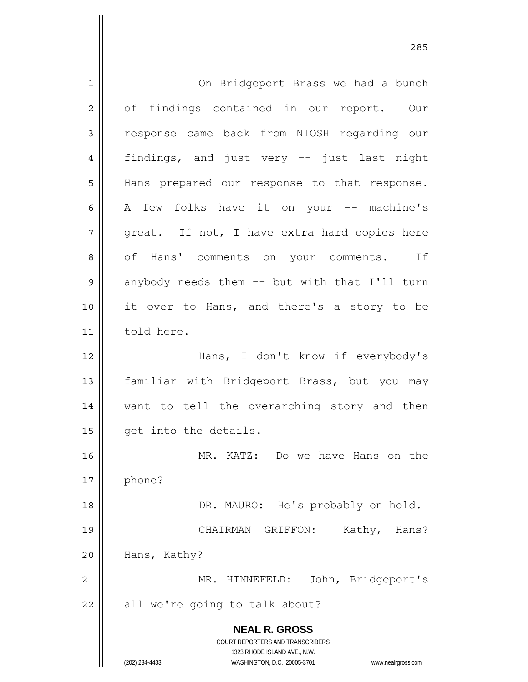**NEAL R. GROSS** COURT REPORTERS AND TRANSCRIBERS 1323 RHODE ISLAND AVE., N.W. (202) 234-4433 WASHINGTON, D.C. 20005-3701 www.nealrgross.com 1 2 3 4 5 6 7 8 9 10 11 12 13 14 15 16 17 18 19 20 21 22 On Bridgeport Brass we had a bunch of findings contained in our report. Our response came back from NIOSH regarding our findings, and just very -- just last night Hans prepared our response to that response. A few folks have it on your -- machine's great. If not, I have extra hard copies here of Hans' comments on your comments. If anybody needs them -- but with that I'll turn it over to Hans, and there's a story to be told here. Hans, I don't know if everybody's familiar with Bridgeport Brass, but you may want to tell the overarching story and then get into the details. MR. KATZ: Do we have Hans on the phone? DR. MAURO: He's probably on hold. CHAIRMAN GRIFFON: Kathy, Hans? Hans, Kathy? MR. HINNEFELD: John, Bridgeport's all we're going to talk about?

<u>285</u>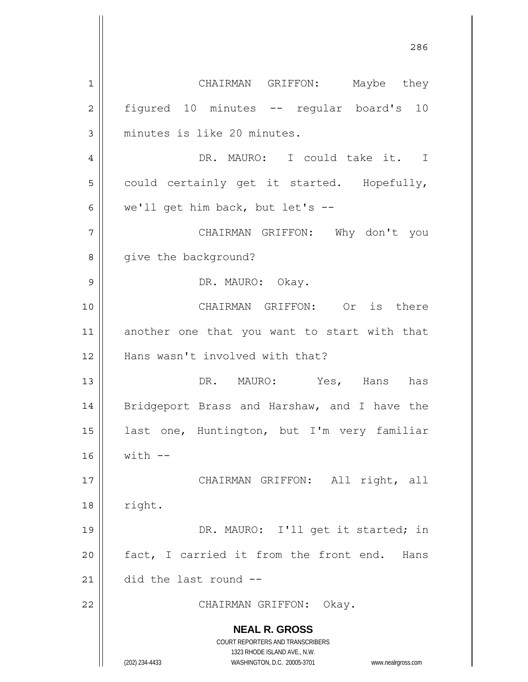**NEAL R. GROSS** COURT REPORTERS AND TRANSCRIBERS 1323 RHODE ISLAND AVE., N.W. (202) 234-4433 WASHINGTON, D.C. 20005-3701 www.nealrgross.com <u>286</u> 1 2 3 4 5 6 7 8 9 10 11 12 13 14 15 16 17 18 19 20 21 22 CHAIRMAN GRIFFON: Maybe they figured 10 minutes -- regular board's 10 minutes is like 20 minutes. DR. MAURO: I could take it. I could certainly get it started. Hopefully, we'll get him back, but let's -- CHAIRMAN GRIFFON: Why don't you give the background? DR. MAURO: Okay. CHAIRMAN GRIFFON: Or is there another one that you want to start with that Hans wasn't involved with that? DR. MAURO: Yes, Hans has Bridgeport Brass and Harshaw, and I have the last one, Huntington, but I'm very familiar  $with$   $-$  CHAIRMAN GRIFFON: All right, all right. DR. MAURO: I'll get it started; in fact, I carried it from the front end. Hans did the last round -- CHAIRMAN GRIFFON: Okay.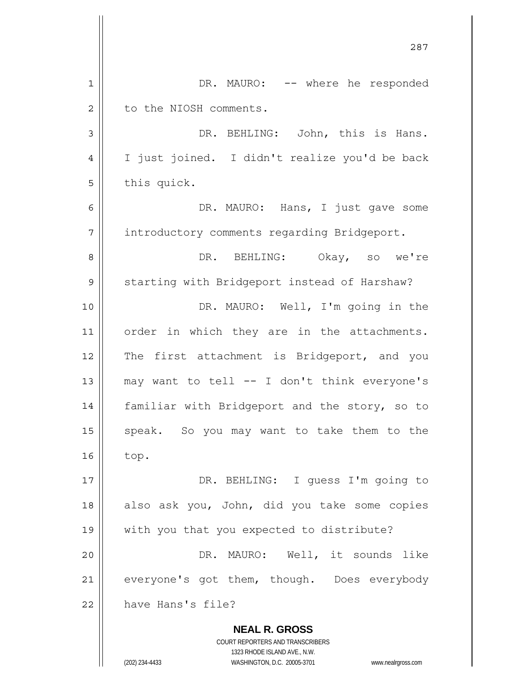|             | 287                                                                                                                                                                    |
|-------------|------------------------------------------------------------------------------------------------------------------------------------------------------------------------|
| $\mathbf 1$ | DR. MAURO: -- where he responded                                                                                                                                       |
| $\mathbf 2$ | to the NIOSH comments.                                                                                                                                                 |
| 3           | DR. BEHLING: John, this is Hans.                                                                                                                                       |
| 4           | I just joined. I didn't realize you'd be back                                                                                                                          |
| 5           | this quick.                                                                                                                                                            |
| 6           | DR. MAURO: Hans, I just gave some                                                                                                                                      |
| 7           | introductory comments regarding Bridgeport.                                                                                                                            |
| 8           | DR. BEHLING: Okay, so we're                                                                                                                                            |
| $\mathsf 9$ | starting with Bridgeport instead of Harshaw?                                                                                                                           |
| 10          | DR. MAURO: Well, I'm going in the                                                                                                                                      |
| 11          | order in which they are in the attachments.                                                                                                                            |
| 12          | The first attachment is Bridgeport, and you                                                                                                                            |
| 13          | may want to tell -- I don't think everyone's                                                                                                                           |
| 14          | familiar with Bridgeport and the story, so to                                                                                                                          |
| 15          | speak. So you may want to take them to the                                                                                                                             |
| 16          | top.                                                                                                                                                                   |
| 17          | DR. BEHLING: I guess I'm going to                                                                                                                                      |
| 18          | also ask you, John, did you take some copies                                                                                                                           |
| 19          | with you that you expected to distribute?                                                                                                                              |
| 20          | DR. MAURO: Well, it sounds like                                                                                                                                        |
| 21          | everyone's got them, though. Does everybody                                                                                                                            |
| 22          | have Hans's file?                                                                                                                                                      |
|             | <b>NEAL R. GROSS</b><br><b>COURT REPORTERS AND TRANSCRIBERS</b><br>1323 RHODE ISLAND AVE., N.W.<br>WASHINGTON, D.C. 20005-3701<br>(202) 234-4433<br>www.nealrgross.com |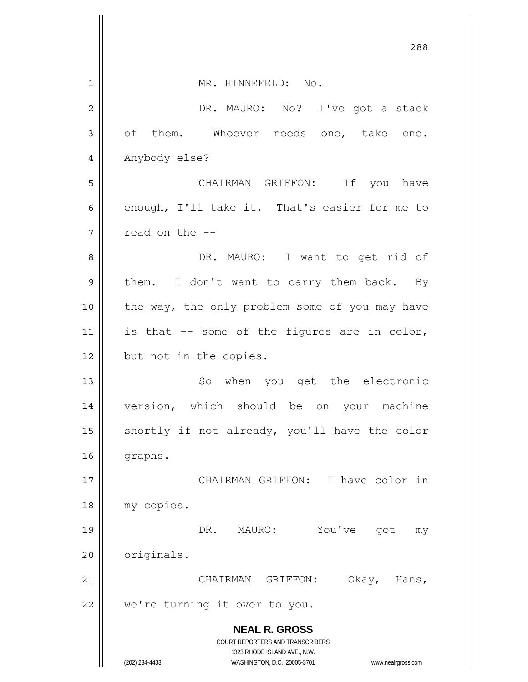|                | 288                                                                                                 |
|----------------|-----------------------------------------------------------------------------------------------------|
| $\mathbf 1$    | MR. HINNEFELD: No.                                                                                  |
| $\overline{2}$ | DR. MAURO: No? I've got a stack                                                                     |
| 3              | of them. Whoever needs one, take one.                                                               |
| 4              | Anybody else?                                                                                       |
| 5              | CHAIRMAN GRIFFON: If you have                                                                       |
| 6              | enough, I'll take it. That's easier for me to                                                       |
| 7              | read on the --                                                                                      |
| 8              | DR. MAURO: I want to get rid of                                                                     |
| 9              | I don't want to carry them back. By<br>them.                                                        |
| 10             | the way, the only problem some of you may have                                                      |
| 11             | is that -- some of the figures are in color,                                                        |
| 12             | but not in the copies.                                                                              |
| 13             | So when you get the electronic                                                                      |
| 14             | version, which should be on your machine                                                            |
| 15             | shortly if not already, you'll have the color                                                       |
| 16             | graphs.                                                                                             |
| 17             | CHAIRMAN GRIFFON:<br>I have color in                                                                |
| 18             | my copies.                                                                                          |
| 19             | You've<br>DR.<br>MAURO:<br>got<br>my                                                                |
| 20             | originals.                                                                                          |
| 21             | CHAIRMAN GRIFFON:<br>Okay,<br>Hans,                                                                 |
| 22             | we're turning it over to you.                                                                       |
|                | <b>NEAL R. GROSS</b><br><b>COURT REPORTERS AND TRANSCRIBERS</b>                                     |
|                | 1323 RHODE ISLAND AVE., N.W.<br>(202) 234-4433<br>WASHINGTON, D.C. 20005-3701<br>www.nealrgross.com |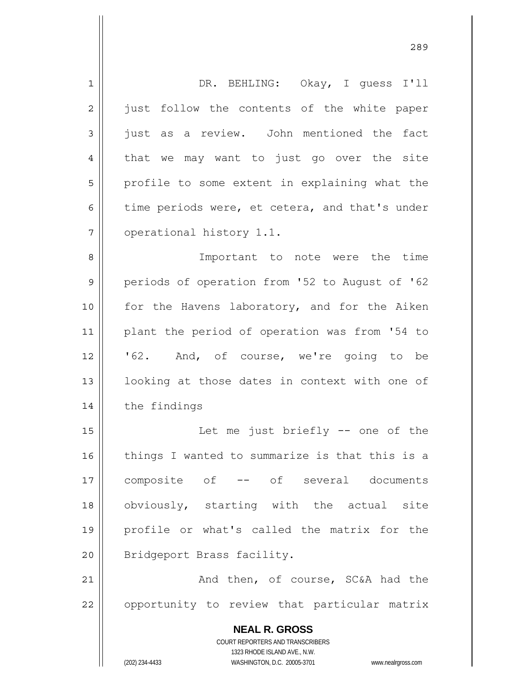| $\mathbf 1$    | DR. BEHLING: Okay, I quess I'll                                     |
|----------------|---------------------------------------------------------------------|
| $\overline{2}$ | just follow the contents of the white paper                         |
| 3              | just as a review. John mentioned the fact                           |
| 4              | that we may want to just go over the site                           |
| 5              | profile to some extent in explaining what the                       |
| 6              | time periods were, et cetera, and that's under                      |
| 7              | operational history 1.1.                                            |
| 8              | Important to note were the time                                     |
| $\mathsf 9$    | periods of operation from '52 to August of '62                      |
| 10             | for the Havens laboratory, and for the Aiken                        |
| 11             | plant the period of operation was from '54 to                       |
| 12             | '62. And, of course, we're going to be                              |
| 13             | looking at those dates in context with one of                       |
| 14             | the findings                                                        |
| 15             | Let me just briefly -- one of the                                   |
| 16             | things I wanted to summarize is that this is a                      |
| 17             | -- of several documents<br>composite of                             |
| 18             | obviously, starting with the actual site                            |
| 19             | profile or what's called the matrix for the                         |
| 20             | Bridgeport Brass facility.                                          |
| 21             | And then, of course, SC&A had the                                   |
| 22             | opportunity to review that particular matrix                        |
|                | <b>NEAL R. GROSS</b>                                                |
|                | COURT REPORTERS AND TRANSCRIBERS                                    |
|                | 1323 RHODE ISLAND AVE., N.W.                                        |
|                | (202) 234-4433<br>WASHINGTON, D.C. 20005-3701<br>www.nealrgross.com |

<u>289 and 289 and 289 and 289 and 289 and 289 and 289 and 289 and 289 and 289 and 289 and 289 and 289 and 289 and 289 and 289 and 289 and 289 and 289 and 289 and 289 and 289 and 289 and 289 and 289 and 289 and 289 and 289 a</u>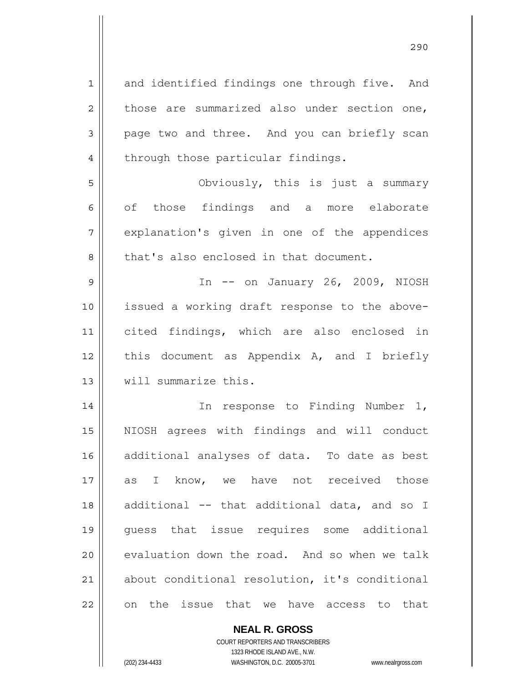1 2 3 4 5 6 7 8 9 10 11 12 13 14 and identified findings one through five. And those are summarized also under section one, page two and three. And you can briefly scan through those particular findings. Obviously, this is just a summary of those findings and a more elaborate explanation's given in one of the appendices that's also enclosed in that document. In -- on January 26, 2009, NIOSH issued a working draft response to the abovecited findings, which are also enclosed in this document as Appendix A, and I briefly will summarize this. In response to Finding Number 1,

15 16 17 18 19 20 21 22 NIOSH agrees with findings and will conduct additional analyses of data. To date as best as I know, we have not received those additional -- that additional data, and so I guess that issue requires some additional evaluation down the road. And so when we talk about conditional resolution, it's conditional on the issue that we have access to that

> COURT REPORTERS AND TRANSCRIBERS 1323 RHODE ISLAND AVE., N.W. (202) 234-4433 WASHINGTON, D.C. 20005-3701 www.nealrgross.com

**NEAL R. GROSS**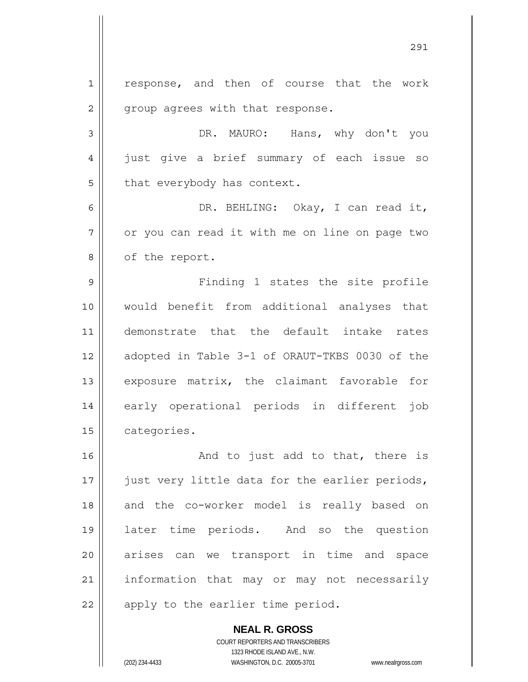1 2 3 4 5 6 7 8 9 10 11 12 13 14 15 16 17 18 19 20 21 22 response, and then of course that the work group agrees with that response. DR. MAURO: Hans, why don't you just give a brief summary of each issue so that everybody has context. DR. BEHLING: Okay, I can read it, or you can read it with me on line on page two of the report. Finding 1 states the site profile would benefit from additional analyses that demonstrate that the default intake rates adopted in Table 3-1 of ORAUT-TKBS 0030 of the exposure matrix, the claimant favorable for early operational periods in different job categories. And to just add to that, there is just very little data for the earlier periods, and the co-worker model is really based on later time periods. And so the question arises can we transport in time and space information that may or may not necessarily apply to the earlier time period.

<u>291</u>

**NEAL R. GROSS** COURT REPORTERS AND TRANSCRIBERS 1323 RHODE ISLAND AVE., N.W. (202) 234-4433 WASHINGTON, D.C. 20005-3701 www.nealrgross.com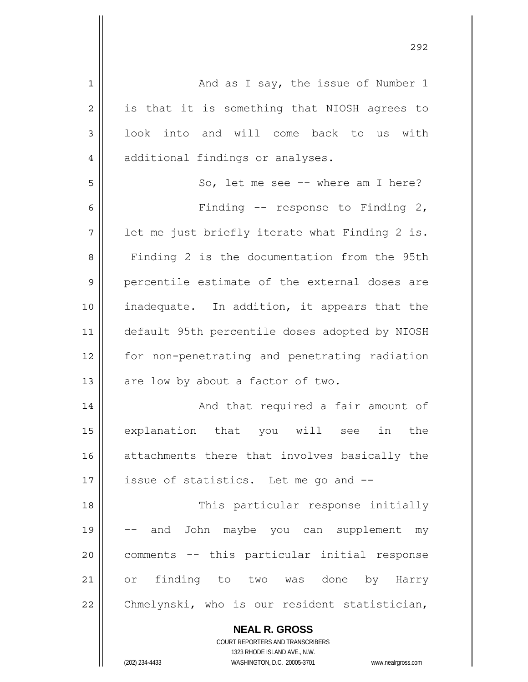| $\mathbf 1$    | And as I say, the issue of Number 1            |
|----------------|------------------------------------------------|
| $\overline{2}$ | is that it is something that NIOSH agrees to   |
| 3              | look into and will come back to us with        |
| 4              | additional findings or analyses.               |
| 5              | So, let me see -- where am I here?             |
| 6              | Finding $-$ response to Finding 2,             |
| 7              | let me just briefly iterate what Finding 2 is. |
| 8              | Finding 2 is the documentation from the 95th   |
| 9              | percentile estimate of the external doses are  |
| 10             | inadequate. In addition, it appears that the   |
| 11             | default 95th percentile doses adopted by NIOSH |
| 12             | for non-penetrating and penetrating radiation  |
| 13             | are low by about a factor of two.              |
| 14             | And that required a fair amount of             |
| 15             | explanation that you will see in<br>the        |
| 16             | attachments there that involves basically the  |
| 17             | issue of statistics. Let me go and --          |
| 18             | This particular response initially             |
| 19             | and John maybe you can supplement my           |
| 20             | comments -- this particular initial response   |
| 21             | or finding to two was done by Harry            |
| 22             | Chmelynski, who is our resident statistician,  |
|                |                                                |

COURT REPORTERS AND TRANSCRIBERS 1323 RHODE ISLAND AVE., N.W.

**NEAL R. GROSS**

 $\mathbf{I}$ 

(202) 234-4433 WASHINGTON, D.C. 20005-3701 www.nealrgross.com

<u>292</u>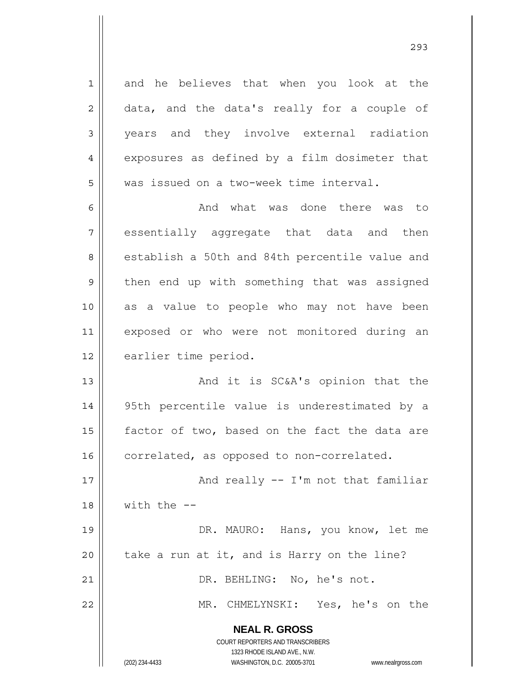and he believes that when you look at the data, and the data's really for a couple of years and they involve external radiation exposures as defined by a film dosimeter that was issued on a two-week time interval.

6 7 8 9 10 11 12 And what was done there was to essentially aggregate that data and then establish a 50th and 84th percentile value and then end up with something that was assigned as a value to people who may not have been exposed or who were not monitored during an earlier time period.

13 14 15 16 And it is SC&A's opinion that the 95th percentile value is underestimated by a factor of two, based on the fact the data are correlated, as opposed to non-correlated.

17 18 And really -- I'm not that familiar with the --

19 20 DR. MAURO: Hans, you know, let me take a run at it, and is Harry on the line?

DR. BEHLING: No, he's not.

MR. CHMELYNSKI: Yes, he's on the

**NEAL R. GROSS**

COURT REPORTERS AND TRANSCRIBERS 1323 RHODE ISLAND AVE., N.W. (202) 234-4433 WASHINGTON, D.C. 20005-3701 www.nealrgross.com

<u>293</u>

21

22

1

2

3

4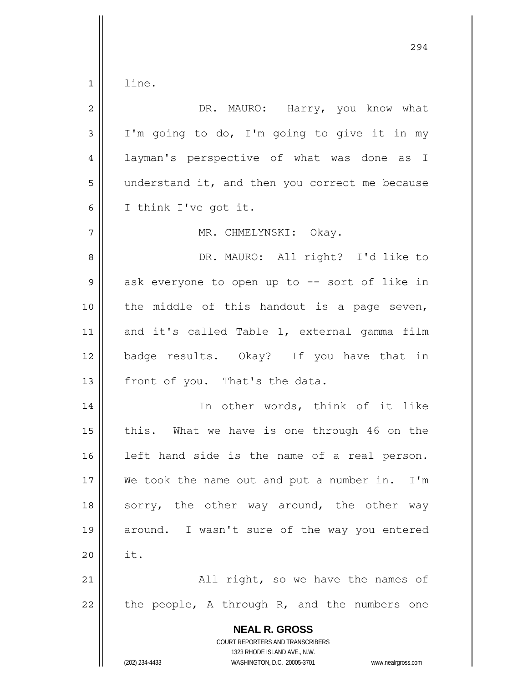1 line.

| $\overline{2}$ | DR. MAURO: Harry, you know what                                                                                                                                 |
|----------------|-----------------------------------------------------------------------------------------------------------------------------------------------------------------|
| 3              | I'm going to do, I'm going to give it in my                                                                                                                     |
| $\overline{4}$ | layman's perspective of what was done as I                                                                                                                      |
| 5              | understand it, and then you correct me because                                                                                                                  |
| 6              | I think I've got it.                                                                                                                                            |
| 7              | MR. CHMELYNSKI: Okay.                                                                                                                                           |
| 8              | DR. MAURO: All right? I'd like to                                                                                                                               |
| $\mathsf 9$    | ask everyone to open up to -- sort of like in                                                                                                                   |
| 10             | the middle of this handout is a page seven,                                                                                                                     |
| 11             | and it's called Table 1, external gamma film                                                                                                                    |
| 12             | badge results. Okay? If you have that in                                                                                                                        |
| 13             | front of you. That's the data.                                                                                                                                  |
| 14             | In other words, think of it like                                                                                                                                |
| 15             | this. What we have is one through 46 on the                                                                                                                     |
| 16             | left hand side is the name of a real person.                                                                                                                    |
| $17\,$         | We took the name out and put a number in.<br>$I'$ m                                                                                                             |
| 18             | sorry, the other way around, the other way                                                                                                                      |
| 19             | around. I wasn't sure of the way you entered                                                                                                                    |
| 20             | it.                                                                                                                                                             |
| 21             | All right, so we have the names of                                                                                                                              |
| 22             | the people, A through R, and the numbers one                                                                                                                    |
|                | <b>NEAL R. GROSS</b><br>COURT REPORTERS AND TRANSCRIBERS<br>1323 RHODE ISLAND AVE., N.W.<br>(202) 234-4433<br>WASHINGTON, D.C. 20005-3701<br>www.nealrgross.com |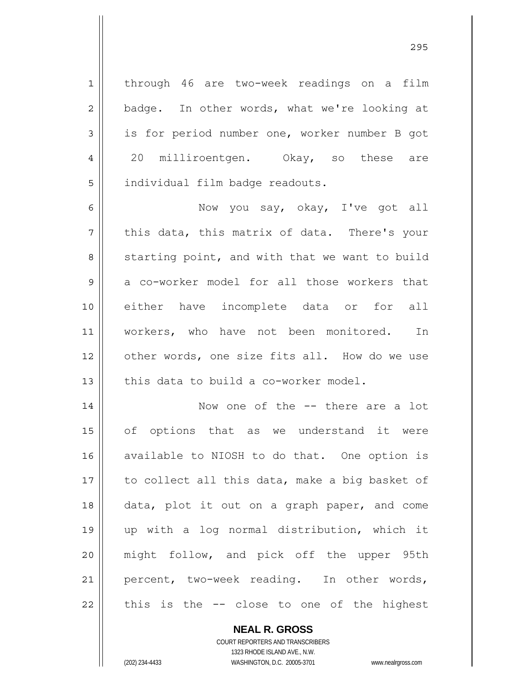through 46 are two-week readings on a film badge. In other words, what we're looking at is for period number one, worker number B got 20 milliroentgen. Okay, so these are individual film badge readouts.

6 7 8 9 10 11 12 13 Now you say, okay, I've got all this data, this matrix of data. There's your starting point, and with that we want to build a co-worker model for all those workers that either have incomplete data or for all workers, who have not been monitored. In other words, one size fits all. How do we use this data to build a co-worker model.

14 15 16 17 18 19 20 21 22 Now one of the -- there are a lot of options that as we understand it were available to NIOSH to do that. One option is to collect all this data, make a big basket of data, plot it out on a graph paper, and come up with a log normal distribution, which it might follow, and pick off the upper 95th percent, two-week reading. In other words, this is the -- close to one of the highest

> **NEAL R. GROSS** COURT REPORTERS AND TRANSCRIBERS 1323 RHODE ISLAND AVE., N.W. (202) 234-4433 WASHINGTON, D.C. 20005-3701 www.nealrgross.com

1

2

3

4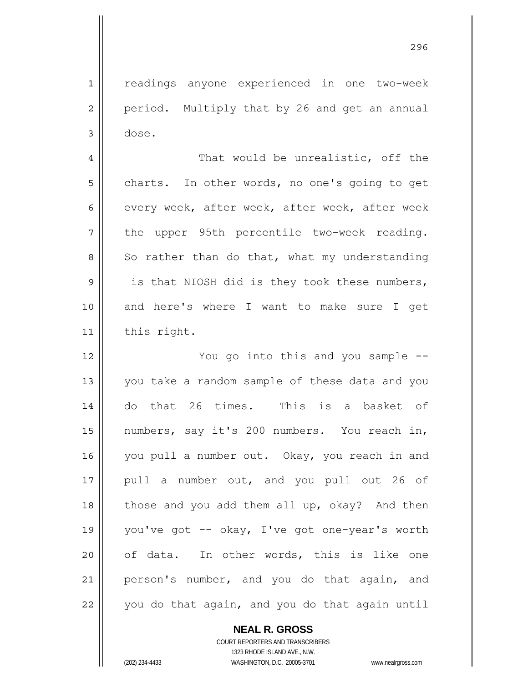readings anyone experienced in one two-week period. Multiply that by 26 and get an annual dose.

4 5 6 7 8 9 10 11 That would be unrealistic, off the charts. In other words, no one's going to get every week, after week, after week, after week the upper 95th percentile two-week reading. So rather than do that, what my understanding is that NIOSH did is they took these numbers, and here's where I want to make sure I get this right.

12 13 14 15 16 17 18 19 20 21 22 You go into this and you sample - you take a random sample of these data and you do that 26 times. This is a basket of numbers, say it's 200 numbers. You reach in, you pull a number out. Okay, you reach in and pull a number out, and you pull out 26 of those and you add them all up, okay? And then you've got -- okay, I've got one-year's worth of data. In other words, this is like one person's number, and you do that again, and you do that again, and you do that again until

**NEAL R. GROSS**

COURT REPORTERS AND TRANSCRIBERS 1323 RHODE ISLAND AVE., N.W. (202) 234-4433 WASHINGTON, D.C. 20005-3701 www.nealrgross.com

1

2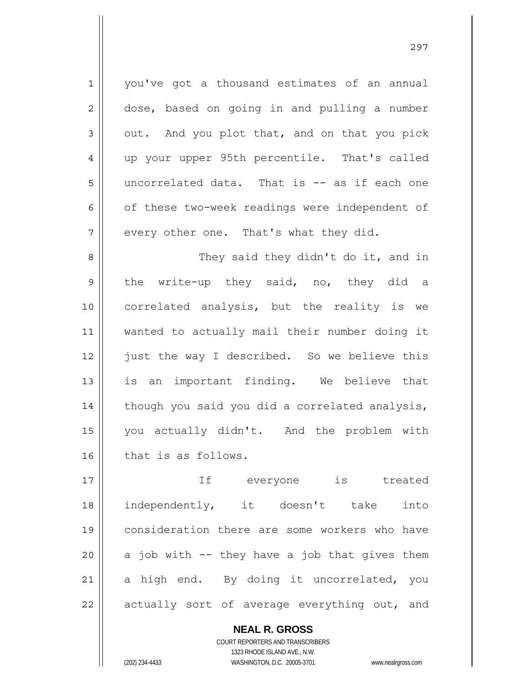1 2 3 4 5 6 7 8 9 10 11 12 13 14 15 16 you've got a thousand estimates of an annual dose, based on going in and pulling a number out. And you plot that, and on that you pick up your upper 95th percentile. That's called uncorrelated data. That is -- as if each one of these two-week readings were independent of every other one. That's what they did. They said they didn't do it, and in the write-up they said, no, they did a correlated analysis, but the reality is we wanted to actually mail their number doing it just the way I described. So we believe this is an important finding. We believe that though you said you did a correlated analysis, you actually didn't. And the problem with that is as follows.

17 18 19 20 21 22 If everyone is treated independently, it doesn't take into consideration there are some workers who have a job with -- they have a job that gives them a high end. By doing it uncorrelated, you actually sort of average everything out, and

> **NEAL R. GROSS** COURT REPORTERS AND TRANSCRIBERS 1323 RHODE ISLAND AVE., N.W. (202) 234-4433 WASHINGTON, D.C. 20005-3701 www.nealrgross.com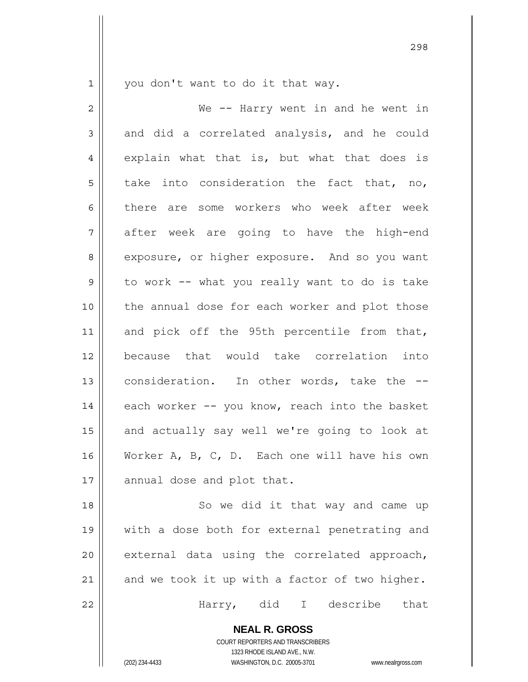1 you don't want to do it that way.

2 3 4 5 6 7 8 9 10 11 12 13 14 15 16 17 We -- Harry went in and he went in and did a correlated analysis, and he could explain what that is, but what that does is take into consideration the fact that, no, there are some workers who week after week after week are going to have the high-end exposure, or higher exposure. And so you want to work -- what you really want to do is take the annual dose for each worker and plot those and pick off the 95th percentile from that, because that would take correlation into consideration. In other words, take the - each worker -- you know, reach into the basket and actually say well we're going to look at Worker A, B, C, D. Each one will have his own annual dose and plot that.

18 19 20 21 22 So we did it that way and came up with a dose both for external penetrating and external data using the correlated approach, and we took it up with a factor of two higher. Harry, did I describe that

**NEAL R. GROSS**

COURT REPORTERS AND TRANSCRIBERS 1323 RHODE ISLAND AVE., N.W. (202) 234-4433 WASHINGTON, D.C. 20005-3701 www.nealrgross.com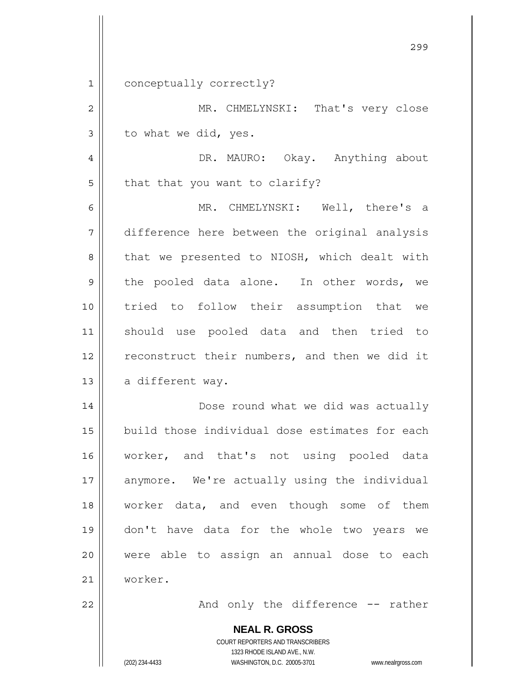1 conceptually correctly?

2 3 MR. CHMELYNSKI: That's very close to what we did, yes.

4 5 DR. MAURO: Okay. Anything about that that you want to clarify?

6 7 8 9 10 11 12 13 MR. CHMELYNSKI: Well, there's a difference here between the original analysis that we presented to NIOSH, which dealt with the pooled data alone. In other words, we tried to follow their assumption that we should use pooled data and then tried to reconstruct their numbers, and then we did it a different way.

14 15 16 17 18 19 20 21 Dose round what we did was actually build those individual dose estimates for each worker, and that's not using pooled data anymore. We're actually using the individual worker data, and even though some of them don't have data for the whole two years we were able to assign an annual dose to each worker.

And only the difference -- rather

**NEAL R. GROSS** COURT REPORTERS AND TRANSCRIBERS 1323 RHODE ISLAND AVE., N.W. (202) 234-4433 WASHINGTON, D.C. 20005-3701 www.nealrgross.com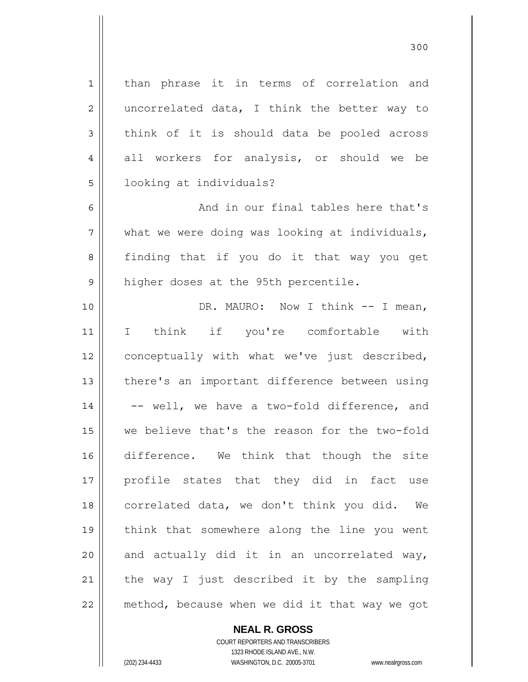1 2 3 4 5 6 7 8 9 10 11 12 13 14 15 16 17 18 19 20 21 22 than phrase it in terms of correlation and uncorrelated data, I think the better way to think of it is should data be pooled across all workers for analysis, or should we be looking at individuals? And in our final tables here that's what we were doing was looking at individuals, finding that if you do it that way you get higher doses at the 95th percentile. DR. MAURO: Now I think -- I mean, I think if you're comfortable with conceptually with what we've just described, there's an important difference between using -- well, we have a two-fold difference, and we believe that's the reason for the two-fold difference. We think that though the site profile states that they did in fact use correlated data, we don't think you did. We think that somewhere along the line you went and actually did it in an uncorrelated way, the way I just described it by the sampling method, because when we did it that way we got

> **NEAL R. GROSS** COURT REPORTERS AND TRANSCRIBERS

1323 RHODE ISLAND AVE., N.W. (202) 234-4433 WASHINGTON, D.C. 20005-3701 www.nealrgross.com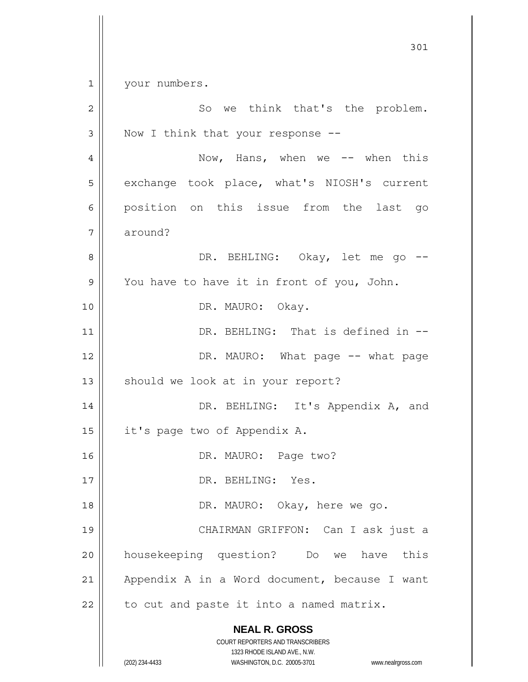301 1 2 3 4 5 6 7 8 9 10 11 12 13 14 15 16 17 18 19 your numbers. So we think that's the problem. Now I think that your response -- Now, Hans, when we -- when this exchange took place, what's NIOSH's current position on this issue from the last go around? DR. BEHLING: Okay, let me go --You have to have it in front of you, John. DR. MAURO: Okay. DR. BEHLING: That is defined in --DR. MAURO: What page -- what page should we look at in your report? DR. BEHLING: It's Appendix A, and it's page two of Appendix A. DR. MAURO: Page two? DR. BEHLING: Yes.

 DR. MAURO: Okay, here we go. CHAIRMAN GRIFFON: Can I ask just a housekeeping question? Do we have this Appendix A in a Word document, because I want

22 to cut and paste it into a named matrix.

> **NEAL R. GROSS** COURT REPORTERS AND TRANSCRIBERS

20

21

1323 RHODE ISLAND AVE., N.W. (202) 234-4433 WASHINGTON, D.C. 20005-3701 www.nealrgross.com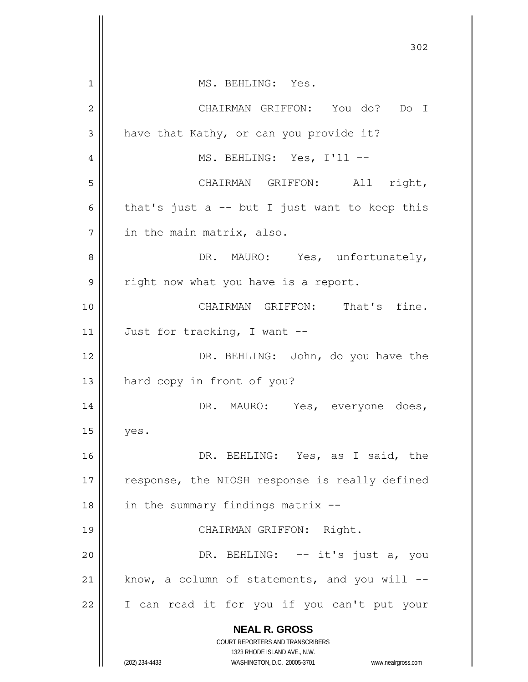|                | 302                                                                                                 |
|----------------|-----------------------------------------------------------------------------------------------------|
| 1              | MS. BEHLING: Yes.                                                                                   |
| $\overline{2}$ | CHAIRMAN GRIFFON: You do? Do I                                                                      |
| 3              | have that Kathy, or can you provide it?                                                             |
| 4              | MS. BEHLING: Yes, I'll --                                                                           |
|                |                                                                                                     |
| 5              | CHAIRMAN GRIFFON: All right,                                                                        |
| 6              | that's just a $-$ but I just want to keep this                                                      |
| 7              | in the main matrix, also.                                                                           |
| 8              | DR. MAURO: Yes, unfortunately,                                                                      |
| 9              | right now what you have is a report.                                                                |
| 10             | CHAIRMAN GRIFFON: That's fine.                                                                      |
| 11             | Just for tracking, I want --                                                                        |
| 12             | DR. BEHLING: John, do you have the                                                                  |
| 13             | hard copy in front of you?                                                                          |
| 14             | DR. MAURO: Yes, everyone does,                                                                      |
| 15             | yes.                                                                                                |
| 16             | DR. BEHLING: Yes, as I said, the                                                                    |
| 17             | response, the NIOSH response is really defined                                                      |
| 18             | in the summary findings matrix --                                                                   |
| 19             | CHAIRMAN GRIFFON: Right.                                                                            |
| 20             | DR. BEHLING: -- it's just a, you                                                                    |
| 21             | know, a column of statements, and you will --                                                       |
| 22             | I can read it for you if you can't put your                                                         |
|                | <b>NEAL R. GROSS</b>                                                                                |
|                | COURT REPORTERS AND TRANSCRIBERS                                                                    |
|                | 1323 RHODE ISLAND AVE., N.W.<br>(202) 234-4433<br>WASHINGTON, D.C. 20005-3701<br>www.nealrgross.com |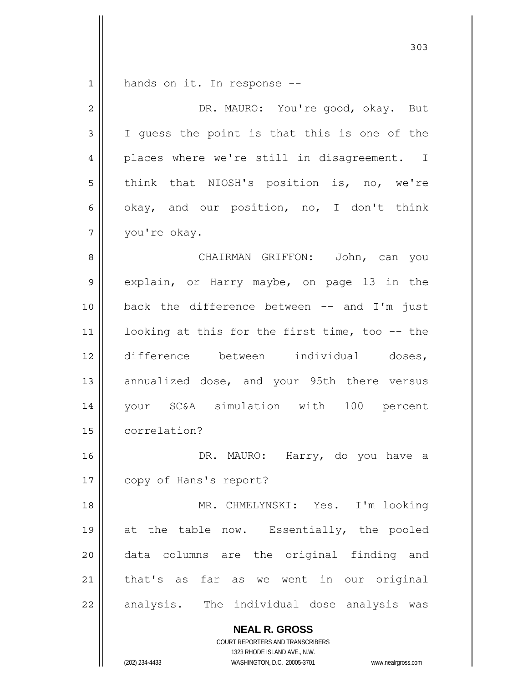1 hands on it. In response --

| $\overline{2}$ | DR. MAURO: You're good, okay. But              |
|----------------|------------------------------------------------|
| 3              | I guess the point is that this is one of the   |
| 4              | places where we're still in disagreement. I    |
| 5              | think that NIOSH's position is, no, we're      |
| 6              | okay, and our position, no, I don't think      |
| 7              | you're okay.                                   |
| 8              | CHAIRMAN GRIFFON: John, can you                |
| 9              | explain, or Harry maybe, on page 13 in the     |
| 10             | back the difference between $--$ and I'm just  |
| 11             | looking at this for the first time, too -- the |
| 12             | difference between individual doses,           |
| 13             | annualized dose, and your 95th there versus    |
| 14             | your SC&A simulation with 100 percent          |
| 15             | correlation?                                   |
| 16             | DR. MAURO: Harry, do you have a                |
| $17\,$         | copy of Hans's report?                         |
| 18             | MR. CHMELYNSKI: Yes. I'm looking               |
| 19             | at the table now. Essentially, the pooled      |
| 20             | data columns are the original finding and      |
| 21             | that's as far as we went in our original       |
| 22             | analysis. The individual dose analysis was     |
|                | <b>NEAL R. GROSS</b>                           |

COURT REPORTERS AND TRANSCRIBERS 1323 RHODE ISLAND AVE., N.W.

(202) 234-4433 WASHINGTON, D.C. 20005-3701 www.nealrgross.com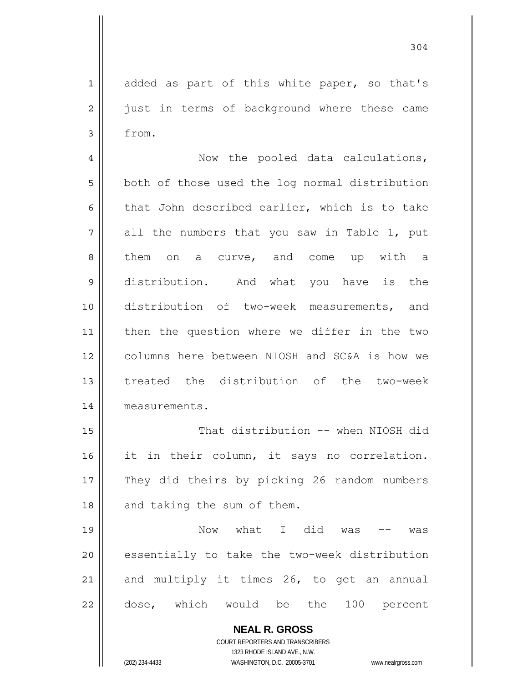304

1 2 3 4 5 6 7 8 9 10 11 added as part of this white paper, so that's just in terms of background where these came from. Now the pooled data calculations, both of those used the log normal distribution that John described earlier, which is to take all the numbers that you saw in Table 1, put them on a curve, and come up with a distribution. And what you have is the distribution of two-week measurements, and

12 13 14 then the question where we differ in the two columns here between NIOSH and SC&A is how we treated the distribution of the two-week measurements.

15 16 17 18 That distribution -- when NIOSH did it in their column, it says no correlation. They did theirs by picking 26 random numbers and taking the sum of them.

19 20 21 22 Now what I did was -- was essentially to take the two-week distribution and multiply it times 26, to get an annual dose, which would be the 100 percent

> **NEAL R. GROSS** COURT REPORTERS AND TRANSCRIBERS 1323 RHODE ISLAND AVE., N.W. (202) 234-4433 WASHINGTON, D.C. 20005-3701 www.nealrgross.com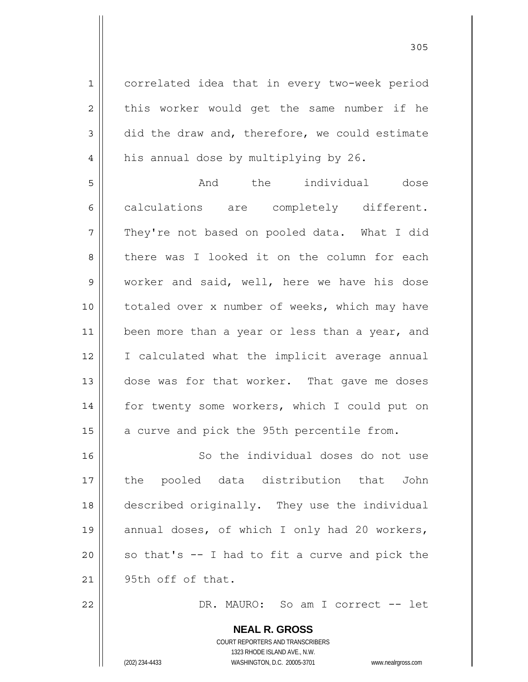1 2 3 4 5 6 7 8 9 10 11 12 13 14 15 16 17 18 19 20 21 correlated idea that in every two-week period this worker would get the same number if he did the draw and, therefore, we could estimate his annual dose by multiplying by 26. And the individual dose calculations are completely different. They're not based on pooled data. What I did there was I looked it on the column for each worker and said, well, here we have his dose totaled over x number of weeks, which may have been more than a year or less than a year, and I calculated what the implicit average annual dose was for that worker. That gave me doses for twenty some workers, which I could put on a curve and pick the 95th percentile from. So the individual doses do not use the pooled data distribution that John described originally. They use the individual annual doses, of which I only had 20 workers, so that's -- I had to fit a curve and pick the 95th off of that.

305

DR. MAURO: So am I correct -- let

COURT REPORTERS AND TRANSCRIBERS 1323 RHODE ISLAND AVE., N.W. (202) 234-4433 WASHINGTON, D.C. 20005-3701 www.nealrgross.com

**NEAL R. GROSS**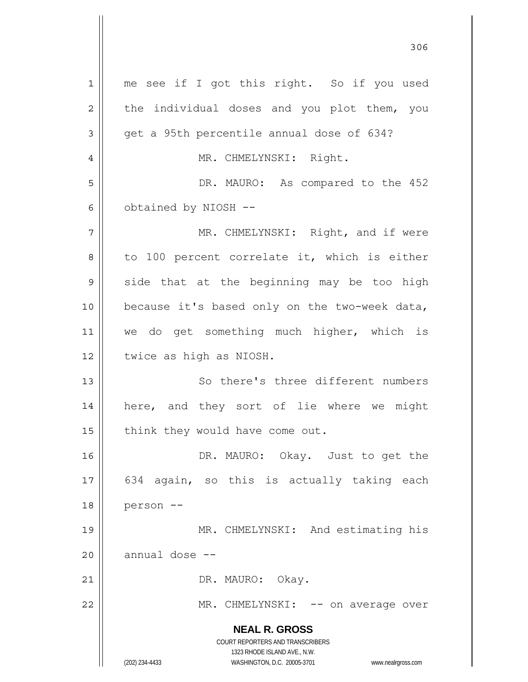**NEAL R. GROSS** COURT REPORTERS AND TRANSCRIBERS 1323 RHODE ISLAND AVE., N.W. (202) 234-4433 WASHINGTON, D.C. 20005-3701 www.nealrgross.com 1 2 3 4 5 6 7 8 9 10 11 12 13 14 15 16 17 18 19 20 21 22 me see if I got this right. So if you used the individual doses and you plot them, you get a 95th percentile annual dose of 634? MR. CHMELYNSKI: Right. DR. MAURO: As compared to the 452 obtained by NIOSH -- MR. CHMELYNSKI: Right, and if were to 100 percent correlate it, which is either side that at the beginning may be too high because it's based only on the two-week data, we do get something much higher, which is twice as high as NIOSH. So there's three different numbers here, and they sort of lie where we might think they would have come out. DR. MAURO: Okay. Just to get the 634 again, so this is actually taking each person -- MR. CHMELYNSKI: And estimating his annual dose -- DR. MAURO: Okay. MR. CHMELYNSKI: -- on average over

<u>306</u>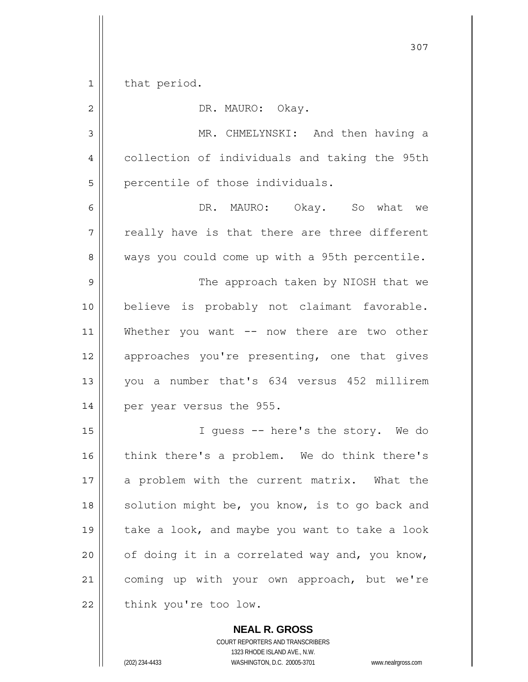1 that period.

| $\overline{2}$ | DR. MAURO: Okay.                               |
|----------------|------------------------------------------------|
| 3              | MR. CHMELYNSKI: And then having a              |
| $\overline{4}$ | collection of individuals and taking the 95th  |
| 5              | percentile of those individuals.               |
| 6              | DR. MAURO: Okay. So what we                    |
| 7              | really have is that there are three different  |
| 8              | ways you could come up with a 95th percentile. |
| 9              | The approach taken by NIOSH that we            |
| 10             | believe is probably not claimant favorable.    |
| 11             | Whether you want -- now there are two other    |
| 12             | approaches you're presenting, one that gives   |
| 13             | you a number that's 634 versus 452 millirem    |
| 14             | per year versus the 955.                       |
| 15             | I guess -- here's the story. We do             |
| 16             | think there's a problem. We do think there's   |
| 17             | a problem with the current matrix. What the    |
| 18             | solution might be, you know, is to go back and |
| 19             | take a look, and maybe you want to take a look |
| 20             | of doing it in a correlated way and, you know, |
| 21             | coming up with your own approach, but we're    |
| 22             | think you're too low.                          |

**NEAL R. GROSS** COURT REPORTERS AND TRANSCRIBERS 1323 RHODE ISLAND AVE., N.W. (202) 234-4433 WASHINGTON, D.C. 20005-3701 www.nealrgross.com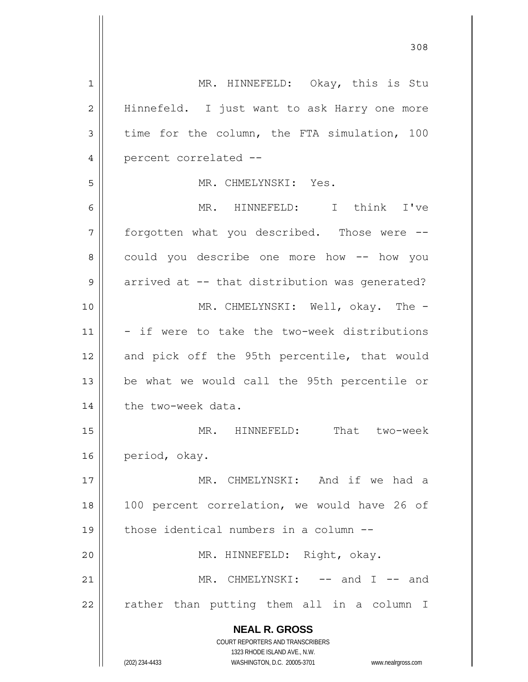**NEAL R. GROSS** COURT REPORTERS AND TRANSCRIBERS 1323 RHODE ISLAND AVE., N.W. (202) 234-4433 WASHINGTON, D.C. 20005-3701 www.nealrgross.com 1 2 3 4 5 6 7 8 9 10 11 12 13 14 15 16 17 18 19 20 21 22 MR. HINNEFELD: Okay, this is Stu Hinnefeld. I just want to ask Harry one more time for the column, the FTA simulation, 100 percent correlated -- MR. CHMELYNSKI: Yes. MR. HINNEFELD: I think I've forgotten what you described. Those were - could you describe one more how -- how you arrived at -- that distribution was generated? MR. CHMELYNSKI: Well, okay. The -- if were to take the two-week distributions and pick off the 95th percentile, that would be what we would call the 95th percentile or the two-week data. MR. HINNEFELD: That two-week period, okay. MR. CHMELYNSKI: And if we had a 100 percent correlation, we would have 26 of those identical numbers in a column -- MR. HINNEFELD: Right, okay. MR. CHMELYNSKI: -- and I -- and rather than putting them all in a column I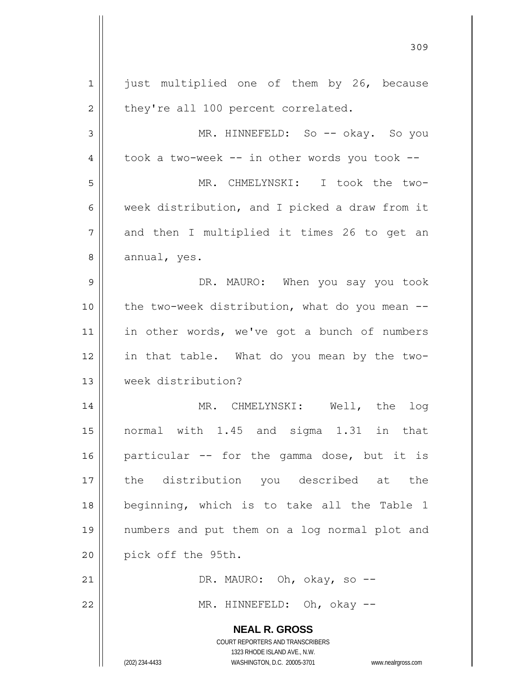| $\mathbf 1$    | just multiplied one of them by 26, because                                                          |
|----------------|-----------------------------------------------------------------------------------------------------|
| $\overline{c}$ | they're all 100 percent correlated.                                                                 |
| 3              | MR. HINNEFELD: So -- okay. So you                                                                   |
| 4              | took a two-week -- in other words you took --                                                       |
| 5              | MR. CHMELYNSKI: I took the two-                                                                     |
| 6              | week distribution, and I picked a draw from it                                                      |
| 7              | and then I multiplied it times 26 to get an                                                         |
| 8              | annual, yes.                                                                                        |
| 9              | DR. MAURO: When you say you took                                                                    |
| 10             | the two-week distribution, what do you mean --                                                      |
| 11             | in other words, we've got a bunch of numbers                                                        |
| 12             | in that table. What do you mean by the two-                                                         |
| 13             | week distribution?                                                                                  |
| 14             | MR. CHMELYNSKI: Well, the<br>log                                                                    |
| 15             | normal with 1.45 and sigma 1.31 in that                                                             |
| 16             | particular -- for the gamma dose, but it is                                                         |
| 17             | the distribution you described at the                                                               |
| 18             | beginning, which is to take all the Table 1                                                         |
| 19             | numbers and put them on a log normal plot and                                                       |
| 20             | pick off the 95th.                                                                                  |
| 21             | DR. MAURO: Oh, okay, so --                                                                          |
| 22             | MR. HINNEFELD: Oh, okay --                                                                          |
|                | <b>NEAL R. GROSS</b>                                                                                |
|                | COURT REPORTERS AND TRANSCRIBERS                                                                    |
|                | 1323 RHODE ISLAND AVE., N.W.<br>(202) 234-4433<br>WASHINGTON, D.C. 20005-3701<br>www.nealrgross.com |

<u>309</u>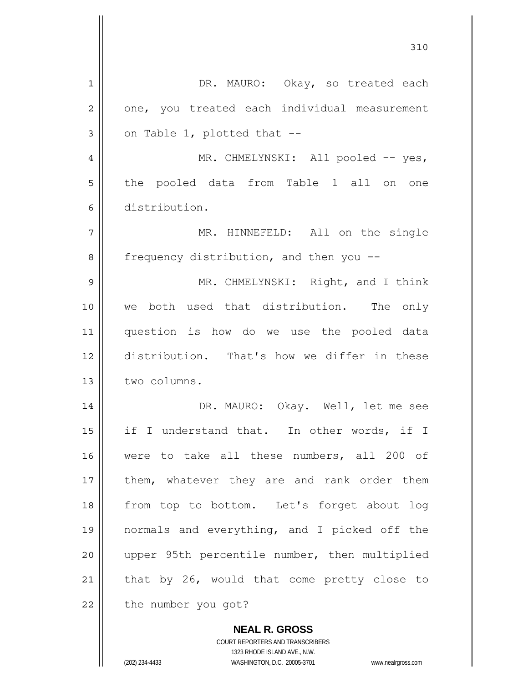| 1  | DR. MAURO: Okay, so treated each                         |
|----|----------------------------------------------------------|
| 2  | one, you treated each individual measurement             |
| 3  | on Table 1, plotted that --                              |
| 4  | MR. CHMELYNSKI: All pooled -- yes,                       |
| 5  | the pooled data from Table 1 all on one                  |
| 6  | distribution.                                            |
| 7  | MR. HINNEFELD: All on the single                         |
| 8  | frequency distribution, and then you --                  |
| 9  | MR. CHMELYNSKI: Right, and I think                       |
| 10 | both used that distribution. The only<br>we              |
| 11 | question is how do we use the pooled data                |
| 12 | distribution. That's how we differ in these              |
| 13 | two columns.                                             |
| 14 | DR. MAURO: Okay. Well, let me see                        |
| 15 | if I understand that. In other words, if I               |
| 16 | were to take all these numbers, all 200 of               |
| 17 | them, whatever they are and rank order them              |
| 18 | from top to bottom. Let's forget about log               |
| 19 | normals and everything, and I picked off the             |
| 20 | upper 95th percentile number, then multiplied            |
| 21 | that by 26, would that come pretty close to              |
| 22 | the number you got?                                      |
|    |                                                          |
|    | <b>NEAL R. GROSS</b><br>COURT REPORTERS AND TRANSCRIBERS |

1323 RHODE ISLAND AVE., N.W.

 $\mathsf{II}$ 

 $\mathsf{I}$ 

(202) 234-4433 WASHINGTON, D.C. 20005-3701 www.nealrgross.com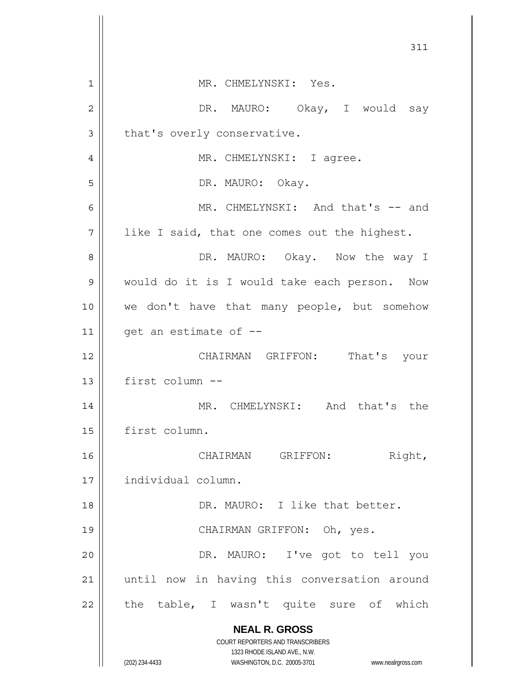| 311                                                                                                 |  |
|-----------------------------------------------------------------------------------------------------|--|
| MR. CHMELYNSKI: Yes.<br>1                                                                           |  |
| DR. MAURO: Okay, I would say<br>2                                                                   |  |
| that's overly conservative.<br>3                                                                    |  |
|                                                                                                     |  |
| MR. CHMELYNSKI: I agree.<br>4                                                                       |  |
| 5<br>DR. MAURO: Okay.                                                                               |  |
| MR. CHMELYNSKI: And that's -- and<br>6                                                              |  |
| 7<br>like I said, that one comes out the highest.                                                   |  |
| DR. MAURO: Okay. Now the way I<br>8                                                                 |  |
| would do it is I would take each person. Now<br>9                                                   |  |
| 10<br>we don't have that many people, but somehow                                                   |  |
| get an estimate of --<br>11                                                                         |  |
| CHAIRMAN GRIFFON: That's your<br>12                                                                 |  |
| first column --<br>13                                                                               |  |
| MR. CHMELYNSKI: And that's the<br>14                                                                |  |
| first column.<br>15                                                                                 |  |
| Right,<br>CHAIRMAN GRIFFON:<br>16                                                                   |  |
| individual column.<br>17                                                                            |  |
| DR. MAURO: I like that better.<br>18                                                                |  |
| CHAIRMAN GRIFFON: Oh, yes.<br>19                                                                    |  |
| DR. MAURO: I've got to tell you<br>20                                                               |  |
| until now in having this conversation around<br>21                                                  |  |
| the table, I wasn't quite sure of which<br>22                                                       |  |
|                                                                                                     |  |
| <b>NEAL R. GROSS</b><br><b>COURT REPORTERS AND TRANSCRIBERS</b>                                     |  |
| 1323 RHODE ISLAND AVE., N.W.<br>(202) 234-4433<br>WASHINGTON, D.C. 20005-3701<br>www.nealrgross.com |  |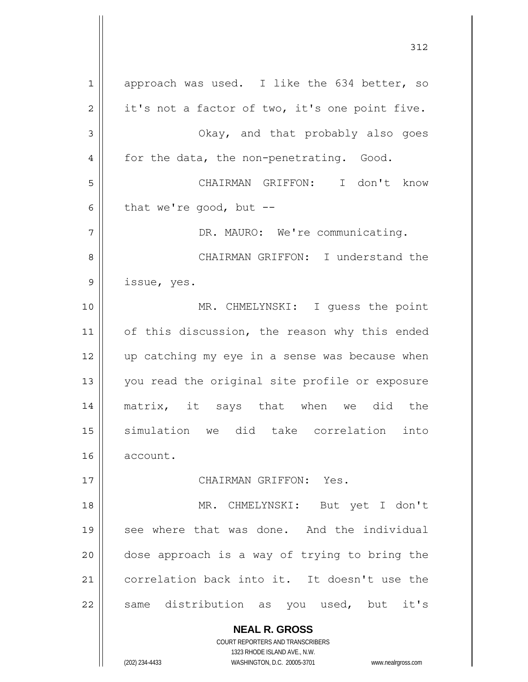**NEAL R. GROSS** COURT REPORTERS AND TRANSCRIBERS 1 2 3 4 5 6 7 8 9 10 11 12 13 14 15 16 17 18 19 20 21 22 approach was used. I like the 634 better, so it's not a factor of two, it's one point five. Okay, and that probably also goes for the data, the non-penetrating. Good. CHAIRMAN GRIFFON: I don't know that we're good, but  $-$ -DR. MAURO: We're communicating. CHAIRMAN GRIFFON: I understand the issue, yes. MR. CHMELYNSKI: I guess the point of this discussion, the reason why this ended up catching my eye in a sense was because when you read the original site profile or exposure matrix, it says that when we did the simulation we did take correlation into account. CHAIRMAN GRIFFON: Yes. MR. CHMELYNSKI: But yet I don't see where that was done. And the individual dose approach is a way of trying to bring the correlation back into it. It doesn't use the same distribution as you used, but it's

312

1323 RHODE ISLAND AVE., N.W.

(202) 234-4433 WASHINGTON, D.C. 20005-3701 www.nealrgross.com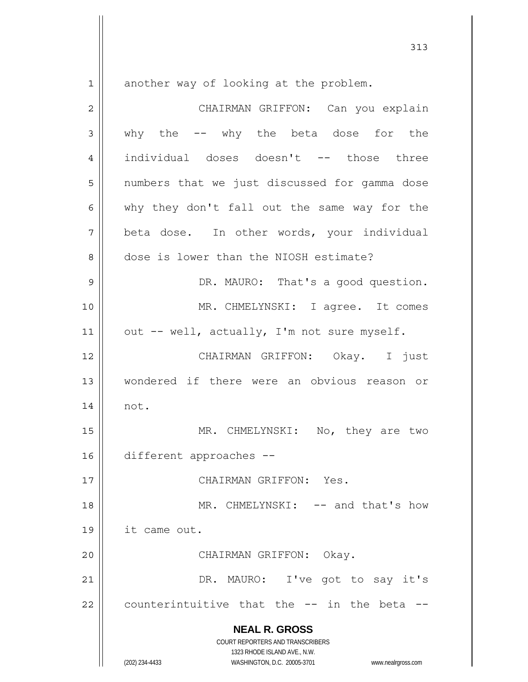$1 ||$ 

another way of looking at the problem.

| $\overline{2}$ | CHAIRMAN GRIFFON: Can you explain                                                                   |
|----------------|-----------------------------------------------------------------------------------------------------|
| $\mathfrak{Z}$ | why the -- why the beta dose for the                                                                |
| 4              | individual doses doesn't -- those three                                                             |
| 5              | numbers that we just discussed for gamma dose                                                       |
| 6              | why they don't fall out the same way for the                                                        |
| 7              | beta dose. In other words, your individual                                                          |
| 8              | dose is lower than the NIOSH estimate?                                                              |
| 9              | DR. MAURO: That's a good question.                                                                  |
| 10             | MR. CHMELYNSKI: I agree. It comes                                                                   |
| 11             | out -- well, actually, I'm not sure myself.                                                         |
| 12             | CHAIRMAN GRIFFON: Okay. I just                                                                      |
| 13             | wondered if there were an obvious reason or                                                         |
| 14             | not.                                                                                                |
| 15             | MR. CHMELYNSKI: No, they are two                                                                    |
| 16             | different approaches --                                                                             |
| $17$           | CHAIRMAN GRIFFON: Yes.                                                                              |
| 18             | MR. CHMELYNSKI: -- and that's how                                                                   |
| 19             | it came out.                                                                                        |
| 20             | CHAIRMAN GRIFFON: Okay.                                                                             |
| 21             | DR. MAURO: I've got to say it's                                                                     |
| 22             | counterintuitive that the -- in the beta                                                            |
|                | <b>NEAL R. GROSS</b><br>COURT REPORTERS AND TRANSCRIBERS                                            |
|                | 1323 RHODE ISLAND AVE., N.W.<br>(202) 234-4433<br>WASHINGTON, D.C. 20005-3701<br>www.nealrgross.com |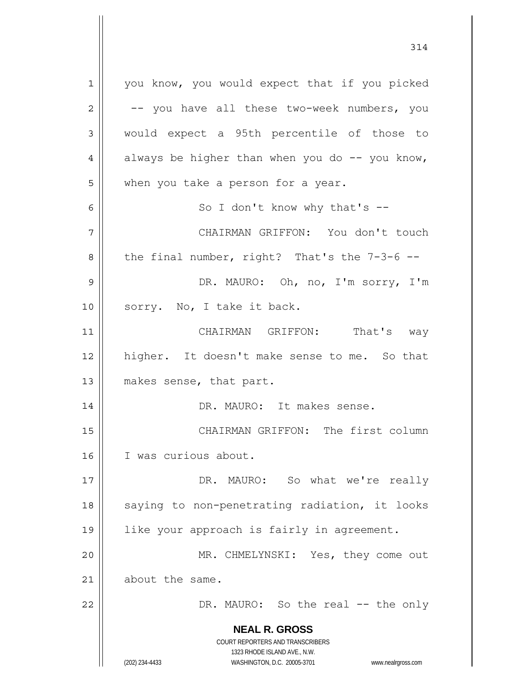**NEAL R. GROSS** COURT REPORTERS AND TRANSCRIBERS 1323 RHODE ISLAND AVE., N.W. 1 2 3 4 5 6 7 8 9 10 11 12 13 14 15 16 17 18 19 20 21 22 you know, you would expect that if you picked -- you have all these two-week numbers, you would expect a 95th percentile of those to always be higher than when you do  $-$ - you know, when you take a person for a year. So I don't know why that's -- CHAIRMAN GRIFFON: You don't touch the final number, right? That's the 7-3-6 -- DR. MAURO: Oh, no, I'm sorry, I'm sorry. No, I take it back. CHAIRMAN GRIFFON: That's way higher. It doesn't make sense to me. So that makes sense, that part. DR. MAURO: It makes sense. CHAIRMAN GRIFFON: The first column I was curious about. DR. MAURO: So what we're really saying to non-penetrating radiation, it looks like your approach is fairly in agreement. MR. CHMELYNSKI: Yes, they come out about the same. DR. MAURO: So the real -- the only

(202) 234-4433 WASHINGTON, D.C. 20005-3701 www.nealrgross.com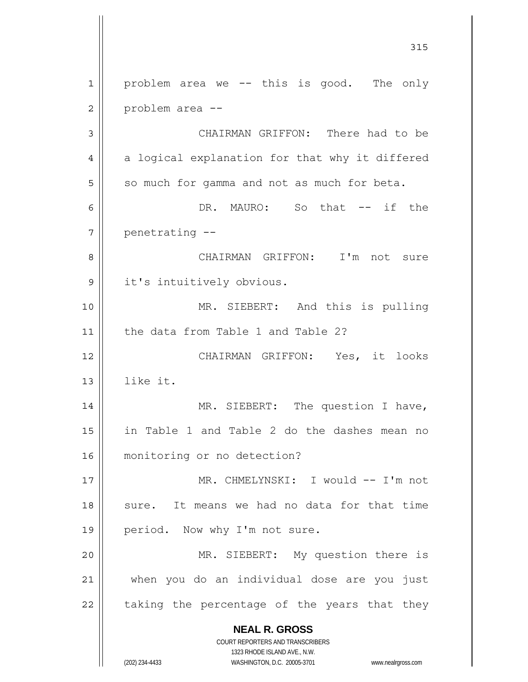**NEAL R. GROSS** COURT REPORTERS AND TRANSCRIBERS 1323 RHODE ISLAND AVE., N.W. (202) 234-4433 WASHINGTON, D.C. 20005-3701 www.nealrgross.com 315 1 2 3 4 5 6 7 8 9 10 11 12 13 14 15 16 17 18 19 20 21 22 problem area we -- this is good. The only problem area -- CHAIRMAN GRIFFON: There had to be a logical explanation for that why it differed so much for gamma and not as much for beta. DR. MAURO: So that -- if the penetrating -- CHAIRMAN GRIFFON: I'm not sure it's intuitively obvious. MR. SIEBERT: And this is pulling the data from Table 1 and Table 2? CHAIRMAN GRIFFON: Yes, it looks like it. MR. SIEBERT: The question I have, in Table 1 and Table 2 do the dashes mean no monitoring or no detection? MR. CHMELYNSKI: I would -- I'm not sure. It means we had no data for that time period. Now why I'm not sure. MR. SIEBERT: My question there is when you do an individual dose are you just taking the percentage of the years that they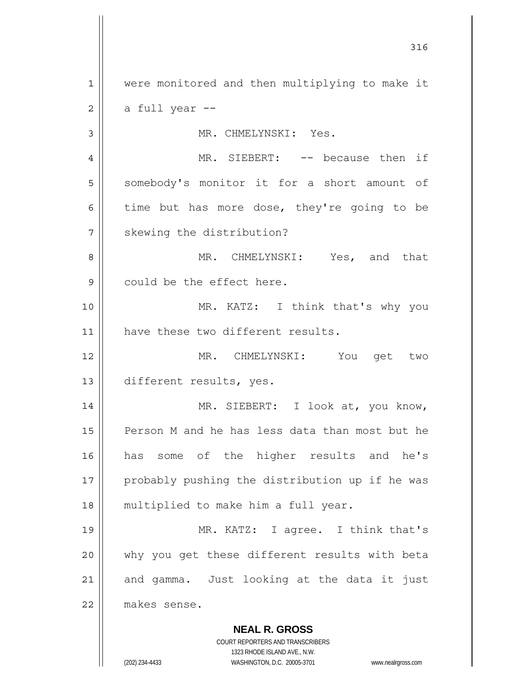**NEAL R. GROSS** COURT REPORTERS AND TRANSCRIBERS 1 2 3 4 5 6 7 8 9 10 11 12 13 14 15 16 17 18 19 20 21 22 were monitored and then multiplying to make it a full year -- MR. CHMELYNSKI: Yes. MR. SIEBERT: -- because then if somebody's monitor it for a short amount of time but has more dose, they're going to be skewing the distribution? MR. CHMELYNSKI: Yes, and that could be the effect here. MR. KATZ: I think that's why you have these two different results. MR. CHMELYNSKI: You get two different results, yes. MR. SIEBERT: I look at, you know, Person M and he has less data than most but he has some of the higher results and he's probably pushing the distribution up if he was multiplied to make him a full year. MR. KATZ: I agree. I think that's why you get these different results with beta and gamma. Just looking at the data it just makes sense.

316

1323 RHODE ISLAND AVE., N.W.

(202) 234-4433 WASHINGTON, D.C. 20005-3701 www.nealrgross.com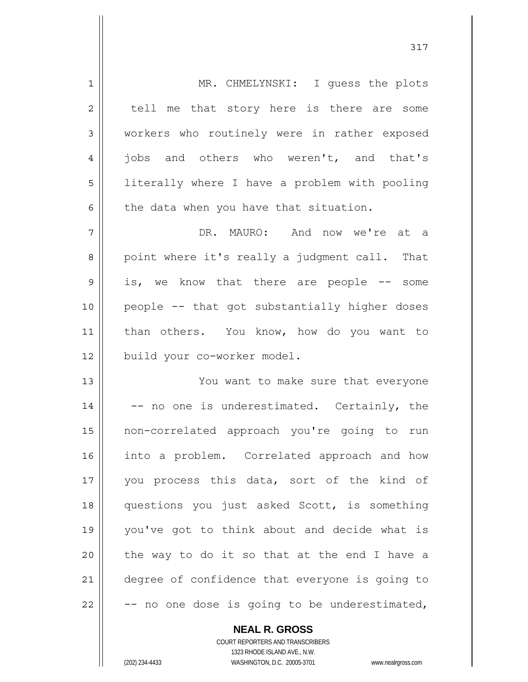| $\mathbf 1$    | MR. CHMELYNSKI: I guess the plots              |
|----------------|------------------------------------------------|
| $\overline{2}$ | tell me that story here is there are some      |
| 3              | workers who routinely were in rather exposed   |
| $\overline{4}$ | jobs and others who weren't, and that's        |
| 5              | literally where I have a problem with pooling  |
| 6              | the data when you have that situation.         |
| 7              | DR. MAURO: And now we're at a                  |
| 8              | point where it's really a judgment call. That  |
| 9              | is, we know that there are people -- some      |
| 10             | people -- that got substantially higher doses  |
| 11             | than others. You know, how do you want to      |
| 12             | build your co-worker model.                    |
| 13             | You want to make sure that everyone            |
| 14             | -- no one is underestimated. Certainly, the    |
| 15             | non-correlated approach you're going to run    |
| 16             | into a problem. Correlated approach and how    |
| 17             | you process this data, sort of the kind of     |
| 18             | questions you just asked Scott, is something   |
| 19             | you've got to think about and decide what is   |
| 20             | the way to do it so that at the end I have a   |
| 21             | degree of confidence that everyone is going to |
| 22             | -- no one dose is going to be underestimated,  |

**NEAL R. GROSS** COURT REPORTERS AND TRANSCRIBERS

1323 RHODE ISLAND AVE., N.W.

(202) 234-4433 WASHINGTON, D.C. 20005-3701 www.nealrgross.com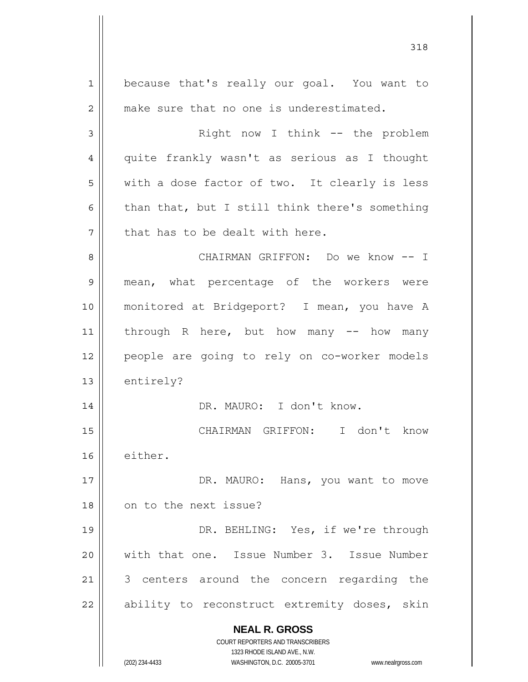**NEAL R. GROSS** COURT REPORTERS AND TRANSCRIBERS 1323 RHODE ISLAND AVE., N.W. (202) 234-4433 WASHINGTON, D.C. 20005-3701 www.nealrgross.com 1 2 3 4 5 6 7 8 9 10 11 12 13 14 15 16 17 18 19 20 21 22 because that's really our goal. You want to make sure that no one is underestimated. Right now I think -- the problem quite frankly wasn't as serious as I thought with a dose factor of two. It clearly is less than that, but I still think there's something that has to be dealt with here. CHAIRMAN GRIFFON: Do we know -- I mean, what percentage of the workers were monitored at Bridgeport? I mean, you have A through R here, but how many  $-$  how many people are going to rely on co-worker models entirely? DR. MAURO: I don't know. CHAIRMAN GRIFFON: I don't know either. DR. MAURO: Hans, you want to move on to the next issue? DR. BEHLING: Yes, if we're through with that one. Issue Number 3. Issue Number 3 centers around the concern regarding the ability to reconstruct extremity doses, skin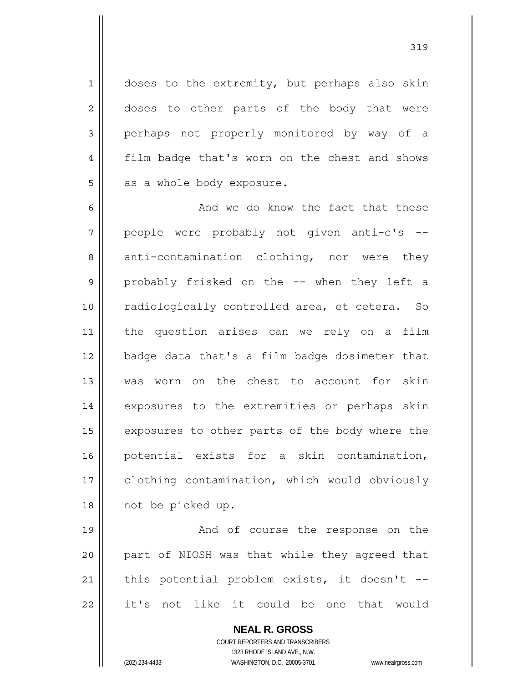doses to the extremity, but perhaps also skin doses to other parts of the body that were perhaps not properly monitored by way of a film badge that's worn on the chest and shows as a whole body exposure.

6 7 8 9 10 11 12 13 14 15 16 17 18 And we do know the fact that these people were probably not given anti-c's - anti-contamination clothing, nor were they probably frisked on the -- when they left a radiologically controlled area, et cetera. So the question arises can we rely on a film badge data that's a film badge dosimeter that was worn on the chest to account for skin exposures to the extremities or perhaps skin exposures to other parts of the body where the potential exists for a skin contamination, clothing contamination, which would obviously not be picked up.

19 20 21 22 And of course the response on the part of NIOSH was that while they agreed that this potential problem exists, it doesn't - it's not like it could be one that would

> **NEAL R. GROSS** COURT REPORTERS AND TRANSCRIBERS 1323 RHODE ISLAND AVE., N.W. (202) 234-4433 WASHINGTON, D.C. 20005-3701 www.nealrgross.com

1

2

3

4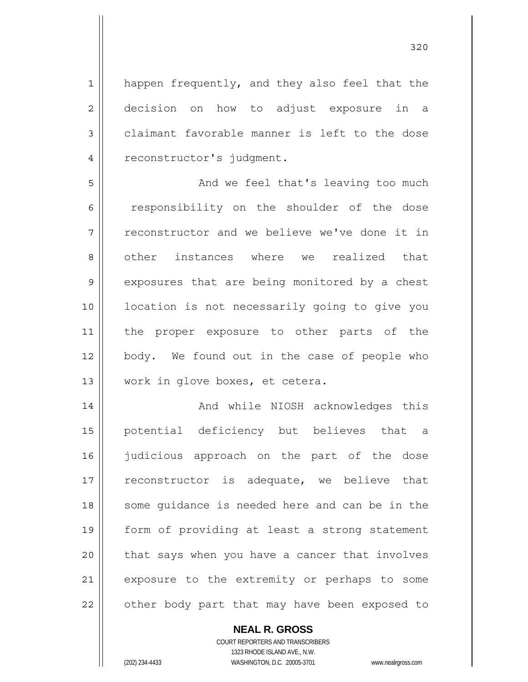1 2 3 4 happen frequently, and they also feel that the decision on how to adjust exposure in a claimant favorable manner is left to the dose reconstructor's judgment.

5 6 7 8 9 10 11 12 13 And we feel that's leaving too much responsibility on the shoulder of the dose reconstructor and we believe we've done it in other instances where we realized that exposures that are being monitored by a chest location is not necessarily going to give you the proper exposure to other parts of the body. We found out in the case of people who work in glove boxes, et cetera.

14 15 16 17 18 19 20 21 22 And while NIOSH acknowledges this potential deficiency but believes that a judicious approach on the part of the dose reconstructor is adequate, we believe that some guidance is needed here and can be in the form of providing at least a strong statement that says when you have a cancer that involves exposure to the extremity or perhaps to some other body part that may have been exposed to

## **NEAL R. GROSS**

COURT REPORTERS AND TRANSCRIBERS 1323 RHODE ISLAND AVE., N.W. (202) 234-4433 WASHINGTON, D.C. 20005-3701 www.nealrgross.com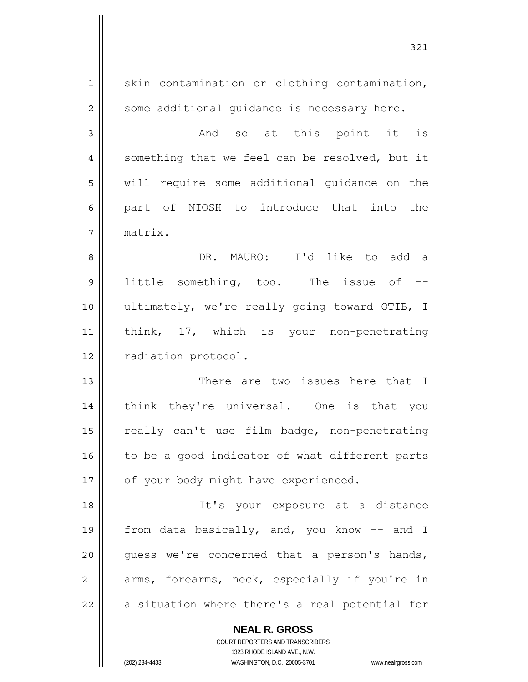| 1              | skin contamination or clothing contamination,                                                       |
|----------------|-----------------------------------------------------------------------------------------------------|
| $\overline{2}$ | some additional guidance is necessary here.                                                         |
| 3              | And so at this point it is                                                                          |
| 4              | something that we feel can be resolved, but it                                                      |
| 5              | will require some additional guidance on the                                                        |
| 6              | part of NIOSH to introduce that into the                                                            |
| 7              | matrix.                                                                                             |
| 8              | DR. MAURO: I'd like to add a                                                                        |
| 9              | little something, too. The issue of --                                                              |
| 10             | ultimately, we're really going toward OTIB, I                                                       |
| 11             | think, 17, which is your non-penetrating                                                            |
| 12             | radiation protocol.                                                                                 |
| 13             | There are two issues here that I                                                                    |
| 14             | think they're universal. One is that you                                                            |
| 15             | really can't use film badge, non-penetrating                                                        |
| 16             | to be a good indicator of what different parts                                                      |
| 17             | of your body might have experienced.                                                                |
| 18             | It's your exposure at a distance                                                                    |
| 19             | from data basically, and, you know -- and I                                                         |
| 20             | quess we're concerned that a person's hands,                                                        |
| 21             | arms, forearms, neck, especially if you're in                                                       |
| 22             | a situation where there's a real potential for                                                      |
|                | <b>NEAL R. GROSS</b>                                                                                |
|                | COURT REPORTERS AND TRANSCRIBERS                                                                    |
|                | 1323 RHODE ISLAND AVE., N.W.<br>(202) 234-4433<br>WASHINGTON, D.C. 20005-3701<br>www.nealrgross.com |

321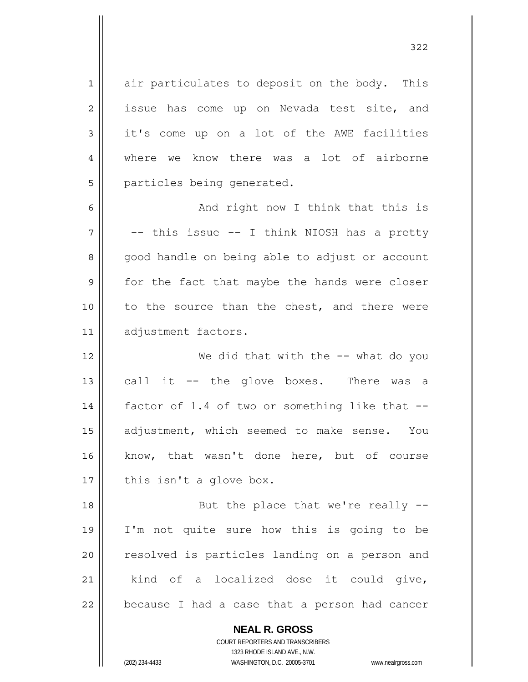1 air particulates to deposit on the body. This issue has come up on Nevada test site, and it's come up on a lot of the AWE facilities where we know there was a lot of airborne particles being generated.

6 7 8 9 10 11 And right now I think that this is -- this issue -- I think NIOSH has a pretty good handle on being able to adjust or account for the fact that maybe the hands were closer to the source than the chest, and there were adjustment factors.

12 13 14 15 16 17 We did that with the -- what do you call it -- the glove boxes. There was a factor of 1.4 of two or something like that - adjustment, which seemed to make sense. You know, that wasn't done here, but of course this isn't a glove box.

18 19 20 21 22 But the place that we're really -- I'm not quite sure how this is going to be resolved is particles landing on a person and kind of a localized dose it could give, because I had a case that a person had cancer

> **NEAL R. GROSS** COURT REPORTERS AND TRANSCRIBERS 1323 RHODE ISLAND AVE., N.W. (202) 234-4433 WASHINGTON, D.C. 20005-3701 www.nealrgross.com

2

3

4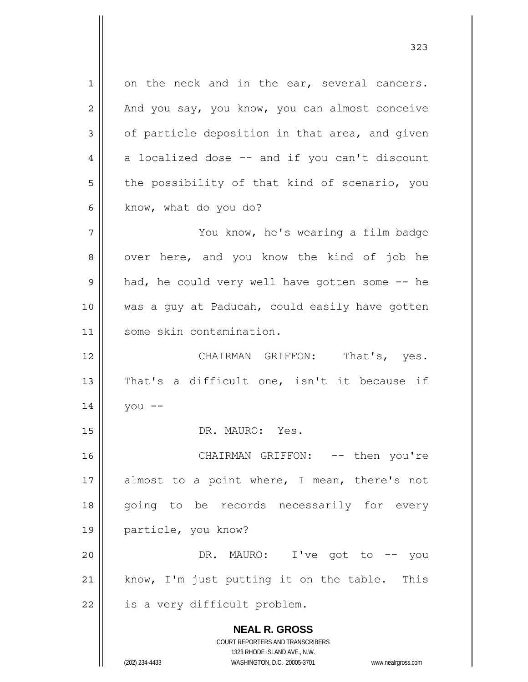**NEAL R. GROSS** COURT REPORTERS AND TRANSCRIBERS 1323 RHODE ISLAND AVE., N.W. 1 2 3 4 5 6 7 8 9 10 11 12 13 14 15 16 17 18 19 20 21 22 on the neck and in the ear, several cancers. And you say, you know, you can almost conceive of particle deposition in that area, and given a localized dose -- and if you can't discount the possibility of that kind of scenario, you know, what do you do? You know, he's wearing a film badge over here, and you know the kind of job he had, he could very well have gotten some -- he was a guy at Paducah, could easily have gotten some skin contamination. CHAIRMAN GRIFFON: That's, yes. That's a difficult one, isn't it because if you -- DR. MAURO: Yes. CHAIRMAN GRIFFON: -- then you're almost to a point where, I mean, there's not going to be records necessarily for every particle, you know? DR. MAURO: I've got to -- you know, I'm just putting it on the table. This is a very difficult problem.

323

(202) 234-4433 WASHINGTON, D.C. 20005-3701 www.nealrgross.com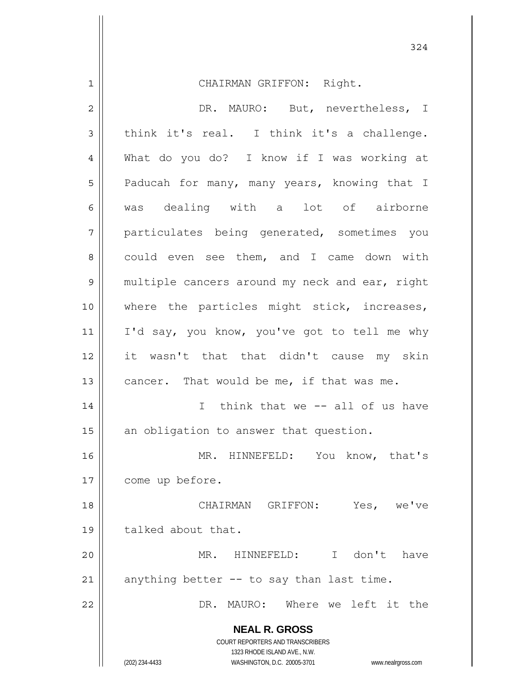**NEAL R. GROSS** COURT REPORTERS AND TRANSCRIBERS 1323 RHODE ISLAND AVE., N.W. 1 2 3 4 5 6 7 8 9 10 11 12 13 14 15 16 17 18 19 20 21 22 CHAIRMAN GRIFFON: Right. DR. MAURO: But, nevertheless, I think it's real. I think it's a challenge. What do you do? I know if I was working at Paducah for many, many years, knowing that I was dealing with a lot of airborne particulates being generated, sometimes you could even see them, and I came down with multiple cancers around my neck and ear, right where the particles might stick, increases, I'd say, you know, you've got to tell me why it wasn't that that didn't cause my skin cancer. That would be me, if that was me. I think that we -- all of us have an obligation to answer that question. MR. HINNEFELD: You know, that's come up before. CHAIRMAN GRIFFON: Yes, we've talked about that. MR. HINNEFELD: I don't have anything better -- to say than last time. DR. MAURO: Where we left it the

324

(202) 234-4433 WASHINGTON, D.C. 20005-3701 www.nealrgross.com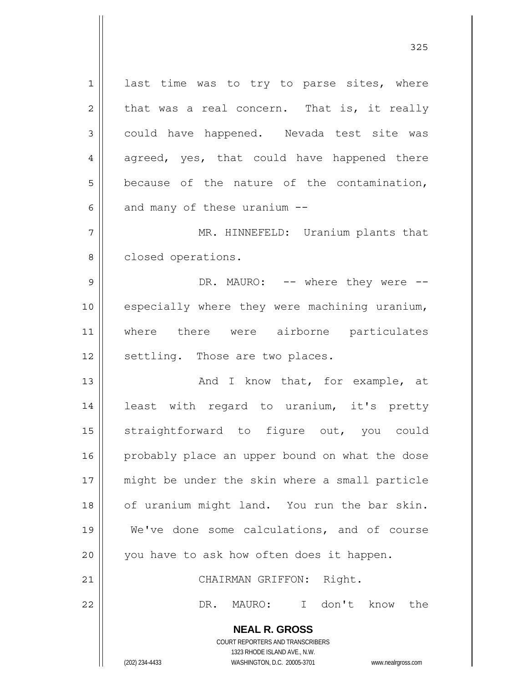**NEAL R. GROSS** COURT REPORTERS AND TRANSCRIBERS 1 2 3 4 5 6 7 8 9 10 11 12 13 14 15 16 17 18 19 20 21 22 last time was to try to parse sites, where that was a real concern. That is, it really could have happened. Nevada test site was agreed, yes, that could have happened there because of the nature of the contamination, and many of these uranium -- MR. HINNEFELD: Uranium plants that closed operations. DR. MAURO: -- where they were -especially where they were machining uranium, where there were airborne particulates settling. Those are two places. And I know that, for example, at least with regard to uranium, it's pretty straightforward to figure out, you could probably place an upper bound on what the dose might be under the skin where a small particle of uranium might land. You run the bar skin. We've done some calculations, and of course you have to ask how often does it happen. CHAIRMAN GRIFFON: Right. DR. MAURO: I don't know the

1323 RHODE ISLAND AVE., N.W.

(202) 234-4433 WASHINGTON, D.C. 20005-3701 www.nealrgross.com

<u>325</u>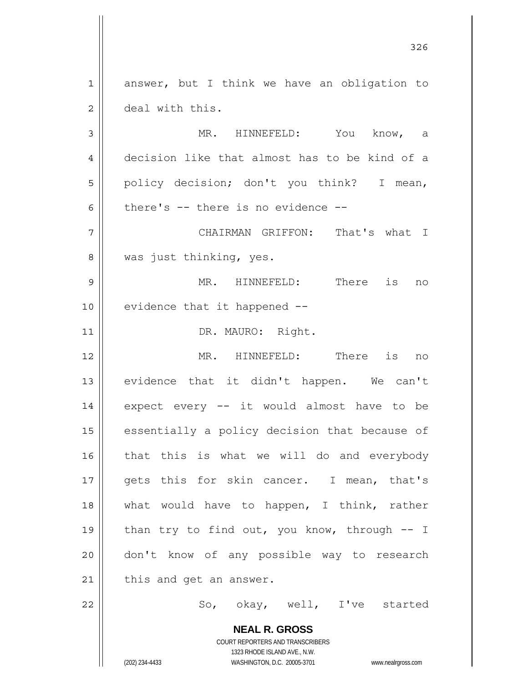**NEAL R. GROSS** 1 2 3 4 5 6 7 8 9 10 11 12 13 14 15 16 17 18 19 20 21 22 answer, but I think we have an obligation to deal with this. MR. HINNEFELD: You know, a decision like that almost has to be kind of a policy decision; don't you think? I mean, there's -- there is no evidence -- CHAIRMAN GRIFFON: That's what I was just thinking, yes. MR. HINNEFELD: There is no evidence that it happened -- DR. MAURO: Right. MR. HINNEFELD: There is no evidence that it didn't happen. We can't expect every -- it would almost have to be essentially a policy decision that because of that this is what we will do and everybody gets this for skin cancer. I mean, that's what would have to happen, I think, rather than try to find out, you know, through  $-$  I don't know of any possible way to research this and get an answer. So, okay, well, I've started

<u>326</u>

COURT REPORTERS AND TRANSCRIBERS 1323 RHODE ISLAND AVE., N.W.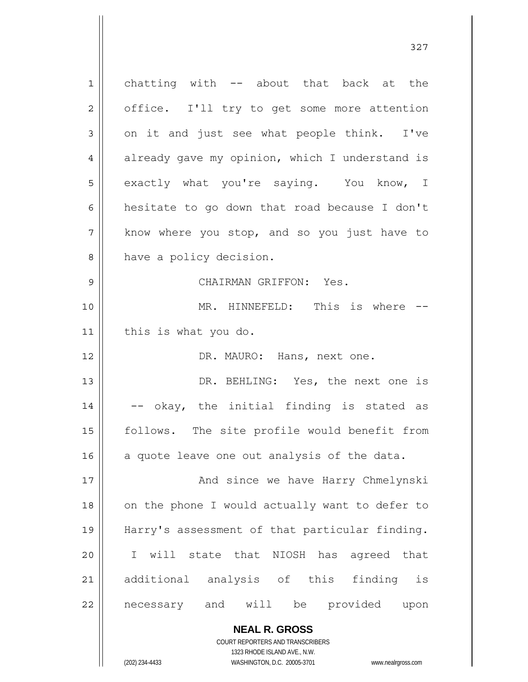1 2 3 4 5 6 7 8 9 10 11 12 13 14 15 16 17 18 19 20 21 22 chatting with -- about that back at the office. I'll try to get some more attention on it and just see what people think. I've already gave my opinion, which I understand is exactly what you're saying. You know, I hesitate to go down that road because I don't know where you stop, and so you just have to have a policy decision. CHAIRMAN GRIFFON: Yes. MR. HINNEFELD: This is where -this is what you do. DR. MAURO: Hans, next one. DR. BEHLING: Yes, the next one is -- okay, the initial finding is stated as follows. The site profile would benefit from a quote leave one out analysis of the data. And since we have Harry Chmelynski on the phone I would actually want to defer to Harry's assessment of that particular finding. I will state that NIOSH has agreed that additional analysis of this finding is necessary and will be provided upon

327

**NEAL R. GROSS** COURT REPORTERS AND TRANSCRIBERS

1323 RHODE ISLAND AVE., N.W.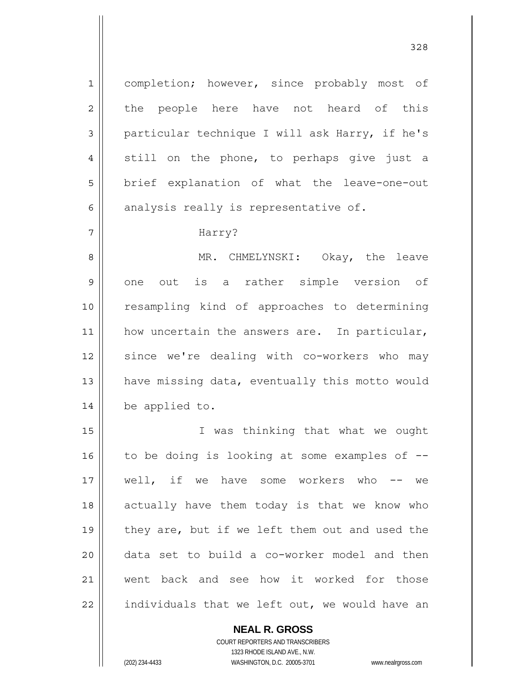completion; however, since probably most of the people here have not heard of this particular technique I will ask Harry, if he's still on the phone, to perhaps give just a brief explanation of what the leave-one-out analysis really is representative of.

## Harry?

1

2

3

4

5

6

7

8 9 10 11 12 13 14 MR. CHMELYNSKI: Okay, the leave one out is a rather simple version of resampling kind of approaches to determining how uncertain the answers are. In particular, since we're dealing with co-workers who may have missing data, eventually this motto would be applied to.

15 16 17 18 19 20 21 22 I was thinking that what we ought to be doing is looking at some examples of - well, if we have some workers who -- we actually have them today is that we know who they are, but if we left them out and used the data set to build a co-worker model and then went back and see how it worked for those individuals that we left out, we would have an

**NEAL R. GROSS**

COURT REPORTERS AND TRANSCRIBERS 1323 RHODE ISLAND AVE., N.W. (202) 234-4433 WASHINGTON, D.C. 20005-3701 www.nealrgross.com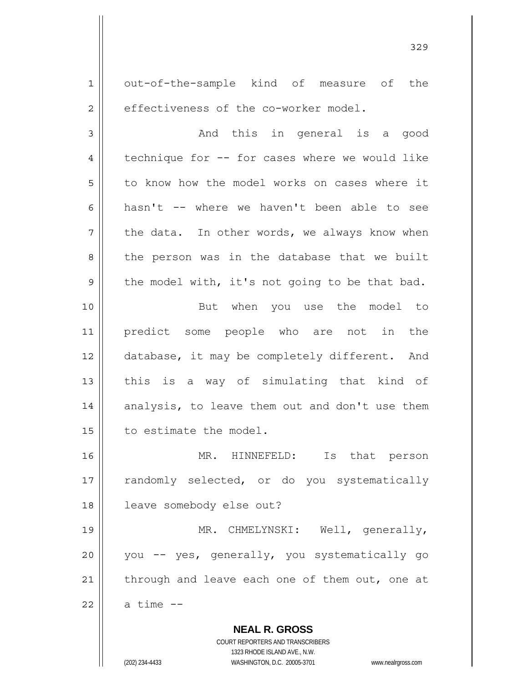**NEAL R. GROSS** 1 2 3 4 5 6 7 8 9 10 11 12 13 14 15 16 17 18 19 20 21 22 out-of-the-sample kind of measure of the effectiveness of the co-worker model. And this in general is a good technique for -- for cases where we would like to know how the model works on cases where it hasn't -- where we haven't been able to see the data. In other words, we always know when the person was in the database that we built the model with, it's not going to be that bad. But when you use the model to predict some people who are not in the database, it may be completely different. And this is a way of simulating that kind of analysis, to leave them out and don't use them to estimate the model. MR. HINNEFELD: Is that person randomly selected, or do you systematically leave somebody else out? MR. CHMELYNSKI: Well, generally, you -- yes, generally, you systematically go through and leave each one of them out, one at a time --

329

COURT REPORTERS AND TRANSCRIBERS 1323 RHODE ISLAND AVE., N.W.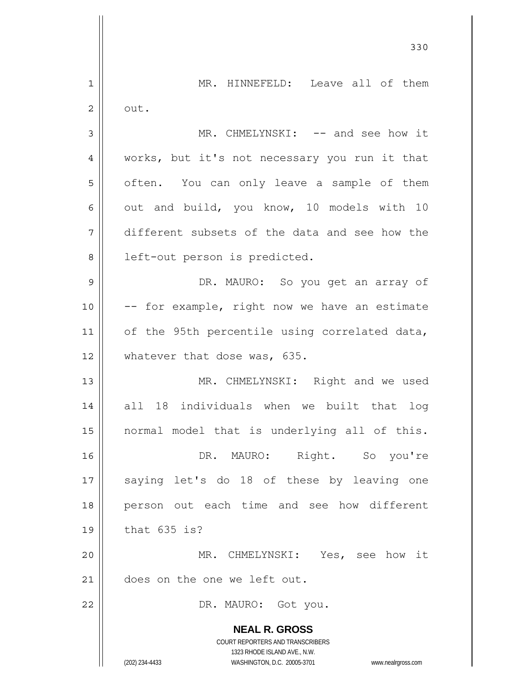|    | 330                                                                 |
|----|---------------------------------------------------------------------|
| 1  | MR. HINNEFELD: Leave all of them                                    |
| 2  | out.                                                                |
| 3  | MR. CHMELYNSKI: -- and see how it                                   |
| 4  | works, but it's not necessary you run it that                       |
| 5  | often. You can only leave a sample of them                          |
| 6  | out and build, you know, 10 models with 10                          |
| 7  | different subsets of the data and see how the                       |
| 8  | left-out person is predicted.                                       |
| 9  | DR. MAURO: So you get an array of                                   |
| 10 | -- for example, right now we have an estimate                       |
| 11 | of the 95th percentile using correlated data,                       |
| 12 | whatever that dose was, 635.                                        |
| 13 | MR. CHMELYNSKI: Right and we used                                   |
| 14 | all 18 individuals when we built that log                           |
| 15 | normal model that is underlying all of this.                        |
| 16 | DR. MAURO: Right. So you're                                         |
| 17 | saying let's do 18 of these by leaving one                          |
| 18 | person out each time and see how different                          |
| 19 | that 635 is?                                                        |
| 20 | MR. CHMELYNSKI: Yes, see how it                                     |
| 21 | does on the one we left out.                                        |
| 22 | DR. MAURO: Got you.                                                 |
|    | <b>NEAL R. GROSS</b>                                                |
|    | COURT REPORTERS AND TRANSCRIBERS<br>1323 RHODE ISLAND AVE., N.W.    |
|    | (202) 234-4433<br>WASHINGTON, D.C. 20005-3701<br>www.nealrgross.com |

 $\overline{\phantom{a}}$ 

 $\mathbf{\mathbf{\mathsf{I}}}\mathbf{\mathsf{I}}$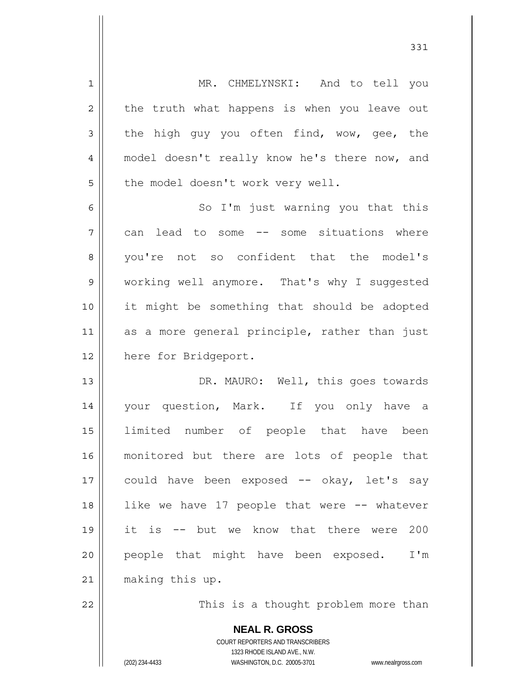**NEAL R. GROSS** 1 2 3 4 5 6 7 8 9 10 11 12 13 14 15 16 17 18 19 20 21 22 MR. CHMELYNSKI: And to tell you the truth what happens is when you leave out the high guy you often find, wow, gee, the model doesn't really know he's there now, and the model doesn't work very well. So I'm just warning you that this can lead to some -- some situations where you're not so confident that the model's working well anymore. That's why I suggested it might be something that should be adopted as a more general principle, rather than just here for Bridgeport. DR. MAURO: Well, this goes towards your question, Mark. If you only have a limited number of people that have been monitored but there are lots of people that could have been exposed -- okay, let's say like we have 17 people that were -- whatever it is -- but we know that there were 200 people that might have been exposed. I'm making this up. This is a thought problem more than

> COURT REPORTERS AND TRANSCRIBERS 1323 RHODE ISLAND AVE., N.W.

(202) 234-4433 WASHINGTON, D.C. 20005-3701 www.nealrgross.com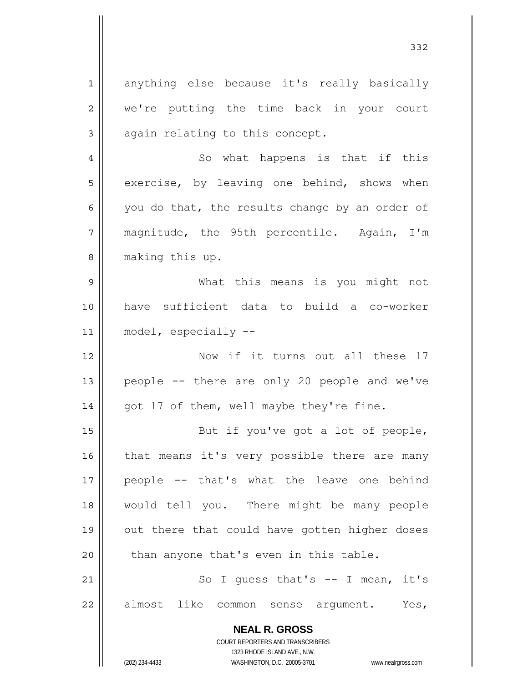**NEAL R. GROSS** COURT REPORTERS AND TRANSCRIBERS 1323 RHODE ISLAND AVE., N.W. 1 2 3 4 5 6 7 8 9 10 11 12 13 14 15 16 17 18 19 20 21 22 anything else because it's really basically we're putting the time back in your court again relating to this concept. So what happens is that if this exercise, by leaving one behind, shows when you do that, the results change by an order of magnitude, the 95th percentile. Again, I'm making this up. What this means is you might not have sufficient data to build a co-worker model, especially -- Now if it turns out all these 17 people -- there are only 20 people and we've got 17 of them, well maybe they're fine. But if you've got a lot of people, that means it's very possible there are many people -- that's what the leave one behind would tell you. There might be many people out there that could have gotten higher doses than anyone that's even in this table. So I quess that's  $--$  I mean, it's almost like common sense argument. Yes,

332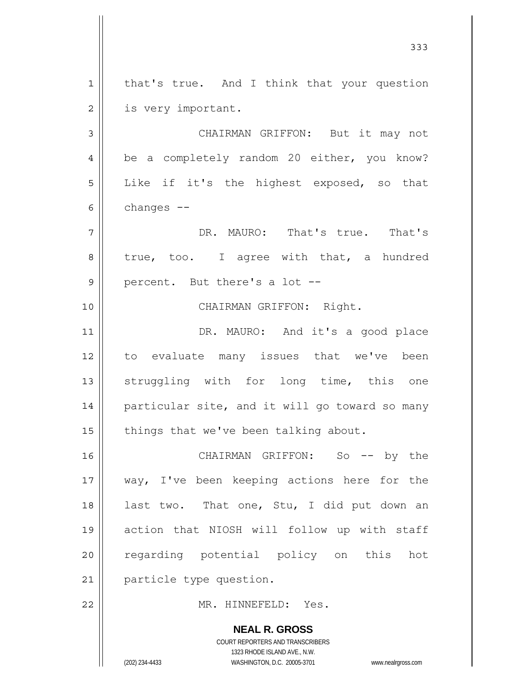**NEAL R. GROSS** 1 2 3 4 5 6 7 8 9 10 11 12 13 14 15 16 17 18 19 20 21 22 that's true. And I think that your question is very important. CHAIRMAN GRIFFON: But it may not be a completely random 20 either, you know? Like if it's the highest exposed, so that changes -- DR. MAURO: That's true. That's true, too. I agree with that, a hundred percent. But there's a lot -- CHAIRMAN GRIFFON: Right. DR. MAURO: And it's a good place to evaluate many issues that we've been struggling with for long time, this one particular site, and it will go toward so many things that we've been talking about. CHAIRMAN GRIFFON: So -- by the way, I've been keeping actions here for the last two. That one, Stu, I did put down an action that NIOSH will follow up with staff regarding potential policy on this hot particle type question. MR. HINNEFELD: Yes.

333

COURT REPORTERS AND TRANSCRIBERS 1323 RHODE ISLAND AVE., N.W.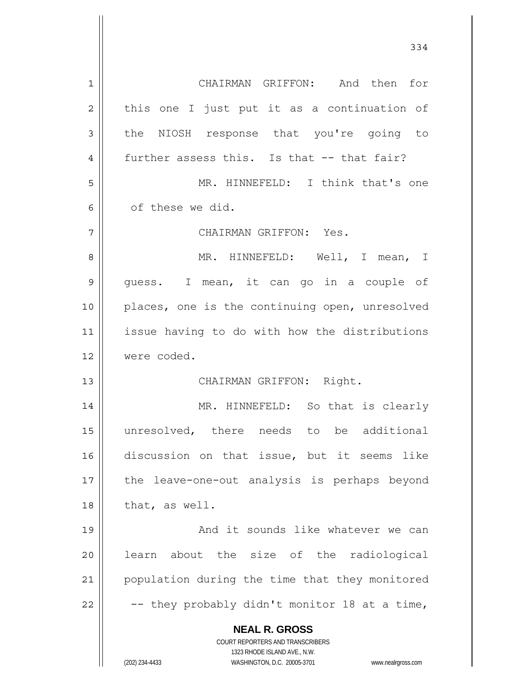**NEAL R. GROSS** COURT REPORTERS AND TRANSCRIBERS 1323 RHODE ISLAND AVE., N.W. (202) 234-4433 WASHINGTON, D.C. 20005-3701 www.nealrgross.com 1 2 3 4 5 6 7 8 9 10 11 12 13 14 15 16 17 18 19 20 21 22 CHAIRMAN GRIFFON: And then for this one I just put it as a continuation of the NIOSH response that you're going to further assess this. Is that -- that fair? MR. HINNEFELD: I think that's one of these we did. CHAIRMAN GRIFFON: Yes. MR. HINNEFELD: Well, I mean, I guess. I mean, it can go in a couple of places, one is the continuing open, unresolved issue having to do with how the distributions were coded. CHAIRMAN GRIFFON: Right. MR. HINNEFELD: So that is clearly unresolved, there needs to be additional discussion on that issue, but it seems like the leave-one-out analysis is perhaps beyond that, as well. And it sounds like whatever we can learn about the size of the radiological population during the time that they monitored -- they probably didn't monitor 18 at a time,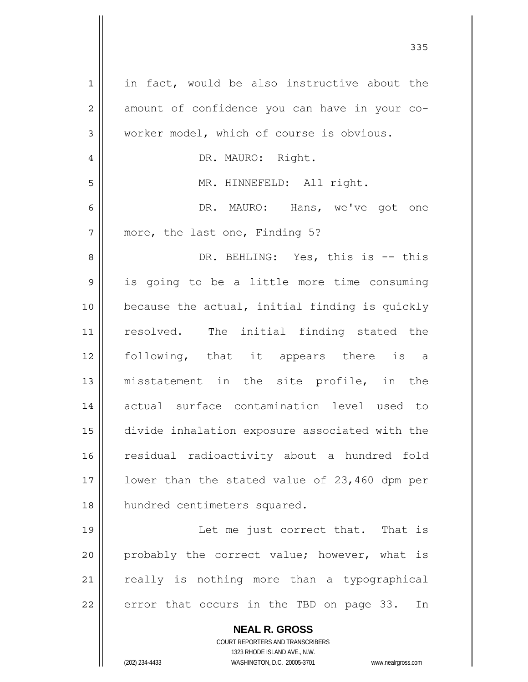| $\mathbf 1$    | in fact, would be also instructive about the                        |
|----------------|---------------------------------------------------------------------|
| $\overline{c}$ | amount of confidence you can have in your co-                       |
| 3              | worker model, which of course is obvious.                           |
| 4              | DR. MAURO: Right.                                                   |
| 5              | MR. HINNEFELD: All right.                                           |
| 6              | DR. MAURO: Hans, we've got one                                      |
| 7              | more, the last one, Finding 5?                                      |
| 8              | DR. BEHLING: Yes, this is -- this                                   |
| 9              | is going to be a little more time consuming                         |
| 10             | because the actual, initial finding is quickly                      |
| 11             | resolved. The initial finding stated the                            |
| 12             | following, that it appears there is a                               |
| 13             | misstatement in the site profile, in the                            |
| 14             | actual surface contamination level used to                          |
| 15             |                                                                     |
|                | divide inhalation exposure associated with the                      |
| 16             | residual radioactivity about a hundred fold                         |
| 17             | lower than the stated value of 23,460 dpm per                       |
| 18             | hundred centimeters squared.                                        |
| 19             | Let me just correct that. That is                                   |
| 20             | probably the correct value; however, what is                        |
| 21             | really is nothing more than a typographical                         |
| 22             | error that occurs in the TBD on page 33.<br>In                      |
|                | <b>NEAL R. GROSS</b>                                                |
|                | COURT REPORTERS AND TRANSCRIBERS                                    |
|                | 1323 RHODE ISLAND AVE., N.W.                                        |
|                | (202) 234-4433<br>WASHINGTON, D.C. 20005-3701<br>www.nealrgross.com |

<u>335</u>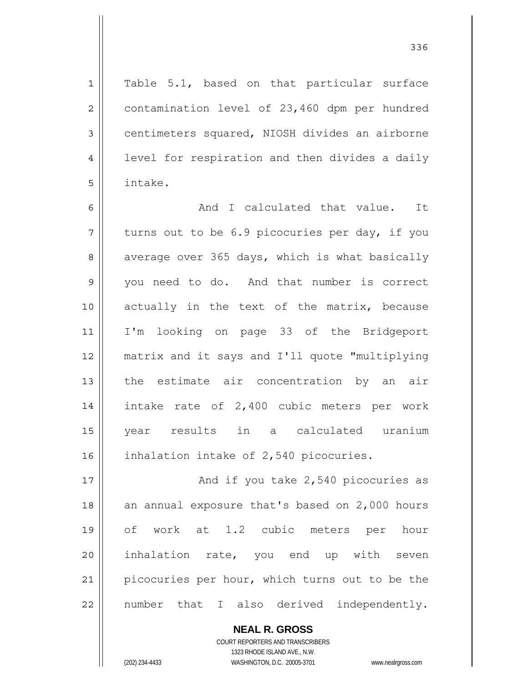Table 5.1, based on that particular surface contamination level of 23,460 dpm per hundred centimeters squared, NIOSH divides an airborne level for respiration and then divides a daily intake.

6 7 8 9 10 11 12 13 14 15 16 And I calculated that value. It turns out to be 6.9 picocuries per day, if you average over 365 days, which is what basically you need to do. And that number is correct actually in the text of the matrix, because I'm looking on page 33 of the Bridgeport matrix and it says and I'll quote "multiplying the estimate air concentration by an air intake rate of 2,400 cubic meters per work year results in a calculated uranium inhalation intake of 2,540 picocuries.

17 18 19 20 21 22 And if you take 2,540 picocuries as an annual exposure that's based on 2,000 hours of work at 1.2 cubic meters per hour inhalation rate, you end up with seven picocuries per hour, which turns out to be the number that I also derived independently.

> **NEAL R. GROSS** COURT REPORTERS AND TRANSCRIBERS 1323 RHODE ISLAND AVE., N.W. (202) 234-4433 WASHINGTON, D.C. 20005-3701 www.nealrgross.com

1

2

3

4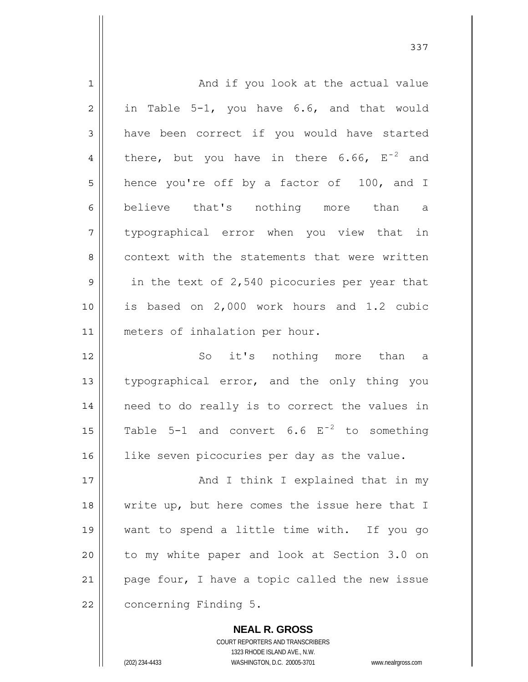| $\mathbf 1$    | And if you look at the actual value                     |
|----------------|---------------------------------------------------------|
| $\overline{2}$ | in Table 5-1, you have 6.6, and that would              |
| 3              | have been correct if you would have started             |
| 4              | there, but you have in there $6.66$ , $E^{-2}$ and      |
| 5              | hence you're off by a factor of 100, and I              |
| 6              | believe that's nothing more than<br>a                   |
| 7              | typographical error when you view that in               |
| 8              | context with the statements that were written           |
| $\mathsf 9$    | in the text of 2,540 picocuries per year that           |
| 10             | is based on 2,000 work hours and 1.2 cubic              |
| 11             | meters of inhalation per hour.                          |
| 12             | So it's nothing more than<br>$\alpha$                   |
| 13             | typographical error, and the only thing you             |
| 14             | need to do really is to correct the values in           |
| 15             | Table 5-1 and convert $6.6 \text{ E}^{-2}$ to something |
| 16             | like seven picocuries per day as the value.             |
| 17             | And I think I explained that in my                      |
| 18             | write up, but here comes the issue here that I          |
| 19             | want to spend a little time with. If you go             |
| 20             | to my white paper and look at Section 3.0 on            |
| 21             | page four, I have a topic called the new issue          |
| 22             | concerning Finding 5.                                   |
|                |                                                         |

COURT REPORTERS AND TRANSCRIBERS 1323 RHODE ISLAND AVE., N.W. (202) 234-4433 WASHINGTON, D.C. 20005-3701 www.nealrgross.com

**NEAL R. GROSS**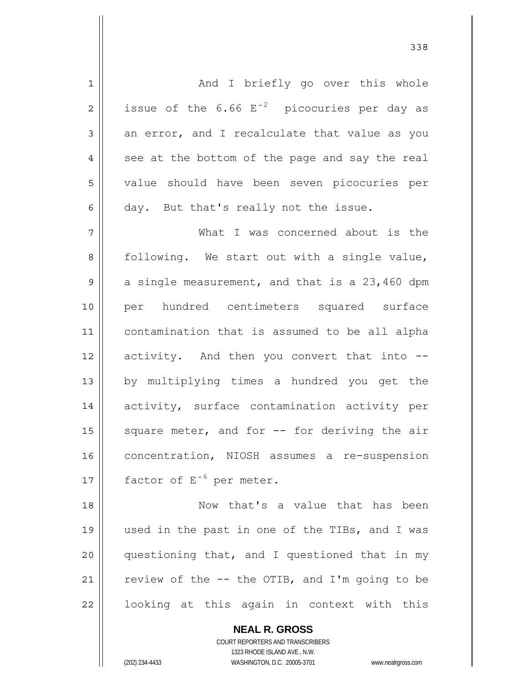1 2 3 4 5 6 7 8 9 10 11 12 13 14 15 16 17 18 19 20 21 And I briefly go over this whole issue of the  $6.66$   $E^{-2}$  picocuries per day as an error, and I recalculate that value as you see at the bottom of the page and say the real value should have been seven picocuries per day. But that's really not the issue. What I was concerned about is the following. We start out with a single value, a single measurement, and that is a 23,460 dpm per hundred centimeters squared surface contamination that is assumed to be all alpha activity. And then you convert that into - by multiplying times a hundred you get the activity, surface contamination activity per square meter, and for -- for deriving the air concentration, NIOSH assumes a re-suspension factor of  $E^{-6}$  per meter. Now that's a value that has been used in the past in one of the TIBs, and I was questioning that, and I questioned that in my review of the -- the OTIB, and I'm going to be

looking at this again in context with this

**NEAL R. GROSS** COURT REPORTERS AND TRANSCRIBERS

1323 RHODE ISLAND AVE., N.W.

22

(202) 234-4433 WASHINGTON, D.C. 20005-3701 www.nealrgross.com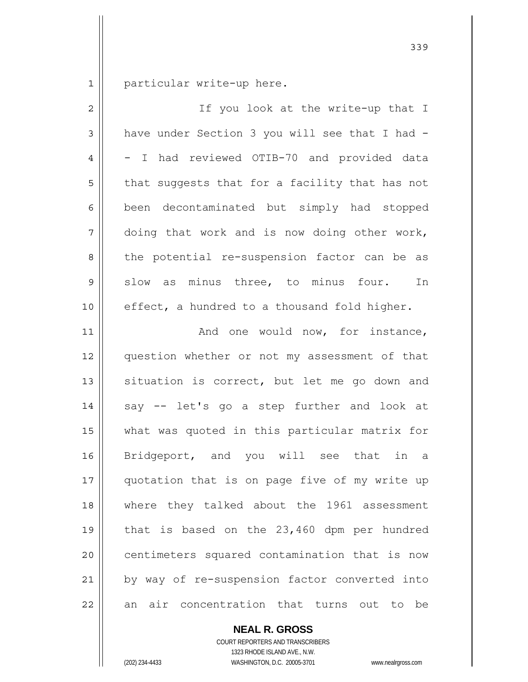1 particular write-up here.

| $\overline{2}$ | If you look at the write-up that I             |
|----------------|------------------------------------------------|
| 3              | have under Section 3 you will see that I had - |
| 4              | - I had reviewed OTIB-70 and provided data     |
| 5              | that suggests that for a facility that has not |
| 6              | been decontaminated but simply had stopped     |
| 7              | doing that work and is now doing other work,   |
| 8              | the potential re-suspension factor can be as   |
| 9              | slow as minus three, to minus four.<br>In      |
| 10             | effect, a hundred to a thousand fold higher.   |
| 11             | And one would now, for instance,               |
| 12             | question whether or not my assessment of that  |
| 13             | situation is correct, but let me go down and   |
| 14             | say -- let's go a step further and look at     |
| 15             | what was quoted in this particular matrix for  |
| 16             | Bridgeport, and you will see that in a         |
| 17             | quotation that is on page five of my write up  |
| 18             | where they talked about the 1961 assessment    |
| 19             | that is based on the 23,460 dpm per hundred    |
| 20             | centimeters squared contamination that is now  |
| 21             | by way of re-suspension factor converted into  |
| 22             | air concentration that turns out to be<br>an   |

**NEAL R. GROSS**

COURT REPORTERS AND TRANSCRIBERS 1323 RHODE ISLAND AVE., N.W. (202) 234-4433 WASHINGTON, D.C. 20005-3701 www.nealrgross.com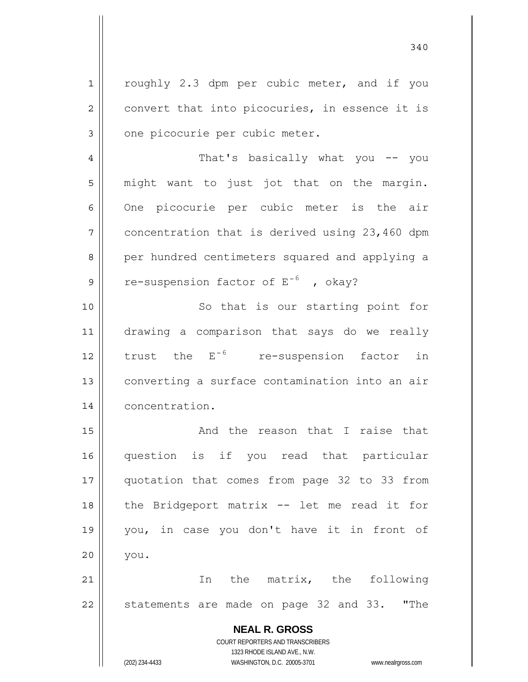**NEAL R. GROSS** COURT REPORTERS AND TRANSCRIBERS 1323 RHODE ISLAND AVE., N.W. 1 2 3 4 5 6 7 8 9 10 11 12 13 14 15 16 17 18 19 20 21 22 roughly 2.3 dpm per cubic meter, and if you convert that into picocuries, in essence it is one picocurie per cubic meter. That's basically what you -- you might want to just jot that on the margin. One picocurie per cubic meter is the air concentration that is derived using 23,460 dpm per hundred centimeters squared and applying a re-suspension factor of  $E^{-6}$  , okay? So that is our starting point for drawing a comparison that says do we really trust the E<sup>-6</sup> re-suspension factor in converting a surface contamination into an air concentration. And the reason that I raise that question is if you read that particular quotation that comes from page 32 to 33 from the Bridgeport matrix -- let me read it for you, in case you don't have it in front of you. In the matrix, the following statements are made on page 32 and 33. "The

340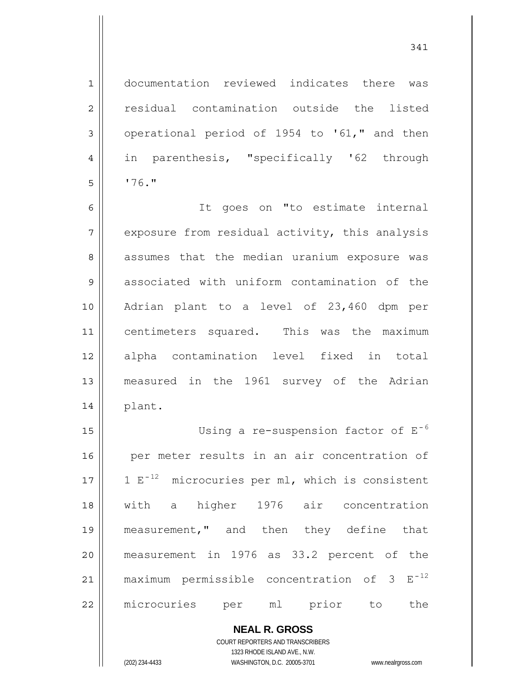1 2 3 4 5 documentation reviewed indicates there was residual contamination outside the listed operational period of 1954 to '61," and then in parenthesis, "specifically '62 through '76."

6 7 8 9 10 11 12 13 14 It goes on "to estimate internal exposure from residual activity, this analysis assumes that the median uranium exposure was associated with uniform contamination of the Adrian plant to a level of 23,460 dpm per centimeters squared. This was the maximum alpha contamination level fixed in total measured in the 1961 survey of the Adrian plant.

15 16 17 18 19 20 21 22 Using a re-suspension factor of  $E^{-6}$  per meter results in an air concentration of 1  $E^{-12}$  microcuries per ml, which is consistent with a higher 1976 air concentration measurement," and then they define that measurement in 1976 as 33.2 percent of the maximum permissible concentration of 3  $E^{-12}$ microcuries per ml prior to the

> **NEAL R. GROSS** COURT REPORTERS AND TRANSCRIBERS

> > 1323 RHODE ISLAND AVE., N.W.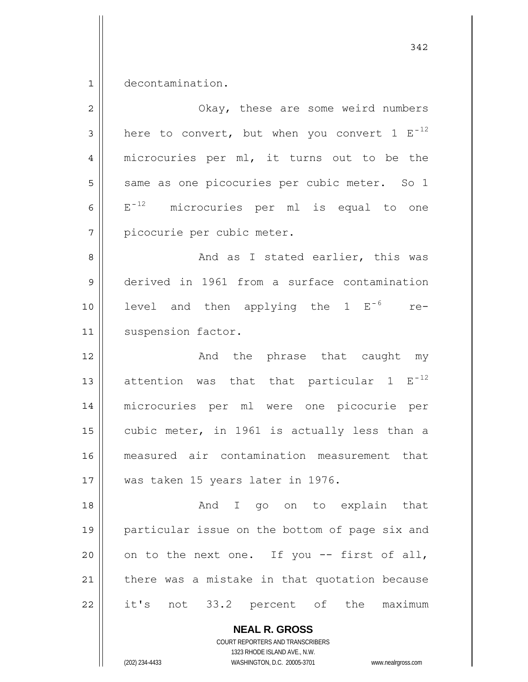1 decontamination.

| $\overline{2}$ | Okay, these are some weird numbers                |
|----------------|---------------------------------------------------|
| 3              | here to convert, but when you convert $1 E^{-12}$ |
| $\overline{4}$ | microcuries per ml, it turns out to be the        |
| 5              | same as one picocuries per cubic meter. So 1      |
| 6              | $E^{-12}$<br>microcuries per ml is equal to one   |
| 7              | picocurie per cubic meter.                        |
| 8              | And as I stated earlier, this was                 |
| $\mathsf 9$    | derived in 1961 from a surface contamination      |
| 10             | level and then applying the $1 E^{-6}$<br>$re-$   |
| 11             | suspension factor.                                |
| 12             | And the phrase that caught my                     |
| 13             | attention was that that particular $1 E^{-12}$    |
| 14             | microcuries per ml were one picocurie per         |
| 15             | cubic meter, in 1961 is actually less than a      |
| 16             | measured air contamination measurement that       |
| 17             | was taken 15 years later in 1976.                 |
| 18             | And I go on to explain that                       |
| 19             | particular issue on the bottom of page six and    |
| 20             | on to the next one. If you -- first of all,       |
| 21             | there was a mistake in that quotation because     |
| 22             | it's not 33.2 percent of the maximum              |
|                |                                                   |

**NEAL R. GROSS** COURT REPORTERS AND TRANSCRIBERS

1323 RHODE ISLAND AVE., N.W.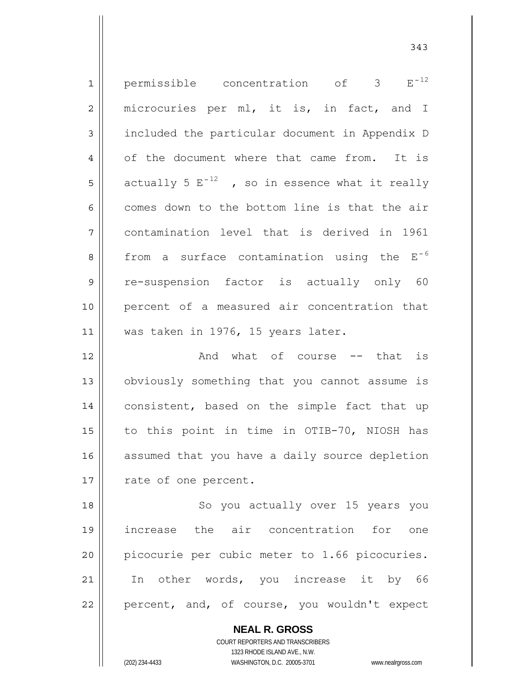| $\mathbf 1$    | permissible concentration of $3 E^{-12}$               |
|----------------|--------------------------------------------------------|
| $\overline{2}$ | microcuries per ml, it is, in fact, and I              |
| 3              | included the particular document in Appendix D         |
| $\overline{4}$ | of the document where that came from. It is            |
| 5              | actually 5 $E^{-12}$ , so in essence what it really    |
| 6              | comes down to the bottom line is that the air          |
| 7              | contamination level that is derived in 1961            |
| 8              | from a surface contamination using the E <sup>-6</sup> |
| 9              | re-suspension factor is actually only 60               |
| 10             | percent of a measured air concentration that           |
| 11             | was taken in 1976, 15 years later.                     |
| 12             | And what of course -- that is                          |
| 13             | obviously something that you cannot assume is          |
| 14             | consistent, based on the simple fact that up           |
| 15             | to this point in time in OTIB-70, NIOSH has            |
| 16             | assumed that you have a daily source depletion         |
| 17             | rate of one percent.                                   |
| 18             |                                                        |
|                | So you actually over 15 years you                      |
| 19             | increase the air concentration for<br>one              |
| 20             | picocurie per cubic meter to 1.66 picocuries.          |
| 21             | In other words, you increase it by 66                  |

343

**NEAL R. GROSS** COURT REPORTERS AND TRANSCRIBERS 1323 RHODE ISLAND AVE., N.W.

 $\mathsf{II}$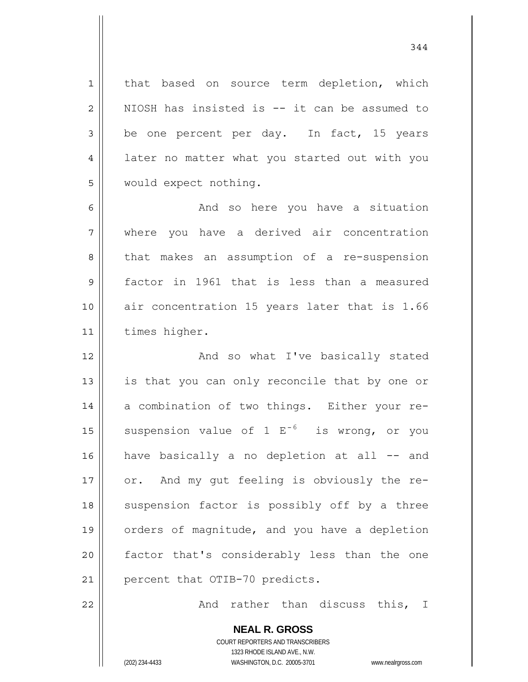that based on source term depletion, which NIOSH has insisted is -- it can be assumed to be one percent per day. In fact, 15 years later no matter what you started out with you would expect nothing.

6 7 8 9 10 11 And so here you have a situation where you have a derived air concentration that makes an assumption of a re-suspension factor in 1961 that is less than a measured air concentration 15 years later that is 1.66 times higher.

12 13 14 15 16 17 18 19 20 21 And so what I've basically stated is that you can only reconcile that by one or a combination of two things. Either your resuspension value of  $1 E^{-6}$  is wrong, or you have basically a no depletion at all -- and or. And my gut feeling is obviously the resuspension factor is possibly off by a three orders of magnitude, and you have a depletion factor that's considerably less than the one percent that OTIB-70 predicts.

And rather than discuss this, I

**NEAL R. GROSS** COURT REPORTERS AND TRANSCRIBERS 1323 RHODE ISLAND AVE., N.W. (202) 234-4433 WASHINGTON, D.C. 20005-3701 www.nealrgross.com

22

1

2

3

4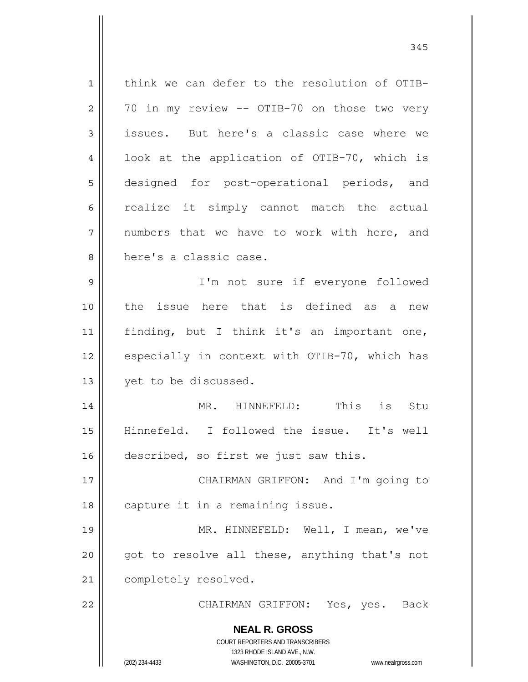**NEAL R. GROSS** COURT REPORTERS AND TRANSCRIBERS 1323 RHODE ISLAND AVE., N.W. (202) 234-4433 WASHINGTON, D.C. 20005-3701 www.nealrgross.com 1 2 3 4 5 6 7 8 9 10 11 12 13 14 15 16 17 18 19 20 21 22 think we can defer to the resolution of OTIB-70 in my review -- OTIB-70 on those two very issues. But here's a classic case where we look at the application of OTIB-70, which is designed for post-operational periods, and realize it simply cannot match the actual numbers that we have to work with here, and here's a classic case. I'm not sure if everyone followed the issue here that is defined as a new finding, but I think it's an important one, especially in context with OTIB-70, which has yet to be discussed. MR. HINNEFELD: This is Stu Hinnefeld. I followed the issue. It's well described, so first we just saw this. CHAIRMAN GRIFFON: And I'm going to capture it in a remaining issue. MR. HINNEFELD: Well, I mean, we've got to resolve all these, anything that's not completely resolved. CHAIRMAN GRIFFON: Yes, yes. Back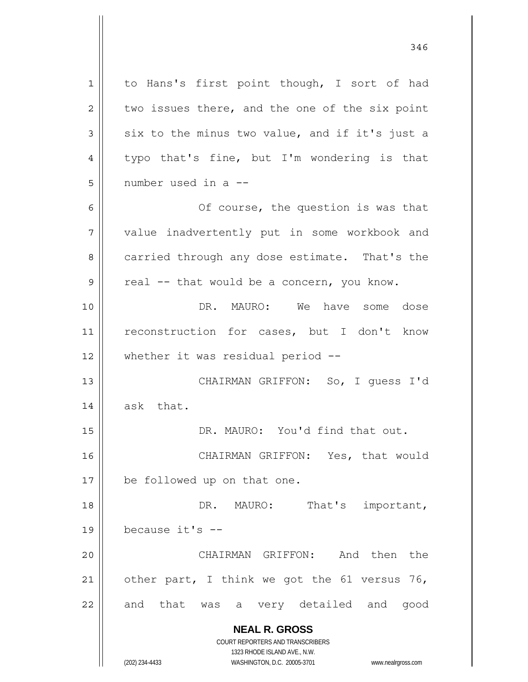**NEAL R. GROSS** COURT REPORTERS AND TRANSCRIBERS 1323 RHODE ISLAND AVE., N.W. 1 2 3 4 5 6 7 8 9 10 11 12 13 14 15 16 17 18 19 20 21 22 to Hans's first point though, I sort of had two issues there, and the one of the six point six to the minus two value, and if it's just a typo that's fine, but I'm wondering is that number used in a -- Of course, the question is was that value inadvertently put in some workbook and carried through any dose estimate. That's the real -- that would be a concern, you know. DR. MAURO: We have some dose reconstruction for cases, but I don't know whether it was residual period -- CHAIRMAN GRIFFON: So, I guess I'd ask that. DR. MAURO: You'd find that out. CHAIRMAN GRIFFON: Yes, that would be followed up on that one. DR. MAURO: That's important, because it's -- CHAIRMAN GRIFFON: And then the other part, I think we got the 61 versus 76, and that was a very detailed and good

346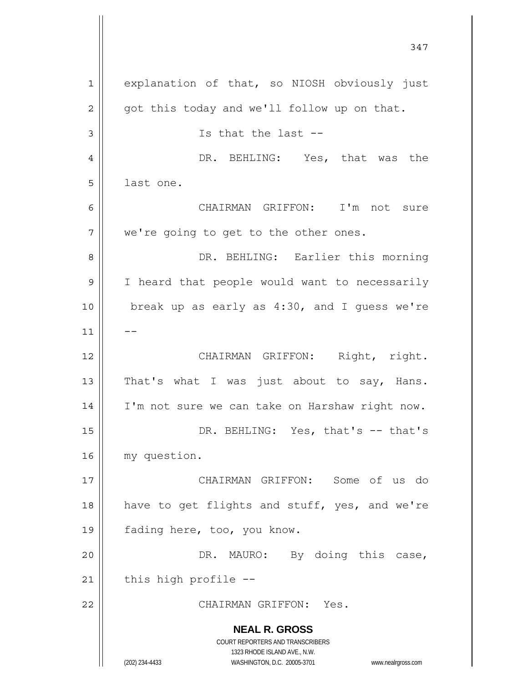**NEAL R. GROSS** COURT REPORTERS AND TRANSCRIBERS 1323 RHODE ISLAND AVE., N.W. (202) 234-4433 WASHINGTON, D.C. 20005-3701 www.nealrgross.com 347 1 2 3 4 5 6 7 8 9 10 11 12 13 14 15 16 17 18 19 20 21 22 explanation of that, so NIOSH obviously just got this today and we'll follow up on that. Is that the last -- DR. BEHLING: Yes, that was the last one. CHAIRMAN GRIFFON: I'm not sure we're going to get to the other ones. DR. BEHLING: Earlier this morning I heard that people would want to necessarily break up as early as 4:30, and I guess we're -- CHAIRMAN GRIFFON: Right, right. That's what I was just about to say, Hans. I'm not sure we can take on Harshaw right now. DR. BEHLING: Yes, that's -- that's my question. CHAIRMAN GRIFFON: Some of us do have to get flights and stuff, yes, and we're fading here, too, you know. DR. MAURO: By doing this case, this high profile -- CHAIRMAN GRIFFON: Yes.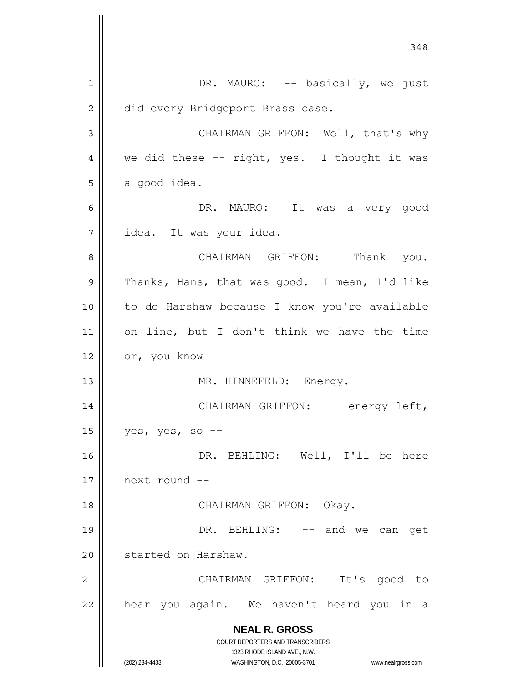**NEAL R. GROSS** COURT REPORTERS AND TRANSCRIBERS 1323 RHODE ISLAND AVE., N.W. (202) 234-4433 WASHINGTON, D.C. 20005-3701 www.nealrgross.com 348 1 2 3 4 5 6 7 8 9 10 11 12 13 14 15 16 17 18 19 20 21 22 DR. MAURO: -- basically, we just did every Bridgeport Brass case. CHAIRMAN GRIFFON: Well, that's why we did these -- right, yes. I thought it was a good idea. DR. MAURO: It was a very good idea. It was your idea. CHAIRMAN GRIFFON: Thank you. Thanks, Hans, that was good. I mean, I'd like to do Harshaw because I know you're available on line, but I don't think we have the time or, you know -- MR. HINNEFELD: Energy. CHAIRMAN GRIFFON: -- energy left, yes, yes, so -- DR. BEHLING: Well, I'll be here next round -- CHAIRMAN GRIFFON: Okay. DR. BEHLING: -- and we can get started on Harshaw. CHAIRMAN GRIFFON: It's good to hear you again. We haven't heard you in a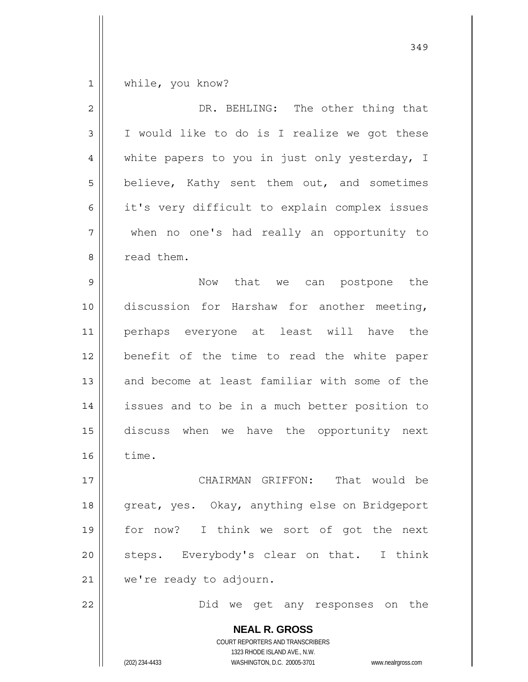$1$ while, you know?

| $\overline{2}$ | DR. BEHLING: The other thing that                                                                                                                                      |
|----------------|------------------------------------------------------------------------------------------------------------------------------------------------------------------------|
| 3              | I would like to do is I realize we got these                                                                                                                           |
| $\overline{4}$ | white papers to you in just only yesterday, I                                                                                                                          |
| 5              | believe, Kathy sent them out, and sometimes                                                                                                                            |
| 6              | it's very difficult to explain complex issues                                                                                                                          |
| 7              | when no one's had really an opportunity to                                                                                                                             |
| 8              | read them.                                                                                                                                                             |
| $\mathsf 9$    | Now that we can postpone the                                                                                                                                           |
| 10             | discussion for Harshaw for another meeting,                                                                                                                            |
| 11             | perhaps everyone at least will have the                                                                                                                                |
| 12             | benefit of the time to read the white paper                                                                                                                            |
| 13             | and become at least familiar with some of the                                                                                                                          |
| 14             | issues and to be in a much better position to                                                                                                                          |
| 15             | discuss when we have the opportunity next                                                                                                                              |
| 16             | time.                                                                                                                                                                  |
| 17             | CHAIRMAN<br>GRIFFON:<br>That would be                                                                                                                                  |
| 18             | great, yes. Okay, anything else on Bridgeport                                                                                                                          |
| 19             | for now? I think we sort of got the next                                                                                                                               |
| 20             | steps. Everybody's clear on that. I think                                                                                                                              |
| 21             | we're ready to adjourn.                                                                                                                                                |
| 22             | Did we get any responses on the                                                                                                                                        |
|                | <b>NEAL R. GROSS</b><br><b>COURT REPORTERS AND TRANSCRIBERS</b><br>1323 RHODE ISLAND AVE., N.W.<br>WASHINGTON, D.C. 20005-3701<br>(202) 234-4433<br>www.nealrgross.com |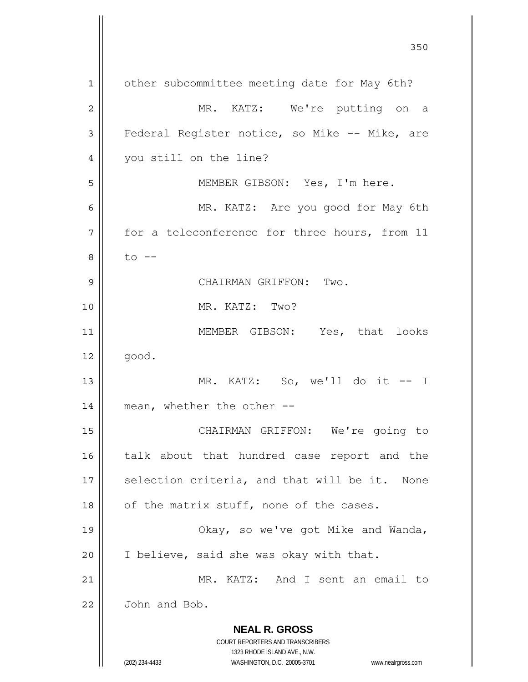**NEAL R. GROSS** COURT REPORTERS AND TRANSCRIBERS 1323 RHODE ISLAND AVE., N.W. (202) 234-4433 WASHINGTON, D.C. 20005-3701 www.nealrgross.com <u>350</u> 1 2 3 4 5 6 7 8 9 10 11 12 13 14 15 16 17 18 19 20 21 22 other subcommittee meeting date for May 6th? MR. KATZ: We're putting on a Federal Register notice, so Mike -- Mike, are you still on the line? MEMBER GIBSON: Yes, I'm here. MR. KATZ: Are you good for May 6th for a teleconference for three hours, from 11  $to$   $--$  CHAIRMAN GRIFFON: Two. MR. KATZ: Two? MEMBER GIBSON: Yes, that looks good. MR. KATZ: So, we'll do it -- I mean, whether the other -- CHAIRMAN GRIFFON: We're going to talk about that hundred case report and the selection criteria, and that will be it. None of the matrix stuff, none of the cases. Okay, so we've got Mike and Wanda, I believe, said she was okay with that. MR. KATZ: And I sent an email to John and Bob.